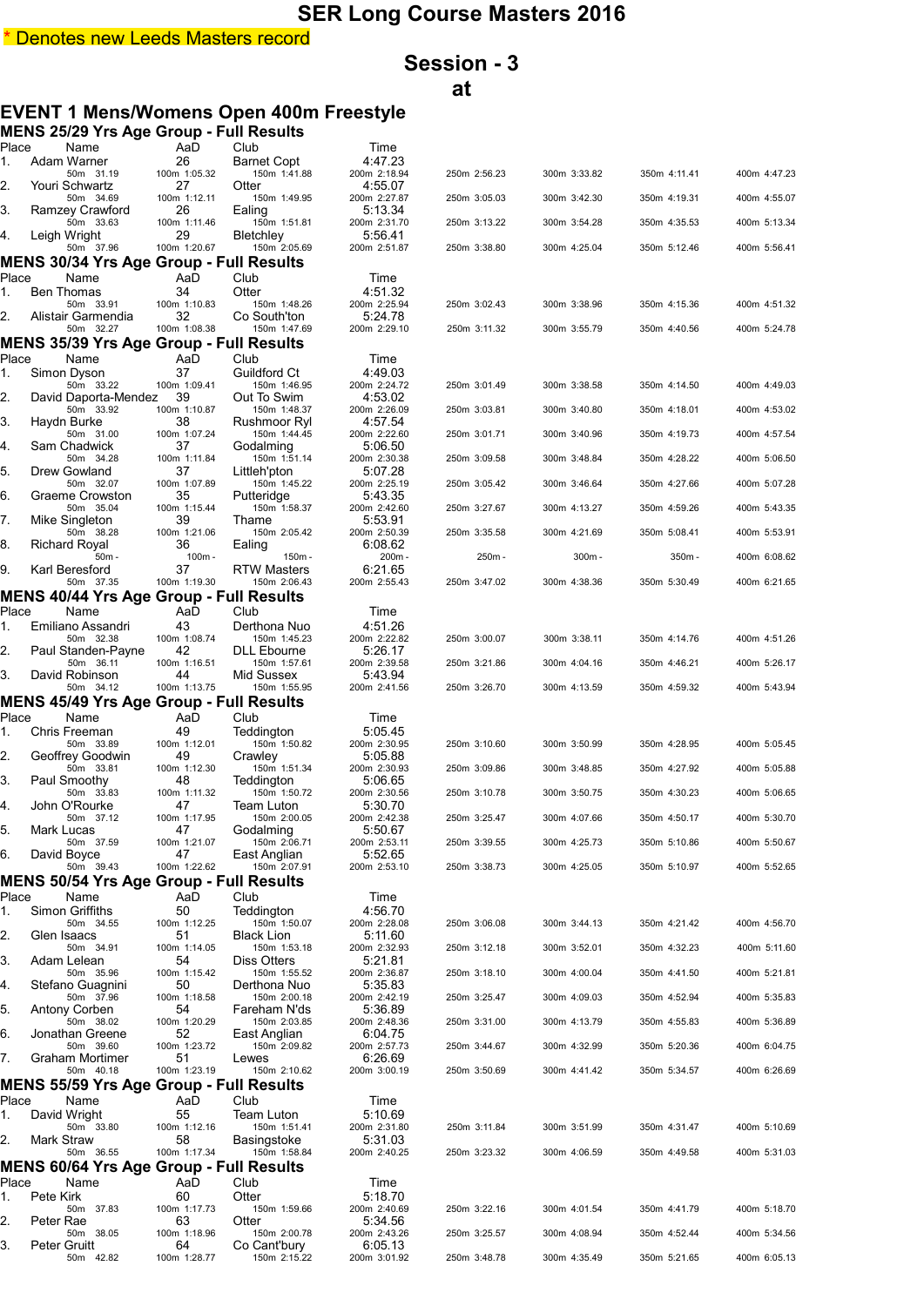## **Session - 3 at**

## **EVENT 1 Mens/Womens Open 400m Freestyle**

|             | <b>MENS 25/29 Yrs Age Group - Full Results</b>              |                    |                              |                         |              |              |              |              |
|-------------|-------------------------------------------------------------|--------------------|------------------------------|-------------------------|--------------|--------------|--------------|--------------|
| Place<br>1. | Name<br>Adam Warner                                         | AaD<br>26          | Club<br><b>Barnet Copt</b>   | Time<br>4:47.23         |              |              |              |              |
|             | 50m 31.19                                                   | 100m 1:05.32       | 150m 1:41.88                 | 200m 2:18.94            | 250m 2:56.23 | 300m 3:33.82 | 350m 4:11.41 | 400m 4:47.23 |
| 2.          | Youri Schwartz<br>50m 34.69                                 | 27<br>100m 1:12.11 | Otter<br>150m 1:49.95        | 4:55.07<br>200m 2:27.87 | 250m 3:05.03 | 300m 3:42.30 | 350m 4:19.31 | 400m 4:55.07 |
| 3.          | Ramzey Crawford<br>50m 33.63                                | 26<br>100m 1:11.46 | Ealing<br>150m 1:51.81       | 5:13.34<br>200m 2:31.70 | 250m 3:13.22 | 300m 3:54.28 | 350m 4:35.53 | 400m 5:13.34 |
| 4.          | Leigh Wright                                                | 29                 | Bletchley                    | 5:56.41                 |              |              |              |              |
|             | 50m 37.96<br><b>MENS 30/34 Yrs Age Group - Full Results</b> | 100m 1:20.67       | 150m 2:05.69                 | 200m 2:51.87            | 250m 3:38.80 | 300m 4:25.04 | 350m 5:12.46 | 400m 5:56.41 |
| Place       | Name                                                        | AaD                | Club                         | Time                    |              |              |              |              |
| 1.          | <b>Ben Thomas</b><br>50m 33.91                              | 34<br>100m 1:10.83 | Otter<br>150m 1:48.26        | 4:51.32<br>200m 2:25.94 | 250m 3:02.43 | 300m 3:38.96 | 350m 4:15.36 | 400m 4:51.32 |
| 2.          | Alistair Garmendia                                          | 32                 | Co South'ton                 | 5:24.78                 |              |              |              |              |
|             | 50m 32.27<br><b>MENS 35/39 Yrs Age Group - Full Results</b> | 100m 1:08.38       | 150m 1:47.69                 | 200m 2:29.10            | 250m 3:11.32 | 300m 3:55.79 | 350m 4:40.56 | 400m 5:24.78 |
| Place       | Name                                                        | AaD                | Club                         | Time                    |              |              |              |              |
| 1.          | Simon Dyson<br>50m 33.22                                    | 37<br>100m 1:09.41 | Guildford Ct<br>150m 1:46.95 | 4:49.03<br>200m 2:24.72 | 250m 3:01.49 | 300m 3:38.58 | 350m 4:14.50 | 400m 4:49.03 |
| 2.          | David Daporta-Mendez                                        | 39                 | Out To Swim                  | 4:53.02                 |              |              |              |              |
| 3.          | 50m 33.92<br>Haydn Burke                                    | 100m 1:10.87<br>38 | 150m 1:48.37<br>Rushmoor Ryl | 200m 2:26.09<br>4:57.54 | 250m 3:03.81 | 300m 3:40.80 | 350m 4:18.01 | 400m 4:53.02 |
| 4.          | 50m 31.00<br>Sam Chadwick                                   | 100m 1:07.24<br>37 | 150m 1:44.45<br>Godalming    | 200m 2:22.60<br>5:06.50 | 250m 3:01.71 | 300m 3:40.96 | 350m 4:19.73 | 400m 4:57.54 |
|             | 50m 34.28                                                   | 100m 1:11.84       | 150m 1:51.14                 | 200m 2:30.38            | 250m 3:09.58 | 300m 3:48.84 | 350m 4:28.22 | 400m 5:06.50 |
| 5.          | Drew Gowland<br>50m 32.07                                   | 37<br>100m 1:07.89 | Littleh'pton<br>150m 1:45.22 | 5:07.28<br>200m 2:25.19 | 250m 3:05.42 | 300m 3:46.64 | 350m 4:27.66 | 400m 5:07.28 |
| 6.          | Graeme Crowston<br>50m 35.04                                | 35<br>100m 1:15.44 | Putteridge<br>150m 1:58.37   | 5:43.35<br>200m 2:42.60 | 250m 3:27.67 | 300m 4:13.27 | 350m 4:59.26 | 400m 5:43.35 |
| 7.          | Mike Singleton                                              | 39                 | Thame                        | 5:53.91                 |              |              |              |              |
| 8.          | 50m 38.28<br>Richard Royal                                  | 100m 1:21.06<br>36 | 150m 2:05.42<br>Ealing       | 200m 2:50.39<br>6:08.62 | 250m 3:35.58 | 300m 4:21.69 | 350m 5:08.41 | 400m 5:53.91 |
| 9.          | 50m -<br>Karl Beresford                                     | 100m -<br>37       | 150m -<br>RTW Masters        | 200m-<br>6:21.65        | 250m -       | 300m-        | 350m -       | 400m 6:08.62 |
|             | 50m 37.35                                                   | 100m 1:19.30       | 150m 2:06.43                 | 200m 2:55.43            | 250m 3:47.02 | 300m 4:38.36 | 350m 5:30.49 | 400m 6:21.65 |
| Place       | <b>MENS 40/44 Yrs Age Group - Full Results</b><br>Name      | AaD                | Club                         | Time                    |              |              |              |              |
| 1.          | Emiliano Assandri                                           | 43                 | Derthona Nuo                 | 4:51.26                 |              |              |              |              |
| 2.          | 50m 32.38<br>Paul Standen-Payne                             | 100m 1:08.74<br>42 | 150m 1:45.23<br>DLL Ebourne  | 200m 2:22.82<br>5:26.17 | 250m 3:00.07 | 300m 3:38.11 | 350m 4:14.76 | 400m 4:51.26 |
|             | 50m 36.11                                                   | 100m 1:16.51       | 150m 1:57.61                 | 200m 2:39.58            | 250m 3:21.86 | 300m 4:04.16 | 350m 4:46.21 | 400m 5:26.17 |
| 3.          | David Robinson<br>50m 34.12                                 | 44<br>100m 1:13.75 | Mid Sussex<br>150m 1:55.95   | 5:43.94<br>200m 2:41.56 | 250m 3:26.70 | 300m 4:13.59 | 350m 4:59.32 | 400m 5:43.94 |
|             | <b>MENS 45/49 Yrs Age Group - Full Results</b>              |                    |                              |                         |              |              |              |              |
| Place<br>1. | Name<br>Chris Freeman                                       | AaD<br>49          | Club<br>Teddington           | Time<br>5:05.45         |              |              |              |              |
| 2.          | 50m 33.89<br>Geoffrey Goodwin                               | 100m 1:12.01<br>49 | 150m 1:50.82<br>Crawley      | 200m 2:30.95<br>5:05.88 | 250m 3:10.60 | 300m 3:50.99 | 350m 4:28.95 | 400m 5:05.45 |
|             | 50m 33.81                                                   | 100m 1:12.30       | 150m 1:51.34                 | 200m 2:30.93            | 250m 3:09.86 | 300m 3:48.85 | 350m 4:27.92 | 400m 5:05.88 |
| 3.          | Paul Smoothy<br>50m 33.83                                   | 48<br>100m 1:11.32 | Teddington<br>150m 1:50.72   | 5:06.65<br>200m 2:30.56 | 250m 3:10.78 | 300m 3:50.75 | 350m 4:30.23 | 400m 5:06.65 |
| 4.          | John O'Rourke<br>50m 37.12                                  | 47<br>100m 1:17.95 | Team Luton<br>150m 2:00.05   | 5:30.70<br>200m 2:42.38 | 250m 3:25.47 | 300m 4:07.66 | 350m 4:50.17 | 400m 5:30.70 |
| 5.          | Mark Lucas                                                  | 47                 | Godalming                    | 5:50.67                 |              |              |              |              |
| 6.          | 50m 37.59<br>David Boyce                                    | 100m 1:21.07<br>47 | 150m 2:06.71<br>East Anglian | 200m 2:53.11<br>5:52.65 | 250m 3:39.55 | 300m 4:25.73 | 350m 5:10.86 | 400m 5:50.67 |
|             | 50m 39.43                                                   | 100m 1:22.62       | 150m 2:07.91                 | 200m 2:53.10            | 250m 3:38.73 | 300m 4:25.05 | 350m 5:10.97 | 400m 5:52.65 |
| Place       | MENS 50/54 Yrs Age Group - Full Results<br>Name             | AaD                | Club                         | Time                    |              |              |              |              |
| 1.          | Simon Griffiths                                             | 50                 | Teddington                   | 4:56.70                 |              |              |              |              |
| 2.          | 50m 34.55<br>Glen Isaacs                                    | 100m 1:12.25<br>51 | 150m 1:50.07<br>Black Lion   | 200m 2:28.08<br>5:11.60 | 250m 3:06.08 | 300m 3:44.13 | 350m 4:21.42 | 400m 4:56.70 |
| 3.          | 50m 34.91<br>Adam Lelean                                    | 100m 1:14.05<br>54 | 150m 1:53.18<br>Diss Otters  | 200m 2:32.93<br>5:21.81 | 250m 3:12.18 | 300m 3:52.01 | 350m 4:32.23 | 400m 5:11.60 |
|             | 50m 35.96                                                   | 100m 1:15.42       | 150m 1:55.52                 | 200m 2:36.87            | 250m 3:18.10 | 300m 4:00.04 | 350m 4:41.50 | 400m 5:21.81 |
| 4.          | Stefano Guagnini<br>50m 37.96                               | 50<br>100m 1:18.58 | Derthona Nuo<br>150m 2:00.18 | 5:35.83<br>200m 2:42.19 | 250m 3:25.47 | 300m 4:09.03 | 350m 4:52.94 | 400m 5:35.83 |
| 5.          | Antony Corben<br>50m 38.02                                  | 54<br>100m 1:20.29 | Fareham N'ds<br>150m 2:03.85 | 5:36.89<br>200m 2:48.36 | 250m 3:31.00 | 300m 4:13.79 | 350m 4:55.83 | 400m 5:36.89 |
| 6.          | Jonathan Greene                                             | 52                 | East Anglian                 | 6:04.75                 |              |              |              |              |
| 7.          | 50m 39.60<br>Graham Mortimer                                | 100m 1:23.72<br>51 | 150m 2:09.82<br>Lewes        | 200m 2:57.73<br>6:26.69 | 250m 3:44.67 | 300m 4:32.99 | 350m 5:20.36 | 400m 6:04.75 |
|             | 50m 40.18                                                   | 100m 1:23.19       | 150m 2:10.62                 | 200m 3:00.19            | 250m 3:50.69 | 300m 4:41.42 | 350m 5:34.57 | 400m 6:26.69 |
| Place       | <b>MENS 55/59 Yrs Age Group - Full Results</b><br>Name      | AaD                | Club                         | Time                    |              |              |              |              |
| 1.          | David Wright                                                | 55                 | Team Luton                   | 5:10.69                 |              |              |              |              |
| 2.          | 50m 33.80<br>Mark Straw                                     | 100m 1:12.16<br>58 | 150m 1:51.41<br>Basingstoke  | 200m 2:31.80<br>5:31.03 | 250m 3:11.84 | 300m 3:51.99 | 350m 4:31.47 | 400m 5:10.69 |
|             | 50m 36.55                                                   | 100m 1:17.34       | 150m 1:58.84                 | 200m 2:40.25            | 250m 3:23.32 | 300m 4:06.59 | 350m 4:49.58 | 400m 5:31.03 |
| Place       | MENS 60/64 Yrs Age Group - Full Results<br>Name             | AaD                | Club                         | Time                    |              |              |              |              |
| 1.          | Pete Kirk                                                   | 60                 | Otter                        | 5:18.70                 |              |              |              |              |
| 2.          | 50m 37.83<br>Peter Rae                                      | 100m 1:17.73<br>63 | 150m 1:59.66<br>Otter        | 200m 2:40.69<br>5:34.56 | 250m 3:22.16 | 300m 4:01.54 | 350m 4:41.79 | 400m 5:18.70 |
| 3.          | 50m 38.05<br>Peter Gruitt                                   | 100m 1:18.96<br>64 | 150m 2:00.78<br>Co Cant'bury | 200m 2:43.26<br>6:05.13 | 250m 3:25.57 | 300m 4:08.94 | 350m 4:52.44 | 400m 5:34.56 |
|             | 50m 42.82                                                   | 100m 1:28.77       | 150m 2:15.22                 | 200m 3:01.92            | 250m 3:48.78 | 300m 4:35.49 | 350m 5:21.65 | 400m 6:05.13 |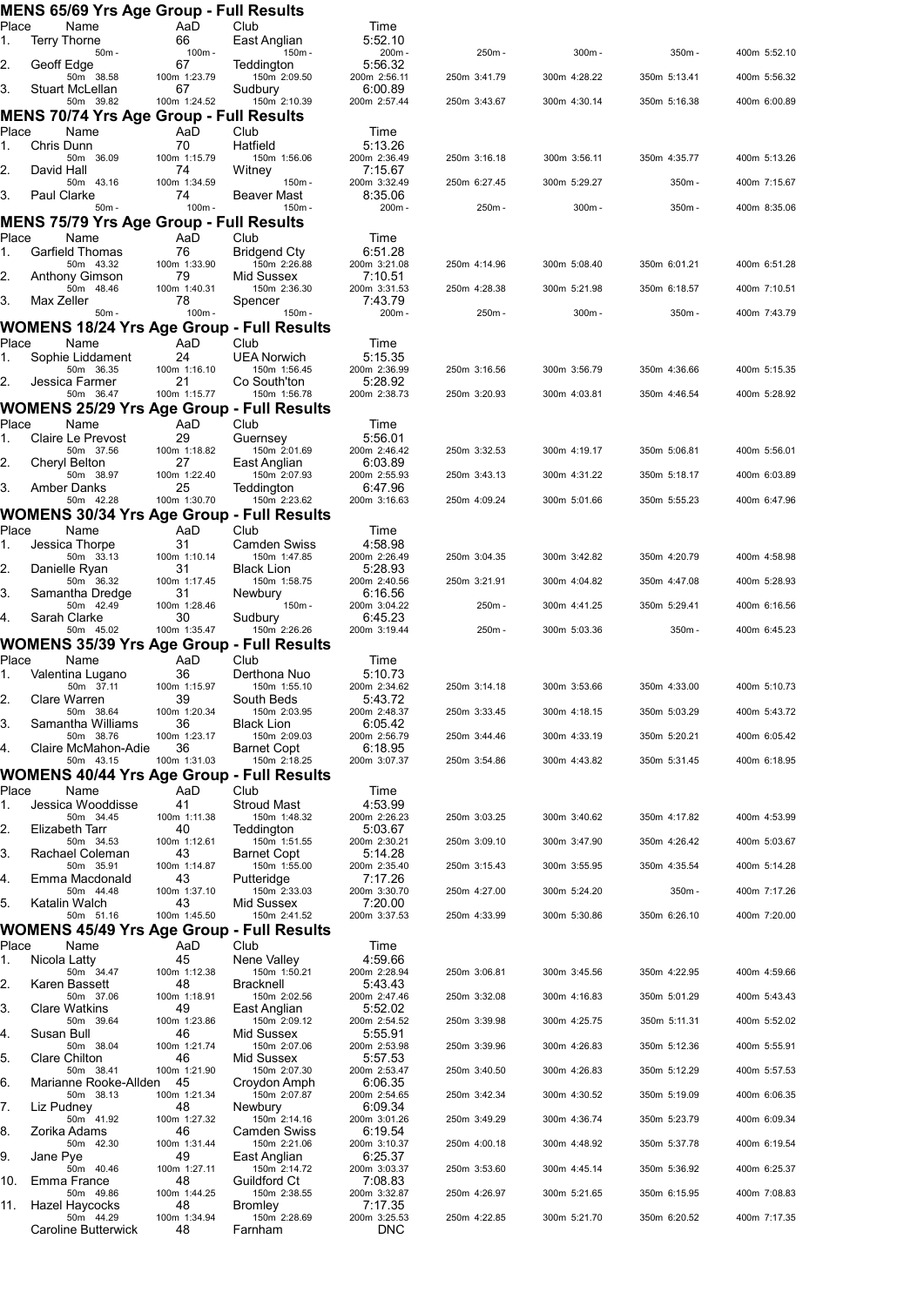|             | <b>MENS 65/69 Yrs Age Group - Full Results</b>           |                                    |                                                |                                         |                              |                              |                              |                              |
|-------------|----------------------------------------------------------|------------------------------------|------------------------------------------------|-----------------------------------------|------------------------------|------------------------------|------------------------------|------------------------------|
| Place<br>1. | Name<br>Terry Thorne                                     | AaD<br>66                          | Club<br>East Anglian                           | Time<br>5:52.10                         |                              |                              |                              |                              |
|             | 50m -                                                    | $100m -$                           | 150m-                                          | 200m-                                   | 250m-                        | $300m -$                     | 350m -                       | 400m 5:52.10                 |
| 2.          | Geoff Edge<br>50m 38.58                                  | 67<br>100m 1:23.79                 | Teddington<br>150m 2:09.50                     | 5:56.32<br>200m 2:56.11                 | 250m 3:41.79                 | 300m 4:28.22                 | 350m 5:13.41                 | 400m 5:56.32                 |
| 3.          | Stuart McLellan                                          | 67                                 | Sudbury                                        | 6:00.89                                 |                              |                              |                              |                              |
|             | 50m 39.82<br>MENS 70/74 Yrs Age Group - Full Results     | 100m 1:24.52                       | 150m 2:10.39                                   | 200m 2:57.44                            | 250m 3:43.67                 | 300m 4:30.14                 | 350m 5:16.38                 | 400m 6:00.89                 |
| Place       | Name                                                     | AaD                                | Club                                           | Time                                    |                              |                              |                              |                              |
| 1.          | Chris Dunn                                               | 70                                 | Hatfield                                       | 5:13.26                                 |                              |                              |                              |                              |
| 2.          | 50m 36.09<br>David Hall                                  | 100m 1:15.79<br>74                 | 150m 1:56.06<br>Witney                         | 200m 2:36.49<br>7:15.67                 | 250m 3:16.18                 | 300m 3:56.11                 | 350m 4:35.77                 | 400m 5:13.26                 |
| 3.          | 50m 43.16<br>Paul Clarke                                 | 100m 1:34.59<br>74                 | 150m -<br>Beaver Mast                          | 200m 3:32.49<br>8:35.06                 | 250m 6:27.45                 | 300m 5:29.27                 | 350m -                       | 400m 7:15.67                 |
|             | $50m -$                                                  | $100m -$                           | 150m -                                         | 200m-                                   | 250m-                        | 300m-                        | 350m -                       | 400m 8:35.06                 |
|             | MENS 75/79 Yrs Age Group - Full Results                  |                                    |                                                |                                         |                              |                              |                              |                              |
| Place<br>1. | Name<br>Garfield Thomas                                  | AaD<br>76                          | Club<br>Bridgend Cty                           | Time<br>6:51.28                         |                              |                              |                              |                              |
|             | 50m 43.32                                                | 100m 1:33.90                       | 150m 2:26.88                                   | 200m 3:21.08                            | 250m 4:14.96                 | 300m 5:08.40                 | 350m 6:01.21                 | 400m 6:51.28                 |
| 2.          | Anthony Gimson<br>50m 48.46                              | 79<br>100m 1:40.31                 | Mid Sussex<br>150m 2:36.30                     | 7:10.51<br>200m 3:31.53                 | 250m 4:28.38                 | 300m 5:21.98                 | 350m 6:18.57                 | 400m 7:10.51                 |
| 3.          | Max Zeller<br>50m -                                      | 78<br>100m-                        | Spencer<br>150m-                               | 7:43.79<br>200m-                        | 250m-                        | $300m -$                     | 350m -                       | 400m 7:43.79                 |
|             | WOMENS 18/24 Yrs Age Group - Full Results                |                                    |                                                |                                         |                              |                              |                              |                              |
| Place       | Name                                                     | AaD                                | Club                                           | Time                                    |                              |                              |                              |                              |
| 1.          | Sophie Liddament<br>50m 36.35                            | 24<br>100m 1:16.10                 | <b>UEA Norwich</b><br>150m 1:56.45             | 5:15.35<br>200m 2:36.99                 | 250m 3:16.56                 | 300m 3:56.79                 | 350m 4:36.66                 | 400m 5:15.35                 |
| 2.          | Jessica Farmer<br>50m 36.47                              | 21<br>100m 1:15.77                 | Co South'ton<br>150m 1:56.78                   | 5:28.92<br>200m 2:38.73                 | 250m 3:20.93                 | 300m 4:03.81                 | 350m 4:46.54                 | 400m 5:28.92                 |
|             | <b>WOMENS 25/29 Yrs Age Group - Full Results</b>         |                                    |                                                |                                         |                              |                              |                              |                              |
| Place       | Name                                                     | AaD                                | Club                                           | Time                                    |                              |                              |                              |                              |
| 1.          | Claire Le Prevost<br>50m 37.56                           | 29<br>100m 1:18.82                 | Guernsey<br>150m 2:01.69                       | 5:56.01<br>200m 2:46.42                 | 250m 3:32.53                 | 300m 4:19.17                 | 350m 5:06.81                 | 400m 5:56.01                 |
| 2.          | Cheryl Belton                                            | 27                                 | East Anglian                                   | 6:03.89                                 |                              |                              |                              |                              |
| 3.          | 50m 38.97<br>Amber Danks                                 | 100m 1:22.40<br>25                 | 150m 2:07.93<br>Teddington                     | 200m 2:55.93<br>6:47.96                 | 250m 3:43.13                 | 300m 4:31.22                 | 350m 5:18.17                 | 400m 6:03.89                 |
|             | 50m 42.28                                                | 100m 1:30.70                       | 150m 2:23.62                                   | 200m 3:16.63                            | 250m 4:09.24                 | 300m 5:01.66                 | 350m 5:55.23                 | 400m 6:47.96                 |
| Place       | WOMENS 30/34 Yrs Age Group - Full Results<br>Name        | AaD                                | Club                                           | Time                                    |                              |                              |                              |                              |
| 1.          | Jessica Thorpe                                           | 31                                 | Camden Swiss                                   | 4:58.98                                 |                              |                              |                              |                              |
| 2.          | 50m 33.13<br>Danielle Ryan                               | 100m 1:10.14<br>31                 | 150m 1:47.85<br><b>Black Lion</b>              | 200m 2:26.49<br>5:28.93                 | 250m 3:04.35                 | 300m 3:42.82                 | 350m 4:20.79                 | 400m 4:58.98                 |
|             | 50m 36.32                                                | 100m 1:17.45                       | 150m 1:58.75                                   | 200m 2:40.56                            | 250m 3:21.91                 | 300m 4:04.82                 | 350m 4:47.08                 | 400m 5:28.93                 |
|             |                                                          |                                    |                                                |                                         |                              |                              |                              |                              |
| 3.          | Samantha Dredge<br>50m 42.49                             | 31<br>100m 1:28.46                 | Newbury<br>150m -                              | 6:16.56<br>200m 3:04.22                 | 250m -                       | 300m 4:41.25                 | 350m 5:29.41                 | 400m 6:16.56                 |
| 4.          | Sarah Clarke<br>50m 45.02                                | 30                                 | Sudbury                                        | 6:45.23<br>200m 3:19.44                 | 250m -                       | 300m 5:03.36                 | 350m -                       | 400m 6:45.23                 |
|             | WOMENS 35/39 Yrs Age Group - Full Results                | 100m 1:35.47                       | 150m 2:26.26                                   |                                         |                              |                              |                              |                              |
| Place       | Name                                                     | AaD                                | Club                                           | Time                                    |                              |                              |                              |                              |
| 1.          | Valentina Lugano<br>50m 37.11                            | 36<br>100m 1:15.97                 | Derthona Nuo<br>150m 1:55.10                   | 5:10.73<br>200m 2:34.62                 | 250m 3:14.18                 | 300m 3:53.66                 | 350m 4:33.00                 | 400m 5:10.73                 |
| 2.          | Clare Warren                                             | 39                                 | South Beds                                     | 5:43.72                                 |                              |                              |                              |                              |
| 3.          | 50m 38.64<br>Samantha Williams                           | 100m 1:20.34<br>36                 | 150m 2:03.95<br><b>Black Lion</b>              | 200m 2:48.37<br>6:05.42                 | 250m 3:33.45                 | 300m 4:18.15                 | 350m 5:03.29                 | 400m 5:43.72                 |
| 4.          | 50m 38.76<br>Claire McMahon-Adie                         | 100m 1:23.17<br>36                 | 150m 2:09.03<br><b>Barnet Copt</b>             | 200m 2:56.79<br>6:18.95                 | 250m 3:44.46                 | 300m 4:33.19                 | 350m 5:20.21                 | 400m 6:05.42                 |
|             | 50m 43.15                                                | 100m 1:31.03                       | 150m 2:18.25                                   | 200m 3:07.37                            | 250m 3:54.86                 | 300m 4:43.82                 | 350m 5:31.45                 | 400m 6:18.95                 |
|             | WOMENS 40/44 Yrs Age Group - Full Results                |                                    |                                                |                                         |                              |                              |                              |                              |
| Place<br>1. | Name<br>Jessica Wooddisse                                | AaD<br>41                          | Club<br><b>Stroud Mast</b>                     | Time<br>4:53.99                         |                              |                              |                              |                              |
| 2.          | 50m 34.45<br>Elizabeth Tarr                              | 100m 1:11.38<br>40                 | 150m 1:48.32<br>Teddington                     | 200m 2:26.23<br>5:03.67                 | 250m 3:03.25                 | 300m 3:40.62                 | 350m 4:17.82                 | 400m 4:53.99                 |
|             | 50m 34.53                                                | 100m 1:12.61                       | 150m 1:51.55                                   | 200m 2:30.21                            | 250m 3:09.10                 | 300m 3:47.90                 | 350m 4:26.42                 | 400m 5:03.67                 |
| 3.          | Rachael Coleman<br>50m 35.91                             | 43<br>100m 1:14.87                 | Barnet Copt<br>150m 1:55.00                    | 5:14.28<br>200m 2:35.40                 | 250m 3:15.43                 | 300m 3:55.95                 | 350m 4:35.54                 | 400m 5:14.28                 |
|             | Emma Macdonald<br>50m 44.48                              | 43<br>100m 1:37.10                 | Putteridge                                     | 7:17.26                                 | 250m 4:27.00                 | 300m 5:24.20                 | 350m -                       | 400m 7:17.26                 |
| 4.<br>5.    | Katalin Walch                                            | 43                                 | 150m 2:33.03<br>Mid Sussex                     | 200m 3:30.70<br>7:20.00                 |                              |                              |                              |                              |
|             | 50m 51.16                                                | 100m 1:45.50                       | 150m 2:41.52                                   | 200m 3:37.53                            | 250m 4:33.99                 | 300m 5:30.86                 | 350m 6:26.10                 | 400m 7:20.00                 |
| Place       | <b>WOMENS 45/49 Yrs Age Group - Full Results</b><br>Name | AaD                                | Club                                           | Time                                    |                              |                              |                              |                              |
| 1.          | Nicola Latty                                             | 45                                 | Nene Valley                                    | 4:59.66                                 |                              |                              |                              |                              |
| 2.          | 50m 34.47<br>Karen Bassett                               | 100m 1:12.38<br>48                 | 150m 1:50.21<br><b>Bracknell</b>               | 200m 2:28.94<br>5:43.43                 | 250m 3:06.81                 | 300m 3:45.56                 | 350m 4:22.95                 | 400m 4:59.66                 |
| 3.          | 50m 37.06<br>Clare Watkins                               | 100m 1:18.91<br>49                 | 150m 2:02.56<br>East Anglian                   | 200m 2:47.46<br>5:52.02                 | 250m 3:32.08                 | 300m 4:16.83                 | 350m 5:01.29                 | 400m 5:43.43                 |
|             | 50m 39.64                                                | 100m 1:23.86                       | 150m 2:09.12                                   | 200m 2:54.52                            | 250m 3:39.98                 | 300m 4:25.75                 | 350m 5:11.31                 | 400m 5:52.02                 |
| 4.          | Susan Bull<br>50m 38.04                                  | 46<br>100m 1:21.74                 | Mid Sussex<br>150m 2:07.06                     | 5:55.91<br>200m 2:53.98                 | 250m 3:39.96                 | 300m 4:26.83                 | 350m 5:12.36                 | 400m 5:55.91                 |
| 5.          | <b>Clare Chilton</b><br>50m 38.41                        | 46<br>100m 1:21.90                 | Mid Sussex<br>150m 2:07.30                     | 5:57.53<br>200m 2:53.47                 | 250m 3:40.50                 | 300m 4:26.83                 | 350m 5:12.29                 | 400m 5:57.53                 |
| 6.          | Marianne Rooke-Allden                                    | 45                                 | Croydon Amph                                   | 6:06.35                                 |                              |                              |                              |                              |
| 7.          | 50m 38.13<br>Liz Pudney                                  | 100m 1:21.34<br>48                 | 150m 2:07.87<br>Newbury                        | 200m 2:54.65<br>6:09.34                 | 250m 3:42.34                 | 300m 4:30.52                 | 350m 5:19.09                 | 400m 6:06.35                 |
|             | 50m 41.92                                                | 100m 1:27.32                       | 150m 2:14.16                                   | 200m 3:01.26                            | 250m 3:49.29                 | 300m 4:36.74                 | 350m 5:23.79                 | 400m 6:09.34                 |
| 8.          | Zorika Adams<br>50m 42.30                                | 46<br>100m 1:31.44                 | <b>Camden Swiss</b><br>150m 2:21.06            | 6:19.54<br>200m 3:10.37                 | 250m 4:00.18                 | 300m 4:48.92                 | 350m 5:37.78                 | 400m 6:19.54                 |
| 9.          | Jane Pye<br>50m 40.46                                    | 49<br>100m 1:27.11                 | East Anglian<br>150m 2:14.72                   | 6:25.37<br>200m 3:03.37                 | 250m 3:53.60                 | 300m 4:45.14                 | 350m 5:36.92                 | 400m 6:25.37                 |
| 10.         | Emma France                                              | 48                                 | Guildford Ct                                   | 7:08.83                                 |                              |                              |                              |                              |
| 11.         | 50m 49.86<br>Hazel Haycocks<br>50m 44.29                 | 100m 1:44.25<br>48<br>100m 1:34.94 | 150m 2:38.55<br><b>Bromley</b><br>150m 2:28.69 | 200m 3:32.87<br>7:17.35<br>200m 3:25.53 | 250m 4:26.97<br>250m 4:22.85 | 300m 5:21.65<br>300m 5:21.70 | 350m 6:15.95<br>350m 6:20.52 | 400m 7:08.83<br>400m 7:17.35 |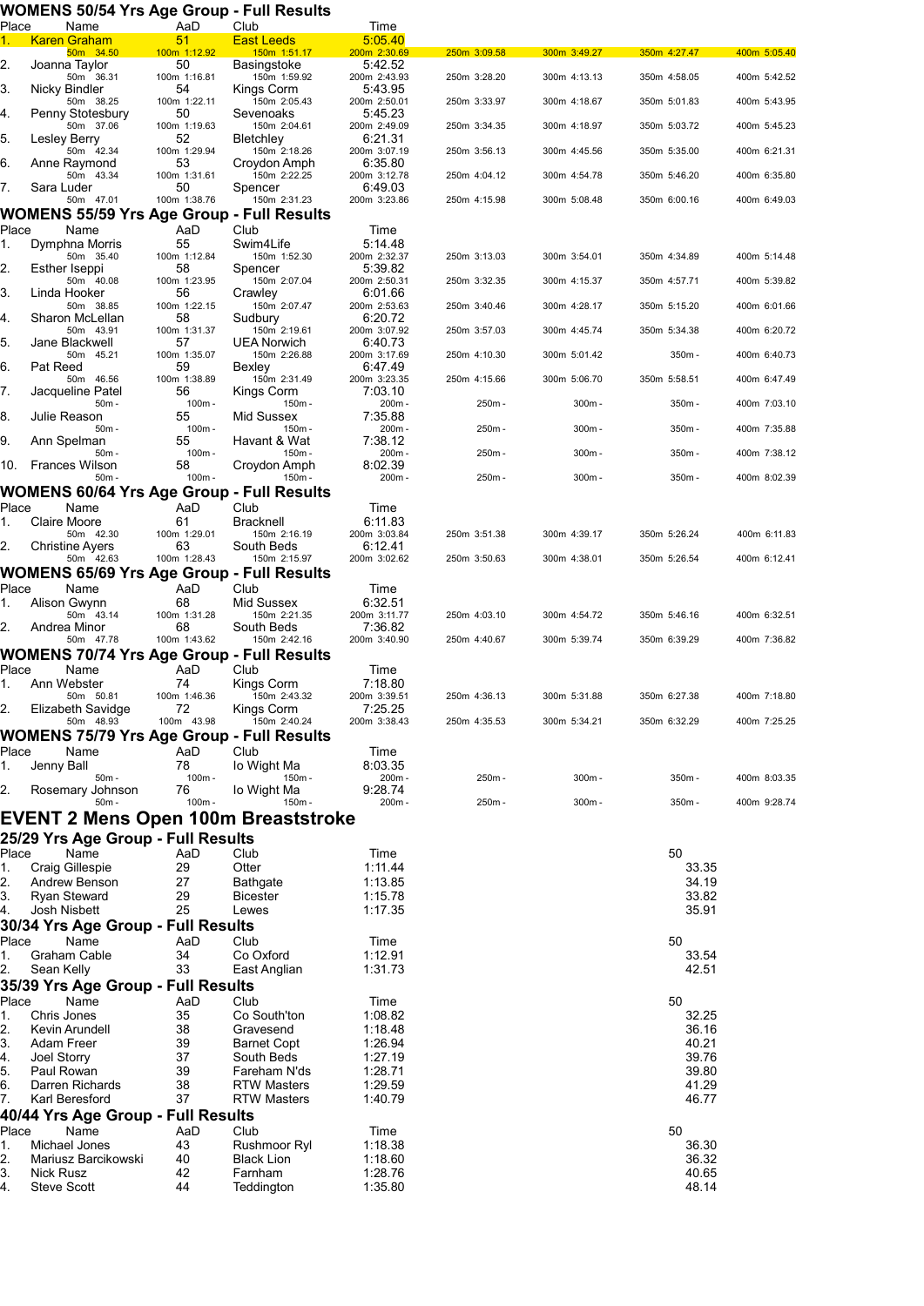## **WOMENS 50/54 Yrs Age Group - Full Results**

| Place    | Name                                             | AaD                | Club                               | Time                    |              |              |                |              |
|----------|--------------------------------------------------|--------------------|------------------------------------|-------------------------|--------------|--------------|----------------|--------------|
| 1.       | <b>Karen Graham</b>                              | 51                 | <b>East Leeds</b>                  | 5:05.40                 |              |              |                |              |
| 2.       | 50m 34.50<br>Joanna Taylor                       | 100m 1:12.92<br>50 | 150m 1:51.17<br>Basingstoke        | 200m 2:30.69<br>5:42.52 | 250m 3:09.58 | 300m 3:49.27 | 350m 4:27.47   | 400m 5:05.40 |
|          | 50m 36.31                                        | 100m 1:16.81       | 150m 1:59.92                       | 200m 2:43.93            | 250m 3:28.20 | 300m 4:13.13 | 350m 4:58.05   | 400m 5:42.52 |
| 3.       | Nicky Bindler                                    | 54                 | Kings Corm                         | 5:43.95                 |              |              |                |              |
| 4.       | 50m 38.25<br>Penny Stotesbury                    | 100m 1:22.11<br>50 | 150m 2:05.43<br>Sevenoaks          | 200m 2:50.01<br>5:45.23 | 250m 3:33.97 | 300m 4:18.67 | 350m 5:01.83   | 400m 5:43.95 |
|          | 50m 37.06                                        | 100m 1:19.63       | 150m 2:04.61                       | 200m 2:49.09            | 250m 3:34.35 | 300m 4:18.97 | 350m 5:03.72   | 400m 5:45.23 |
| 5.       | Lesley Berry                                     | 52                 | Bletchley                          | 6:21.31                 |              |              |                |              |
|          | 50m 42.34                                        | 100m 1:29.94       | 150m 2:18.26                       | 200m 3:07.19            | 250m 3:56.13 | 300m 4:45.56 | 350m 5:35.00   | 400m 6:21.31 |
| 6.       | Anne Raymond<br>50m 43.34                        | 53<br>100m 1:31.61 | Croydon Amph<br>150m 2:22.25       | 6:35.80<br>200m 3:12.78 | 250m 4:04.12 | 300m 4:54.78 | 350m 5:46.20   | 400m 6:35.80 |
| 7.       | Sara Luder                                       | 50                 | Spencer                            | 6:49.03                 |              |              |                |              |
|          | 50m 47.01                                        | 100m 1:38.76       | 150m 2:31.23                       | 200m 3:23.86            | 250m 4:15.98 | 300m 5:08.48 | 350m 6:00.16   | 400m 6:49.03 |
|          | <b>WOMENS 55/59 Yrs Age Group - Full Results</b> |                    |                                    |                         |              |              |                |              |
| Place    | Name                                             | AaD                | Club                               | Time                    |              |              |                |              |
| 1.       | Dymphna Morris                                   | 55                 | Swim4Life                          | 5:14.48                 |              |              |                |              |
|          | 50m 35.40                                        | 100m 1:12.84<br>58 | 150m 1:52.30                       | 200m 2:32.37            | 250m 3:13.03 | 300m 3:54.01 | 350m 4:34.89   | 400m 5:14.48 |
| 2.       | Esther Iseppi<br>50m 40.08                       | 100m 1:23.95       | Spencer<br>150m 2:07.04            | 5:39.82<br>200m 2:50.31 | 250m 3:32.35 | 300m 4:15.37 | 350m 4:57.71   | 400m 5:39.82 |
| 3.       | Linda Hooker                                     | 56                 | Crawley                            | 6:01.66                 |              |              |                |              |
|          | 50m 38.85                                        | 100m 1:22.15       | 150m 2:07.47                       | 200m 2:53.63            | 250m 3:40.46 | 300m 4:28.17 | 350m 5:15.20   | 400m 6:01.66 |
| 4.       | Sharon McLellan<br>50m 43.91                     | 58                 | Sudbury                            | 6:20.72                 | 250m 3:57.03 | 300m 4:45.74 |                | 400m 6:20.72 |
| 5.       | Jane Blackwell                                   | 100m 1:31.37<br>57 | 150m 2:19.61<br><b>UEA Norwich</b> | 200m 3:07.92<br>6:40.73 |              |              | 350m 5:34.38   |              |
|          | 50m 45.21                                        | 100m 1:35.07       | 150m 2:26.88                       | 200m 3:17.69            | 250m 4:10.30 | 300m 5:01.42 | 350m-          | 400m 6:40.73 |
| 6.       | Pat Reed                                         | 59                 | Bexley                             | 6:47.49                 |              |              |                |              |
|          | 50m 46.56                                        | 100m 1:38.89       | 150m 2:31.49                       | 200m 3:23.35            | 250m 4:15.66 | 300m 5:06.70 | 350m 5:58.51   | 400m 6:47.49 |
| 7.       | Jacqueline Patel<br>$50m -$                      | 56<br>100m-        | Kings Corm<br>150m -               | 7:03.10<br>200m-        | 250m-        | $300m -$     | 350m -         | 400m 7:03.10 |
| 8.       | Julie Reason                                     | 55                 | Mid Sussex                         | 7:35.88                 |              |              |                |              |
|          | $50m -$                                          | 100m-              | 150m-                              | 200m-                   | 250m-        | 300m-        | 350m-          | 400m 7:35.88 |
| 9.       | Ann Spelman                                      | 55                 | Havant & Wat                       | 7:38.12                 |              |              |                |              |
|          | $50m -$<br><b>Frances Wilson</b>                 | 100m-              | 150m-                              | 200m-                   | 250m-        | $300m -$     | 350m -         | 400m 7:38.12 |
| 10.      | $50m -$                                          | 58<br>100m-        | Croydon Amph<br>150m-              | 8:02.39<br>$200m -$     | 250m-        | $300m -$     | 350m -         | 400m 8:02.39 |
|          | <b>WOMENS 60/64 Yrs Age Group - Full Results</b> |                    |                                    |                         |              |              |                |              |
| Place    | Name                                             | AaD                | Club                               | Time                    |              |              |                |              |
| 1.       | Claire Moore                                     | 61                 | Bracknell                          | 6:11.83                 |              |              |                |              |
|          | 50m 42.30                                        | 100m 1:29.01       | 150m 2:16.19                       | 200m 3:03.84            | 250m 3:51.38 | 300m 4:39.17 | 350m 5:26.24   | 400m 6:11.83 |
| 2.       | <b>Christine Ayers</b>                           | 63                 | South Beds                         | 6:12.41                 |              |              |                |              |
|          | 50m 42.63                                        | 100m 1:28.43       | 150m 2:15.97                       | 200m 3:02.62            | 250m 3:50.63 | 300m 4:38.01 | 350m 5:26.54   | 400m 6:12.41 |
|          | WOMENS 65/69 Yrs Age Group - Full Results        |                    |                                    |                         |              |              |                |              |
| Place    | Name<br>Alison Gwynn                             | AaD<br>68          | Club<br>Mid Sussex                 | Time<br>6:32.51         |              |              |                |              |
| 1.       | 50m 43.14                                        | 100m 1:31.28       | 150m 2:21.35                       | 200m 3:11.77            | 250m 4:03.10 | 300m 4:54.72 | 350m 5:46.16   | 400m 6:32.51 |
| 2.       | Andrea Minor                                     | 68                 | South Beds                         | 7:36.82                 |              |              |                |              |
|          | 50m 47.78                                        | 100m 1:43.62       | 150m 2:42.16                       | 200m 3:40.90            | 250m 4:40.67 | 300m 5:39.74 | 350m 6:39.29   | 400m 7:36.82 |
|          | WOMENS 70/74 Yrs Age Group - Full Results        |                    |                                    |                         |              |              |                |              |
| Place    | Name                                             | AaD                | Club                               | Time                    |              |              |                |              |
| 1.       | Ann Webster                                      | 74                 | Kings Corm                         | 7:18.80                 |              |              |                |              |
|          | 50m 50.81                                        | 100m 1:46.36       | 150m 2:43.32                       | 200m 3:39.51            | 250m 4:36.13 | 300m 5:31.88 | 350m 6:27.38   | 400m 7:18.80 |
| 2.       | Elizabeth Savidge<br>50m 48.93                   | 72<br>100m 43.98   | Kings Corm<br>150m 2:40.24         | 7:25.25<br>200m 3:38.43 | 250m 4:35.53 | 300m 5:34.21 | 350m 6:32.29   | 400m 7:25.25 |
|          | <b>WOMENS 75/79 Yrs Age Group - Full Results</b> |                    |                                    |                         |              |              |                |              |
| Place    | Name                                             | AaD                | Club                               | Time                    |              |              |                |              |
| 1.       | Jenny Ball                                       | 78                 | lo Wight Ma                        | 8:03.35                 |              |              |                |              |
|          | $50m -$                                          | 100m-              | 150m -                             | 200m-                   | 250m-        | $300m -$     | 350m -         | 400m 8:03.35 |
| 2.       | Rosemary Johnson                                 | 76                 | lo Wight Ma                        | 9:28.74                 |              |              |                |              |
|          | $50m -$                                          | $100m -$           | 150m-                              | 200m-                   | 250m-        | $300m -$     | 350m -         | 400m 9:28.74 |
|          | EVENT 2 Mens Open 100m Breaststroke              |                    |                                    |                         |              |              |                |              |
|          | 25/29 Yrs Age Group - Full Results               |                    |                                    |                         |              |              |                |              |
| Place    | Name                                             | AaD                | Club                               | Time                    |              |              | 50             |              |
| 1.       | Craig Gillespie                                  | 29                 | Otter                              | 1:11.44                 |              |              | 33.35          |              |
| 2.       | Andrew Benson                                    | 27                 | Bathgate                           | 1:13.85                 |              |              | 34.19          |              |
| 3.       | <b>Ryan Steward</b>                              | 29                 | <b>Bicester</b>                    | 1:15.78                 |              |              | 33.82          |              |
| 4.       | Josh Nisbett                                     | 25                 | Lewes                              | 1:17.35                 |              |              | 35.91          |              |
|          | 30/34 Yrs Age Group - Full Results               |                    |                                    |                         |              |              |                |              |
| Place    | Name                                             | AaD                | Club                               | Time                    |              |              | 50             |              |
| 1.       | Graham Cable                                     | 34                 | Co Oxford                          | 1:12.91                 |              |              | 33.54          |              |
| 2.       | Sean Kelly                                       | 33                 | East Anglian                       | 1:31.73                 |              |              | 42.51          |              |
|          | 35/39 Yrs Age Group - Full Results               |                    |                                    |                         |              |              |                |              |
| Place    | Name                                             | AaD                | Club                               | Time                    |              |              | 50             |              |
| 1.       | Chris Jones                                      | 35                 | Co South'ton                       | 1:08.82                 |              |              | 32.25          |              |
| 2.       | Kevin Arundell                                   | 38                 | Gravesend                          | 1:18.48                 |              |              | 36.16          |              |
| 3.       | Adam Freer                                       | 39                 | <b>Barnet Copt</b>                 | 1:26.94                 |              |              | 40.21          |              |
| 4.<br>5. | Joel Storry<br>Paul Rowan                        | 37<br>39           | South Beds<br>Fareham N'ds         | 1:27.19<br>1:28.71      |              |              | 39.76<br>39.80 |              |
| 6.       | Darren Richards                                  | 38                 | <b>RTW Masters</b>                 | 1:29.59                 |              |              | 41.29          |              |
| 7.       | Karl Beresford                                   | 37                 | <b>RTW Masters</b>                 | 1:40.79                 |              |              | 46.77          |              |
|          | 40/44 Yrs Age Group - Full Results               |                    |                                    |                         |              |              |                |              |
| Place    | Name                                             | AaD                | Club                               | Time                    |              |              | 50             |              |
| 1.       | Michael Jones                                    | 43                 | Rushmoor Ryl                       | 1:18.38                 |              |              | 36.30          |              |
| 2.       | Mariusz Barcikowski                              | 40                 | <b>Black Lion</b>                  | 1:18.60                 |              |              | 36.32          |              |
| 3.       | <b>Nick Rusz</b>                                 | 42                 | Farnham                            | 1:28.76                 |              |              | 40.65          |              |
| 4.       | Steve Scott                                      | 44                 | Teddington                         | 1:35.80                 |              |              | 48.14          |              |
|          |                                                  |                    |                                    |                         |              |              |                |              |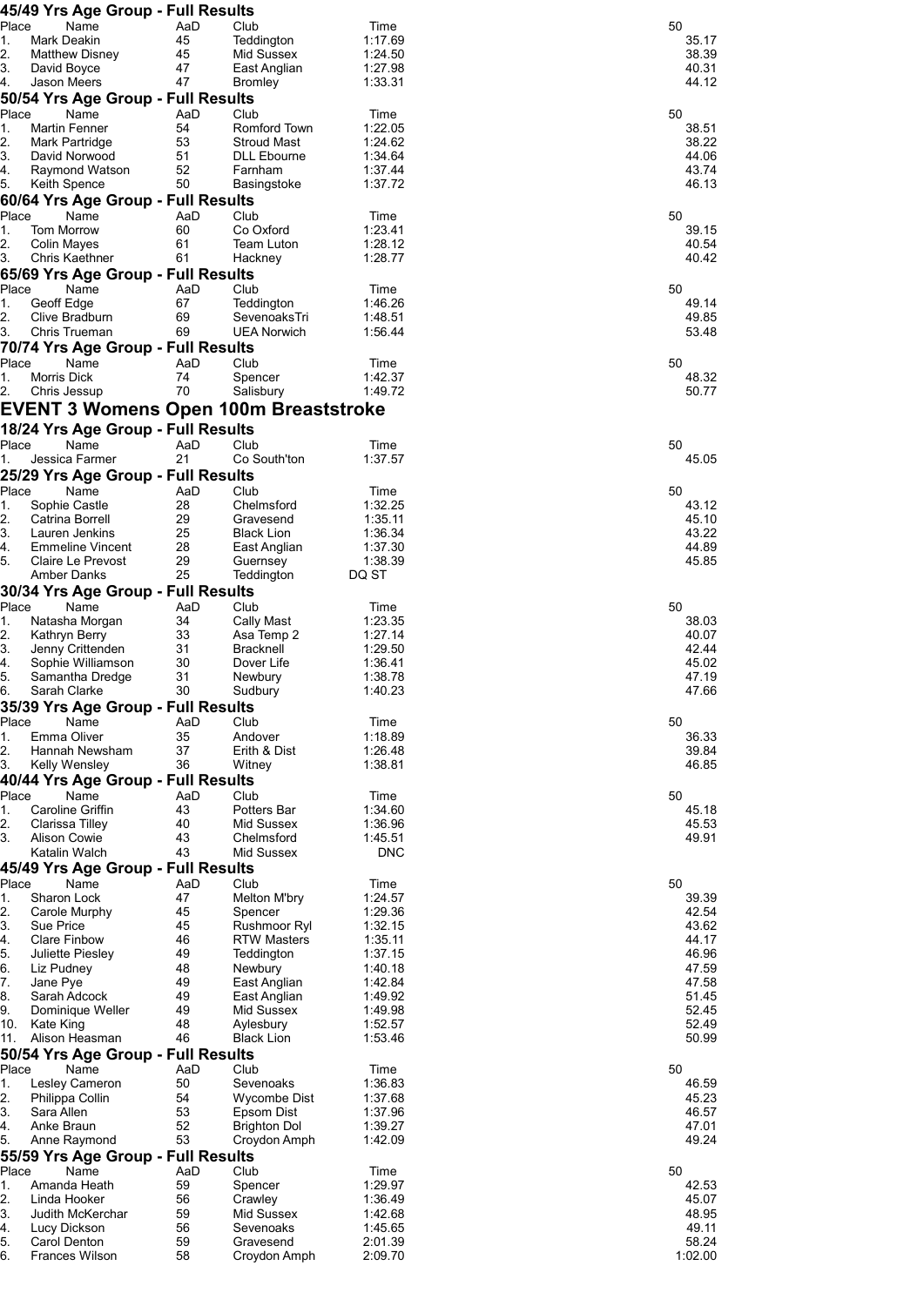|                | 45/49 Yrs Age Group - Full Results                  |           |                                    |                    |                |
|----------------|-----------------------------------------------------|-----------|------------------------------------|--------------------|----------------|
| Place          | Name                                                | AaD       | Club                               | Time               | 50             |
| 1.<br>2.       | Mark Deakin<br><b>Matthew Disney</b>                | 45<br>45  | Teddington<br>Mid Sussex           | 1:17.69<br>1:24.50 | 35.17<br>38.39 |
| 3.             | David Boyce                                         | 47        | East Anglian                       | 1:27.98            | 40.31          |
| 4.             | <b>Jason Meers</b>                                  | 47        | <b>Bromley</b>                     | 1:33.31            | 44.12          |
| Place          | 50/54 Yrs Age Group - Full Results<br>Name          | AaD       | Club                               | Time               | 50             |
| 1.             | <b>Martin Fenner</b>                                | 54        | Romford Town                       | 1:22.05            | 38.51          |
| 2.             | Mark Partridge                                      | 53        | <b>Stroud Mast</b>                 | 1:24.62            | 38.22          |
| 3.<br>4.       | David Norwood<br>Raymond Watson                     | 51<br>52  | <b>DLL Ebourne</b><br>Farnham      | 1:34.64<br>1:37.44 | 44.06<br>43.74 |
| 5.             | Keith Spence                                        | 50        | Basingstoke                        | 1:37.72            | 46.13          |
|                | 60/64 Yrs Age Group - Full Results                  |           |                                    |                    |                |
| Place<br>1.    | Name<br><b>Tom Morrow</b>                           | AaD<br>60 | Club<br>Co Oxford                  | Time<br>1:23.41    | 50<br>39.15    |
| 2.             | Colin Mayes                                         | 61        | Team Luton                         | 1:28.12            | 40.54          |
| 3.             | Chris Kaethner                                      | 61        | Hackney                            | 1:28.77            | 40.42          |
| Place          | 65/69 Yrs Age Group - Full Results<br>Name          | AaD       | Club                               | Time               | 50             |
| 1.             | Geoff Edge                                          | 67        | Teddington                         | 1:46.26            | 49.14          |
| 2.<br>3.       | Clive Bradburn<br>Chris Trueman                     | 69<br>69  | SevenoaksTri<br><b>UEA Norwich</b> | 1:48.51<br>1:56.44 | 49.85<br>53.48 |
|                | 70/74 Yrs Age Group - Full Results                  |           |                                    |                    |                |
| Place          | Name                                                | AaD       | Club                               | Time               | 50             |
| 1.<br>2.       | Morris Dick<br>Chris Jessup                         | 74<br>70  | Spencer<br>Salisbury               | 1:42.37<br>1:49.72 | 48.32<br>50.77 |
|                | <b>EVENT 3 Womens Open 100m Breaststroke</b>        |           |                                    |                    |                |
|                | 18/24 Yrs Age Group - Full Results                  |           |                                    |                    |                |
| Place          | Name                                                | AaD       | Club                               | Time               | 50             |
| 1.             | Jessica Farmer                                      | 21        | Co South'ton                       | 1:37.57            | 45.05          |
| Place          | 25/29 Yrs Age Group - Full Results<br>Name          | AaD       | Club                               | Time               | 50             |
| 1.             | Sophie Castle                                       | 28        | Chelmsford                         | 1:32.25            | 43.12          |
| 2.             | Catrina Borrell                                     | 29        | Gravesend                          | 1:35.11            | 45.10          |
| 3.<br>4.       | Lauren Jenkins<br><b>Emmeline Vincent</b>           | 25<br>28  | <b>Black Lion</b><br>East Anglian  | 1:36.34<br>1:37.30 | 43.22<br>44.89 |
| 5.             | Claire Le Prevost                                   | 29        | Guernsey                           | 1:38.39            | 45.85          |
|                | Amber Danks<br>30/34 Yrs Age Group - Full Results   | 25        | Teddington                         | DQ ST              |                |
| Place          | Name                                                | AaD       | Club                               | Time               | 50             |
| 1.             | Natasha Morgan                                      | 34        | Cally Mast                         | 1:23.35            | 38.03          |
| 2.<br>3.       | Kathryn Berry<br>Jenny Crittenden                   | 33<br>31  | Asa Temp 2<br><b>Bracknell</b>     | 1:27.14<br>1:29.50 | 40.07<br>42.44 |
| 4.             | Sophie Williamson                                   | 30        | Dover Life                         | 1:36.41            | 45.02          |
| 5.             | Samantha Dredge                                     | 31        | Newbury                            | 1:38.78            | 47.19          |
| ю.             | Sarah Clarke<br>35/39 Yrs Age Group - Full Results  | 30        | Sudbury                            | 1:40.23            | 47.66          |
| Place          | Name                                                | AaD       | Club                               | Time               | 50             |
| 1.<br>2.       | Emma Oliver<br>Hannah Newsham                       | 35<br>37  | Andover<br>Erith & Dist            | 1:18.89<br>1:26.48 | 36.33<br>39.84 |
| 3.             | Kelly Wensley                                       | 36        | Witney                             | 1:38.81            | 46.85          |
|                | 40/44 Yrs Age Group - Full Results                  |           |                                    |                    |                |
| Place          | Name                                                | AaD<br>43 | Club<br>Potters Bar                | Time               | 50             |
| 1.<br>2.       | Caroline Griffin<br>Clarissa Tilley                 | 40        | Mid Sussex                         | 1:34.60<br>1:36.96 | 45.18<br>45.53 |
| 3.             | Alison Cowie                                        | 43        | Chelmsford                         | 1:45.51            | 49.91          |
|                | Katalin Walch<br>45/49 Yrs Age Group - Full Results | 43        | Mid Sussex                         | <b>DNC</b>         |                |
| Place          | Name                                                | AaD       | Club                               | Time               | 50             |
| 1.             | Sharon Lock                                         | 47        | <b>Melton M'bry</b>                | 1:24.57            | 39.39          |
| 2.<br>3.       | Carole Murphy<br>Sue Price                          | 45<br>45  | Spencer<br>Rushmoor Ryl            | 1:29.36<br>1:32.15 | 42.54<br>43.62 |
| 4.             | <b>Clare Finbow</b>                                 | 46        | <b>RTW Masters</b>                 | 1:35.11            | 44.17          |
| 5.<br>6.       | Juliette Piesley                                    | 49<br>48  | Teddington                         | 1:37.15<br>1:40.18 | 46.96<br>47.59 |
| 7.             | Liz Pudney<br>Jane Pye                              | 49        | Newbury<br>East Anglian            | 1:42.84            | 47.58          |
| 8.             | Sarah Adcock                                        | 49        | East Anglian                       | 1:49.92            | 51.45          |
| 9.<br>10.      | Dominique Weller<br>Kate King                       | 49<br>48  | Mid Sussex<br>Aylesbury            | 1:49.98<br>1:52.57 | 52.45<br>52.49 |
| 11.            | Alison Heasman                                      | 46        | <b>Black Lion</b>                  | 1:53.46            | 50.99          |
|                | 50/54 Yrs Age Group - Full Results                  |           |                                    |                    |                |
| Place<br>1.    | Name<br>Lesley Cameron                              | AaD<br>50 | Club<br>Sevenoaks                  | Time<br>1:36.83    | 50<br>46.59    |
| 2.             | Philippa Collin                                     | 54        | <b>Wycombe Dist</b>                | 1:37.68            | 45.23          |
| 3.<br>4.       | Sara Allen<br>Anke Braun                            | 53<br>52  | Epsom Dist<br><b>Brighton Dol</b>  | 1:37.96<br>1:39.27 | 46.57<br>47.01 |
| 5.             | Anne Raymond                                        | 53        | Croydon Amph                       | 1:42.09            | 49.24          |
|                | 55/59 Yrs Age Group - Full Results                  |           |                                    |                    |                |
| Place<br>1.    | Name<br>Amanda Heath                                | AaD<br>59 | Club                               | Time<br>1:29.97    | 50<br>42.53    |
| 2.             | Linda Hooker                                        | 56        | Spencer<br>Crawley                 | 1:36.49            | 45.07          |
|                |                                                     |           |                                    |                    | 48.95          |
|                | Judith McKerchar                                    | 59        | Mid Sussex                         | 1:42.68            |                |
| 3.<br>4.<br>5. | Lucy Dickson<br>Carol Denton                        | 56<br>59  | Sevenoaks<br>Gravesend             | 1:45.65<br>2:01.39 | 49.11<br>58.24 |

| 50 | 35.17<br>38.39<br>40.31<br>44.12                                                                |
|----|-------------------------------------------------------------------------------------------------|
| 50 | 38.51<br>38.22<br>44.06<br>43.74<br>46.13                                                       |
| 50 | 39.15<br>40.54<br>40.42                                                                         |
| 50 | 49.14<br>49.85<br>5348                                                                          |
| 50 | 48.32<br>50.77                                                                                  |
| 50 | 45.05                                                                                           |
| 50 | 43.12<br>45.10<br>43.22<br>44.89<br>45.85                                                       |
| 50 | 38.03<br>40.07<br>42.44<br>45.02<br>47.19<br>47.66                                              |
| 50 | 36.33<br>39.84<br>46.85                                                                         |
| 50 | 45.18<br>45.53<br>49.91                                                                         |
| 50 | 39.39<br>42.54<br>43.62<br>44.17<br>46.96<br>47.59<br>47.58<br>51.45<br>52.45<br>52.49<br>50.99 |
| 50 | 46.59<br>45.23<br>46.57<br>47.01<br>49.24                                                       |
| 50 | 42.53<br>45.07<br>48.95<br>49.11<br>58.24                                                       |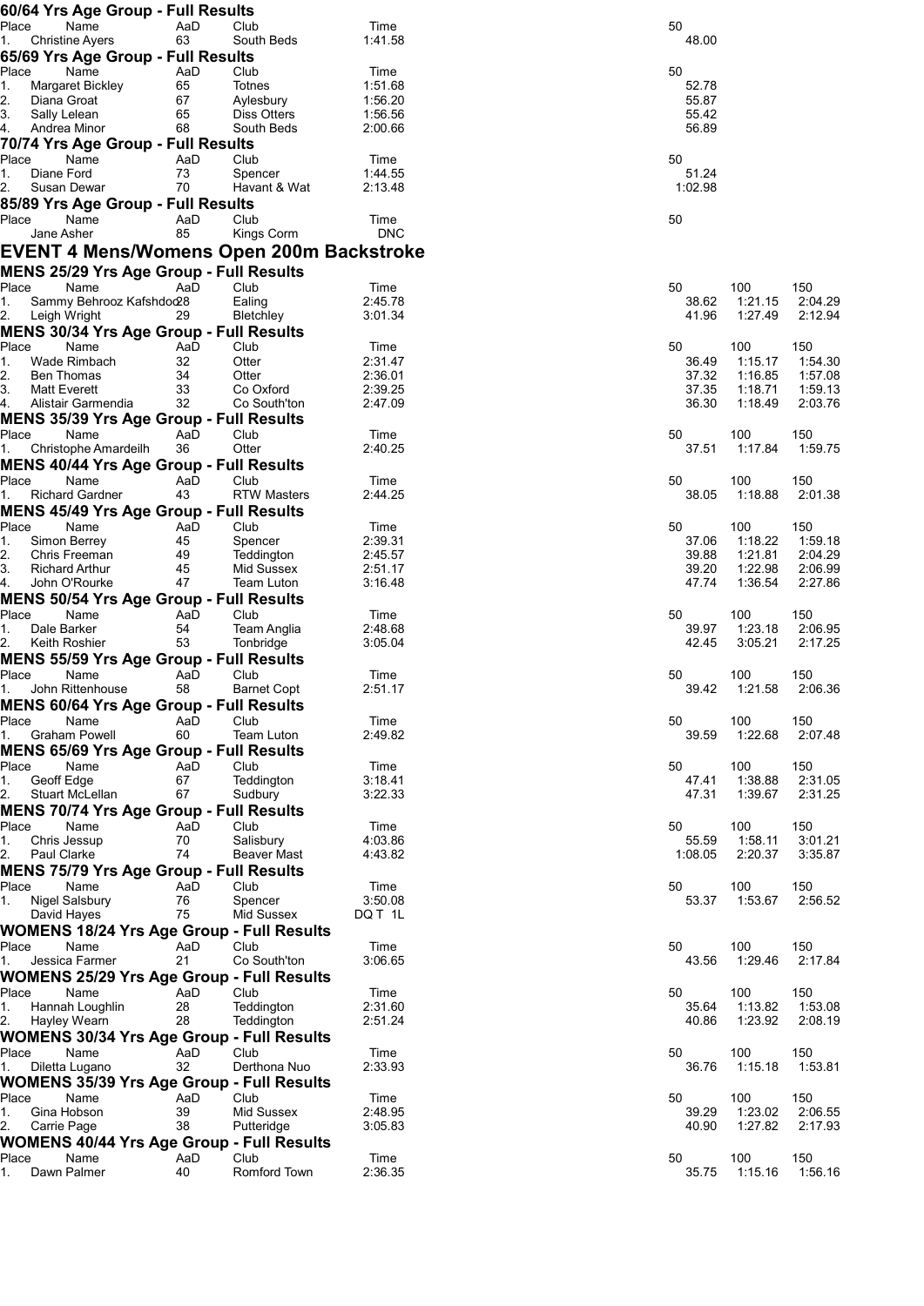| 60/64 Yrs Age Group - Full Results                                       |           |                          |                    |    |                                      |                    |
|--------------------------------------------------------------------------|-----------|--------------------------|--------------------|----|--------------------------------------|--------------------|
| Place<br>Name                                                            | AaD       | Club                     | Time               | 50 |                                      |                    |
| <b>Christine Ayers</b><br>1.                                             | 63        | South Beds               | 1:41.58            |    | 48.00                                |                    |
| 65/69 Yrs Age Group - Full Results<br>Place<br>Name                      | AaD       | Club                     | Time               | 50 |                                      |                    |
| Margaret Bickley<br>1.                                                   | 65        | Totnes                   | 1:51.68            |    | 52.78                                |                    |
| 2.<br>Diana Groat                                                        | 67        | Aylesbury                | 1:56.20            |    | 55.87                                |                    |
| 3.<br>Sally Lelean                                                       | 65        | Diss Otters              | 1:56.56            |    | 55.42                                |                    |
| 4.<br>Andrea Minor                                                       | 68        | South Beds               | 2:00.66            |    | 56.89                                |                    |
| 70/74 Yrs Age Group - Full Results                                       |           |                          |                    |    |                                      |                    |
| Place<br>Name                                                            | AaD       | Club                     | Time               | 50 |                                      |                    |
| 1.<br>Diane Ford<br>2.<br>Susan Dewar                                    | 73<br>70  | Spencer<br>Havant & Wat  | 1:44.55<br>2:13.48 |    | 51.24<br>1:02.98                     |                    |
| 85/89 Yrs Age Group - Full Results                                       |           |                          |                    |    |                                      |                    |
| Name<br>Place                                                            | AaD       | Club                     | Time               | 50 |                                      |                    |
| Jane Asher                                                               | 85        | Kings Corm               | <b>DNC</b>         |    |                                      |                    |
| <b>EVENT 4 Mens/Womens Open 200m Backstroke</b>                          |           |                          |                    |    |                                      |                    |
| MENS 25/29 Yrs Age Group - Full Results                                  |           |                          |                    |    |                                      |                    |
| Place<br>Name                                                            | AaD       | Club                     | Time               | 50 | 100                                  | 150                |
| Sammy Behrooz Kafshdod28<br>1.                                           |           | Ealing                   | 2:45.78            |    | 1:21.15<br>38.62                     | 2:04.29            |
| 2.<br>Leigh Wright                                                       | 29        | Bletchley                | 3:01.34            |    | 1:27.49<br>41.96                     | 2:12.94            |
| <b>MENS 30/34 Yrs Age Group - Full Results</b>                           |           |                          |                    |    |                                      |                    |
| Place<br>Name                                                            | AaD       | Club                     | Time               | 50 | 100                                  | 150                |
| Wade Rimbach<br>1.                                                       | 32<br>34  | Otter<br>Otter           | 2:31.47<br>2:36.01 |    | 36.49<br>1:15.17<br>37.32            | 1:54.30<br>1:57.08 |
| 2.<br>Ben Thomas<br>3.<br>Matt Everett                                   | 33        | Co Oxford                | 2:39.25            |    | 1:16.85<br>37.35<br>1:18.71          | 1:59.13            |
| 4.<br>Alistair Garmendia                                                 | 32        | Co South'ton             | 2:47.09            |    | 36.30<br>1:18.49                     | 2:03.76            |
| <b>MENS 35/39 Yrs Age Group - Full Results</b>                           |           |                          |                    |    |                                      |                    |
| Name<br>Place                                                            | AaD       | Club                     | Time               | 50 | 100                                  | 150                |
| Christophe Amardeilh<br>1.                                               | 36        | Otter                    | 2:40.25            |    | 37.51<br>1:17.84                     | 1:59.75            |
| <b>MENS 40/44 Yrs Age Group - Full Results</b>                           |           |                          |                    |    |                                      |                    |
| Place<br>Name                                                            | AaD       | Club                     | Time               | 50 | 100                                  | 150                |
| <b>Richard Gardner</b><br>1.                                             | 43        | <b>RTW Masters</b>       | 2:44.25            |    | 1:18.88<br>38.05                     | 2:01.38            |
| <b>MENS 45/49 Yrs Age Group - Full Results</b><br>Place<br>Name          | AaD       | Club                     | Time               | 50 | 100                                  | 150                |
| 1.<br>Simon Berrey                                                       | 45        | Spencer                  | 2:39.31            |    | 37.06<br>1:18.22                     | 1:59.18            |
| 2.<br>Chris Freeman                                                      | 49        | Teddington               | 2:45.57            |    | 39.88<br>1:21.81                     | 2:04.29            |
| 3.<br><b>Richard Arthur</b>                                              | 45        | Mid Sussex               | 2:51.17            |    | 39.20<br>1:22.98                     | 2:06.99            |
| John O'Rourke<br>4.                                                      | 47        | Team Luton               | 3:16.48            |    | 47.74<br>1:36.54                     | 2:27.86            |
| <b>MENS 50/54 Yrs Age Group - Full Results</b>                           |           |                          |                    |    |                                      |                    |
| Place<br>Name                                                            | AaD       | Club                     | Time               | 50 | 100                                  | 150                |
| Dale Barker<br>1.<br>2.<br>Keith Roshier                                 | 54<br>53  | Team Anglia<br>Tonbridge | 2:48.68<br>3:05.04 |    | 39.97<br>1:23.18<br>42.45<br>3:05.21 | 2:06.95<br>2:17.25 |
| <b>MENS 55/59 Yrs Age Group - Full Results</b>                           |           |                          |                    |    |                                      |                    |
| Place<br>Name                                                            | AaD       | Club                     | Time               | 50 | 100                                  | 150                |
| John Rittenhouse<br>1.                                                   | 58        | <b>Barnet Copt</b>       | 2:51.17            |    | 39.42<br>1:21.58                     | 2:06.36            |
| <b>MENS 60/64 Yrs Age Group - Full Results</b>                           |           |                          |                    |    |                                      |                    |
| Place<br>Name                                                            | AaD       | Club                     | Time               | 50 | 100                                  | 150                |
| <b>Graham Powell</b><br>1.                                               | 60        | Team Luton               | 2:49.82            |    | 1:22.68<br>39.59                     | 2:07.48            |
| <b>MENS 65/69 Yrs Age Group - Full Results</b>                           |           |                          |                    |    |                                      |                    |
| Place<br>Name<br>Geoff Edge                                              | AaD<br>67 | Club<br>Teddington       | Time<br>3:18.41    | 50 | 100<br>1:38.88                       | 150<br>2:31.05     |
| 1.<br>2.<br>Stuart McLellan                                              | 67        | Sudbury                  | 3:22.33            |    | 47.41<br>47.31<br>1:39.67            | 2:31.25            |
| <b>MENS 70/74 Yrs Age Group - Full Results</b>                           |           |                          |                    |    |                                      |                    |
| Place<br>Name                                                            | AaD       | Club                     | Time               | 50 | 100                                  | 150                |
| Chris Jessup<br>1.                                                       | 70        | Salisbury                | 4:03.86            |    | 55.59<br>1:58.11                     | 3:01.21            |
| 2.<br>Paul Clarke                                                        | 74        | Beaver Mast              | 4:43.82            |    | 1:08.05<br>2:20.37                   | 3:35.87            |
| <b>MENS 75/79 Yrs Age Group - Full Results</b>                           |           |                          |                    |    |                                      |                    |
| Place<br>Name                                                            | AaD       | Club                     | Time               | 50 | 100                                  | 150                |
| Nigel Salsbury<br>1.<br>David Hayes                                      | 76<br>75  | Spencer<br>Mid Sussex    | 3:50.08<br>DQ T 1L |    | 53.37<br>1:53.67                     | 2:56.52            |
| <b>WOMENS 18/24 Yrs Age Group - Full Results</b>                         |           |                          |                    |    |                                      |                    |
| Place<br>Name                                                            | AaD       | Club                     | Time               | 50 | 100                                  | 150                |
| Jessica Farmer<br>1.                                                     | 21        | Co South'ton             | 3:06.65            |    | 43.56<br>1:29.46                     | 2:17.84            |
| <b>WOMENS 25/29 Yrs Age Group - Full Results</b>                         |           |                          |                    |    |                                      |                    |
| Place<br>Name                                                            | AaD       | Club                     | Time               | 50 | 100                                  | 150                |
| Hannah Loughlin<br>1.                                                    | 28        | Teddington               | 2:31.60            |    | 1:13.82<br>35.64                     | 1:53.08            |
| 2.<br>Hayley Wearn                                                       | 28        | Teddington               | 2:51.24            |    | 40.86<br>1:23.92                     | 2:08.19            |
| <b>WOMENS 30/34 Yrs Age Group - Full Results</b>                         |           |                          |                    |    |                                      |                    |
| Place<br>Name                                                            | AaD<br>32 | Club<br>Derthona Nuo     | Time<br>2:33.93    | 50 | 100<br>1:15.18<br>36.76              | 150<br>1:53.81     |
| 1.<br>Diletta Lugano<br><b>WOMENS 35/39 Yrs Age Group - Full Results</b> |           |                          |                    |    |                                      |                    |
| Place<br>Name                                                            | AaD       | Club                     | Time               | 50 | 100                                  | 150                |
| Gina Hobson<br>1.                                                        | 39        | Mid Sussex               | 2:48.95            |    | 1:23.02<br>39.29                     | 2:06.55            |
| 2.<br>Carrie Page                                                        | 38        | Putteridge               | 3:05.83            |    | 40.90<br>1:27.82                     | 2:17.93            |
| <b>WOMENS 40/44 Yrs Age Group - Full Results</b>                         |           |                          |                    |    |                                      |                    |
| Place<br>Name                                                            | AaD       | Club                     | Time               | 50 | 100                                  | 150                |
| Dawn Palmer<br>1.                                                        | 40        | Romford Town             | 2:36.35            |    | 35.75<br>1:15.16                     | 1:56.16            |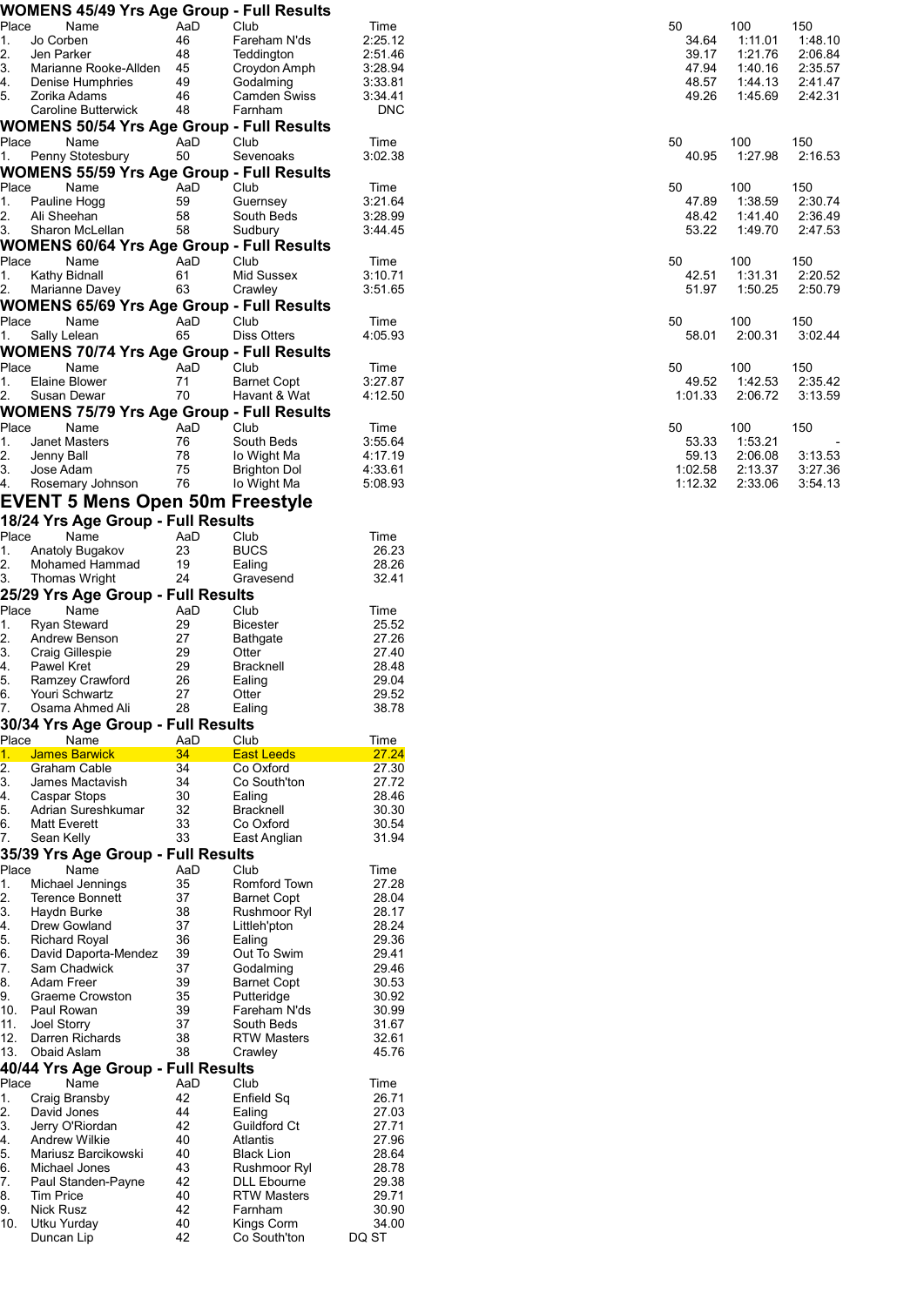|          | <b>WOMENS 45/49 Yrs Age Group - Full Results</b> |          |                               |                |         |  |
|----------|--------------------------------------------------|----------|-------------------------------|----------------|---------|--|
| Place    | Name                                             | AaD      | Club                          | Time           | 50      |  |
| 1.       | Jo Corben                                        | 46       | Fareham N'ds                  | 2:25.12        | 34.64   |  |
| 2.       | Jen Parker                                       | 48       | Teddington                    | 2:51.46        | 39.17   |  |
| 3.       | Marianne Rooke-Allden                            | 45       | Croydon Amph                  | 3:28.94        | 47.94   |  |
| 4.       | Denise Humphries                                 | 49       | Godalming                     | 3:33.81        | 48.57   |  |
| 5.       | Zorika Adams                                     | 46       | Camden Swiss                  | 3:34.41        | 49.26   |  |
|          | Caroline Butterwick                              | 48       | Farnham                       | <b>DNC</b>     |         |  |
|          | <b>WOMENS 50/54 Yrs Age Group - Full Results</b> |          |                               |                |         |  |
| Place    | Name                                             | AaD      | Club                          | Time           | 50      |  |
| 1.       | Penny Stotesbury                                 | 50       | Sevenoaks                     | 3:02.38        | 40.95   |  |
|          | <b>WOMENS 55/59 Yrs Age Group - Full Results</b> |          |                               |                |         |  |
| Place    | Name                                             | AaD      | Club                          | Time           | 50      |  |
| 1.       | Pauline Hogg                                     | 59       | Guernsey                      | 3:21.64        | 47.89   |  |
| 2.       | Ali Sheehan                                      | 58       | South Beds                    | 3:28.99        | 48.42   |  |
| 3.       | Sharon McLellan                                  | 58       | Sudbury                       | 3:44.45        | 53.22   |  |
|          | <b>WOMENS 60/64 Yrs Age Group - Full Results</b> |          |                               |                |         |  |
| Place    | Name                                             | AaD      | Club                          | Time           | 50      |  |
| 1.       | Kathy Bidnall                                    | 61       | Mid Sussex                    | 3:10.71        | 42.51   |  |
| 2.       | Marianne Davey                                   | 63       | Crawley                       | 3:51.65        | 51.97   |  |
|          | <b>WOMENS 65/69 Yrs Age Group - Full Results</b> |          |                               |                |         |  |
| Place    | Name                                             | AaD      | Club                          | Time           | 50      |  |
| 1.       | Sally Lelean                                     | 65       | Diss Otters                   | 4:05.93        | 58.01   |  |
|          |                                                  |          |                               |                |         |  |
|          | <b>WOMENS 70/74 Yrs Age Group - Full Results</b> |          |                               |                |         |  |
| Place    | Name                                             | AaD      | Club                          | Time           | 50      |  |
| 1.       | Elaine Blower                                    | 71       | <b>Barnet Copt</b>            | 3:27.87        | 49.52   |  |
| 2.       | Susan Dewar                                      | 70       | Havant & Wat                  | 4:12.50        | 1:01.33 |  |
|          | <b>WOMENS 75/79 Yrs Age Group - Full Results</b> |          |                               |                |         |  |
| Place    | Name                                             | AaD      | Club                          | Time           | 50      |  |
| 1.       | <b>Janet Masters</b>                             | 76       | South Beds                    | 3:55.64        | 53.33   |  |
| 2.       | Jenny Ball                                       | 78       | lo Wight Ma                   | 4:17.19        | 59.13   |  |
| 3.       | Jose Adam                                        | 75       | <b>Brighton Dol</b>           | 4:33.61        | 1:02.58 |  |
| 4.       | Rosemary Johnson                                 | 76       | lo Wight Ma                   | 5:08.93        | 1:12.32 |  |
|          | <b>EVENT 5 Mens Open 50m Freestyle</b>           |          |                               |                |         |  |
|          | 18/24 Yrs Age Group - Full Results               |          |                               |                |         |  |
| Place    | Name                                             | AaD      | Club                          | Time           |         |  |
| 1.       | Anatoly Bugakov                                  | 23       | <b>BUCS</b>                   | 26.23          |         |  |
| 2.       | Mohamed Hammad                                   | 19       | Ealing                        | 28.26          |         |  |
| 3.       | <b>Thomas Wright</b>                             | 24       | Gravesend                     | 32.41          |         |  |
|          | 25/29 Yrs Age Group - Full Results               |          |                               |                |         |  |
| Place    | Name                                             | AaD      | Club                          | Time           |         |  |
| 1.       | <b>Ryan Steward</b>                              | 29       | <b>Bicester</b>               | 25.52          |         |  |
| 2.       | Andrew Benson                                    | 27       | <b>Bathgate</b>               | 27.26          |         |  |
| 3.       | Craig Gillespie                                  | 29       | Otter                         | 27.40          |         |  |
| 4.       | <b>Pawel Kret</b>                                | 29       | <b>Bracknell</b>              | 28.48          |         |  |
| 5.       | Ramzey Crawford                                  | 26       | Ealing                        | 29.04          |         |  |
| 6.       | Youri Schwartz                                   | 27       | Otter                         | 29.52          |         |  |
| 7.       | Osama Ahmed Ali                                  | 28       | Ealing                        | 38.78          |         |  |
|          | 30/34 Yrs Age Group - Full Results               |          |                               |                |         |  |
| Place    | Name                                             | AaD      | Club                          | Time           |         |  |
| 1.       | <b>James Barwick</b>                             | 34       | <b>East Leeds</b>             | 27.24          |         |  |
| 2.       | Graham Cable                                     | 34       | Co Oxford                     | 27.30          |         |  |
| 3.       | James Mactavish                                  | 34       | Co South'ton                  | 27.72          |         |  |
| 4.       | Caspar Stops                                     | 30       | Ealing                        | 28.46          |         |  |
| 5.       | Adrian Sureshkumar                               | 32       | <b>Bracknell</b>              | 30.30          |         |  |
| 6.       | <b>Matt Everett</b>                              | 33       | Co Oxford                     | 30.54          |         |  |
| 7.       | Sean Kelly                                       | 33       | East Anglian                  | 31.94          |         |  |
|          | 35/39 Yrs Age Group - Full Results               |          |                               |                |         |  |
| Place    | Name                                             | AaD      | Club                          | Time           |         |  |
| 1.       | Michael Jennings                                 | 35       | Romford Town                  | 27.28          |         |  |
| 2.       | <b>Terence Bonnett</b>                           | 37       | <b>Barnet Copt</b>            | 28.04          |         |  |
| 3.       | Haydn Burke                                      | 38       | Rushmoor Ryl                  | 28.17          |         |  |
| 4.       | Drew Gowland                                     | 37       | Littleh'pton                  | 28.24          |         |  |
| 5.       | <b>Richard Royal</b>                             | 36       | Ealing                        | 29.36          |         |  |
| 6.       | David Daporta-Mendez                             | 39       | Out To Swim                   | 29.41          |         |  |
| 7.       | Sam Chadwick                                     | 37       | Godalming                     | 29.46          |         |  |
| 8.       | Adam Freer                                       | 39       | <b>Barnet Copt</b>            | 30.53          |         |  |
| 9.       | Graeme Crowston                                  | 35       | Putteridge                    | 30.92          |         |  |
| 10.      | Paul Rowan                                       | 39       | Fareham N'ds                  | 30.99          |         |  |
| 11.      | Joel Storry                                      | 37       | South Beds                    | 31.67          |         |  |
| 12.      | Darren Richards                                  | 38       | <b>RTW Masters</b>            | 32.61          |         |  |
| 13.      | Obaid Aslam                                      | 38       | Crawley                       | 45.76          |         |  |
|          | 40/44 Yrs Age Group - Full Results               |          |                               |                |         |  |
|          |                                                  |          |                               |                |         |  |
| Place    | Name                                             | AaD      | Club                          | Time           |         |  |
| 1.       | Craig Bransby                                    | 42       | Enfield Sq                    | 26.71          |         |  |
| 2.       | David Jones                                      | 44       | Ealing                        | 27.03          |         |  |
| 3.       | Jerry O'Riordan                                  | 42       | Guildford Ct                  | 27.71          |         |  |
| 4.       | <b>Andrew Wilkie</b>                             | 40       | Atlantis                      | 27.96          |         |  |
| 5.       | Mariusz Barcikowski                              | 40       | <b>Black Lion</b>             | 28.64          |         |  |
| 6.       | Michael Jones                                    | 43       | Rushmoor Ryl                  | 28.78          |         |  |
| 7.       | Paul Standen-Payne                               | 42       | <b>DLL Ebourne</b>            | 29.38          |         |  |
| 8.<br>9. | <b>Tim Price</b><br><b>Nick Rusz</b>             | 40<br>42 | <b>RTW Masters</b><br>Farnham | 29.71<br>30.90 |         |  |
| 10.      | Utku Yurday                                      | 40       | Kings Corm                    | 34.00          |         |  |
|          |                                                  | 42       | Co South'ton                  | DQ ST          |         |  |
|          | Duncan Lip                                       |          |                               |                |         |  |

| C<br>34.64<br>39.17<br>47.94<br>48.57<br>49.26 | 100<br>1:11.01<br>1:21.76 2:06.84<br>1:40.16<br>1:44.13<br>1.4569 | 150<br>1:48.10<br>2:35.57<br>2:41.47<br>2:42.31 |
|------------------------------------------------|-------------------------------------------------------------------|-------------------------------------------------|
| ነ                                              | 100                                                               | 150                                             |
| 40.95                                          | 1:27.98                                                           | 2:16.53                                         |
| C                                              | 100                                                               | 150                                             |
| 47.89                                          | 1:38.59                                                           | 2:30.74                                         |
| 48.42                                          | 1:41.40                                                           | 2:36.49                                         |
| 53.22                                          | 1:49.70                                                           | 2:47.53                                         |
| ነ                                              | 100                                                               | 150                                             |
| 42.51                                          | 1:31.31                                                           | 2:20.52                                         |
| 51.97                                          | 1:50.25                                                           | 2:50.79                                         |
| ነ                                              | 100                                                               | 150                                             |
| 58.01                                          | 2:00.31                                                           | 3:02.44                                         |
| C                                              | 100                                                               | 150                                             |
| 49.52                                          | 1:42.53                                                           | 2:35.42                                         |
| 1:01.33                                        | 2:06.72                                                           | 3:13.59                                         |
| ገ<br>53.33<br>59.13<br>1:02.58<br>1.12.32      | 100<br>1:53.21<br>2:06.08<br>2:13.37<br>2.3306                    | 150<br>3:13.53<br>3:27.36<br>$3:54$ 13          |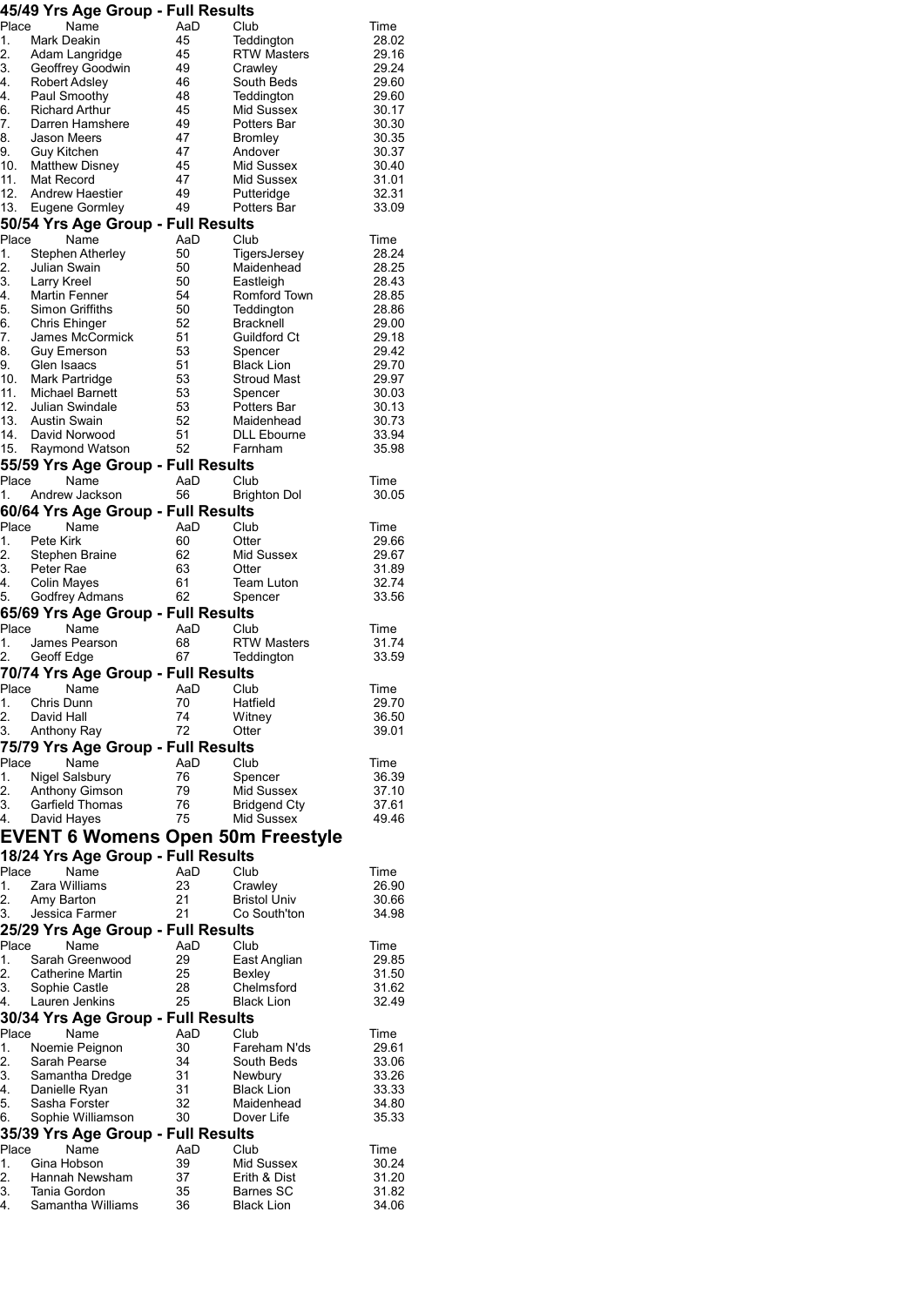|  |  |  |  |  | 45/49 Yrs Age Group - Full Results |
|--|--|--|--|--|------------------------------------|
|--|--|--|--|--|------------------------------------|

|          | 49749 TIS Aye Group - Fuil Nesults       |          |                                |                |
|----------|------------------------------------------|----------|--------------------------------|----------------|
| Place    | Name                                     | AaD      | Club                           | Time           |
| 1.       | Mark Deakin                              | 45       | Teddington                     | 28.02          |
| 2.       | Adam Langridge                           | 45       | <b>RTW Masters</b>             | 29.16          |
| 3.       | Geoffrey Goodwin                         | 49       | Crawley                        | 29.24          |
| 4.       | <b>Robert Adsley</b>                     | 46       | South Beds                     | 29.60          |
| 4.       | Paul Smoothy                             | 48       | Teddington                     | 29.60          |
| 6.       | <b>Richard Arthur</b>                    | 45       | Mid Sussex                     | 30.17          |
| 7.       | Darren Hamshere                          | 49       | Potters Bar                    | 30.30          |
| 8.       | Jason Meers                              | 47       | <b>Bromley</b>                 | 30.35          |
| 9.       | Guy Kitchen                              | 47       | Andover                        | 30.37          |
|          | 10. Matthew Disney                       | 45       | Mid Sussex                     | 30.40          |
|          | 11. Mat Record                           | 47       | Mid Sussex                     | 31.01          |
| 12.      | Andrew Haestier                          | 49       |                                | 32.31          |
|          |                                          | 49       | Putteridge                     |                |
|          | 13. Eugene Gormley                       |          | Potters Bar                    | 33.09          |
|          | 50/54 Yrs Age Group - Full Results       |          |                                |                |
| Place    | Name                                     | AaD      | Club                           | Time           |
| 1.       | Stephen Atherley                         | 50       | TigersJersey                   | 28.24          |
| 2.       | Julian Swain                             | 50       | Maidenhead                     | 28.25          |
| 3.       | Larry Kreel                              | 50       | Eastleigh                      | 28.43          |
| 4.       | Martin Fenner                            | 54       | Romford Town                   | 28.85          |
| 5.       | Simon Griffiths                          | 50       | Teddington                     | 28.86          |
|          |                                          |          |                                |                |
| 6.       | Chris Ehinger                            | 52       | <b>Bracknell</b>               | 29.00          |
| 7.       | James McCormick                          | 51       | Guildford Ct                   | 29.18          |
| 8.       | <b>Guy Emerson</b>                       | 53       | Spencer                        | 29.42          |
| 9.       | Glen Isaacs                              | 51       | <b>Black Lion</b>              | 29.70          |
|          | 10. Mark Partridge                       | 53       | <b>Stroud Mast</b>             | 29.97          |
|          | 11. Michael Barnett                      | 53       | Spencer                        | 30.03          |
|          | 12. Julian Swindale                      | 53       | Potters Bar                    | 30.13          |
|          | 13. Austin Swain                         | 52       | Maidenhead                     | 30.73          |
| 14.      | David Norwood                            | 51       | <b>DLL Ebourne</b>             | 33.94          |
|          |                                          |          |                                |                |
| 15.      | Raymond Watson                           | 52       | Farnham                        | 35.98          |
|          | 55/59 Yrs Age Group - Full Results       |          |                                |                |
| Place    | Name                                     | AaD      | Club                           | Time           |
| 1.       | Andrew Jackson                           | 56       | <b>Brighton Dol</b>            | 30.05          |
|          |                                          |          |                                |                |
|          | 60/64 Yrs Age Group - Full Results       |          |                                |                |
| Place    | Name                                     | AaD      | Club                           | Time           |
| 1.       | Pete Kirk                                | 60       | Otter                          | 29.66          |
| 2.       | Stephen Braine                           | 62       | Mid Sussex                     | 29.67          |
| 3.       | Peter Rae                                | 63       | Otter                          | 31.89          |
| 4.       | <b>Colin Mayes</b>                       | 61       | Team Luton                     | 32.74          |
| 5.       | Godfrey Admans                           | 62       | Spencer                        | 33.56          |
|          |                                          |          |                                |                |
|          |                                          |          |                                |                |
|          | 65/69 Yrs Age Group - Full Results       |          |                                |                |
| Place    | Name                                     | AaD      | Club                           | Time           |
| 1.       | James Pearson                            | 68       | <b>RTW Masters</b>             | 31.74          |
| 2.       |                                          | 67       | Teddington                     | 33.59          |
|          | Geoff Edge                               |          |                                |                |
|          | 70/74 Yrs Age Group - Full Results       |          |                                |                |
| Place    | Name                                     | AaD      | Club                           | Time           |
| 1.       | Chris Dunn                               | 70       | Hatfield                       | 29.70          |
| 2.       | David Hall                               | 74       | Witney                         | 36.50          |
| 3.       | Anthony Ray                              | 72       | Otter                          | 39.01          |
|          |                                          |          |                                |                |
|          | 75/79 Yrs Age Group - Full Results       |          |                                |                |
| Place    | Name                                     | AaD      | Club                           | Time           |
| 1.       | <b>Nigel Salsbury</b>                    | 76       | Spencer                        | 36.39          |
| 2.       | Anthony Gimson                           | 79       | Mid Sussex                     | 37.10          |
| 3.       | Garfield Thomas                          | 76       | <b>Bridgend Cty</b>            | 37.61          |
| 4.       | David Hayes                              | 75       | Mid Sussex                     | 49.46          |
|          |                                          |          |                                |                |
|          | <b>EVENT 6 Womens Open 50m Freestyle</b> |          |                                |                |
|          | 18/24 Yrs Age Group - Full Results       |          |                                |                |
| Place    | Name                                     | AaD      | Club                           | Time           |
| 1.       | Zara Williams                            | 23       |                                | 26.90          |
| 2.       |                                          | 21       | Crawley                        | 30.66          |
|          | Amy Barton                               |          | <b>Bristol Univ</b>            |                |
| 3.       | Jessica Farmer                           | 21       | Co South'ton                   | 34.98          |
|          | 25/29 Yrs Age Group - Full Results       |          |                                |                |
| Place    | Name                                     | AaD      | Club                           | Time           |
| 1.       | Sarah Greenwood                          | 29       | East Anglian                   | 29.85          |
| 2.       | Catherine Martin                         |          |                                | 31.50          |
| 3.       |                                          | 25<br>28 | Bexley<br>Chelmsford           | 31.62          |
|          | Sophie Castle                            |          |                                |                |
| 4.       | Lauren Jenkins                           | 25       | <b>Black Lion</b>              | 32.49          |
|          | 30/34 Yrs Age Group - Full Results       |          |                                |                |
| Place    | Name                                     | AaD      | Club                           | Time           |
| 1.       | Noemie Peignon                           | 30       | Fareham N'ds                   | 29.61          |
| 2.       | Sarah Pearse                             | 34       | South Beds                     | 33.06          |
|          |                                          |          |                                |                |
| 3.       | Samantha Dredge                          | 31       | Newbury                        | 33.26          |
| 4.       | Danielle Ryan                            | 31       | <b>Black Lion</b>              | 33.33          |
| 5.       | Sasha Forster                            | 32       | Maidenhead                     | 34.80          |
| 6.       | Sophie Williamson                        | 30       | Dover Life                     | 35.33          |
|          | 35/39 Yrs Age Group - Full Results       |          |                                |                |
| Place    | Name                                     | AaD      | Club                           | Time           |
| 1.       | Gina Hobson                              | 39       | Mid Sussex                     | 30.24          |
|          |                                          |          |                                |                |
| 2.       | Hannah Newsham                           | 37       | Erith & Dist                   | 31.20          |
| 3.<br>4. | Tania Gordon<br>Samantha Williams        | 35<br>36 | Barnes SC<br><b>Black Lion</b> | 31.82<br>34.06 |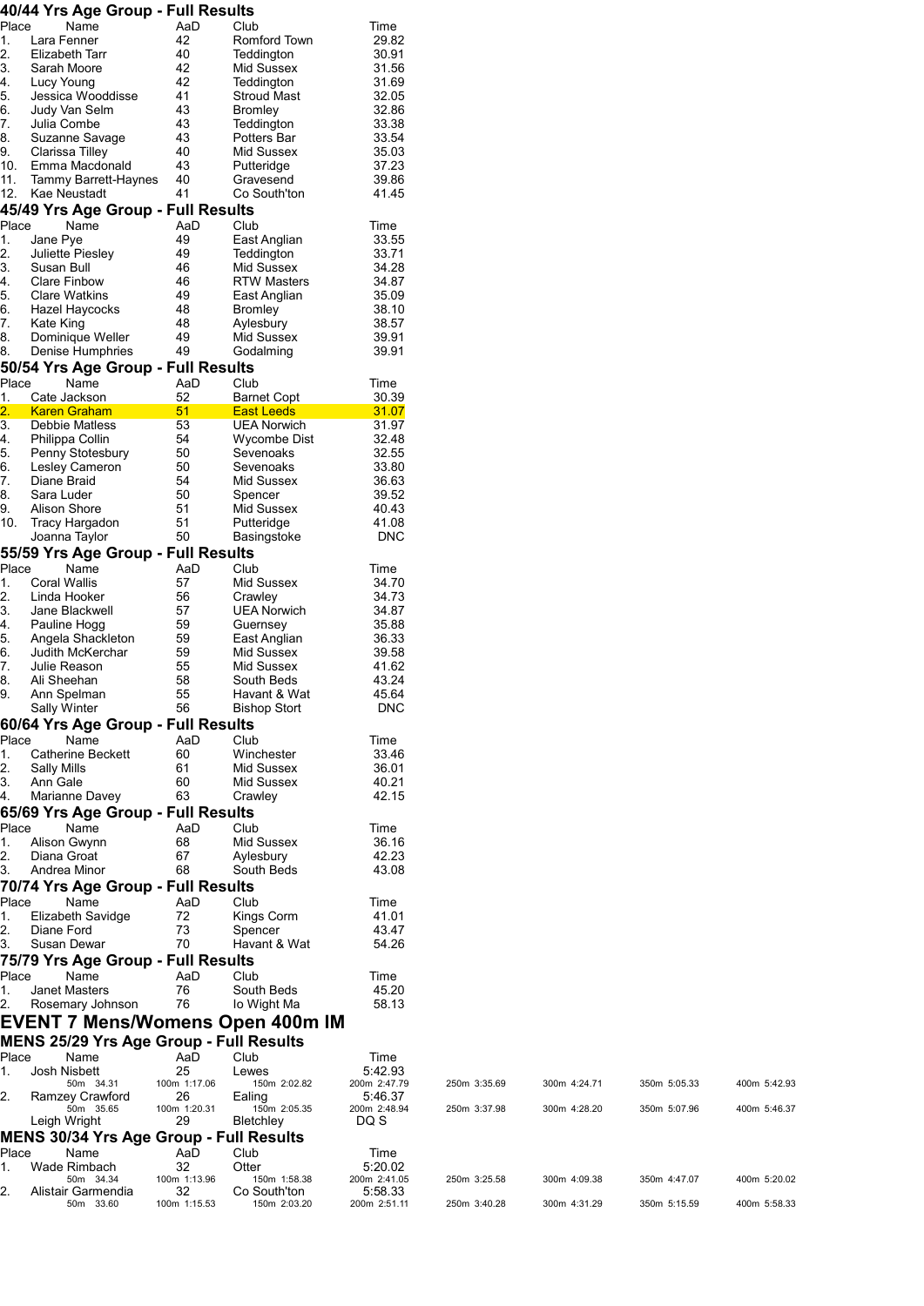|                  | 40/44 Yrs Age Group - Full Results                 |                    |                                         |                         |              |              |              |              |
|------------------|----------------------------------------------------|--------------------|-----------------------------------------|-------------------------|--------------|--------------|--------------|--------------|
| Place            | Name                                               | AaD                | Club                                    | Time                    |              |              |              |              |
| 1.<br>2.         | Lara Fenner<br>Elizabeth Tarr                      | 42<br>40           | Romford Town<br>Teddington              | 29.82<br>30.91          |              |              |              |              |
| 3.               | Sarah Moore                                        | 42                 | Mid Sussex                              | 31.56                   |              |              |              |              |
| 4.               | Lucy Young                                         | 42                 | Teddington                              | 31.69                   |              |              |              |              |
| 5.               | Jessica Wooddisse                                  | 41                 | <b>Stroud Mast</b>                      | 32.05                   |              |              |              |              |
| 6.               | Judy Van Selm                                      | 43                 | <b>Bromley</b>                          | 32.86                   |              |              |              |              |
| 7.               | Julia Combe                                        | 43                 | Teddington                              | 33.38                   |              |              |              |              |
| 8.               | Suzanne Savage                                     | 43                 | Potters Bar                             | 33.54                   |              |              |              |              |
| 9.<br>10.        | Clarissa Tilley<br>Emma Macdonald                  | 40<br>43           | Mid Sussex<br>Putteridge                | 35.03<br>37.23          |              |              |              |              |
| 11.              | Tammy Barrett-Haynes                               | 40                 | Gravesend                               | 39.86                   |              |              |              |              |
| 12.              | Kae Neustadt                                       | 41                 | Co South'ton                            | 41.45                   |              |              |              |              |
|                  | 45/49 Yrs Age Group - Full Results                 |                    |                                         |                         |              |              |              |              |
| Place            | Name                                               | AaD                | Club                                    | Time                    |              |              |              |              |
| 1.               | Jane Pye                                           | 49                 | East Anglian                            | 33.55                   |              |              |              |              |
| 2.               | Juliette Piesley                                   | 49                 | Teddington                              | 33.71                   |              |              |              |              |
| 3.<br>4.         | Susan Bull<br><b>Clare Finbow</b>                  | 46<br>46           | Mid Sussex<br><b>RTW Masters</b>        | 34.28<br>34.87          |              |              |              |              |
| 5.               | <b>Clare Watkins</b>                               | 49                 | East Anglian                            | 35.09                   |              |              |              |              |
| 6.               | Hazel Haycocks                                     | 48                 | <b>Bromley</b>                          | 38.10                   |              |              |              |              |
| 7.               | Kate King                                          | 48                 | Aylesbury                               | 38.57                   |              |              |              |              |
| 8.               | Dominique Weller                                   | 49                 | Mid Sussex                              | 39.91                   |              |              |              |              |
| 8.               | Denise Humphries                                   | 49                 | Godalming                               | 39.91                   |              |              |              |              |
|                  | 50/54 Yrs Age Group - Full Results                 |                    |                                         |                         |              |              |              |              |
| Place            | Name<br>Cate Jackson                               | AaD<br>52          | Club                                    | Time<br>30.39           |              |              |              |              |
| 1.<br>2.         | <b>Karen Graham</b>                                | 51                 | <b>Barnet Copt</b><br><b>East Leeds</b> | 31.07                   |              |              |              |              |
| 3.               | Debbie Matless                                     | 53                 | <b>UEA Norwich</b>                      | 31.97                   |              |              |              |              |
| 4.               | Philippa Collin                                    | 54                 | Wycombe Dist                            | 32.48                   |              |              |              |              |
| 5.               | Penny Stotesbury                                   | 50                 | Sevenoaks                               | 32.55                   |              |              |              |              |
| 6.               | Lesley Cameron                                     | 50                 | Sevenoaks                               | 33.80                   |              |              |              |              |
| 7.               | Diane Braid                                        | 54                 | Mid Sussex                              | 36.63                   |              |              |              |              |
| 8.<br>9.         | Sara Luder<br>Alison Shore                         | 50<br>51           | Spencer<br>Mid Sussex                   | 39.52<br>40.43          |              |              |              |              |
| 10.              | Tracy Hargadon                                     | 51                 | Putteridge                              | 41.08                   |              |              |              |              |
|                  | Joanna Taylor                                      | 50                 | Basingstoke                             | <b>DNC</b>              |              |              |              |              |
|                  | 55/59 Yrs Age Group - Full Results                 |                    |                                         |                         |              |              |              |              |
| Place            | Name                                               | AaD                | Club                                    | Time                    |              |              |              |              |
| 1.               | <b>Coral Wallis</b>                                | 57                 | Mid Sussex                              | 34.70                   |              |              |              |              |
| $\overline{2}$ . | Linda Hooker                                       | 56                 | Crawley                                 | 34.73                   |              |              |              |              |
| 3.<br>4.         | Jane Blackwell<br>Pauline Hogg                     | 57<br>59           | <b>UEA Norwich</b><br>Guernsey          | 34.87<br>35.88          |              |              |              |              |
| 5.               | Angela Shackleton                                  | 59                 | East Anglian                            | 36.33                   |              |              |              |              |
| 6.               | Judith McKerchar                                   | 59                 | Mid Sussex                              | 39.58                   |              |              |              |              |
| 7.               | Julie Reason                                       | 55                 | Mid Sussex                              | 41.62                   |              |              |              |              |
| 8.               | Ali Sheehan                                        | 58                 | South Beds                              | 43.24                   |              |              |              |              |
| 9.               | Ann Spelman                                        | 55                 | Havant & Wat                            | 45.64                   |              |              |              |              |
|                  | Sally Winter<br>60/64 Yrs Age Group - Full Results | 56                 | <b>Bishop Stort</b>                     | <b>DNC</b>              |              |              |              |              |
| Place            | Name                                               | AaD                | Club                                    | Time                    |              |              |              |              |
| 1.               | Catherine Beckett                                  | 60                 | Winchester                              | 33.46                   |              |              |              |              |
| 2.               | Sally Mills                                        | 61                 | Mid Sussex                              | 36.01                   |              |              |              |              |
| 3.               | Ann Gale                                           | 60                 | Mid Sussex                              | 40.21                   |              |              |              |              |
| 4.               | Marianne Davey                                     | 63                 | Crawley                                 | 42.15                   |              |              |              |              |
|                  | 65/69 Yrs Age Group - Full Results                 |                    |                                         |                         |              |              |              |              |
| Place            | Name<br>Alison Gwynn                               | AaD<br>68          | Club<br>Mid Sussex                      | Time<br>36.16           |              |              |              |              |
| 1.<br>2.         | Diana Groat                                        | 67                 | Aylesbury                               | 42.23                   |              |              |              |              |
| 3.               | Andrea Minor                                       | 68                 | South Beds                              | 43.08                   |              |              |              |              |
|                  | 70/74 Yrs Age Group - Full Results                 |                    |                                         |                         |              |              |              |              |
| Place            | Name                                               | AaD                | Club                                    | Time                    |              |              |              |              |
| 1.               | Elizabeth Savidge                                  | 72                 | Kings Corm                              | 41.01                   |              |              |              |              |
| 2.               | Diane Ford                                         | 73                 | Spencer                                 | 43.47                   |              |              |              |              |
| 3.               | Susan Dewar                                        | 70                 | Havant & Wat                            | 54.26                   |              |              |              |              |
|                  | 75/79 Yrs Age Group - Full Results                 |                    |                                         |                         |              |              |              |              |
| Place<br>1.      | Name<br>Janet Masters                              | AaD<br>76          | Club<br>South Beds                      | Time<br>45.20           |              |              |              |              |
| 2.               | Rosemary Johnson                                   | 76                 | lo Wight Ma                             | 58.13                   |              |              |              |              |
|                  | <b>EVENT 7 Mens/Womens Open 400m IM</b>            |                    |                                         |                         |              |              |              |              |
|                  | <b>MENS 25/29 Yrs Age Group - Full Results</b>     |                    |                                         |                         |              |              |              |              |
| Place            | Name                                               | AaD                | Club                                    | Time                    |              |              |              |              |
| 1.               | Josh Nisbett                                       | 25                 | Lewes                                   | 5:42.93                 |              |              |              |              |
|                  | 50m 34.31                                          | 100m 1:17.06       | 150m 2:02.82                            | 200m 2:47.79            | 250m 3:35.69 | 300m 4:24.71 | 350m 5:05.33 | 400m 5:42.93 |
| 2.               | Ramzey Crawford<br>50m 35.65                       | 26<br>100m 1:20.31 | Ealing<br>150m 2:05.35                  | 5:46.37<br>200m 2:48.94 | 250m 3:37.98 | 300m 4:28.20 | 350m 5:07.96 | 400m 5:46.37 |
|                  | Leigh Wright                                       | 29                 | Bletchley                               | DQ S                    |              |              |              |              |
|                  | <b>MENS 30/34 Yrs Age Group - Full Results</b>     |                    |                                         |                         |              |              |              |              |
| Place            | Name                                               | AaD                | Club                                    | Time                    |              |              |              |              |
| 1.               | Wade Rimbach                                       | 32                 | Otter                                   | 5:20.02                 |              |              |              |              |
| 2.               | 50m 34.34<br>Alistair Garmendia                    | 100m 1:13.96<br>32 | 150m 1:58.38<br>Co South'ton            | 200m 2:41.05<br>5:58.33 | 250m 3:25.58 | 300m 4:09.38 | 350m 4:47.07 | 400m 5:20.02 |
|                  | 50m 33.60                                          | 100m 1:15.53       | 150m 2:03.20                            | 200m 2:51.11            | 250m 3:40.28 | 300m 4:31.29 | 350m 5:15.59 | 400m 5:58.33 |

| 7 Mens/Womens Open 400m IM |                  |                                                                      |              |              |              |              |  |  |  |
|----------------------------|------------------|----------------------------------------------------------------------|--------------|--------------|--------------|--------------|--|--|--|
|                            |                  |                                                                      |              |              |              |              |  |  |  |
| AaD                        | Club             | Time                                                                 |              |              |              |              |  |  |  |
| 25                         | Lewes            | 5:42.93                                                              |              |              |              |              |  |  |  |
| 100m 1:17.06               | 150m 2:02.82     | 200m 2:47.79                                                         | 250m 3:35.69 | 300m 4:24.71 | 350m 5:05.33 | 400m 5:42.93 |  |  |  |
| 26                         | Ealing           | 5:46.37                                                              |              |              |              |              |  |  |  |
| 100m 1:20.31               | 150m 2:05.35     | 200m 2:48.94                                                         | 250m 3:37.98 | 300m 4:28.20 | 350m 5:07.96 | 400m 5:46.37 |  |  |  |
| 29                         | <b>Bletchlev</b> | DQ S                                                                 |              |              |              |              |  |  |  |
|                            |                  |                                                                      |              |              |              |              |  |  |  |
| AaD                        | Club             | Time                                                                 |              |              |              |              |  |  |  |
| 32                         | Otter            | 5:20.02                                                              |              |              |              |              |  |  |  |
| 100m 1:13.96               | 150m 1:58.38     | 200m 2:41.05                                                         | 250m 3:25.58 | 300m 4:09.38 | 350m 4:47.07 | 400m 5:20.02 |  |  |  |
|                            |                  | /29 Yrs Age Group - Full Results<br>/34 Yrs Age Group - Full Results |              |              |              |              |  |  |  |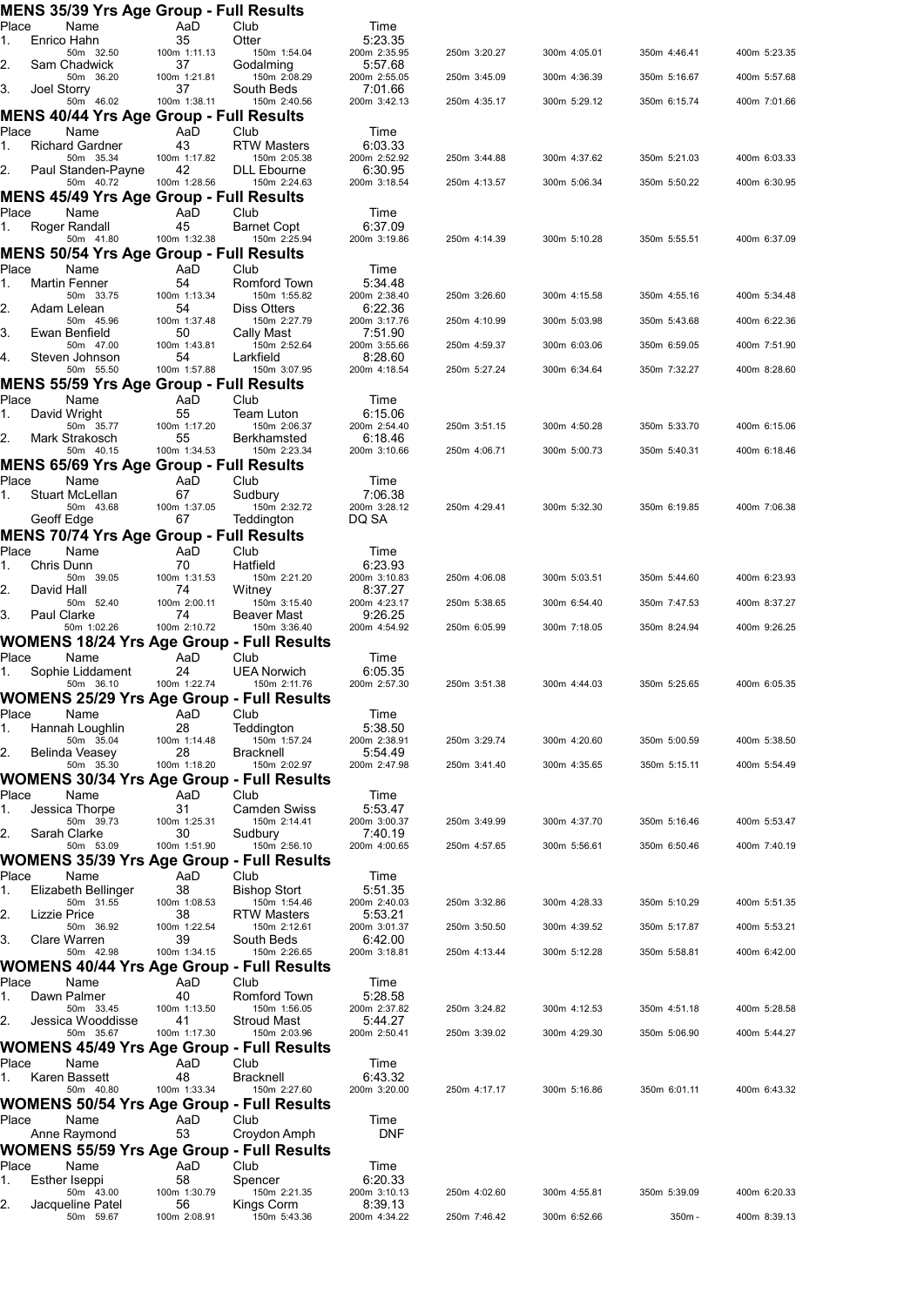|             | <b>MENS 35/39 Yrs Age Group - Full Results</b>                |                    |                                    |                         |              |              |              |              |
|-------------|---------------------------------------------------------------|--------------------|------------------------------------|-------------------------|--------------|--------------|--------------|--------------|
| Place<br>1. | Name<br>Enrico Hahn                                           | AaD<br>35          | Club<br>Otter                      | Time<br>5:23.35         |              |              |              |              |
|             | 50m 32.50                                                     | 100m 1:11.13       | 150m 1:54.04                       | 200m 2:35.95            | 250m 3:20.27 | 300m 4:05.01 | 350m 4:46.41 | 400m 5:23.35 |
| 2.          | Sam Chadwick<br>50m 36.20                                     | 37<br>100m 1:21.81 | Godalming<br>150m 2:08.29          | 5:57.68<br>200m 2:55.05 | 250m 3:45.09 | 300m 4:36.39 | 350m 5:16.67 | 400m 5:57.68 |
| 3.          | Joel Storry                                                   | 37                 | South Beds                         | 7:01.66                 |              |              |              |              |
|             | 50m 46.02<br><b>MENS 40/44 Yrs Age Group - Full Results</b>   | 100m 1:38.11       | 150m 2:40.56                       | 200m 3:42.13            | 250m 4:35.17 | 300m 5:29.12 | 350m 6:15.74 | 400m 7:01.66 |
| Place       | Name                                                          | AaD                | Club                               | Time                    |              |              |              |              |
| 1.          | <b>Richard Gardner</b>                                        | 43                 | <b>RTW Masters</b>                 | 6:03.33                 |              |              |              |              |
| 2.          | 50m 35.34<br>Paul Standen-Payne                               | 100m 1:17.82<br>42 | 150m 2:05.38<br><b>DLL</b> Ebourne | 200m 2:52.92<br>6:30.95 | 250m 3:44.88 | 300m 4:37.62 | 350m 5:21.03 | 400m 6:03.33 |
|             | 50m 40.72                                                     | 100m 1:28.56       | 150m 2:24.63                       | 200m 3:18.54            | 250m 4:13.57 | 300m 5:06.34 | 350m 5:50.22 | 400m 6:30.95 |
|             | MENS 45/49 Yrs Age Group - Full Results                       |                    |                                    |                         |              |              |              |              |
| Place<br>1. | Name<br>Roger Randall                                         | AaD<br>45          | Club<br>Barnet Copt                | Time<br>6:37.09         |              |              |              |              |
|             | 50m 41.80                                                     | 100m 1:32.38       | 150m 2:25.94                       | 200m 3:19.86            | 250m 4:14.39 | 300m 5:10.28 | 350m 5:55.51 | 400m 6:37.09 |
| Place       | <b>MENS 50/54 Yrs Age Group - Full Results</b>                | AaD                | Club                               |                         |              |              |              |              |
| 1.          | Name<br><b>Martin Fenner</b>                                  | 54                 | Romford Town                       | Time<br>5:34.48         |              |              |              |              |
|             | 50m 33.75                                                     | 100m 1:13.34       | 150m 1:55.82                       | 200m 2:38.40            | 250m 3:26.60 | 300m 4:15.58 | 350m 4:55.16 | 400m 5:34.48 |
| 2.          | Adam Lelean<br>50m 45.96                                      | 54<br>100m 1:37.48 | <b>Diss Otters</b><br>150m 2:27.79 | 6:22.36<br>200m 3:17.76 | 250m 4:10.99 | 300m 5:03.98 | 350m 5:43.68 | 400m 6:22.36 |
| 3.          | Ewan Benfield                                                 | 50                 | Cally Mast                         | 7:51.90                 |              | 300m 6:03.06 | 350m 6:59.05 |              |
| 4.          | 50m 47.00<br>Steven Johnson                                   | 100m 1:43.81<br>54 | 150m 2:52.64<br>Larkfield          | 200m 3:55.66<br>8:28.60 | 250m 4:59.37 |              |              | 400m 7:51.90 |
|             | 50m 55.50                                                     | 100m 1:57.88       | 150m 3:07.95                       | 200m 4:18.54            | 250m 5:27.24 | 300m 6:34.64 | 350m 7:32.27 | 400m 8:28.60 |
| Place       | MENS 55/59 Yrs Age Group - Full Results<br>Name               | AaD                | Club                               | Time                    |              |              |              |              |
| 1.          | David Wright                                                  | 55                 | Team Luton                         | 6:15.06                 |              |              |              |              |
| 2.          | 50m 35.77<br>Mark Strakosch                                   | 100m 1:17.20<br>55 | 150m 2:06.37<br>Berkhamsted        | 200m 2:54.40<br>6:18.46 | 250m 3:51.15 | 300m 4:50.28 | 350m 5:33.70 | 400m 6:15.06 |
|             | 50m 40.15                                                     | 100m 1:34.53       | 150m 2:23.34                       | 200m 3:10.66            | 250m 4:06.71 | 300m 5:00.73 | 350m 5:40.31 | 400m 6:18.46 |
|             | MENS 65/69 Yrs Age Group - Full Results                       |                    |                                    |                         |              |              |              |              |
| Place<br>1. | Name<br>Stuart McLellan                                       | AaD<br>67          | Club<br>Sudbury                    | Time<br>7:06.38         |              |              |              |              |
|             | 50m 43.68                                                     | 100m 1:37.05       | 150m 2:32.72                       | 200m 3:28.12            | 250m 4:29.41 | 300m 5:32.30 | 350m 6:19.85 | 400m 7:06.38 |
|             | Geoff Edge                                                    | 67                 | Teddington                         | DQ SA                   |              |              |              |              |
| Place       | <b>MENS 70/74 Yrs Age Group - Full Results</b><br>Name        | AaD                | Club                               | Time                    |              |              |              |              |
| 1.          | Chris Dunn                                                    | 70                 | Hatfield                           | 6:23.93                 |              |              |              |              |
| 2.          | 50m 39.05<br>David Hall                                       | 100m 1:31.53<br>74 | 150m 2:21.20<br>Witney             | 200m 3:10.83<br>8:37.27 | 250m 4:06.08 | 300m 5:03.51 | 350m 5:44.60 | 400m 6:23.93 |
|             | 50m 52.40                                                     | 100m 2:00.11       | 150m 3:15.40                       | 200m 4:23.17            | 250m 5:38.65 | 300m 6:54.40 | 350m 7:47.53 | 400m 8:37.27 |
| 3.          | Paul Clarke<br>50m 1:02.26                                    | 74<br>100m 2:10.72 | Beaver Mast<br>150m 3:36.40        | 9:26.25<br>200m 4:54.92 | 250m 6:05.99 | 300m 7:18.05 | 350m 8:24.94 | 400m 9:26.25 |
|             | <b>WOMENS 18/24 Yrs Age Group - Full Results</b>              |                    |                                    |                         |              |              |              |              |
| Place       | Name                                                          | AaD                | Club                               | Time                    |              |              |              |              |
| 1.          | Sophie Liddament<br>50m 36.10                                 | 24<br>100m 1:22.74 | <b>UEA Norwich</b><br>150m 2:11.76 | 6:05.35<br>200m 2:57.30 | 250m 3:51.38 | 300m 4:44.03 | 350m 5:25.65 | 400m 6:05.35 |
|             | <b>WOMENS 25/29 Yrs Age Group - Full Results</b>              |                    |                                    |                         |              |              |              |              |
| Place       | Name                                                          | AaD                | Club                               | Time                    |              |              |              |              |
| 1.          | Hannah Loughlin<br>50m 35.04                                  | 28<br>100m 1:14.48 | Teddington<br>150m 1:57.24         | 5:38.50<br>200m 2:38.91 | 250m 3:29.74 | 300m 4:20.60 | 350m 5:00.59 | 400m 5:38.50 |
| 2.          | Belinda Veasev                                                | 28                 | Bracknell                          | 5:54.49                 |              |              |              |              |
|             | 50m 35.30<br><b>WOMENS 30/34 Yrs Age Group - Full Results</b> | 100m 1:18.20       | 150m 2:02.97                       | 200m 2:47.98            | 250m 3:41.40 | 300m 4:35.65 | 350m 5:15.11 | 400m 5:54.49 |
| Place       | Name                                                          | AaD                | Club                               | Time                    |              |              |              |              |
| 1.          | Jessica Thorpe                                                | 31                 | Camden Swiss                       | 5:53.47                 | 250m 3:49.99 |              |              |              |
| 2.          | 50m 39.73<br>Sarah Clarke                                     | 100m 1:25.31<br>30 | 150m 2:14.41<br>Sudbury            | 200m 3:00.37<br>7:40.19 |              | 300m 4:37.70 | 350m 5:16.46 | 400m 5:53.47 |
|             | 50m 53.09                                                     | 100m 1:51.90       | 150m 2:56.10                       | 200m 4:00.65            | 250m 4:57.65 | 300m 5:56.61 | 350m 6:50.46 | 400m 7:40.19 |
| Place       | WOMENS 35/39 Yrs Age Group - Full Results<br>Name             | AaD                | Club                               | Time                    |              |              |              |              |
| 1.          | Elizabeth Bellinger                                           | 38                 | <b>Bishop Stort</b>                | 5:51.35                 |              |              |              |              |
| 2.          | 50m 31.55<br>Lizzie Price                                     | 100m 1:08.53<br>38 | 150m 1:54.46<br><b>RTW Masters</b> | 200m 2:40.03<br>5:53.21 | 250m 3:32.86 | 300m 4:28.33 | 350m 5:10.29 | 400m 5:51.35 |
|             | 50m 36.92                                                     | 100m 1:22.54       | 150m 2:12.61                       | 200m 3:01.37            | 250m 3:50.50 | 300m 4:39.52 | 350m 5:17.87 | 400m 5:53.21 |
| 3.          | Clare Warren<br>50m 42.98                                     | 39<br>100m 1:34.15 | South Beds<br>150m 2:26.65         | 6:42.00<br>200m 3:18.81 | 250m 4:13.44 | 300m 5:12.28 | 350m 5:58.81 | 400m 6:42.00 |
|             | <b>WOMENS 40/44 Yrs Age Group - Full Results</b>              |                    |                                    |                         |              |              |              |              |
| Place       | Name                                                          | AaD                | Club                               | Time                    |              |              |              |              |
| 1.          | Dawn Palmer<br>50m 33.45                                      | 40<br>100m 1:13.50 | Romford Town<br>150m 1:56.05       | 5:28.58<br>200m 2:37.82 | 250m 3:24.82 | 300m 4:12.53 | 350m 4:51.18 | 400m 5:28.58 |
| 2.          | Jessica Wooddisse                                             | 41                 | <b>Stroud Mast</b>                 | 5:44.27                 |              |              |              |              |
|             | 50m 35.67<br>WOMENS 45/49 Yrs Age Group - Full Results        | 100m 1:17.30       | 150m 2:03.96                       | 200m 2:50.41            | 250m 3:39.02 | 300m 4:29.30 | 350m 5:06.90 | 400m 5:44.27 |
| Place       | Name                                                          | AaD                | Club                               | Time                    |              |              |              |              |
| 1.          | Karen Bassett                                                 | 48                 | <b>Bracknell</b>                   | 6:43.32                 |              |              |              |              |
|             | 50m 40.80<br>WOMENS 50/54 Yrs Age Group - Full Results        | 100m 1:33.34       | 150m 2:27.60                       | 200m 3:20.00            | 250m 4:17.17 | 300m 5:16.86 | 350m 6:01.11 | 400m 6:43.32 |
| Place       | Name                                                          | AaD                | Club                               | Time                    |              |              |              |              |
|             | Anne Raymond                                                  | 53                 | Croydon Amph                       | DNF                     |              |              |              |              |
|             | WOMENS 55/59 Yrs Age Group - Full Results                     |                    |                                    |                         |              |              |              |              |
| Place<br>1. | Name<br>Esther Iseppi                                         | AaD<br>58          | Club<br>Spencer                    | Time<br>6:20.33         |              |              |              |              |
|             | 50m 43.00                                                     | 100m 1:30.79       | 150m 2:21.35                       | 200m 3:10.13            | 250m 4:02.60 | 300m 4:55.81 | 350m 5:39.09 | 400m 6:20.33 |
| 2.          | Jacqueline Patel<br>50m 59.67                                 | 56<br>100m 2:08.91 | Kings Corm<br>150m 5:43.36         | 8:39.13<br>200m 4:34.22 | 250m 7:46.42 | 300m 6:52.66 | 350m-        | 400m 8:39.13 |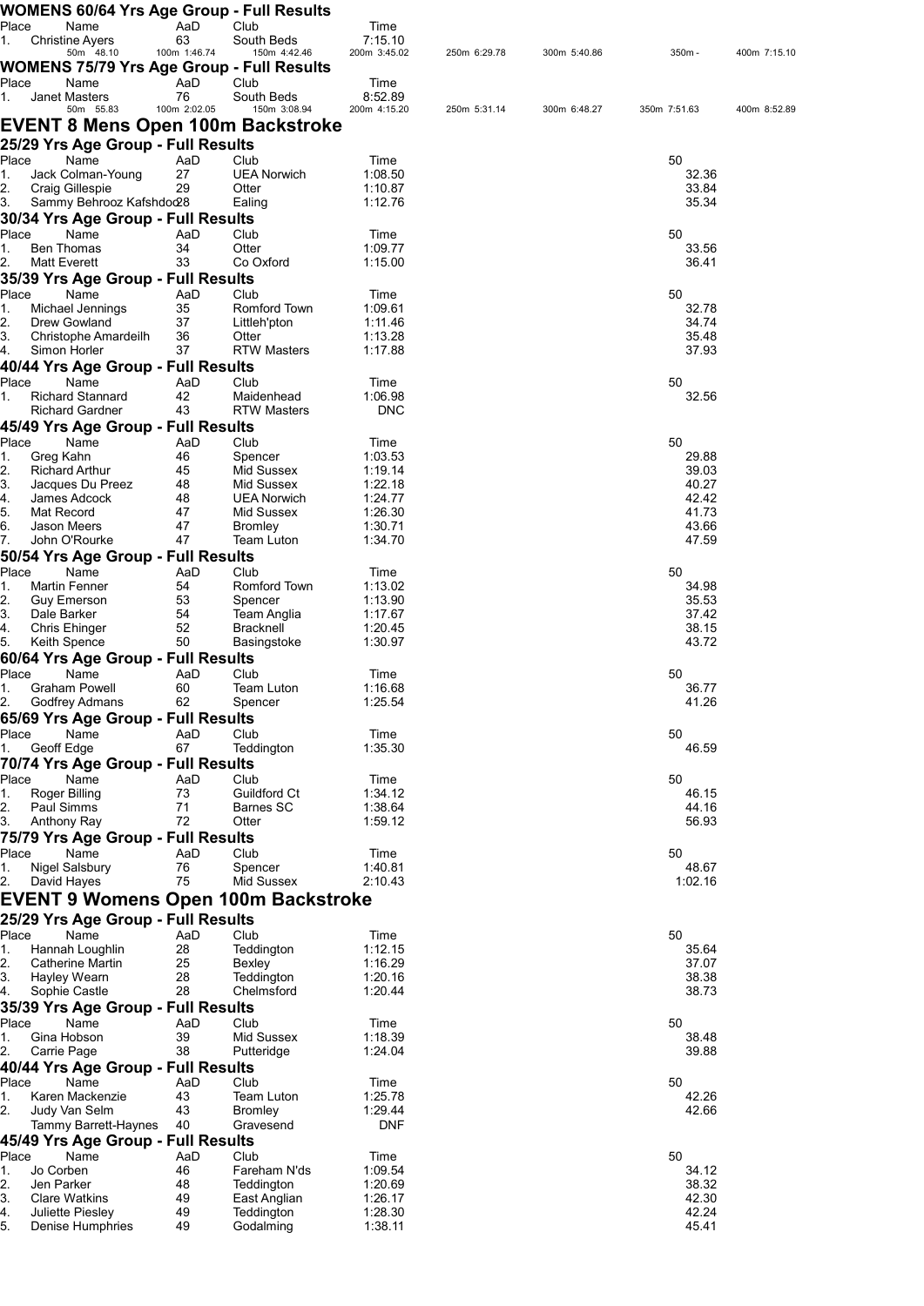|             | WOMENS 60/64 Yrs Age Group - Full Results         |                    |                              |                         |              |              |                |              |
|-------------|---------------------------------------------------|--------------------|------------------------------|-------------------------|--------------|--------------|----------------|--------------|
| Place<br>1. | Name                                              | AaD<br>63          | Club<br>South Beds           | Time<br>7:15.10         |              |              |                |              |
|             | <b>Christine Ayers</b><br>50m 48.10               | 100m 1:46.74       | 150m 4:42.46                 | 200m 3:45.02            | 250m 6:29.78 | 300m 5:40.86 | 350m -         | 400m 7:15.10 |
|             | WOMENS 75/79 Yrs Age Group - Full Results         |                    |                              |                         |              |              |                |              |
| Place       | Name                                              | AaD                | Club                         | Time                    |              |              |                |              |
| 1.          | Janet Masters<br>50m 55.83                        | 76<br>100m 2:02.05 | South Beds<br>150m 3:08.94   | 8:52.89<br>200m 4:15.20 | 250m 5:31.14 | 300m 6:48.27 | 350m 7:51.63   | 400m 8:52.89 |
|             | EVENT 8 Mens Open 100m Backstroke                 |                    |                              |                         |              |              |                |              |
|             |                                                   |                    |                              |                         |              |              |                |              |
| Place       | 25/29 Yrs Age Group - Full Results<br>Name        | AaD                | Club                         | Time                    |              |              | 50             |              |
| 1.          | Jack Colman-Young                                 | 27                 | <b>UEA Norwich</b>           | 1:08.50                 |              |              | 32.36          |              |
| 2.          | Craig Gillespie                                   | 29                 | Otter                        | 1:10.87                 |              |              | 33.84          |              |
| 3.          | Sammy Behrooz Kafshdod28                          |                    | Ealing                       | 1:12.76                 |              |              | 35.34          |              |
|             | 30/34 Yrs Age Group - Full Results                |                    |                              |                         |              |              |                |              |
| Place<br>1. | Name<br>Ben Thomas                                | AaD<br>34          | Club<br>Otter                | Time<br>1:09.77         |              |              | 50<br>33.56    |              |
| 2.          | <b>Matt Everett</b>                               | 33                 | Co Oxford                    | 1:15.00                 |              |              | 36.41          |              |
|             | 35/39 Yrs Age Group - Full Results                |                    |                              |                         |              |              |                |              |
| Place       | Name                                              | AaD                | Club                         | Time                    |              |              | 50             |              |
| 1.          | Michael Jennings                                  | 35                 | Romford Town                 | 1:09.61                 |              |              | 32.78          |              |
| 2.<br>3.    | <b>Drew Gowland</b><br>Christophe Amardeilh       | 37<br>36           | Littleh'pton<br>Otter        | 1:11.46<br>1:13.28      |              |              | 34.74<br>35.48 |              |
| 4.          | Simon Horler                                      | 37                 | <b>RTW Masters</b>           | 1:17.88                 |              |              | 37.93          |              |
|             | 40/44 Yrs Age Group - Full Results                |                    |                              |                         |              |              |                |              |
| Place       | Name                                              | AaD                | Club                         | Time                    |              |              | 50             |              |
| 1.          | <b>Richard Stannard</b>                           | 42                 | Maidenhead                   | 1:06.98                 |              |              | 32.56          |              |
|             | <b>Richard Gardner</b>                            | 43                 | <b>RTW Masters</b>           | <b>DNC</b>              |              |              |                |              |
|             | 45/49 Yrs Age Group - Full Results                |                    |                              |                         |              |              |                |              |
| Place<br>1. | Name<br>Greg Kahn                                 | AaD<br>46          | Club<br>Spencer              | Time<br>1:03.53         |              |              | 50<br>29.88    |              |
| 2.          | <b>Richard Arthur</b>                             | 45                 | Mid Sussex                   | 1:19.14                 |              |              | 39.03          |              |
| 3.          | Jacques Du Preez                                  | 48                 | Mid Sussex                   | 1:22.18                 |              |              | 40.27          |              |
| 4.          | James Adcock                                      | 48                 | <b>UEA Norwich</b>           | 1:24.77                 |              |              | 42.42          |              |
| 5.<br>6.    | Mat Record<br>Jason Meers                         | 47<br>47           | Mid Sussex<br><b>Bromley</b> | 1:26.30<br>1:30.71      |              |              | 41.73<br>43.66 |              |
| 7.          | John O'Rourke                                     | 47                 | Team Luton                   | 1:34.70                 |              |              | 47.59          |              |
|             | 50/54 Yrs Age Group - Full Results                |                    |                              |                         |              |              |                |              |
| Place       | Name                                              | AaD                | Club                         | Time                    |              |              | 50             |              |
| 1.          | <b>Martin Fenner</b>                              | 54                 | Romford Town                 | 1:13.02                 |              |              | 34.98          |              |
| 2.<br>3.    | <b>Guy Emerson</b><br>Dale Barker                 | 53<br>54           | Spencer<br>Team Anglia       | 1:13.90                 |              |              | 35.53<br>37.42 |              |
| 4.          | Chris Ehinger                                     | 52                 | <b>Bracknell</b>             | 1:17.67<br>1:20.45      |              |              | 38.15          |              |
| 5.          | Keith Spence                                      | 50                 | Basingstoke                  | 1:30.97                 |              |              | 43.72          |              |
|             | 60/64 Yrs Age Group - Full Results                |                    |                              |                         |              |              |                |              |
| Place       | Name                                              | AaD                | Club                         | Time                    |              |              | 50             |              |
| 1.          | Graham Powell                                     | 60                 | Team Luton                   | 1:16.68                 |              |              | 36.77          |              |
|             | 2. Godfrey Admans                                 | 62                 | Spencer                      | 1:25.54                 |              |              | 41.26          |              |
| Place       | 65/69 Yrs Age Group - Full Results<br>Name        | AaD                | Club                         | Time                    |              |              | 50             |              |
| 1.          | Geoff Edge                                        | 67                 | Teddington                   | 1:35.30                 |              |              | 46.59          |              |
|             | 70/74 Yrs Age Group - Full Results                |                    |                              |                         |              |              |                |              |
| Place       | Name                                              | AaD                | Club                         | Time                    |              |              | 50             |              |
| 1.          | Roger Billing                                     | 73                 | Guildford Ct                 | 1:34.12                 |              |              | 46.15          |              |
| 2.          | Paul Simms                                        | 71                 | Barnes SC                    | 1:38.64                 |              |              | 44.16          |              |
| 3.          | Anthony Ray<br>75/79 Yrs Age Group - Full Results | 72                 | Otter                        | 1:59.12                 |              |              | 56.93          |              |
| Place       | Name                                              | AaD                | Club                         | Time                    |              |              | 50             |              |
| 1.          | Nigel Salsbury                                    | 76                 | Spencer                      | 1:40.81                 |              |              | 48.67          |              |
| 2.          | David Hayes                                       | 75                 | Mid Sussex                   | 2:10.43                 |              |              | 1:02.16        |              |
|             | <b>EVENT 9 Womens Open 100m Backstroke</b>        |                    |                              |                         |              |              |                |              |
|             | 25/29 Yrs Age Group - Full Results                |                    |                              |                         |              |              |                |              |
| Place       | Name                                              | AaD                | Club                         | Time                    |              |              | 50             |              |
| 1.          | Hannah Loughlin                                   | 28                 | Teddington                   | 1:12.15                 |              |              | 35.64          |              |
| 2.<br>3.    | Catherine Martin<br>Hayley Wearn                  | 25                 | Bexley<br>Teddington         | 1:16.29                 |              |              | 37.07<br>38.38 |              |
| 4.          | Sophie Castle                                     | 28<br>28           | Chelmsford                   | 1:20.16<br>1:20.44      |              |              | 38.73          |              |
|             | 35/39 Yrs Age Group - Full Results                |                    |                              |                         |              |              |                |              |
| Place       | Name                                              | AaD                | Club                         | Time                    |              |              | 50             |              |
| 1.          | Gina Hobson                                       | 39                 | Mid Sussex                   | 1:18.39                 |              |              | 38.48          |              |
| 2.          | Carrie Page                                       | 38                 | Putteridge                   | 1:24.04                 |              |              | 39.88          |              |
|             | 40/44 Yrs Age Group - Full Results                |                    |                              |                         |              |              |                |              |
| Place<br>1. | Name<br>Karen Mackenzie                           | AaD<br>43          | Club<br><b>Team Luton</b>    | Time<br>1:25.78         |              |              | 50<br>42.26    |              |
| 2.          | Judy Van Selm                                     | 43                 | <b>Bromley</b>               | 1:29.44                 |              |              | 42.66          |              |
|             | Tammy Barrett-Haynes                              | 40                 | Gravesend                    | <b>DNF</b>              |              |              |                |              |
|             | 45/49 Yrs Age Group - Full Results                |                    |                              |                         |              |              |                |              |
| Place       | Name                                              | AaD                | Club                         | Time                    |              |              | 50             |              |
| 1.          | Jo Corben                                         | 46                 | Fareham N'ds                 | 1:09.54                 |              |              | 34.12          |              |
| 2.<br>3.    | Jen Parker<br><b>Clare Watkins</b>                | 48<br>49           | Teddington<br>East Anglian   | 1:20.69<br>1:26.17      |              |              | 38.32<br>42.30 |              |
| 4.          | Juliette Piesley                                  | 49                 | Teddington                   | 1:28.30                 |              |              | 42.24          |              |
| 5.          | Denise Humphries                                  | 49                 | Godalming                    | 1:38.11                 |              |              | 45.41          |              |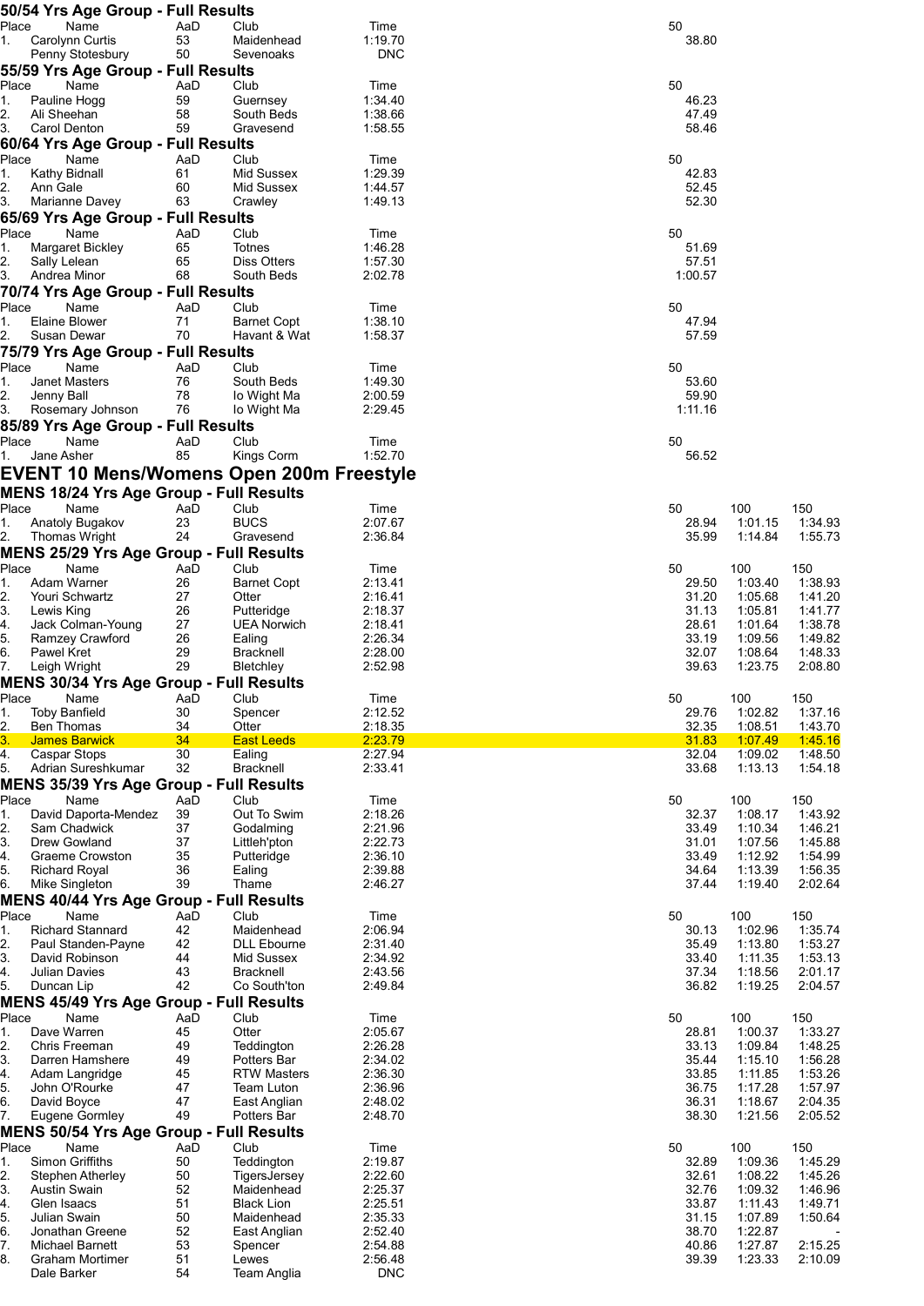|                | 50/54 Yrs Age Group - Full Results                               |           |                                    |                       |                |                    |                    |
|----------------|------------------------------------------------------------------|-----------|------------------------------------|-----------------------|----------------|--------------------|--------------------|
| Place<br>1.    | Name<br>Carolynn Curtis                                          | AaD<br>53 | Club<br>Maidenhead                 | Time<br>1:19.70       | 50<br>38.80    |                    |                    |
|                | Penny Stotesbury                                                 | 50        | Sevenoaks                          | <b>DNC</b>            |                |                    |                    |
|                | 55/59 Yrs Age Group - Full Results                               |           |                                    |                       |                |                    |                    |
| Place          | Name                                                             | AaD       | Club                               | Time                  | 50             |                    |                    |
| 1.             | Pauline Hogg                                                     | 59        | Guernsey                           | 1:34.40               | 46.23          |                    |                    |
| 2.<br>3.       | Ali Sheehan<br>Carol Denton                                      | 58<br>59  | South Beds<br>Gravesend            | 1:38.66<br>1:58.55    | 47.49<br>58.46 |                    |                    |
|                | 60/64 Yrs Age Group - Full Results                               |           |                                    |                       |                |                    |                    |
| Place          | Name                                                             | AaD       | Club                               | Time                  | 50             |                    |                    |
| 1.             | Kathy Bidnall                                                    | 61        | Mid Sussex                         | 1:29.39               | 42.83          |                    |                    |
| 2.             | Ann Gale                                                         | 60        | Mid Sussex                         | 1:44.57               | 52.45          |                    |                    |
| 3.             | Marianne Davey                                                   | 63        | Crawley                            | 1:49.13               | 52.30          |                    |                    |
|                | 65/69 Yrs Age Group - Full Results                               |           |                                    |                       |                |                    |                    |
| Place<br>1.    | Name<br>Margaret Bickley                                         | AaD<br>65 | Club<br>Totnes                     | Time<br>1:46.28       | 50<br>51.69    |                    |                    |
| 2.             | Sally Lelean                                                     | 65        | Diss Otters                        | 1:57.30               | 57.51          |                    |                    |
| 3.             | Andrea Minor                                                     | 68        | South Beds                         | 2:02.78               | 1:00.57        |                    |                    |
|                | 70/74 Yrs Age Group - Full Results                               |           |                                    |                       |                |                    |                    |
| Place          | Name                                                             | AaD       | Club                               | Time                  | 50             |                    |                    |
| 1.             | Elaine Blower<br>Susan Dewar                                     | 71<br>70  | <b>Barnet Copt</b><br>Havant & Wat | 1:38.10<br>1:58.37    | 47.94<br>57.59 |                    |                    |
| 2.             | 75/79 Yrs Age Group - Full Results                               |           |                                    |                       |                |                    |                    |
| Place          | Name                                                             | AaD       | Club                               | Time                  | 50             |                    |                    |
| 1.             | Janet Masters                                                    | 76        | South Beds                         | 1:49.30               | 53.60          |                    |                    |
| 2.             | Jenny Ball                                                       | 78        | lo Wight Ma                        | 2:00.59               | 59.90          |                    |                    |
| 3.             | Rosemary Johnson                                                 | 76        | lo Wight Ma                        | 2:29.45               | 1:11.16        |                    |                    |
|                | 85/89 Yrs Age Group - Full Results                               |           |                                    |                       |                |                    |                    |
| Place          | Name                                                             | AaD       | Club                               | Time                  | 50             |                    |                    |
| 1.             | Jane Asher                                                       | 85        | Kings Corm                         | 1:52.70               | 56.52          |                    |                    |
|                | <b>EVENT 10 Mens/Womens Open 200m Freestyle</b>                  |           |                                    |                       |                |                    |                    |
|                | MENS 18/24 Yrs Age Group - Full Results                          |           |                                    |                       |                |                    |                    |
| Place<br>1.    | Name<br>Anatoly Bugakov                                          | AaD<br>23 | Club<br><b>BUCS</b>                | Time<br>2:07.67       | 50<br>28.94    | 100<br>1:01.15     | 150<br>1:34.93     |
| 2.             | Thomas Wright                                                    | 24        | Gravesend                          | 2:36.84               | 35.99          | 1:14.84            | 1:55.73            |
|                | <b>MENS 25/29 Yrs Age Group - Full Results</b>                   |           |                                    |                       |                |                    |                    |
| Place          | Name                                                             | AaD       | Club                               | Time                  | 50             | 100                | 150                |
| 1.             | Adam Warner                                                      | 26        | <b>Barnet Copt</b>                 | 2:13.41               | 29.50          | 1:03.40            | 1:38.93            |
| 2.             | Youri Schwartz                                                   | 27        | Otter                              | 2:16.41               | 31.20          | 1:05.68            | 1:41.20            |
| 3.<br>4.       | Lewis King<br>Jack Colman-Young                                  | 26<br>27  | Putteridge<br><b>UEA Norwich</b>   | 2:18.37<br>2:18.41    | 31.13<br>28.61 | 1:05.81<br>1:01.64 | 1:41.77<br>1:38.78 |
| 5.             | Ramzey Crawford                                                  | 26        | Ealing                             | 2:26.34               | 33.19          | 1:09.56            | 1:49.82            |
| 6.             | Pawel Kret                                                       | 29        | Bracknell                          | 2:28.00               | 32.07          | 1:08.64            | 1:48.33            |
| 7.             | Leigh Wright                                                     | 29        | Bletchley                          | 2:52.98               | 39.63          | 1:23.75            | 2:08.80            |
|                | MENS 30/34 Yrs Age Group - Full Results                          |           |                                    |                       |                |                    |                    |
| Place          | Name                                                             | AaD       | Club                               | Time                  | 50             | 100<br>1:02.82     | 150                |
| 1.<br>2.       | <b>Toby Banfield</b><br><b>Ben Thomas</b>                        | 30<br>34  | Spencer<br>Otter                   | 2:12.52<br>2:18.35    | 29.76<br>32.35 | 1:08.51            | 1:37.16<br>1:43.70 |
| 3.             | <b>James Barwick</b>                                             | 34        | <b>East Leeds</b>                  | 2:23.79               | 31.83          | 1:07.49            | 1:45.16            |
| 4.             | <b>Caspar Stops</b>                                              | 30        | Ealing                             | 2:27.94               | 32.04          | 1:09.02            | 1:48.50            |
| 5.             | Adrian Sureshkumar                                               | 32        | Bracknell                          | 2:33.41               | 33.68          | 1:13.13            | 1:54.18            |
|                | <b>MENS 35/39 Yrs Age Group - Full Results</b>                   |           |                                    |                       |                |                    |                    |
| Place<br>1.    | Name<br>David Daporta-Mendez                                     | AaD<br>39 | Club<br>Out To Swim                | Time<br>2:18.26       | 50<br>32.37    | 100<br>1:08.17     | 150<br>1:43.92     |
| 2.             | Sam Chadwick                                                     | 37        | Godalming                          | 2:21.96               | 33.49          | 1:10.34            | 1:46.21            |
| 3.             | Drew Gowland                                                     | 37        | Littleh'pton                       | 2:22.73               | 31.01          | 1:07.56            | 1:45.88            |
| 4.             | Graeme Crowston                                                  | 35        | Putteridge                         | 2:36.10               | 33.49          | 1:12.92            | 1:54.99            |
| 5.             | <b>Richard Royal</b>                                             | 36        | Ealing                             | 2:39.88               | 34.64          | 1:13.39            | 1:56.35            |
| 6.             | Mike Singleton<br><b>MENS 40/44 Yrs Age Group - Full Results</b> | 39        | Thame                              | 2:46.27               | 37.44          | 1:19.40            | 2:02.64            |
| Place          | Name                                                             | AaD       | Club                               | Time                  | 50             | 100                | 150                |
| 1.             | <b>Richard Stannard</b>                                          | 42        | Maidenhead                         | 2:06.94               | 30.13          | 1:02.96            | 1:35.74            |
| 2.             | Paul Standen-Payne                                               | 42        | <b>DLL Ebourne</b>                 | 2:31.40               | 35.49          | 1:13.80            | 1:53.27            |
| 3.             | David Robinson                                                   | 44        | Mid Sussex                         | 2:34.92               | 33.40          | 1:11.35            | 1:53.13            |
| 4.             | Julian Davies                                                    | 43        | <b>Bracknell</b>                   | 2:43.56               | 37.34          | 1:18.56            | 2:01.17            |
| 5.             | Duncan Lip<br><b>MENS 45/49 Yrs Age Group - Full Results</b>     | 42        | Co South'ton                       | 2:49.84               | 36.82          | 1:19.25            | 2:04.57            |
| Place          | Name                                                             | AaD       | Club                               | Time                  | 50             | 100                | 150                |
| 1.             | Dave Warren                                                      | 45        | Otter                              | 2:05.67               | 28.81          | 1:00.37            | 1:33.27            |
| 2.             | Chris Freeman                                                    | 49        | Teddington                         | 2:26.28               | 33.13          | 1:09.84            | 1:48.25            |
| 3.             | Darren Hamshere                                                  | 49        | Potters Bar                        | 2:34.02               | 35.44          | 1:15.10            | 1:56.28            |
| 4.             | Adam Langridge                                                   | 45        | <b>RTW Masters</b>                 | 2:36.30               | 33.85          | 1:11.85            | 1:53.26            |
| 5.<br>6.       | John O'Rourke<br>David Boyce                                     | 47<br>47  | Team Luton<br>East Anglian         | 2:36.96<br>2:48.02    | 36.75<br>36.31 | 1:17.28<br>1:18.67 | 1:57.97<br>2:04.35 |
| 7.             | Eugene Gormley                                                   | 49        | Potters Bar                        | 2:48.70               | 38.30          | 1:21.56            | 2:05.52            |
|                | MENS 50/54 Yrs Age Group - Full Results                          |           |                                    |                       |                |                    |                    |
| Place          | Name                                                             | AaD       | Club                               | Time                  | 50             | 100                | 150                |
| 1.             | Simon Griffiths                                                  | 50        | Teddington                         | 2:19.87               | 32.89          | 1:09.36            | 1:45.29            |
| 2.             | Stephen Atherley                                                 | 50        | TigersJersey                       | 2:22.60               | 32.61          | 1:08.22            | 1:45.26            |
| 3.<br>4.       | <b>Austin Swain</b><br>Glen Isaacs                               | 52<br>51  | Maidenhead<br><b>Black Lion</b>    | 2:25.37<br>2:25.51    | 32.76<br>33.87 | 1:09.32<br>1:11.43 | 1:46.96<br>1:49.71 |
|                | Julian Swain                                                     | 50        | Maidenhead                         | 2:35.33               | 31.15          | 1:07.89            | 1:50.64            |
| 5.<br>6.<br>7. | Jonathan Greene                                                  | 52        | East Anglian                       | 2:52.40               | 38.70          | 1:22.87            |                    |
|                | Michael Barnett                                                  | 53        | Spencer                            | 2:54.88               | 40.86          | 1:27.87            | 2:15.25            |
| 8.             | <b>Graham Mortimer</b>                                           | 51        | Lewes                              | 2:56.48<br><b>DNC</b> | 39.39          | 1:23.33            | 2:10.09            |
|                | Dale Barker                                                      | 54        | Team Anglia                        |                       |                |                    |                    |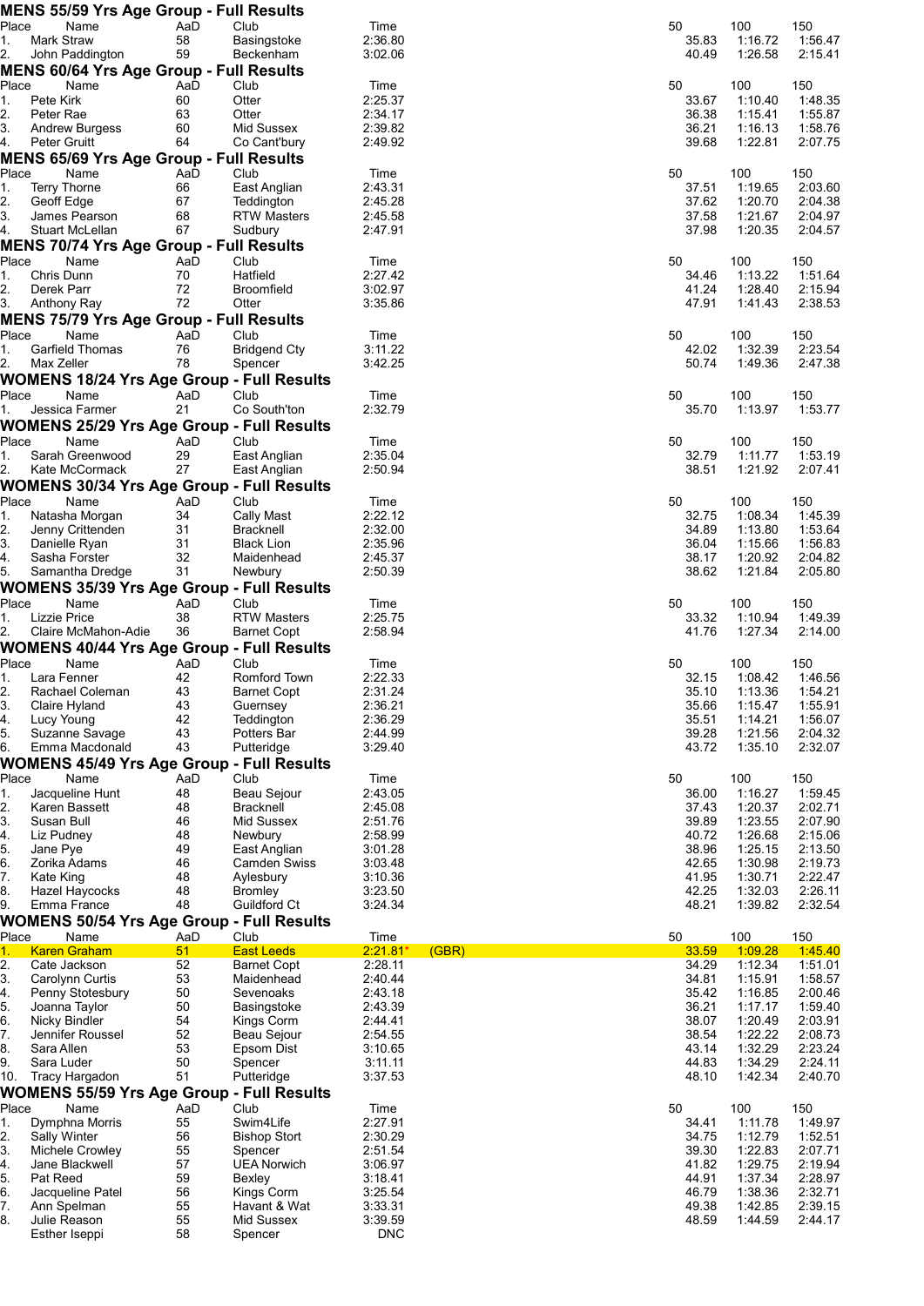|                        |                                      | <b>MENS 55/59 Yrs Age Group - Full Results</b> |           |                                                                  |                       |                |                    |                    |
|------------------------|--------------------------------------|------------------------------------------------|-----------|------------------------------------------------------------------|-----------------------|----------------|--------------------|--------------------|
| Place                  | Name<br>Mark Straw                   |                                                | AaD<br>58 | Club<br>Basingstoke                                              | Time<br>2:36.80       | 50<br>35.83    | 100                | 150<br>1:56.47     |
| 1.<br>2.               | John Paddington                      | 59                                             |           | Beckenham                                                        | 3:02.06               | 40.49          | 1:16.72<br>1:26.58 | 2:15.41            |
|                        |                                      | <b>MENS 60/64 Yrs Age Group - Full Results</b> |           |                                                                  |                       |                |                    |                    |
| Place                  | Name                                 |                                                | AaD       | Club                                                             | Time                  | 50             | 100                | 150                |
| 1.                     | Pete Kirk                            |                                                | 60        | Otter                                                            | 2:25.37               | 33.67          | 1:10.40            | 1:48.35            |
| 2.<br>3.               | Peter Rae<br><b>Andrew Burgess</b>   |                                                | 63<br>60  | Otter<br>Mid Sussex                                              | 2:34.17<br>2:39.82    | 36.38<br>36.21 | 1:15.41<br>1:16.13 | 1:55.87<br>1:58.76 |
| 4.                     | Peter Gruitt                         | 64                                             |           | Co Cant'bury                                                     | 2:49.92               | 39.68          | 1:22.81            | 2:07.75            |
|                        |                                      | <b>MENS 65/69 Yrs Age Group - Full Results</b> |           |                                                                  |                       |                |                    |                    |
| Place                  | Name                                 |                                                | AaD       | Club                                                             | Time                  | 50             | 100                | 150                |
| 1.<br>2.               | <b>Terry Thorne</b>                  | 67                                             | 66        | East Anglian<br>Teddington                                       | 2:43.31               | 37.51          | 1:19.65<br>1:20.70 | 2:03.60            |
| 3.                     | Geoff Edge<br>James Pearson          | 68                                             |           | RTW Masters                                                      | 2:45.28<br>2:45.58    | 37.62<br>37.58 | 1:21.67            | 2:04.38<br>2:04.97 |
| 4.                     | Stuart McLellan                      | 67                                             |           | Sudbury                                                          | 2:47.91               | 37.98          | 1:20.35            | 2:04.57            |
|                        |                                      | <b>MENS 70/74 Yrs Age Group - Full Results</b> |           |                                                                  |                       |                |                    |                    |
| Place                  | Name                                 |                                                | AaD       | Club                                                             | Time                  | 50             | 100                | 150                |
| 1.<br>2.               | Chris Dunn<br>Derek Parr             | 70<br>72                                       |           | Hatfield<br><b>Broomfield</b>                                    | 2:27.42<br>3:02.97    | 34.46<br>41.24 | 1:13.22<br>1:28.40 | 1:51.64<br>2:15.94 |
| 3.                     | Anthony Ray                          | 72                                             |           | Otter                                                            | 3:35.86               | 47.91          | 1:41.43            | 2:38.53            |
|                        |                                      | <b>MENS 75/79 Yrs Age Group - Full Results</b> |           |                                                                  |                       |                |                    |                    |
| Place                  | Name                                 |                                                | AaD       | Club                                                             | Time                  | 50             | 100                | 150                |
| 1.                     | Garfield Thomas                      |                                                | 76        | <b>Bridgend Ctv</b>                                              | 3:11.22               | 42.02          | 1:32.39            | 2:23.54            |
| 2.                     | Max Zeller                           |                                                | 78        | Spencer                                                          | 3:42.25               | 50.74          | 1:49.36            | 2:47.38            |
| Place                  | Name                                 |                                                | AaD       | <b>WOMENS 18/24 Yrs Age Group - Full Results</b><br>Club         | Time                  | 50             | 100                | 150                |
| 1.                     | Jessica Farmer                       |                                                | 21        | Co South'ton                                                     | 2:32.79               | 35.70          | 1:13.97            | 1:53.77            |
|                        |                                      |                                                |           | <b>WOMENS 25/29 Yrs Age Group - Full Results</b>                 |                       |                |                    |                    |
| Place                  | Name                                 |                                                | AaD       | Club                                                             | Time                  | 50             | 100                | 150                |
| 1.                     | Sarah Greenwood                      |                                                | 29        | East Anglian                                                     | 2:35.04               | 32.79<br>38.51 | 1:11.77            | 1:53.19            |
| 2.                     | Kate McCormack                       | 27                                             |           | East Anglian<br><b>WOMENS 30/34 Yrs Age Group - Full Results</b> | 2:50.94               |                | 1:21.92            | 2:07.41            |
| Place                  | Name                                 |                                                | AaD       | Club                                                             | Time                  | 50             | 100                | 150                |
| 1.                     | Natasha Morgan                       |                                                | 34        | Cally Mast                                                       | 2:22.12               | 32.75          | 1:08.34            | 1:45.39            |
| 2.                     | Jenny Crittenden                     | 31                                             |           | <b>Bracknell</b>                                                 | 2:32.00               | 34.89          | 1:13.80            | 1:53.64            |
| 3.<br>4.               | Danielle Ryan<br>Sasha Forster       | 31<br>32                                       |           | <b>Black Lion</b><br>Maidenhead                                  | 2:35.96<br>2:45.37    | 36.04<br>38.17 | 1:15.66<br>1:20.92 | 1:56.83<br>2:04.82 |
| 5.                     | Samantha Dredge                      | 31                                             |           | Newbury                                                          | 2:50.39               | 38.62          | 1:21.84            | 2:05.80            |
|                        |                                      |                                                |           | <b>WOMENS 35/39 Yrs Age Group - Full Results</b>                 |                       |                |                    |                    |
| Place                  | Name                                 |                                                | AaD       | Club                                                             | Time                  | 50             | 100                | 150                |
| 1.                     | Lizzie Price                         |                                                | 38        | <b>RTW Masters</b>                                               | 2:25.75               | 33.32          | 1:10.94            | 1:49.39            |
| 2.                     | Claire McMahon-Adie                  |                                                | 36        | <b>Barnet Copt</b>                                               | 2:58.94               | 41.76          | 1:27.34            | 2:14.00            |
| Place                  | Name                                 |                                                | AaD       | <b>WOMENS 40/44 Yrs Age Group - Full Results</b>                 |                       |                |                    |                    |
|                        |                                      |                                                |           |                                                                  |                       |                |                    |                    |
| 1.                     | Lara Fenner                          |                                                | 42        | Club<br>Romford Town                                             | Time<br>2:22.33       | 50             | 100                | 150                |
| 2.                     | Rachael Coleman                      |                                                | 43        | <b>Barnet Copt</b>                                               | 2:31.24               | 32.15<br>35.10 | 1:08.42<br>1:13.36 | 1:46.56<br>1:54.21 |
| 3.                     | Claire Hyland                        | 43                                             |           | Guernsey                                                         | 2:36.21               | 35.66          | 1:15.47            | 1:55.91            |
| 4.                     | Lucy Young                           |                                                | 42        | Teddington                                                       | 2:36.29               | 35.51          | 1:14.21            | 1:56.07            |
| 5.<br>6.               | Suzanne Savage                       | 43                                             |           | Potters Bar                                                      | 2:44.99<br>3:29.40    | 39.28<br>43.72 | 1:21.56<br>1:35.10 | 2:04.32<br>2:32.07 |
|                        | Emma Macdonald                       | 43                                             |           | Putteridge<br><b>WOMENS 45/49 Yrs Age Group - Full Results</b>   |                       |                |                    |                    |
| Place                  | Name                                 |                                                | AaD       | Club                                                             | Time                  | 50             | 100                | 150                |
| 1.                     | Jacqueline Hunt                      |                                                | 48        | Beau Seiour                                                      | 2:43.05               | 36.00          | 1:16.27            | 1:59.45            |
| 2.                     | Karen Bassett                        | 48                                             |           | Bracknell                                                        | 2:45.08               | 37.43          | 1:20.37            | 2:02.71            |
| 3.<br>4.               | Susan Bull<br>Liz Pudney             | 46<br>48                                       |           | Mid Sussex<br>Newbury                                            | 2:51.76<br>2:58.99    | 39.89<br>40.72 | 1:23.55<br>1:26.68 | 2:07.90<br>2:15.06 |
| 5.                     | Jane Pye                             | 49                                             |           | East Anglian                                                     | 3:01.28               | 38.96          | 1:25.15            | 2:13.50            |
| 6.                     | Zorika Adams                         | 46                                             |           | <b>Camden Swiss</b>                                              | 3:03.48               | 42.65          | 1:30.98            | 2:19.73            |
| 7.                     | Kate King                            | 48                                             |           | Aylesbury                                                        | 3:10.36               | 41.95          | 1:30.71            | 2:22.47            |
| 8.<br>9.               | <b>Hazel Haycocks</b><br>Emma France | 48<br>48                                       |           | Bromley<br>Guildford Ct                                          | 3:23.50<br>3:24.34    | 42.25<br>48.21 | 1:32.03<br>1:39.82 | 2:26.11<br>2:32.54 |
|                        |                                      |                                                |           | <b>WOMENS 50/54 Yrs Age Group - Full Results</b>                 |                       |                |                    |                    |
| Place                  | Name                                 |                                                | AaD       | Club                                                             | Time                  | 50             | 100                | 150                |
| 1.                     | <b>Karen Graham</b>                  |                                                | 51        | <b>East Leeds</b>                                                | $2:21.81*$<br>(GBR)   | 33.59          | 1:09.28            | 1:45.40            |
| $\overline{2}$ .<br>3. | Cate Jackson                         |                                                | 52        | <b>Barnet Copt</b><br>Maidenhead                                 | 2:28.11<br>2:40.44    | 34.29          | 1:12.34            | 1:51.01            |
| 4.                     | Carolynn Curtis<br>Penny Stotesbury  | 53                                             | 50        | Sevenoaks                                                        | 2:43.18               | 34.81<br>35.42 | 1:15.91<br>1:16.85 | 1:58.57<br>2:00.46 |
| 5.                     | Joanna Taylor                        |                                                | 50        | Basingstoke                                                      | 2:43.39               | 36.21          | 1:17.17            | 1:59.40            |
| 6.                     | Nicky Bindler                        | 54                                             |           | Kings Corm                                                       | 2:44.41               | 38.07          | 1:20.49            | 2:03.91            |
| 7.<br>8.               | Jennifer Roussel<br>Sara Allen       | 53                                             | 52        | Beau Sejour<br>Epsom Dist                                        | 2:54.55<br>3:10.65    | 38.54<br>43.14 | 1:22.22<br>1:32.29 | 2:08.73<br>2:23.24 |
| 9.                     | Sara Luder                           |                                                | 50        | Spencer                                                          | 3:11.11               | 44.83          | 1:34.29            | 2:24.11            |
| 10.                    | Tracy Hargadon                       | 51                                             |           | Putteridge                                                       | 3:37.53               | 48.10          | 1:42.34            | 2:40.70            |
|                        |                                      |                                                |           | <b>WOMENS 55/59 Yrs Age Group - Full Results</b>                 |                       |                |                    |                    |
| Place                  | Name                                 |                                                | AaD       | Club                                                             | Time                  | 50             | 100                | 150                |
| 1.<br>2.               | Dymphna Morris<br>Sally Winter       |                                                | 55<br>56  | Swim4Life<br><b>Bishop Stort</b>                                 | 2:27.91<br>2:30.29    | 34.41<br>34.75 | 1:11.78<br>1:12.79 | 1:49.97<br>1:52.51 |
| 3.                     | Michele Crowley                      |                                                | 55        | Spencer                                                          | 2:51.54               | 39.30          | 1:22.83            | 2:07.71            |
| 4.                     | Jane Blackwell                       | 57                                             |           | <b>UEA Norwich</b>                                               | 3:06.97               | 41.82          | 1:29.75            | 2:19.94            |
| 5.                     | Pat Reed                             | 59                                             |           | Bexley                                                           | 3:18.41               | 44.91          | 1:37.34            | 2:28.97            |
| 6.<br>7.               | Jacqueline Patel<br>Ann Spelman      |                                                | 56<br>55  | Kings Corm<br>Havant & Wat                                       | 3:25.54<br>3:33.31    | 46.79<br>49.38 | 1:38.36<br>1:42.85 | 2:32.71<br>2:39.15 |
| 8.                     | Julie Reason<br>Esther Iseppi        |                                                | 55<br>58  | Mid Sussex<br>Spencer                                            | 3:39.59<br><b>DNC</b> | 48.59          | 1:44.59            | 2:44.17            |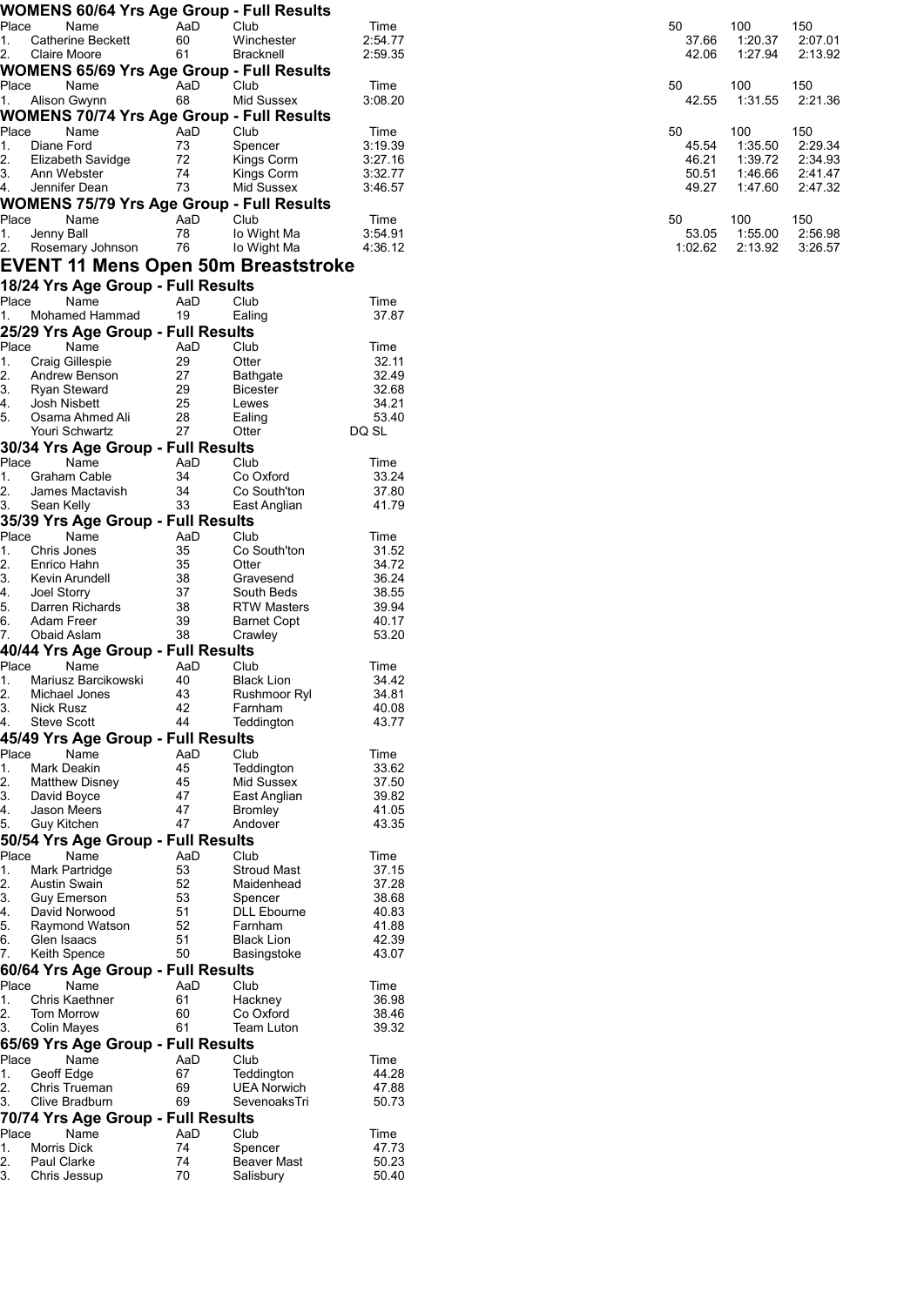|             | <b>WOMENS 60/64 Yrs Age Group - Full Results</b>         |           |                               |                    |                |                    |                    |
|-------------|----------------------------------------------------------|-----------|-------------------------------|--------------------|----------------|--------------------|--------------------|
| Place       | Name                                                     | AaD       | Club                          | Time               | 50             | 100                | 150                |
| 1.          | <b>Catherine Beckett</b>                                 | 60        | Winchester                    | 2:54.77            | 37.66          | 1:20.37            | 2:07.01            |
| 2.          | Claire Moore                                             | 61        | Bracknell                     | 2:59.35            | 42.06          | 1:27.94            | 2:13.92            |
| Place       | <b>WOMENS 65/69 Yrs Age Group - Full Results</b><br>Name | AaD       | Club                          | Time               | 50             | 100                | 150                |
| 1.          | Alison Gwynn                                             | 68        | Mid Sussex                    | 3:08.20            | 42.55          | 1:31.55            | 2:21.36            |
|             | <b>WOMENS 70/74 Yrs Age Group - Full Results</b>         |           |                               |                    |                |                    |                    |
| Place       | Name                                                     | AaD       | Club                          | Time               | 50             | 100                | 150                |
| 1.          | Diane Ford                                               | 73        | Spencer                       | 3:19.39            | 45.54          | 1:35.50            | 2:29.34            |
| 2.<br>3.    | Elizabeth Savidge<br>Ann Webster                         | 72<br>74  | Kings Corm<br>Kings Corm      | 3:27.16<br>3:32.77 | 46.21<br>50.51 | 1:39.72<br>1:46.66 | 2:34.93<br>2:41.47 |
| 4.          | Jennifer Dean                                            | 73        | Mid Sussex                    | 3:46.57            | 49.27          | 1:47.60            | 2:47.32            |
|             | <b>WOMENS 75/79 Yrs Age Group - Full Results</b>         |           |                               |                    |                |                    |                    |
| Place       | Name                                                     | AaD       | Club                          | Time               | 50             | 100                | 150                |
| 1.          | Jenny Ball                                               | 78        | lo Wight Ma                   | 3:54.91            | 53.05          | 1:55.00            | 2:56.98            |
| 2.          | Rosemary Johnson                                         | 76        | lo Wight Ma                   | 4:36.12            | 1:02.62        | 2:13.92            | 3:26.57            |
|             | <b>EVENT 11 Mens Open 50m Breaststroke</b>               |           |                               |                    |                |                    |                    |
|             | 18/24 Yrs Age Group - Full Results                       |           |                               |                    |                |                    |                    |
| Place       | Name<br>Mohamed Hammad                                   | AaD<br>19 | Club<br>Ealing                | Time<br>37.87      |                |                    |                    |
| 1.          | 25/29 Yrs Age Group - Full Results                       |           |                               |                    |                |                    |                    |
| Place       | Name                                                     | AaD       | Club                          | Time               |                |                    |                    |
| 1.          | <b>Craig Gillespie</b>                                   | 29        | Otter                         | 32.11              |                |                    |                    |
| 2.          | Andrew Benson                                            | 27        | <b>Bathgate</b>               | 32.49              |                |                    |                    |
| 3.          | Ryan Steward                                             | 29        | <b>Bicester</b>               | 32.68              |                |                    |                    |
| 4.          | Josh Nisbett                                             | 25        | Lewes                         | 34.21              |                |                    |                    |
| 5.          | Osama Ahmed Ali<br>Youri Schwartz                        | 28<br>27  | Ealing<br>Otter               | 53.40<br>DQ SL     |                |                    |                    |
|             | 30/34 Yrs Age Group - Full Results                       |           |                               |                    |                |                    |                    |
| Place       | Name                                                     | AaD       | Club                          | Time               |                |                    |                    |
| 1.          | Graham Cable                                             | 34        | Co Oxford                     | 33.24              |                |                    |                    |
| 2.          | James Mactavish                                          | 34        | Co South'ton                  | 37.80              |                |                    |                    |
| 3.          | Sean Kelly                                               | 33        | East Anglian                  | 41.79              |                |                    |                    |
|             | 35/39 Yrs Age Group - Full Results                       |           |                               |                    |                |                    |                    |
| Place<br>1. | Name<br>Chris Jones                                      | AaD<br>35 | Club<br>Co South'ton          | Time<br>31.52      |                |                    |                    |
| 2.          | Enrico Hahn                                              | 35        | Otter                         | 34.72              |                |                    |                    |
| 3.          | Kevin Arundell                                           | 38        | Gravesend                     | 36.24              |                |                    |                    |
| 4.          | Joel Storry                                              | 37        | South Beds                    | 38.55              |                |                    |                    |
| 5.<br>6.    | Darren Richards<br>Adam Freer                            | 38<br>39  | <b>RTW Masters</b>            | 39.94<br>40.17     |                |                    |                    |
| 7.          | Obaid Aslam                                              | 38        | Barnet Copt<br>Crawley        | 53.20              |                |                    |                    |
|             | 40/44 Yrs Age Group - Full Results                       |           |                               |                    |                |                    |                    |
| Place       | Name                                                     | AaD       | Club                          | Time               |                |                    |                    |
| 1.          | Mariusz Barcikowski                                      | 40        | <b>Black Lion</b>             | 34.42              |                |                    |                    |
| 2.          | Michael Jones                                            | 43        | Rushmoor Ryl                  | 34.81              |                |                    |                    |
| 3.<br>4.    | <b>Nick Rusz</b><br><b>Steve Scott</b>                   | 42<br>44  | Farnham<br>Teddington         | 40.08<br>43.77     |                |                    |                    |
|             | 45/49 Yrs Age Group - Full Results                       |           |                               |                    |                |                    |                    |
| Place       | Name                                                     | AaD       | Club                          | Time               |                |                    |                    |
| 1.          | Mark Deakin                                              | 45        | Teddington                    | 33.62              |                |                    |                    |
| 2.          | <b>Matthew Disney</b>                                    | 45        | Mid Sussex                    | 37.50              |                |                    |                    |
| 3.          | David Boyce                                              | 47        | East Anglian                  | 39.82              |                |                    |                    |
| 4.<br>5.    | Jason Meers<br>Guy Kitchen                               | 47<br>47  | <b>Bromley</b><br>Andover     | 41.05<br>43.35     |                |                    |                    |
|             | 50/54 Yrs Age Group - Full Results                       |           |                               |                    |                |                    |                    |
| Place       | Name                                                     | AaD       | Club                          | Time               |                |                    |                    |
| 1.          | Mark Partridge                                           | 53        | <b>Stroud Mast</b>            | 37.15              |                |                    |                    |
| 2.          | <b>Austin Swain</b>                                      | 52        | Maidenhead                    | 37.28              |                |                    |                    |
| 3.<br>4.    | <b>Guy Emerson</b><br>David Norwood                      | 53<br>51  | Spencer<br><b>DLL Ebourne</b> | 38.68<br>40.83     |                |                    |                    |
| 5.          | Raymond Watson                                           | 52        | Farnham                       | 41.88              |                |                    |                    |
| 6.          | Glen Isaacs                                              | 51        | <b>Black Lion</b>             | 42.39              |                |                    |                    |
| 7.          | Keith Spence                                             | 50        | Basingstoke                   | 43.07              |                |                    |                    |
|             | 60/64 Yrs Age Group - Full Results                       |           |                               |                    |                |                    |                    |
| Place       | Name                                                     | AaD       | Club                          | Time               |                |                    |                    |
| 1.          | Chris Kaethner                                           | 61        | Hackney                       | 36.98              |                |                    |                    |
| 2.<br>3.    | Tom Morrow<br>Colin Mayes                                | 60<br>61  | Co Oxford<br>Team Luton       | 38.46<br>39.32     |                |                    |                    |
|             | 65/69 Yrs Age Group - Full Results                       |           |                               |                    |                |                    |                    |
| Place       | Name                                                     | AaD       | Club                          | Time               |                |                    |                    |
| 1.          | Geoff Edge                                               | 67        | Teddington                    | 44.28              |                |                    |                    |
| 2.          | Chris Trueman                                            | 69        | <b>UEA Norwich</b>            | 47.88              |                |                    |                    |
| 3.          | Clive Bradburn                                           | 69        | SevenoaksTri                  | 50.73              |                |                    |                    |
|             | 70/74 Yrs Age Group - Full Results                       |           |                               |                    |                |                    |                    |
| Place<br>1. | Name<br>Morris Dick                                      | AaD<br>74 | Club<br>Spencer               | Time<br>47.73      |                |                    |                    |
| 2.          | Paul Clarke                                              | 74        | <b>Beaver Mast</b>            | 50.23              |                |                    |                    |
| 3.          | Chris Jessup                                             | 70        | Salisbury                     | 50.40              |                |                    |                    |
|             |                                                          |           |                               |                    |                |                    |                    |

| 50      | 100     | 150     |
|---------|---------|---------|
| 37.66   | 1:20.37 | 2:07.01 |
| 42.06   | 1:27.94 | 2:13.92 |
| 50      | 100     | 150     |
| 42.55   | 1:31.55 | 2:21.36 |
| 50      | 100     | 150     |
| 45.54   | 1:35.50 | 2:29.34 |
| 46.21   | 1:39.72 | 2:34.93 |
| 50.51   | 1:46.66 | 2:41.47 |
| 49.27   | 1.4760  | 2:47.32 |
| 50      | 100     | 150     |
| 53.05   | 1:55.00 | 2:56.98 |
| 1:02.62 | 2:13.92 | 3:26.57 |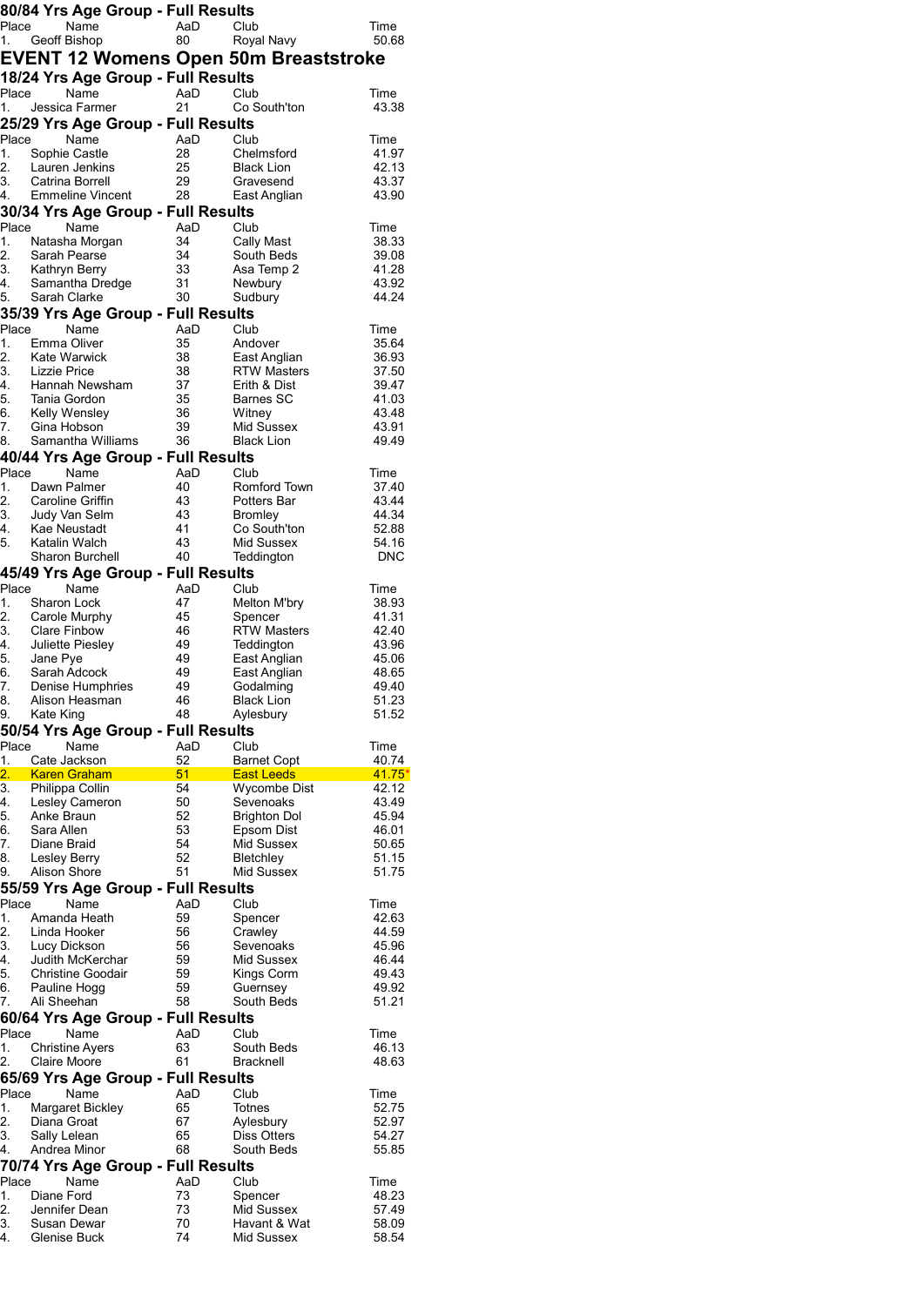|               | 80/84 Yrs Age Group - Full Results    |          |                                              |                   |
|---------------|---------------------------------------|----------|----------------------------------------------|-------------------|
| Place         | Name                                  | AaD      | Club                                         | Time              |
|               | 1. Geoff Bishop                       | 80       | Royal Navy                                   | 50.68             |
|               |                                       |          | <b>EVENT 12 Womens Open 50m Breaststroke</b> |                   |
|               | 18/24 Yrs Age Group - Full Results    |          |                                              |                   |
| Place         | Name                                  | AaD      | Club                                         | Time              |
| 1.            | Jessica Farmer                        | 21       | Co South'ton                                 | 43.38             |
|               | 25/29 Yrs Age Group - Full Results    |          |                                              |                   |
| Place         | Name                                  | AaD      | Club                                         | Time              |
| 1.            | Sophie Castle                         | 28       | Chelmsford                                   | 41.97             |
| 2.<br>3.      | Lauren Jenkins<br>Catrina Borrell     | 25<br>29 | <b>Black Lion</b><br>Gravesend               | 42.13<br>43.37    |
| 4.            | Emmeline Vincent 28                   |          | East Anglian                                 | 43.90             |
|               | 30/34 Yrs Age Group - Full Results    |          |                                              |                   |
| Place         | Name                                  | AaD      | Club                                         | Time              |
| 1.            | Natasha Morgan                        | 34       | Cally Mast                                   | 38.33             |
| 2.            | Sarah Pearse                          | 34       | South Beds                                   | 39.08             |
| 2.<br>3.<br>4 | Kathryn Berry                         | 33       | Asa Temp 2                                   | 41.28             |
| 4.<br>5.      | Samantha Dredge<br>Sarah Clarke       | 31<br>30 | Newbury<br>Sudbury                           | 43.92<br>44.24    |
|               | 35/39 Yrs Age Group - Full Results    |          |                                              |                   |
| Place         | Name                                  | AaD      | Club                                         | Time              |
| 1.            | Emma Oliver                           | 35       | Andover                                      | 35.64             |
| 2.            | <b>Kate Warwick</b>                   | 38       | East Anglian                                 | 36.93             |
| 3.            | <b>Lizzie Price</b>                   | 38       | <b>RTW Masters</b>                           | 37.50             |
| 4.            | Hannah Newsham                        | 37       | Erith & Dist                                 | 39.47             |
| 5.<br>6.      | Tania Gordon<br>Kelly Wensley         | 35<br>36 | Barnes SC<br>Witney                          | 41.03<br>43.48    |
| 7.            | Gina Hobson                           | 39       | Mid Sussex                                   | 43.91             |
| 8.            | Samantha Williams                     | 36       | <b>Black Lion</b>                            | 49.49             |
|               | 40/44 Yrs Age Group - Full Results    |          |                                              |                   |
| Place         | Name                                  | AaD      | Club                                         | Time              |
| 1.            | Dawn Palmer                           | 40       | Romford Town                                 | 37.40             |
| 2.            | Caroline Griffin                      | 43       | Potters Bar                                  | 43.44             |
| 3.<br>4.      | Judy Van Selm<br>Kae Neustadt         | 43<br>41 | <b>Bromley</b><br>Co South'ton               | 44.34<br>52.88    |
| 5.            | Katalin Walch                         | 43       | Mid Sussex                                   | 54.16             |
|               | Sharon Burchell                       | 40       | Teddington                                   | <b>DNC</b>        |
|               | 45/49 Yrs Age Group - Full Results    |          |                                              |                   |
| Place         | Name                                  | AaD      | Club                                         | Time              |
| 1.            | Sharon Lock                           | 47       | Melton M'bry                                 | 38.93             |
| 2.            | Carole Murphy                         | 45       | Spencer                                      | 41.31             |
| 3.<br>4.      | Clare Finbow<br>Juliette Piesley      | 46<br>49 | <b>RTW Masters</b><br>Teddington             | 42.40<br>43.96    |
| 5.            | Jane Pye                              | 49       | East Anglian                                 | 45.06             |
| 6.            | Sarah Adcock                          | 49       | East Anglian                                 | 48.65             |
| 7.            | Denise Humphries                      | 49       | Godalming                                    | 49.40             |
| 8.            | Alison Heasman                        | 46       | <b>Black Lion</b>                            | 51.23             |
| 9.            | Kate King                             | 48       | Aylesbury                                    | 51.52             |
|               | 50/54 Yrs Age Group - Full Results    |          |                                              |                   |
| Place         | Name                                  | AaD      | Club                                         | Time              |
| 1.<br>2.      | Cate Jackson<br><b>Karen Graham</b>   | 52<br>51 | <b>Barnet Copt</b><br><b>East Leeds</b>      | 40.74<br>$41.75*$ |
| 3.            | Philippa Collin                       | 54       | Wycombe Dist                                 | 42.12             |
| 4.            | Lesley Cameron                        | 50       | Sevenoaks                                    | 43.49             |
| 5.            | Anke Braun                            | 52       | Brighton Dol                                 | 45.94             |
| 6.            | Sara Allen                            | 53       | Epsom Dist                                   | 46.01             |
| 7.<br>8.      | Diane Braid<br>Lesley Berry           | 54<br>52 | Mid Sussex<br>Bletchley                      | 50.65<br>51.15    |
| 9.            | Alison Shore                          | 51       | Mid Sussex                                   | 51.75             |
|               | 55/59 Yrs Age Group - Full Results    |          |                                              |                   |
| Place         | Name                                  | AaD      | Club                                         | Time              |
| 1.            | Amanda Heath                          | 59       | Spencer                                      | 42.63             |
| 2.            | Linda Hooker                          | 56       | Crawley                                      | 44.59             |
| 3.            | Lucy Dickson                          | 56       | Sevenoaks                                    | 45.96             |
| 4.<br>5.      | Judith McKerchar<br>Christine Goodair | 59<br>59 | Mid Sussex<br>Kings Corm                     | 46.44             |
| 6.            | Pauline Hogg                          | 59       | Guernsey                                     | 49.43<br>49.92    |
| 7.            | Ali Sheehan                           | 58       | South Beds                                   | 51.21             |
|               | 60/64 Yrs Age Group - Full Results    |          |                                              |                   |
| Place         | Name                                  | AaD      | Club                                         | Time              |
| 1.            | <b>Christine Ayers</b>                | 63       | South Beds                                   | 46.13             |
| 2.            | Claire Moore                          | 61       | Bracknell                                    | 48.63             |
|               | 65/69 Yrs Age Group - Full Results    |          |                                              |                   |
| Place         | Name                                  | AaD      | Club                                         | Time              |
| 1.            | Margaret Bickley                      | 65       | Totnes                                       | 52.75             |
| 2.<br>3.      | Diana Groat<br>Sally Lelean           | 67<br>65 | Aylesbury<br>Diss Otters                     | 52.97<br>54.27    |
| 4.            | Andrea Minor                          | 68       | South Beds                                   | 55.85             |
|               | 70/74 Yrs Age Group - Full Results    |          |                                              |                   |
| Place         | Name                                  | AaD      | Club                                         | Time              |
| 1.            | Diane Ford                            | 73       | Spencer                                      | 48.23             |
| 2.            | Jennifer Dean                         | 73       | Mid Sussex                                   | 57.49             |
| 3.<br>4.      | Susan Dewar<br>Glenise Buck           | 70<br>74 | Havant & Wat<br>Mid Sussex                   | 58.09<br>58.54    |
|               |                                       |          |                                              |                   |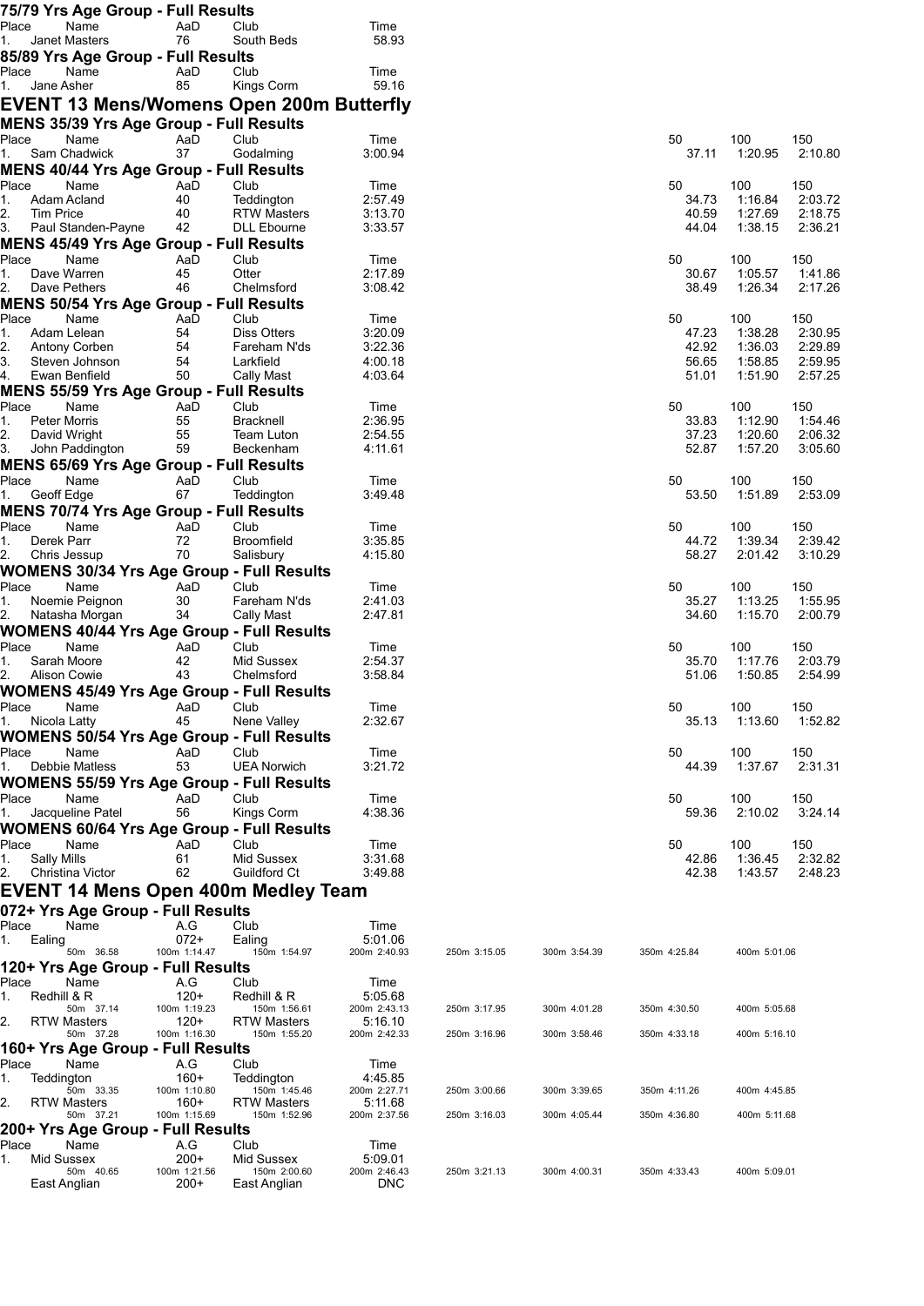|                                | 75/79 Yrs Age Group - Full Results                     |                        |                                                          |                         |              |              |                |                    |                    |
|--------------------------------|--------------------------------------------------------|------------------------|----------------------------------------------------------|-------------------------|--------------|--------------|----------------|--------------------|--------------------|
| Place                          | Name                                                   | AaD<br>76              | Club<br>South Beds                                       | Time<br>58.93           |              |              |                |                    |                    |
| 1.                             | Janet Masters<br>85/89 Yrs Age Group - Full Results    |                        |                                                          |                         |              |              |                |                    |                    |
| Place                          | Name                                                   | AaD                    | Club                                                     | Time                    |              |              |                |                    |                    |
| 1.                             | Jane Asher                                             | 85                     | Kings Corm                                               | 59.16                   |              |              |                |                    |                    |
|                                |                                                        |                        | <b>EVENT 13 Mens/Womens Open 200m Butterfly</b>          |                         |              |              |                |                    |                    |
|                                | MENS 35/39 Yrs Age Group - Full Results                |                        |                                                          |                         |              |              |                |                    |                    |
| Place                          | Name                                                   | AaD                    | Club                                                     | Time                    |              |              | 50             | 100                | 150                |
| 1.                             | Sam Chadwick                                           | 37                     | Godalming                                                | 3:00.94                 |              |              | 37.11          | 1:20.95            | 2:10.80            |
|                                | MENS 40/44 Yrs Age Group - Full Results                |                        |                                                          |                         |              |              |                |                    |                    |
| Place                          | Name                                                   | AaD                    | Club                                                     | Time                    |              |              | 50             | 100                | 150                |
| 1.<br>2.<br>Tim Price          | Adam Acland                                            | 40<br>40               | Teddington<br><b>RTW Masters</b>                         | 2:57.49<br>3:13.70      |              |              | 34.73<br>40.59 | 1:16.84<br>1:27.69 | 2:03.72<br>2:18.75 |
| 3.                             | Paul Standen-Payne                                     | 42                     | <b>DLL Ebourne</b>                                       | 3:33.57                 |              |              | 44.04          | 1:38.15            | 2:36.21            |
|                                | <b>MENS 45/49 Yrs Age Group - Full Results</b>         |                        |                                                          |                         |              |              |                |                    |                    |
| Place                          | Name                                                   | AaD                    | Club                                                     | Time                    |              |              | 50             | 100                | 150                |
| 1.                             | Dave Warren                                            | 45                     | Otter                                                    | 2:17.89                 |              |              | 30.67          | 1:05.57            | 1:41.86            |
| 2.                             | Dave Pethers                                           | 46                     | Chelmsford                                               | 3:08.42                 |              |              | 38.49          | 1:26.34            | 2:17.26            |
|                                | <b>MENS 50/54 Yrs Age Group - Full Results</b><br>Name | AaD                    | Club                                                     | Time                    |              |              | 50             | 100                | 150                |
| Place<br>1.                    | Adam Lelean                                            | 54                     | <b>Diss Otters</b>                                       | 3:20.09                 |              |              | 47.23          | 1:38.28            | 2:30.95            |
| 2.                             | Antony Corben                                          | 54                     | Fareham N'ds                                             | 3:22.36                 |              |              | 42.92          | 1:36.03            | 2:29.89            |
| 3.                             | Steven Johnson                                         | 54                     | Larkfield                                                | 4:00.18                 |              |              | 56.65          | 1:58.85            | 2:59.95            |
| 4.                             | Ewan Benfield                                          | 50                     | Cally Mast                                               | 4:03.64                 |              |              | 51.01          | 1:51.90            | 2:57.25            |
|                                | <b>MENS 55/59 Yrs Age Group - Full Results</b>         |                        |                                                          |                         |              |              |                |                    |                    |
| Place<br>1.                    | Name<br>Peter Morris                                   | AaD<br>55              | Club<br><b>Bracknell</b>                                 | Time<br>2:36.95         |              |              | 50<br>33.83    | 100<br>1:12.90     | 150<br>1:54.46     |
| 2.                             | David Wright                                           | 55                     | Team Luton                                               | 2:54.55                 |              |              | 37.23          | 1:20.60            | 2:06.32            |
| 3.                             | John Paddington                                        | 59                     | Beckenham                                                | 4:11.61                 |              |              | 52.87          | 1:57.20            | 3:05.60            |
|                                | <b>MENS 65/69 Yrs Age Group - Full Results</b>         |                        |                                                          |                         |              |              |                |                    |                    |
| Place                          | Name                                                   | AaD                    | Club                                                     | Time                    |              |              | 50             | 100                | 150                |
| 1.                             | Geoff Edge                                             | 67                     | Teddington                                               | 3:49.48                 |              |              | 53.50          | 1:51.89            | 2:53.09            |
| Place                          | <b>MENS 70/74 Yrs Age Group - Full Results</b><br>Name |                        |                                                          |                         |              |              |                | 100                | 150                |
| 1.                             | Derek Parr                                             | AaD<br>72              | Club<br>Broomfield                                       | Time<br>3:35.85         |              |              | 50<br>44.72    | 1:39.34            | 2:39.42            |
| 2.                             | Chris Jessup                                           | 70                     | Salisbury                                                | 4:15.80                 |              |              | 58.27          | 2:01.42            | 3:10.29            |
|                                |                                                        |                        | <b>WOMENS 30/34 Yrs Age Group - Full Results</b>         |                         |              |              |                |                    |                    |
| Place                          | Name                                                   | AaD                    | Club                                                     | Time                    |              |              | 50             | 100                | 150                |
| 1.                             | Noemie Peignon                                         | 30                     | Fareham N'ds                                             | 2:41.03                 |              |              | 35.27          | 1:13.25            | 1:55.95            |
| 2.                             | Natasha Morgan                                         | 34                     | Cally Mast                                               | 2:47.81                 |              |              | 34.60          | 1:15.70            | 2:00.79            |
| Place                          | Name                                                   | AaD                    | <b>WOMENS 40/44 Yrs Age Group - Full Results</b><br>Club | Time                    |              |              | 50             | 100                | 150                |
| 1.                             | Sarah Moore                                            | 42                     | Mid Sussex                                               | 2:54.37                 |              |              | 35.70          | 1:17.76            | 2:03.79            |
| 2.                             | <b>Alison Cowie</b>                                    | 43                     | Chelmsford                                               | 3:58.84                 |              |              | 51.06          | 1:50.85            | 2:54.99            |
|                                |                                                        |                        | <b>WOMENS 45/49 Yrs Age Group - Full Results</b>         |                         |              |              |                |                    |                    |
| Place                          | Name                                                   | AaD                    | Club                                                     | Time                    |              |              | 50             | 100                | 150                |
| 1.                             | Nicola Latty                                           | 45                     | Nene Valley                                              | 2:32.67                 |              |              | 35.13          | 1:13.60            | 1:52.82            |
| Place                          | Name                                                   | AaD                    | <b>WOMENS 50/54 Yrs Age Group - Full Results</b><br>Club | Time                    |              |              | 50             | 100                | 150                |
| 1.                             | Debbie Matless                                         | 53                     | <b>UEA Norwich</b>                                       | 3:21.72                 |              |              | 44.39          | 1:37.67            | 2:31.31            |
|                                |                                                        |                        | <b>WOMENS 55/59 Yrs Age Group - Full Results</b>         |                         |              |              |                |                    |                    |
| Place                          | Name                                                   | AaD                    | Club                                                     | Time                    |              |              | 50             | 100                | 150                |
| 1.                             | Jacqueline Patel                                       | 56                     | Kings Corm                                               | 4:38.36                 |              |              | 59.36          | 2:10.02            | 3:24.14            |
|                                |                                                        |                        | <b>WOMENS 60/64 Yrs Age Group - Full Results</b>         |                         |              |              |                |                    |                    |
| Place                          | Name                                                   | AaD                    | Club                                                     | Time                    |              |              | 50             | 100                | 150                |
| <b>Sally Mills</b><br>1.<br>2. | Christina Victor                                       | 61<br>62               | Mid Sussex<br>Guildford Ct                               | 3:31.68<br>3:49.88      |              |              | 42.86<br>42.38 | 1:36.45<br>1:43.57 | 2:32.82<br>2:48.23 |
|                                |                                                        |                        |                                                          |                         |              |              |                |                    |                    |
|                                |                                                        |                        | EVENT 14 Mens Open 400m Medley Team                      |                         |              |              |                |                    |                    |
| Place                          | 072+ Yrs Age Group - Full Results<br>Name              | A.G                    | Club                                                     | Time                    |              |              |                |                    |                    |
| Ealing<br>1.                   |                                                        | $072+$                 | Ealing                                                   | 5:01.06                 |              |              |                |                    |                    |
|                                | 50m 36.58                                              | 100m 1:14.47           | 150m 1:54.97                                             | 200m 2:40.93            | 250m 3:15.05 | 300m 3:54.39 | 350m 4:25.84   | 400m 5:01.06       |                    |
|                                | 120+ Yrs Age Group - Full Results                      |                        |                                                          |                         |              |              |                |                    |                    |
| Place                          | Name                                                   | A.G                    | Club                                                     | Time                    |              |              |                |                    |                    |
| 1.                             | Redhill & R<br>50m 37.14                               | $120+$<br>100m 1:19.23 | Redhill & R<br>150m 1:56.61                              | 5:05.68<br>200m 2:43.13 | 250m 3:17.95 | 300m 4:01.28 | 350m 4:30.50   | 400m 5:05.68       |                    |
| 2.                             | <b>RTW Masters</b>                                     | $120+$                 | <b>RTW Masters</b>                                       | 5:16.10                 |              |              |                |                    |                    |
|                                | 50m 37.28                                              | 100m 1:16.30           | 150m 1:55.20                                             | 200m 2:42.33            | 250m 3:16.96 | 300m 3:58.46 | 350m 4:33.18   | 400m 5:16.10       |                    |
| Place                          | 160+ Yrs Age Group - Full Results<br>Name              | A.G                    | Club                                                     | Time                    |              |              |                |                    |                    |
| 1.                             | Teddington                                             | $160+$                 | Teddington                                               | 4:45.85                 |              |              |                |                    |                    |
|                                | 50m 33.35                                              | 100m 1:10.80           | 150m 1:45.46                                             | 200m 2:27.71            | 250m 3:00.66 | 300m 3:39.65 | 350m 4:11.26   | 400m 4:45.85       |                    |
| 2.                             | RTW Masters<br>50m 37.21                               | $160+$<br>100m 1:15.69 | <b>RTW Masters</b><br>150m 1:52.96                       | 5:11.68<br>200m 2:37.56 | 250m 3:16.03 | 300m 4:05.44 | 350m 4:36.80   | 400m 5:11.68       |                    |
|                                | 200+ Yrs Age Group - Full Results                      |                        |                                                          |                         |              |              |                |                    |                    |
| Place                          | Name                                                   | A.G                    | Club                                                     | Time                    |              |              |                |                    |                    |
| 1.                             | Mid Sussex                                             | $200+$                 | Mid Sussex                                               | 5:09.01                 |              |              |                |                    |                    |
|                                | 50m 40.65<br>East Anglian                              | 100m 1:21.56<br>$200+$ | 150m 2:00.60<br>East Anglian                             | 200m 2:46.43<br>DNC     | 250m 3:21.13 | 300m 4:00.31 | 350m 4:33.43   | 400m 5:09.01       |                    |
|                                |                                                        |                        |                                                          |                         |              |              |                |                    |                    |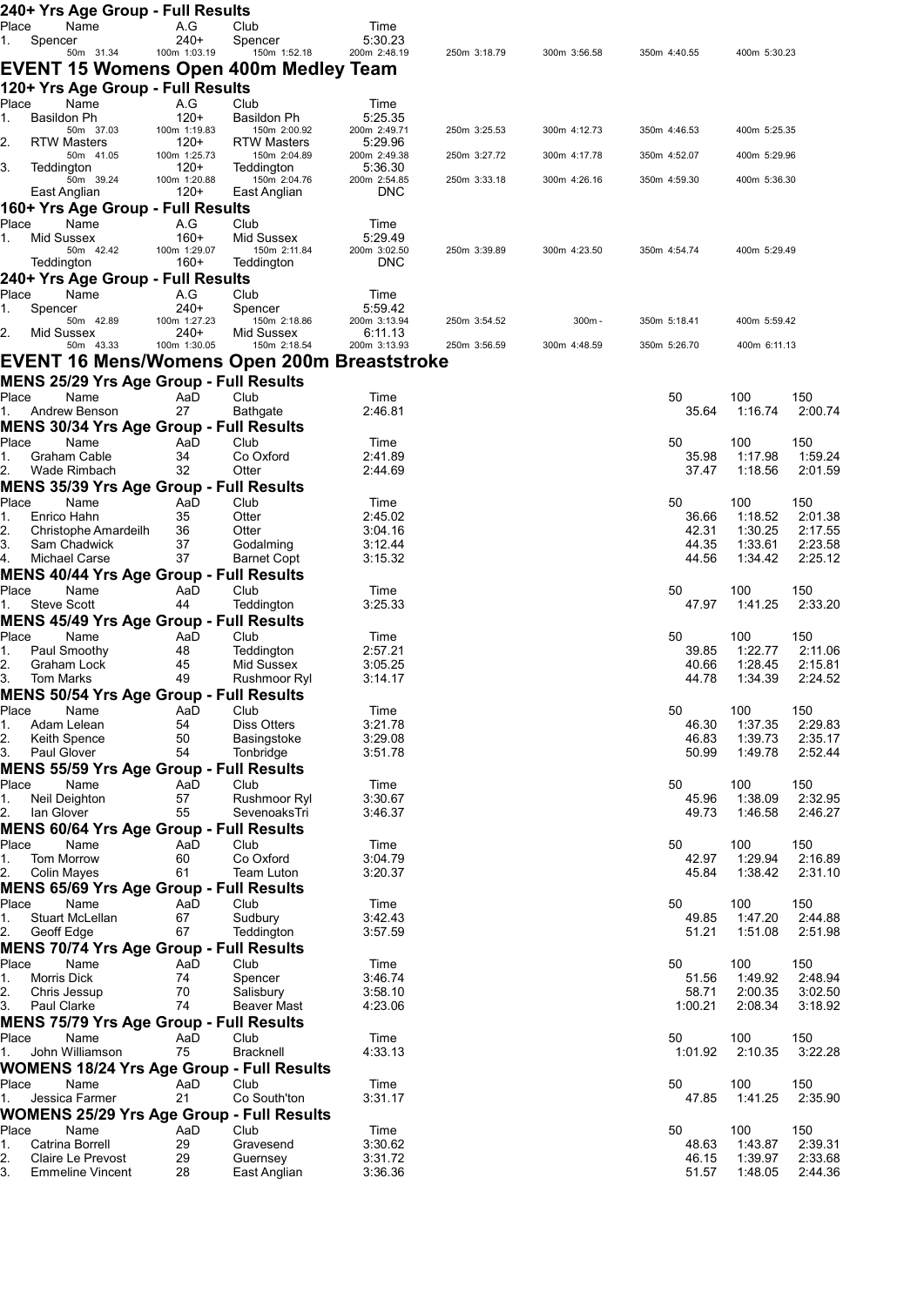|             | 240+ Yrs Age Group - Full Results                                    |                        |                                    |                         |              |              |                |                    |                    |
|-------------|----------------------------------------------------------------------|------------------------|------------------------------------|-------------------------|--------------|--------------|----------------|--------------------|--------------------|
| Place       | Name                                                                 | A.G                    | Club                               | Time                    |              |              |                |                    |                    |
| 1.          | Spencer<br>50m 31.34                                                 | $240+$<br>100m 1:03.19 | Spencer<br>150m 1:52.18            | 5:30.23<br>200m 2:48.19 | 250m 3:18.79 | 300m 3:56.58 | 350m 4:40.55   | 400m 5:30.23       |                    |
|             | EVENT 15 Womens Open 400m Medley Team                                |                        |                                    |                         |              |              |                |                    |                    |
|             | 120+ Yrs Age Group - Full Results                                    |                        |                                    |                         |              |              |                |                    |                    |
| Place       | Name                                                                 | A.G                    | Club                               | Time                    |              |              |                |                    |                    |
| 1.          | <b>Basildon Ph</b>                                                   | $120+$                 | Basildon Ph                        | 5:25.35                 |              |              |                |                    |                    |
| 2.          | 50m 37.03<br><b>RTW Masters</b>                                      | 100m 1:19.83<br>$120+$ | 150m 2:00.92<br><b>RTW Masters</b> | 200m 2:49.71<br>5:29.96 | 250m 3:25.53 | 300m 4:12.73 | 350m 4:46.53   | 400m 5:25.35       |                    |
|             | 50m 41.05                                                            | 100m 1:25.73           | 150m 2:04.89                       | 200m 2:49.38            | 250m 3:27.72 | 300m 4:17.78 | 350m 4:52.07   | 400m 5:29.96       |                    |
| 3.          | Teddington<br>50m 39.24                                              | $120+$<br>100m 1:20.88 | Teddington                         | 5:36.30<br>200m 2:54.85 |              | 300m 4:26.16 | 350m 4:59.30   |                    |                    |
|             | East Anglian                                                         | $120+$                 | 150m 2:04.76<br>East Anglian       | <b>DNC</b>              | 250m 3:33.18 |              |                | 400m 5:36.30       |                    |
|             | 160+ Yrs Age Group - Full Results                                    |                        |                                    |                         |              |              |                |                    |                    |
| Place       | Name                                                                 | A.G                    | Club                               | Time                    |              |              |                |                    |                    |
| 1.          | Mid Sussex<br>50m 42.42                                              | $160+$<br>100m 1:29.07 | Mid Sussex<br>150m 2:11.84         | 5:29.49<br>200m 3:02.50 | 250m 3:39.89 | 300m 4:23.50 | 350m 4:54.74   | 400m 5:29.49       |                    |
|             | Teddington                                                           | 160+                   | Teddington                         | <b>DNC</b>              |              |              |                |                    |                    |
|             | 240+ Yrs Age Group - Full Results                                    |                        |                                    |                         |              |              |                |                    |                    |
| Place       | Name                                                                 | A.G                    | Club                               | Time                    |              |              |                |                    |                    |
| 1.          | Spencer<br>50m 42.89                                                 | $240+$<br>100m 1:27.23 | Spencer<br>150m 2:18.86            | 5:59.42<br>200m 3:13.94 | 250m 3:54.52 | 300m-        | 350m 5:18.41   | 400m 5:59.42       |                    |
| 2.          | Mid Sussex                                                           | $240+$                 | Mid Sussex                         | 6:11.13                 |              |              |                |                    |                    |
|             | 50m 43.33                                                            | 100m 1:30.05           | 150m 2:18.54                       | 200m 3:13.93            | 250m 3:56.59 | 300m 4:48.59 | 350m 5:26.70   | 400m 6:11.13       |                    |
|             | EVENT 16 Mens/Womens Open 200m Breaststroke                          |                        |                                    |                         |              |              |                |                    |                    |
|             | <b>MENS 25/29 Yrs Age Group - Full Results</b>                       |                        |                                    |                         |              |              |                |                    |                    |
| Place       | Name                                                                 | AaD                    | Club                               | Time                    |              |              | 50             | 100                | 150                |
| 1.          | Andrew Benson<br><b>MENS 30/34 Yrs Age Group - Full Results</b>      | 27                     | Bathgate                           | 2:46.81                 |              |              | 35.64          | 1:16.74            | 2:00.74            |
| Place       | Name                                                                 | AaD                    | Club                               | Time                    |              |              | 50             | 100                | 150                |
| 1.          | Graham Cable                                                         | 34                     | Co Oxford                          | 2:41.89                 |              |              | 35.98          | 1:17.98            | 1:59.24            |
| 2.          | Wade Rimbach                                                         | 32                     | Otter                              | 2:44.69                 |              |              | 37.47          | 1:18.56            | 2:01.59            |
|             | <b>MENS 35/39 Yrs Age Group - Full Results</b>                       |                        |                                    |                         |              |              |                |                    |                    |
| Place       | Name                                                                 | AaD                    | Club                               | Time                    |              |              | 50             | 100                | 150                |
| 1.<br>2.    | Enrico Hahn<br>Christophe Amardeilh                                  | 35<br>36               | Otter<br>Otter                     | 2:45.02<br>3:04.16      |              |              | 36.66<br>42.31 | 1:18.52<br>1:30.25 | 2:01.38<br>2:17.55 |
| 3.          | Sam Chadwick                                                         | 37                     | Godalming                          | 3:12.44                 |              |              | 44.35          | 1:33.61            | 2:23.58            |
| 4.          | Michael Carse                                                        | 37                     | <b>Barnet Copt</b>                 | 3:15.32                 |              |              | 44.56          | 1:34.42            | 2:25.12            |
|             | <b>MENS 40/44 Yrs Age Group - Full Results</b>                       |                        |                                    |                         |              |              |                |                    |                    |
| Place       | Name                                                                 | AaD<br>44              | Club                               | Time<br>3:25.33         |              |              | 50<br>47.97    | 100<br>1:41.25     | 150<br>2:33.20     |
| 1.          | <b>Steve Scott</b><br><b>MENS 45/49 Yrs Age Group - Full Results</b> |                        | Teddington                         |                         |              |              |                |                    |                    |
| Place       | Name                                                                 | AaD                    | Club                               | Time                    |              |              | 50             | 100                | 150                |
| 1.          | Paul Smoothy                                                         | 48                     | Teddington                         | 2:57.21                 |              |              | 39.85          | 1:22.77            | 2:11.06            |
| 2.          | Graham Lock                                                          | 45                     | Mid Sussex                         | 3:05.25                 |              |              | 40.66          | 1:28.45            | 2:15.81            |
| 3.          | Tom Marks                                                            | 49                     | Rushmoor Ryl                       | 3:14.17                 |              |              | 44.78          | 1:34.39            | 2:24.52            |
| Place       | MENS 50/54 Yrs Age Group - Full Results<br>Name                      | AaD                    | Club                               | Time                    |              |              | 50             | 100                | 150                |
| 1.          | Adam Lelean                                                          | 54                     | Diss Otters                        | 3:21.78                 |              |              | 46.30          | 1:37.35            | 2:29.83            |
| 2.          | Keith Spence                                                         | 50                     | Basingstoke                        | 3:29.08                 |              |              | 46.83          | 1:39.73            | 2:35.17            |
| 3.          | Paul Glover                                                          | 54                     | Tonbridge                          | 3:51.78                 |              |              | 50.99          | 1:49.78            | 2:52.44            |
|             | <b>MENS 55/59 Yrs Age Group - Full Results</b>                       |                        |                                    |                         |              |              |                |                    |                    |
| Place<br>1. | Name<br>Neil Deighton                                                | AaD<br>57              | Club<br>Rushmoor Ryl               | Time<br>3:30.67         |              |              | 50<br>45.96    | 100<br>1:38.09     | 150<br>2:32.95     |
| 2.          | lan Glover                                                           | 55                     | SevenoaksTri                       | 3:46.37                 |              |              | 49.73          | 1:46.58            | 2:46.27            |
|             | <b>MENS 60/64 Yrs Age Group - Full Results</b>                       |                        |                                    |                         |              |              |                |                    |                    |
| Place       | Name                                                                 | AaD                    | Club                               | Time                    |              |              | 50             | 100                | 150                |
| 1.          | Tom Morrow                                                           | 60                     | Co Oxford                          | 3:04.79                 |              |              | 42.97          | 1:29.94            | 2:16.89            |
| 2.          | Colin Mayes                                                          | 61                     | Team Luton                         | 3:20.37                 |              |              | 45.84          | 1:38.42            | 2:31.10            |
| Place       | <b>MENS 65/69 Yrs Age Group - Full Results</b><br>Name               | AaD                    | Club                               | Time                    |              |              | 50             | 100                | 150                |
| 1.          | Stuart McLellan                                                      | 67                     | Sudbury                            | 3:42.43                 |              |              | 49.85          | 1:47.20            | 2:44.88            |
| 2.          | Geoff Edge                                                           | 67                     | Teddington                         | 3:57.59                 |              |              | 51.21          | 1:51.08            | 2:51.98            |
|             | <b>MENS 70/74 Yrs Age Group - Full Results</b>                       |                        |                                    |                         |              |              |                |                    |                    |
| Place       | Name                                                                 | AaD                    | Club                               | Time                    |              |              | 50             | 100                | 150                |
| 1.<br>2.    | Morris Dick<br>Chris Jessup                                          | 74<br>70               | Spencer<br>Salisbury               | 3:46.74<br>3:58.10      |              |              | 51.56<br>58.71 | 1:49.92<br>2:00.35 | 2:48.94<br>3:02.50 |
| 3.          | Paul Clarke                                                          | 74                     | Beaver Mast                        | 4:23.06                 |              |              | 1:00.21        | 2:08.34            | 3:18.92            |
|             | <b>MENS 75/79 Yrs Age Group - Full Results</b>                       |                        |                                    |                         |              |              |                |                    |                    |
| Place       | Name                                                                 | AaD                    | Club                               | Time                    |              |              | 50             | 100                | 150                |
|             | 1. John Williamson                                                   | 75                     | Bracknell                          | 4:33.13                 |              |              | 1:01.92        | 2:10.35            | 3:22.28            |
|             | <b>WOMENS 18/24 Yrs Age Group - Full Results</b>                     |                        |                                    |                         |              |              |                |                    |                    |
| Place<br>1. | Name<br>Jessica Farmer                                               | AaD<br>21              | Club<br>Co South'ton               | Time<br>3:31.17         |              |              | 50<br>47.85    | 100<br>1:41.25     | 150<br>2:35.90     |
|             | <b>WOMENS 25/29 Yrs Age Group - Full Results</b>                     |                        |                                    |                         |              |              |                |                    |                    |
| Place       | Name                                                                 | AaD                    | Club                               | Time                    |              |              | 50             | 100                | 150                |
| 1.          | Catrina Borrell                                                      | 29                     | Gravesend                          | 3:30.62                 |              |              | 48.63          | 1:43.87            | 2:39.31            |
| 2.          | Claire Le Prevost                                                    | 29                     | Guernsey                           | 3:31.72                 |              |              | 46.15          | 1:39.97            | 2:33.68            |
| 3.          | <b>Emmeline Vincent</b>                                              | 28                     | East Anglian                       | 3:36.36                 |              |              | 51.57          | 1:48.05            | 2:44.36            |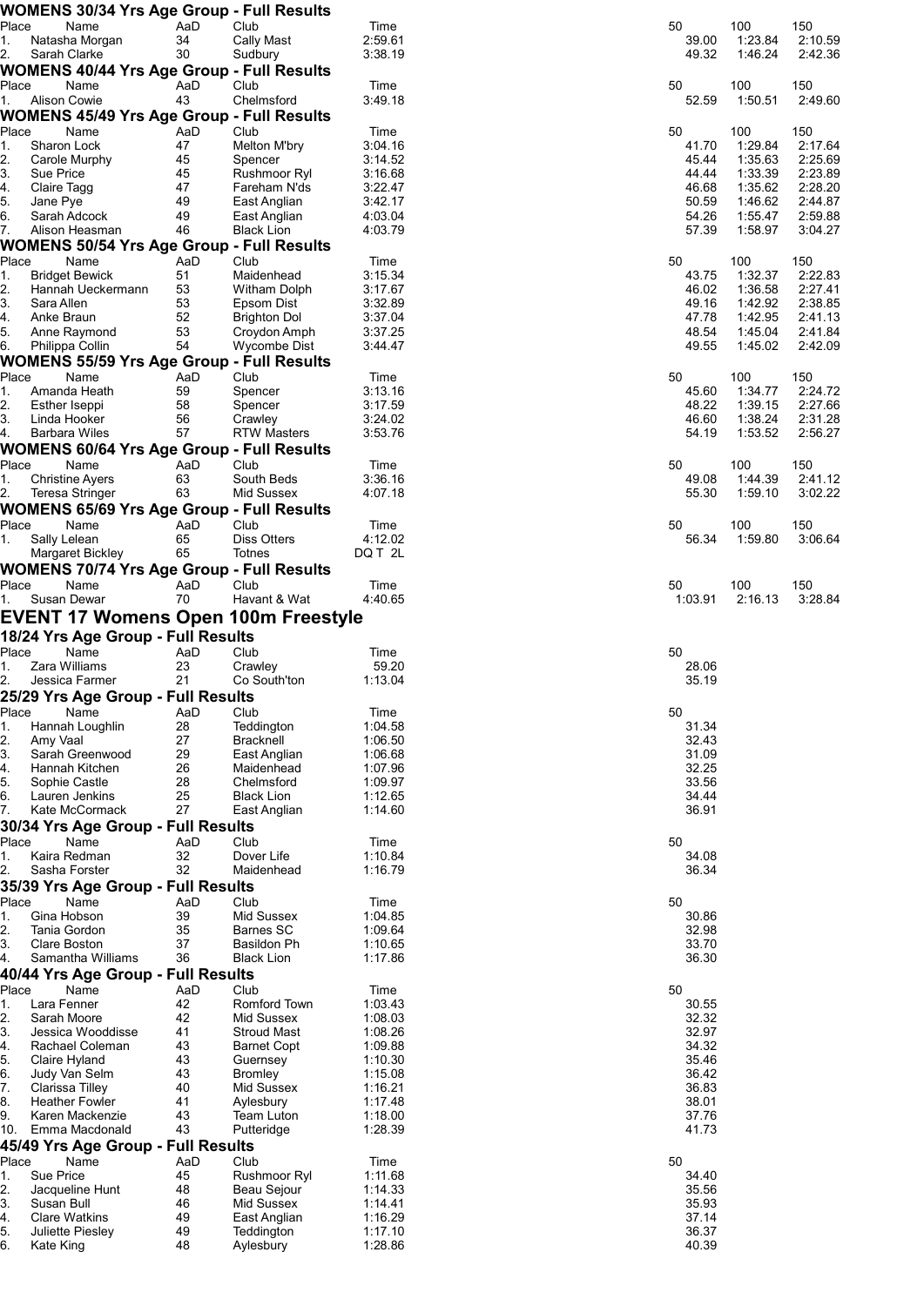|                  |                     | <b>WOMENS 30/34 Yrs Age Group - Full Results</b> |          |                                            |                    |                |         |         |
|------------------|---------------------|--------------------------------------------------|----------|--------------------------------------------|--------------------|----------------|---------|---------|
| Place            |                     | Name                                             | AaD      | Club                                       | Time               | 50             | 100     | 150     |
| 1.               |                     | Natasha Morgan                                   | 34       | Cally Mast                                 | 2:59.61            | 39.00          | 1:23.84 | 2:10.59 |
| 2.               | Sarah Clarke        |                                                  | 30       | Sudbury                                    | 3:38.19            | 49.32          | 1:46.24 | 2:42.36 |
|                  |                     | <b>WOMENS 40/44 Yrs Age Group - Full Results</b> |          |                                            |                    |                |         |         |
| Place            |                     | Name                                             | AaD      | Club                                       | Time               | 50             | 100     | 150     |
| 1.               | <b>Alison Cowie</b> |                                                  | 43       | Chelmsford                                 | 3:49.18            | 52.59          | 1:50.51 | 2:49.60 |
|                  |                     | <b>WOMENS 45/49 Yrs Age Group - Full Results</b> |          |                                            |                    |                |         |         |
| Place            |                     | Name                                             | AaD      | Club                                       | Time               | 50             | 100     | 150     |
| 1.               | Sharon Lock         |                                                  | 47       | Melton M'bry                               | 3:04.16            | 41.70          | 1:29.84 | 2:17.64 |
| $\overline{2}$ . |                     | Carole Murphy                                    | 45       | Spencer                                    | 3:14.52            | 45.44          | 1:35.63 | 2:25.69 |
| 3.               | Sue Price           |                                                  | 45       | Rushmoor Ryl                               | 3:16.68            | 44.44          | 1:33.39 | 2:23.89 |
| 4.               | Claire Tagg         |                                                  | 47       | Fareham N'ds                               | 3:22.47            | 46.68          | 1:35.62 | 2:28.20 |
| 5.               | Jane Pye            |                                                  | 49       | East Anglian                               | 3:42.17            | 50.59          | 1:46.62 | 2:44.87 |
| 6.               |                     | Sarah Adcock                                     | 49       | East Anglian                               | 4:03.04            | 54.26          | 1:55.47 | 2:59.88 |
| 7.               |                     | Alison Heasman                                   | 46       | <b>Black Lion</b>                          | 4:03.79            | 57.39          | 1:58.97 | 3:04.27 |
|                  |                     | WOMENS 50/54 Yrs Age Group - Full Results        |          |                                            |                    |                |         |         |
| Place            |                     | Name                                             | AaD      | Club                                       | Time               | 50             | 100     | 150     |
| 1.               |                     | <b>Bridget Bewick</b>                            | 51       | Maidenhead                                 | 3:15.34            | 43.75          | 1:32.37 | 2:22.83 |
| $\overline{2}$   |                     | Hannah Ueckermann                                | 53       | Witham Dolph                               | 3:17.67            | 46.02          | 1:36.58 | 2:27.41 |
| 3.               | Sara Allen          |                                                  | 53       | Epsom Dist                                 | 3:32.89            | 49.16          | 1:42.92 | 2:38.85 |
| 4.               | Anke Braun          |                                                  | 52       | <b>Brighton Dol</b>                        | 3:37.04            | 47.78          | 1:42.95 | 2:41.13 |
| $\mathbf{6}$     |                     | Anne Raymond                                     | 53       | Croydon Amph                               | 3:37.25            | 48.54          | 1:45.04 | 2:41.84 |
| 6.               |                     | Philippa Collin                                  | 54       | <b>Wycombe Dist</b>                        | 3:44.47            | 49.55          | 1:45.02 | 2:42.09 |
|                  |                     | <b>WOMENS 55/59 Yrs Age Group - Full Results</b> |          |                                            |                    |                |         |         |
| Place            |                     | Name                                             | AaD      | Club                                       | Time               | 50             | 100     | 150     |
| 1.               |                     | Amanda Heath                                     | 59       | Spencer                                    | 3:13.16            | 45.60          | 1:34.77 | 2:24.72 |
| 2.               | Esther Iseppi       |                                                  | 58       | Spencer                                    | 3:17.59            | 48.22          | 1:39.15 | 2:27.66 |
| 3.               | Linda Hooker        |                                                  | 56       | Crawley                                    | 3:24.02            | 46.60          | 1:38.24 | 2:31.28 |
| 4.               |                     | Barbara Wiles                                    | 57       | <b>RTW Masters</b>                         | 3:53.76            | 54.19          | 1:53.52 | 2:56.27 |
|                  |                     | <b>WOMENS 60/64 Yrs Age Group - Full Results</b> |          |                                            |                    |                |         |         |
| Place            |                     | Name                                             | AaD      | Club                                       | Time               | 50             | 100     | 150     |
| 1.               |                     | <b>Christine Ayers</b>                           | 63       | South Beds                                 | 3:36.16            | 49.08          | 1:44.39 | 2:41.12 |
| 2.               |                     | Teresa Stringer                                  | 63       | Mid Sussex                                 | 4:07.18            | 55.30          | 1:59.10 | 3:02.22 |
|                  |                     | <b>WOMENS 65/69 Yrs Age Group - Full Results</b> |          |                                            |                    |                |         |         |
| Place            |                     | Name                                             | AaD      | Club                                       | Time               | 50             | 100     | 150     |
| 1.               | Sally Lelean        |                                                  | 65       | <b>Diss Otters</b>                         | 4:12.02            | 56.34          | 1:59.80 | 3:06.64 |
|                  |                     | Margaret Bickley                                 | 65       | Totnes                                     | DQ T 2L            |                |         |         |
|                  |                     | <b>WOMENS 70/74 Yrs Age Group - Full Results</b> |          |                                            |                    |                |         |         |
| Place            |                     | Name                                             | AaD      | Club                                       | Time               | 50             | 100     | 150     |
| 1.               | Susan Dewar         |                                                  | 70       | Havant & Wat                               | 4:40.65            | 1:03.91        | 2:16.13 | 3:28.84 |
|                  |                     |                                                  |          |                                            |                    |                |         |         |
|                  |                     |                                                  |          | <b>EVENT 17 Womens Open 100m Freestyle</b> |                    |                |         |         |
|                  |                     | 18/24 Yrs Age Group - Full Results               |          |                                            |                    |                |         |         |
| Place            |                     | Name                                             | AaD      | Club                                       | Time               | 50             |         |         |
| 1.               | Zara Williams       |                                                  | 23       | Crawley                                    | 59.20              | 28.06          |         |         |
| 2.               |                     | Jessica Farmer                                   | 21       | Co South'ton                               | 1:13.04            | 35.19          |         |         |
|                  |                     | 25/29 Yrs Age Group - Full Results               |          |                                            |                    |                |         |         |
| Place            |                     | Name                                             | AaD      | Club                                       | Time               | 50             |         |         |
| 1.               |                     | Hannah Loughlin                                  | 28       | Teddington                                 | 1:04.58            | 31.34          |         |         |
| 2.               | Amy Vaal            |                                                  | 27       | <b>Bracknell</b>                           | 1:06.50            | 32.43          |         |         |
| 3.               |                     | Sarah Greenwood                                  | 29       | East Anglian                               | 1:06.68            | 31.09          |         |         |
| 4.               |                     | Hannah Kitchen                                   | 26       | Maidenhead                                 | 1:07.96            | 32.25          |         |         |
| 5.               |                     | Sophie Castle                                    | 28       | Chelmsford                                 | 1:09.97            | 33.56          |         |         |
| 6.               |                     | Lauren Jenkins                                   | 25       | <b>Black Lion</b>                          | 1:12.65            | 34.44          |         |         |
| 7.               |                     | Kate McCormack                                   | 27       | East Anglian                               | 1:14.60            | 36.91          |         |         |
|                  |                     | 30/34 Yrs Age Group - Full Results               |          |                                            |                    |                |         |         |
| Place            |                     | Name                                             | AaD      | Club                                       | Time               | 50             |         |         |
| 1.               |                     | Kaira Redman                                     | 32       | Dover Life                                 | 1:10.84            | 34.08          |         |         |
| 2.               |                     | Sasha Forster                                    | 32       | Maidenhead                                 | 1:16.79            | 36.34          |         |         |
|                  |                     | 35/39 Yrs Age Group - Full Results               |          |                                            |                    |                |         |         |
| Place            |                     | Name                                             | AaD      | Club                                       | Time               | 50             |         |         |
| 1.               | Gina Hobson         |                                                  | 39       | Mid Sussex                                 | 1:04.85            | 30.86          |         |         |
| 2.               | Tania Gordon        |                                                  | 35       | Barnes SC                                  | 1:09.64            | 32.98          |         |         |
| 3.               | Clare Boston        |                                                  | 37       | Basildon Ph                                | 1:10.65            | 33.70          |         |         |
| 4.               |                     | Samantha Williams                                | 36       | <b>Black Lion</b>                          | 1:17.86            | 36.30          |         |         |
|                  |                     | 40/44 Yrs Age Group - Full Results               |          |                                            |                    |                |         |         |
| Place            |                     | Name                                             | AaD      | Club                                       | Time               | 50             |         |         |
| 1.               | Lara Fenner         |                                                  | 42       | Romford Town                               | 1:03.43            | 30.55          |         |         |
| 2.               | Sarah Moore         |                                                  | 42       | Mid Sussex                                 | 1:08.03            | 32.32          |         |         |
| 3.               |                     | Jessica Wooddisse                                | 41       | <b>Stroud Mast</b>                         | 1:08.26            | 32.97          |         |         |
| 4.               |                     | Rachael Coleman                                  | 43       | <b>Barnet Copt</b>                         | 1:09.88            | 34.32          |         |         |
| 5.               | Claire Hyland       |                                                  | 43       | Guernsey                                   | 1:10.30            | 35.46          |         |         |
| 6.               |                     | Judy Van Selm                                    | 43       | <b>Bromley</b>                             | 1:15.08            | 36.42          |         |         |
| 7.               |                     | Clarissa Tilley                                  | 40       | Mid Sussex                                 | 1:16.21            | 36.83          |         |         |
| 8.               |                     | <b>Heather Fowler</b>                            | 41       | Aylesbury                                  | 1:17.48            | 38.01          |         |         |
| 9.               |                     | Karen Mackenzie                                  | 43       | Team Luton                                 | 1:18.00            | 37.76          |         |         |
| 10.              |                     | Emma Macdonald                                   | 43       | Putteridge                                 | 1:28.39            | 41.73          |         |         |
|                  |                     | 45/49 Yrs Age Group - Full Results               |          |                                            |                    |                |         |         |
| Place            |                     | Name                                             | AaD      | Club                                       | Time               | 50             |         |         |
| 1.               | Sue Price           |                                                  | 45       | Rushmoor Ryl                               | 1:11.68            | 34.40          |         |         |
| 2.               |                     | Jacqueline Hunt                                  | 48       | Beau Sejour                                | 1:14.33            | 35.56          |         |         |
| 3.               | Susan Bull          |                                                  | 46       | Mid Sussex                                 | 1:14.41            | 35.93          |         |         |
| 4.               |                     | <b>Clare Watkins</b>                             | 49       | East Anglian                               | 1:16.29            | 37.14          |         |         |
| 5.<br>6.         | Kate King           | Juliette Piesley                                 | 49<br>48 | Teddington<br>Aylesbury                    | 1:17.10<br>1:28.86 | 36.37<br>40.39 |         |         |
|                  |                     |                                                  |          |                                            |                    |                |         |         |

| 50                                                                                           | 100     | 150     |
|----------------------------------------------------------------------------------------------|---------|---------|
| 39.00                                                                                        | 1:23.84 | 2:10.59 |
| 49.32                                                                                        | 1:46.24 | 2:42.36 |
| 50                                                                                           | 100     | 150     |
| 52.59                                                                                        | 1:50.51 | 2:49.60 |
| 50                                                                                           | 100     | 150     |
| 41.70                                                                                        | 1:29.84 | 2:17.64 |
| 45.44                                                                                        | 1:35.63 | 2:25.69 |
| 44.44                                                                                        | 1:33.39 | 2:23.89 |
| 46.68                                                                                        | 1:35.62 | 2:28.20 |
| 50.59                                                                                        | 1:46.62 | 2:44.87 |
| 54.26                                                                                        | 1:55.47 | 2:59.88 |
| 57.39                                                                                        | 1:58.97 | 3:04.27 |
| 50                                                                                           | 100     | 150     |
| 43.75                                                                                        | 1:32.37 | 2:22.83 |
| 46.02                                                                                        | 1:36.58 | 2:27.41 |
| 49.16                                                                                        | 1:42.92 | 2:38.85 |
| 47.78                                                                                        | 1:42.95 | 2:41.13 |
| 48.54                                                                                        | 1:45.04 | 2:41.84 |
| 49.55                                                                                        | 1:45.02 | 2:42.09 |
| 50                                                                                           | 100     | 150     |
| 45.60                                                                                        | 1:34.77 | 2:24.72 |
| 48.22                                                                                        | 1:39.15 | 2:27.66 |
| 46.60                                                                                        | 1:38.24 | 2:31.28 |
| 54.19                                                                                        | 1:53.52 | 2:56.27 |
| 50                                                                                           | 100     | 150     |
| 49.08                                                                                        | 1:44.39 | 2:41.12 |
| 55.30                                                                                        | 1:59.10 | 3:02.22 |
| 50                                                                                           | 100     | 150     |
| 56.34                                                                                        | 1:59.80 | 3:06.64 |
| 50                                                                                           | 100     | 150     |
| 1:03.91                                                                                      | 2:16.13 | 3:28.84 |
| 50<br>28.06<br>35.19                                                                         |         |         |
| 50<br>31.34<br>32.43<br>31.09<br>32.25<br>33.56<br>34.44<br>36.91                            |         |         |
| 50<br>34.08<br>36.34                                                                         |         |         |
| 50<br>30.86<br>32.98<br>33.70<br>36.30                                                       |         |         |
| 50<br>30.55<br>32.32<br>32.97<br>34.32<br>35.46<br>36.42<br>36.83<br>38.01<br>37.76<br>41.73 |         |         |
| 50<br>34.40<br>35.56<br>35.93<br>37.14<br>36.37                                              |         |         |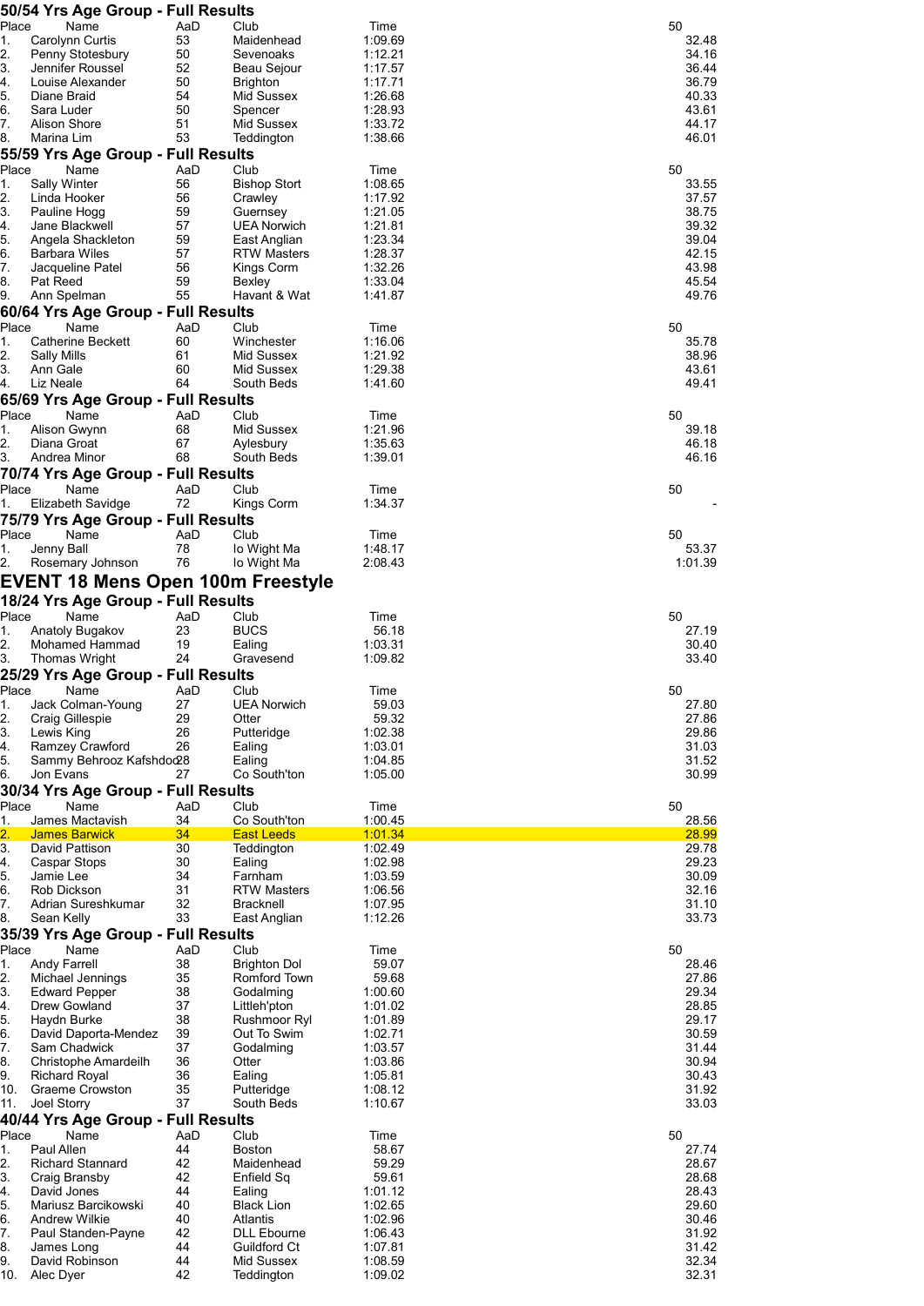| Place       | 50/54 Yrs Age Group - Full Results              |           |                                     |                    | 50             |
|-------------|-------------------------------------------------|-----------|-------------------------------------|--------------------|----------------|
| 1.          | Name<br>Carolynn Curtis                         | AaD<br>53 | Club<br>Maidenhead                  | Time<br>1:09.69    | 32.48          |
| 2.          | Penny Stotesbury                                | 50        | Sevenoaks                           | 1:12.21            | 34.16          |
| 3.          | Jennifer Roussel                                | 52        | Beau Sejour                         | 1:17.57            | 36.44          |
| 4.          | Louise Alexander                                | 50        | <b>Brighton</b>                     | 1:17.71            | 36.79          |
| 5.<br>6.    | Diane Braid<br>Sara Luder                       | 54<br>50  | Mid Sussex<br>Spencer               | 1:26.68<br>1:28.93 | 40.33<br>43.61 |
| 7.          | Alison Shore                                    | 51        | Mid Sussex                          | 1:33.72            | 44.17          |
| 8.          | Marina Lim                                      | 53        | Teddington                          | 1:38.66            | 46.01          |
|             | 55/59 Yrs Age Group - Full Results              |           |                                     |                    |                |
| Place       | Name                                            | AaD       | Club                                | Time               | 50             |
| 1.          | Sally Winter                                    | 56        | <b>Bishop Stort</b>                 | 1:08.65            | 33.55          |
| 2.<br>3.    | Linda Hooker<br>Pauline Hogg                    | 56<br>59  | Crawley<br>Guernsey                 | 1:17.92<br>1:21.05 | 37.57<br>38.75 |
| 4.          | Jane Blackwell                                  | 57        | <b>UEA Norwich</b>                  | 1:21.81            | 39.32          |
| 5.          | Angela Shackleton                               | 59        | East Anglian                        | 1:23.34            | 39.04          |
| 6.          | <b>Barbara Wiles</b>                            | 57        | <b>RTW Masters</b>                  | 1:28.37            | 42.15          |
| 7.<br>8.    | Jacqueline Patel<br>Pat Reed                    | 56<br>59  | Kings Corm                          | 1:32.26            | 43.98<br>45.54 |
| 9.          | Ann Spelman                                     | 55        | Bexley<br>Havant & Wat              | 1:33.04<br>1:41.87 | 49.76          |
|             | 60/64 Yrs Age Group - Full Results              |           |                                     |                    |                |
| Place       | Name                                            | AaD       | Club                                | Time               | 50             |
| 1.          | Catherine Beckett                               | 60        | Winchester                          | 1:16.06            | 35.78          |
| 2.          | Sally Mills                                     | 61        | Mid Sussex                          | 1:21.92            | 38.96          |
| 3.<br>4.    | Ann Gale<br>Liz Neale                           | 60<br>64  | Mid Sussex                          | 1:29.38<br>1:41.60 | 43.61<br>49.41 |
|             | 65/69 Yrs Age Group - Full Results              |           | South Beds                          |                    |                |
| Place       | Name                                            | AaD       | Club                                | Time               | 50             |
| 1.          | Alison Gwynn                                    | 68        | Mid Sussex                          | 1:21.96            | 39.18          |
| 2.          | Diana Groat                                     | 67        | Aylesbury                           | 1:35.63            | 46.18          |
| 3.          | Andrea Minor                                    | 68        | South Beds                          | 1:39.01            | 46.16          |
|             | 70/74 Yrs Age Group - Full Results              |           |                                     |                    |                |
| Place       | Name                                            | AaD<br>72 | Club                                | Time               | 50             |
| 1.          | Elizabeth Savidge                               |           | Kings Corm                          | 1:34.37            |                |
| Place       | 75/79 Yrs Age Group - Full Results<br>Name      | AaD       | Club                                | Time               | 50             |
| 1.          | Jenny Ball                                      | 78        | lo Wight Ma                         | 1:48.17            | 53.37          |
| 2.          | Rosemary Johnson                                | 76        | lo Wight Ma                         | 2:08.43            | 1:01.39        |
|             | <b>EVENT 18 Mens Open 100m Freestyle</b>        |           |                                     |                    |                |
|             | 18/24 Yrs Age Group - Full Results              |           |                                     |                    |                |
| Place       | Name                                            | AaD       | Club                                | Time               | 50             |
| 1.          | Anatoly Bugakov                                 | 23        | <b>BUCS</b>                         | 56.18              | 27.19          |
| 2.          | Mohamed Hammad                                  | 19        | Ealing                              | 1:03.31            | 30.40          |
| 3.          | <b>Thomas Wright</b>                            | 24        | Gravesend                           | 1:09.82            | 33.40          |
|             | 25/29 Yrs Age Group - Full Results              |           |                                     |                    |                |
| Place<br>1. | Name<br>Jack Colman-Young                       | AaD<br>27 | Club<br>UEA Norwich                 | Time<br>59.03      | 50<br>27.80    |
| 2.          | Craig Gillespie                                 | 29        | Otter                               | 59.32              | 27.86          |
| 3.          | Lewis King                                      | 26        | Putteridge                          | 1:02.38            | 29.86          |
| 4.          | Ramzey Crawford                                 | 26        | Ealing                              | 1:03.01            | 31.03          |
| 5.          | Sammy Behrooz Kafshdod28                        |           | Ealing                              | 1:04.85            | 31.52          |
| 6.          | Jon Evans<br>30/34 Yrs Age Group - Full Results | 27        | Co South'ton                        | 1:05.00            | 30.99          |
| Place       | Name                                            | AaD       | Club                                | Time               | 50             |
| 1.          | James Mactavish                                 | 34        | Co South'ton                        | 1:00.45            | 28.56          |
| 2.          | <b>James Barwick</b>                            | 34        | <b>East Leeds</b>                   | 1:01.34            | 28.99          |
| 3.          | David Pattison                                  | 30        | Teddington                          | 1:02.49            | 29.78          |
| 4.<br>5.    | Caspar Stops<br>Jamie Lee                       | 30<br>34  | Ealing<br>Farnham                   | 1:02.98<br>1:03.59 | 29.23<br>30.09 |
| 6.          | Rob Dickson                                     | 31        | <b>RTW Masters</b>                  | 1:06.56            | 32.16          |
| 7.          | Adrian Sureshkumar                              | 32        | <b>Bracknell</b>                    | 1:07.95            | 31.10          |
| 8.          | Sean Kelly                                      | 33        | East Anglian                        | 1:12.26            | 33.73          |
|             | 35/39 Yrs Age Group - Full Results              |           |                                     |                    |                |
| Place       | Name                                            | AaD       | Club                                | Time               | 50             |
| 1.<br>2.    | <b>Andy Farrell</b><br>Michael Jennings         | 38<br>35  | <b>Brighton Dol</b><br>Romford Town | 59.07<br>59.68     | 28.46<br>27.86 |
| 3.          | <b>Edward Pepper</b>                            | 38        | Godalming                           | 1:00.60            | 29.34          |
| 4.          | Drew Gowland                                    | 37        | Littleh'pton                        | 1:01.02            | 28.85          |
| 5.          | Haydn Burke                                     | 38        | Rushmoor Ryl                        | 1:01.89            | 29.17          |
| 6.          | David Daporta-Mendez                            | 39        | Out To Swim                         | 1:02.71            | 30.59          |
| 7.<br>8.    | Sam Chadwick<br>Christophe Amardeilh            | 37<br>36  | Godalming<br>Otter                  | 1:03.57<br>1:03.86 | 31.44<br>30.94 |
| 9.          | <b>Richard Royal</b>                            | 36        | Ealing                              | 1:05.81            | 30.43          |
| 10.         | Graeme Crowston                                 | 35        | Putteridge                          | 1:08.12            | 31.92          |
| 11.         | Joel Storry                                     | 37        | South Beds                          | 1:10.67            | 33.03          |
|             | 40/44 Yrs Age Group - Full Results              |           |                                     |                    |                |
| Place       | Name<br>Paul Allen                              | AaD<br>44 | Club                                | Time               | 50             |
| 1.<br>2.    | <b>Richard Stannard</b>                         | 42        | <b>Boston</b><br>Maidenhead         | 58.67<br>59.29     | 27.74<br>28.67 |
| 3.          | Craig Bransby                                   | 42        | Enfield Sq                          | 59.61              | 28.68          |
| 4.          | David Jones                                     | 44        | Ealing                              | 1:01.12            | 28.43          |
| 5.          | Mariusz Barcikowski                             | 40        | <b>Black Lion</b>                   | 1:02.65            | 29.60          |
| 6.<br>7.    | <b>Andrew Wilkie</b><br>Paul Standen-Payne      | 40<br>42  | Atlantis<br><b>DLL Ebourne</b>      | 1:02.96<br>1:06.43 | 30.46<br>31.92 |
| 8.          | James Long                                      | 44        | Guildford Ct                        | 1:07.81            | 31.42          |
| 9.          | David Robinson                                  | 44        | Mid Sussex                          | 1:08.59            | 32.34          |
| 10.         | Alec Dyer                                       | 42        | Teddington                          | 1:09.02            | 32.31          |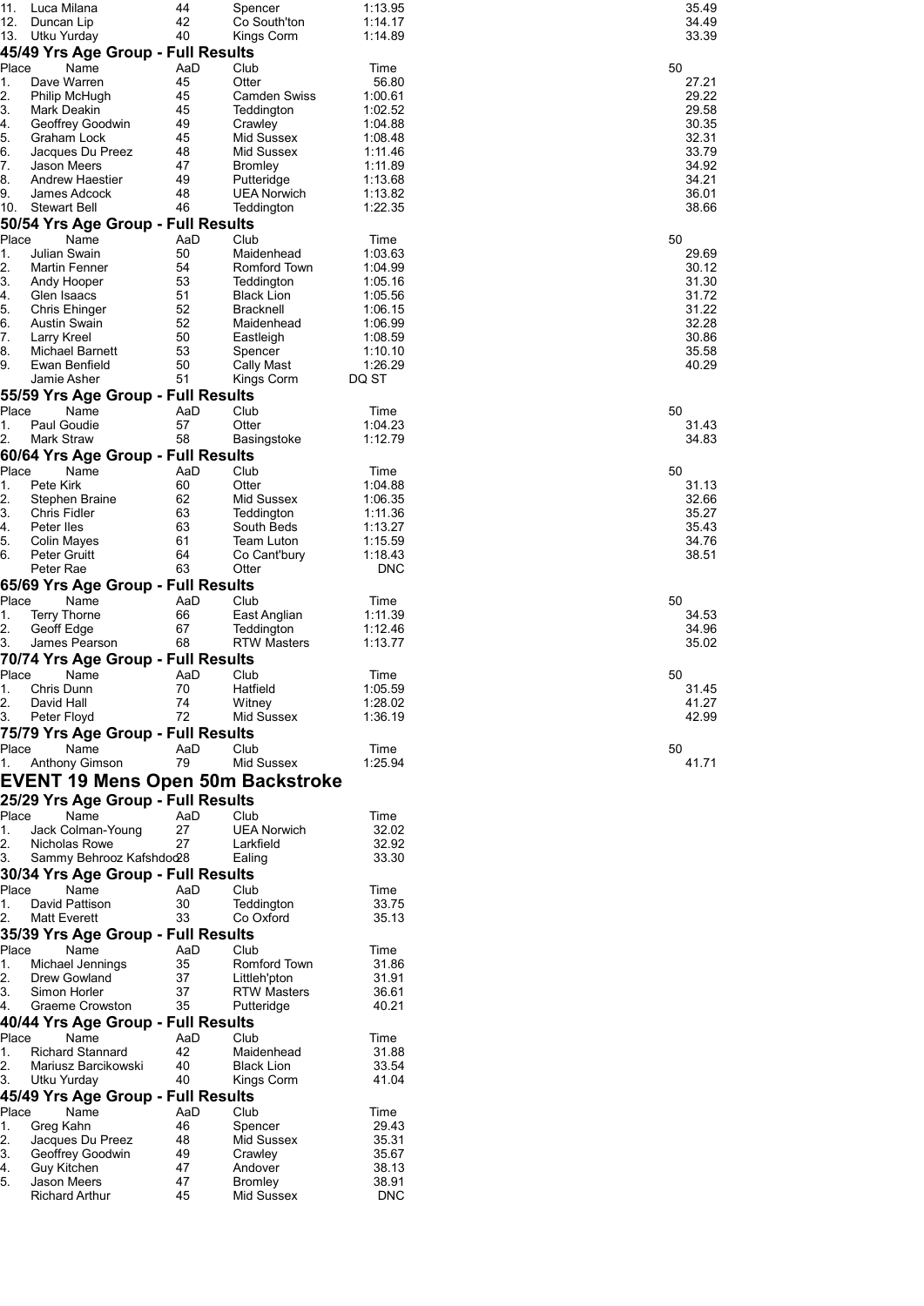| 11.       | Luca Milana                                                    | 44       | Spencer                           | 1:13.95               | 35.49          |
|-----------|----------------------------------------------------------------|----------|-----------------------------------|-----------------------|----------------|
| 12.       | Duncan Lip                                                     | 42<br>40 | Co South'ton                      | 1:14.17               | 34.49<br>33.39 |
| 13.       | Utku Yurday<br>45/49 Yrs Age Group - Full Results              |          | Kings Corm                        | 1:14.89               |                |
| Place     | Name                                                           | AaD      | Club                              | Time                  | 50             |
| 1.        | Dave Warren                                                    | 45       | Otter                             | 56.80                 | 27.21          |
| 2.<br>3.  | Philip McHugh<br>Mark Deakin                                   | 45<br>45 | <b>Camden Swiss</b><br>Teddington | 1:00.61<br>1:02.52    | 29.22<br>29.58 |
| 4.        | Geoffrey Goodwin                                               | 49       | Crawley                           | 1:04.88               | 30.35          |
| 5.<br>6.  | Graham Lock                                                    | 45<br>48 | Mid Sussex<br>Mid Sussex          | 1:08.48<br>1:11.46    | 32.31<br>33.79 |
| 7.        | Jacques Du Preez<br>Jason Meers                                | 47       | <b>Bromley</b>                    | 1:11.89               | 34.92          |
| 8.        | Andrew Haestier                                                | 49       | Putteridge                        | 1:13.68               | 34.21          |
| 9.<br>10. | James Adcock<br><b>Stewart Bell</b>                            | 48<br>46 | <b>UEA Norwich</b><br>Teddington  | 1:13.82<br>1:22.35    | 36.01<br>38.66 |
|           | 50/54 Yrs Age Group - Full Results                             |          |                                   |                       |                |
| Place     | Name                                                           | AaD      | Club                              | Time                  | 50             |
| 1.        | Julian Swain                                                   | 50       | Maidenhead                        | 1:03.63               | 29.69          |
| 2.<br>3.  | Martin Fenner<br>Andy Hooper                                   | 54<br>53 | Romford Town<br>Teddington        | 1:04.99<br>1:05.16    | 30.12<br>31.30 |
| 4.        | Glen Isaacs                                                    | 51       | <b>Black Lion</b>                 | 1:05.56               | 31.72          |
| 5.        | Chris Ehinger                                                  | 52<br>52 | <b>Bracknell</b>                  | 1:06.15               | 31.22<br>32.28 |
| 6.<br>7.  | Austin Swain<br>Larry Kreel                                    | 50       | Maidenhead<br>Eastleigh           | 1:06.99<br>1:08.59    | 30.86          |
| 8.        | Michael Barnett                                                | 53       | Spencer                           | 1:10.10               | 35.58          |
| 9.        | Ewan Benfield<br>Jamie Asher                                   | 50<br>51 | Cally Mast<br>Kings Corm          | 1:26.29<br>DQ ST      | 40.29          |
|           | 55/59 Yrs Age Group - Full Results                             |          |                                   |                       |                |
| Place     | Name                                                           | AaD      | Club                              | Time                  | 50             |
| 1.        | Paul Goudie                                                    | 57       | Otter                             | 1:04.23               | 31.43          |
| 2.        | Mark Straw<br>60/64 Yrs Age Group - Full Results               | 58       | Basingstoke                       | 1:12.79               | 34.83          |
| Place     | Name                                                           | AaD      | Club                              | Time                  | 50             |
| 1.        | Pete Kirk                                                      | 60       | Otter                             | 1:04.88               | 31.13          |
| 2.<br>3.  | Stephen Braine<br>Chris Fidler                                 | 62<br>63 | Mid Sussex                        | 1:06.35<br>1:11.36    | 32.66<br>35.27 |
| 4.        | Peter lles                                                     | 63       | Teddington<br>South Beds          | 1:13.27               | 35.43          |
| 5.        | Colin Mayes                                                    | 61       | Team Luton                        | 1:15.59               | 34.76          |
| 6.        | Peter Gruitt<br>Peter Rae                                      | 64<br>63 | Co Cant'bury<br>Otter             | 1:18.43<br><b>DNC</b> | 38.51          |
|           | 65/69 Yrs Age Group - Full Results                             |          |                                   |                       |                |
| Place     | Name                                                           | AaD      | Club                              | Time                  | 50             |
| 1.        | <b>Terry Thorne</b>                                            | 66       | East Anglian                      | 1:11.39               | 34.53          |
| 2.<br>3.  | Geoff Edge<br>James Pearson                                    | 67<br>68 | Teddington<br><b>RTW Masters</b>  | 1:12.46<br>1:13.77    | 34.96<br>35.02 |
|           | 70/74 Yrs Age Group - Full Results                             |          |                                   |                       |                |
| Place     | Name                                                           | AaD      | Club                              | Time                  | 50             |
| 1.<br>2.  | Chris Dunn<br>David Hall                                       | 70<br>74 | Hatfield<br>Witney                | 1:05.59<br>1:28.02    | 31.45<br>41.27 |
| 3.        | Peter Floyd                                                    | 72       | Mid Sussex                        | 1:36.19               | 42.99          |
|           | 75/79 Yrs Age Group - Full Results                             |          |                                   |                       |                |
| Place     | Name                                                           | AaD      | Club                              | Time                  | 50             |
| 1.        | Anthony Gimson                                                 | 79       | Mid Sussex                        | 1:25.94               | 41.71          |
|           | EVENT 19 Mens Open 50m Backstroke                              |          |                                   |                       |                |
| Place     | 25/29 Yrs Age Group - Full Results<br>Name                     | AaD      | Club                              | Time                  |                |
| 1.        | Jack Colman-Young                                              | 27       | <b>UEA Norwich</b>                | 32.02                 |                |
| 2.        | Nicholas Rowe                                                  | 27       | Larkfield                         | 32.92<br>33.30        |                |
| 3.        | Sammy Behrooz Kafshdod28<br>30/34 Yrs Age Group - Full Results |          | Ealing                            |                       |                |
| Place     | Name                                                           | AaD      | Club                              | Time                  |                |
| 1.        | David Pattison                                                 | 30       | Teddington                        | 33.75                 |                |
| 2.        | Matt Everett                                                   | 33       | Co Oxford                         | 35.13                 |                |
| Place     | 35/39 Yrs Age Group - Full Results<br>Name                     | AaD      | Club                              | Time                  |                |
| 1.        | Michael Jennings                                               | 35       | Romford Town                      | 31.86                 |                |
| 2.        | Drew Gowland                                                   | 37       | Littleh'pton                      | 31.91                 |                |
| 3.<br>4.  | Simon Horler<br>Graeme Crowston                                | 37<br>35 | <b>RTW Masters</b><br>Putteridge  | 36.61<br>40.21        |                |
|           | 40/44 Yrs Age Group - Full Results                             |          |                                   |                       |                |
| Place     | Name                                                           | AaD      | Club                              | Time                  |                |
| 1.<br>2.  | <b>Richard Stannard</b><br>Mariusz Barcikowski                 | 42<br>40 | Maidenhead<br><b>Black Lion</b>   | 31.88<br>33.54        |                |
| 3.        | Utku Yurday                                                    | 40       | Kings Corm                        | 41.04                 |                |
|           | 45/49 Yrs Age Group - Full Results                             |          |                                   |                       |                |
| Place     | Name                                                           | AaD      | Club                              | Time                  |                |
| 1.<br>2.  | Greg Kahn<br>Jacques Du Preez                                  | 46<br>48 | Spencer<br>Mid Sussex             | 29.43<br>35.31        |                |
| 3.        | Geoffrey Goodwin                                               | 49       | Crawley                           | 35.67                 |                |
| 4.        | Guy Kitchen                                                    | 47       | Andover                           | 38.13                 |                |
| 5.        | Jason Meers<br><b>Richard Arthur</b>                           | 47<br>45 | <b>Bromley</b><br>Mid Sussex      | 38.91<br><b>DNC</b>   |                |
|           |                                                                |          |                                   |                       |                |

| 50 | 50                      | l<br>50                 | 50                                                                       | 50<br>)        | 50                                                                                          | 50                                                                                                       |                         |
|----|-------------------------|-------------------------|--------------------------------------------------------------------------|----------------|---------------------------------------------------------------------------------------------|----------------------------------------------------------------------------------------------------------|-------------------------|
|    |                         |                         |                                                                          |                |                                                                                             |                                                                                                          |                         |
| 41 |                         |                         |                                                                          |                |                                                                                             |                                                                                                          |                         |
|    | 31.45<br>41.27<br>42.99 | 34.53<br>34.96<br>35.02 | 31.13<br>-<br>32.66<br>------<br>35.27<br>35.43<br>ss.<br>34.76<br>38.51 | 31.43<br>34.83 | 29.69<br>30.12<br>ں<br>31.30<br>31.72<br>32.28<br>32.28<br>30.86<br>30.86<br>35.58<br>40.29 | 27.21<br>29.22<br>29.58<br>=3.56<br>30.35<br>32.31<br>33.79<br>33. 3<br>34.92<br>34.21<br>36.01<br>38.66 | 35.49<br>34.49<br>33.39 |
| 1  |                         |                         |                                                                          |                |                                                                                             |                                                                                                          |                         |
|    |                         |                         |                                                                          |                |                                                                                             |                                                                                                          |                         |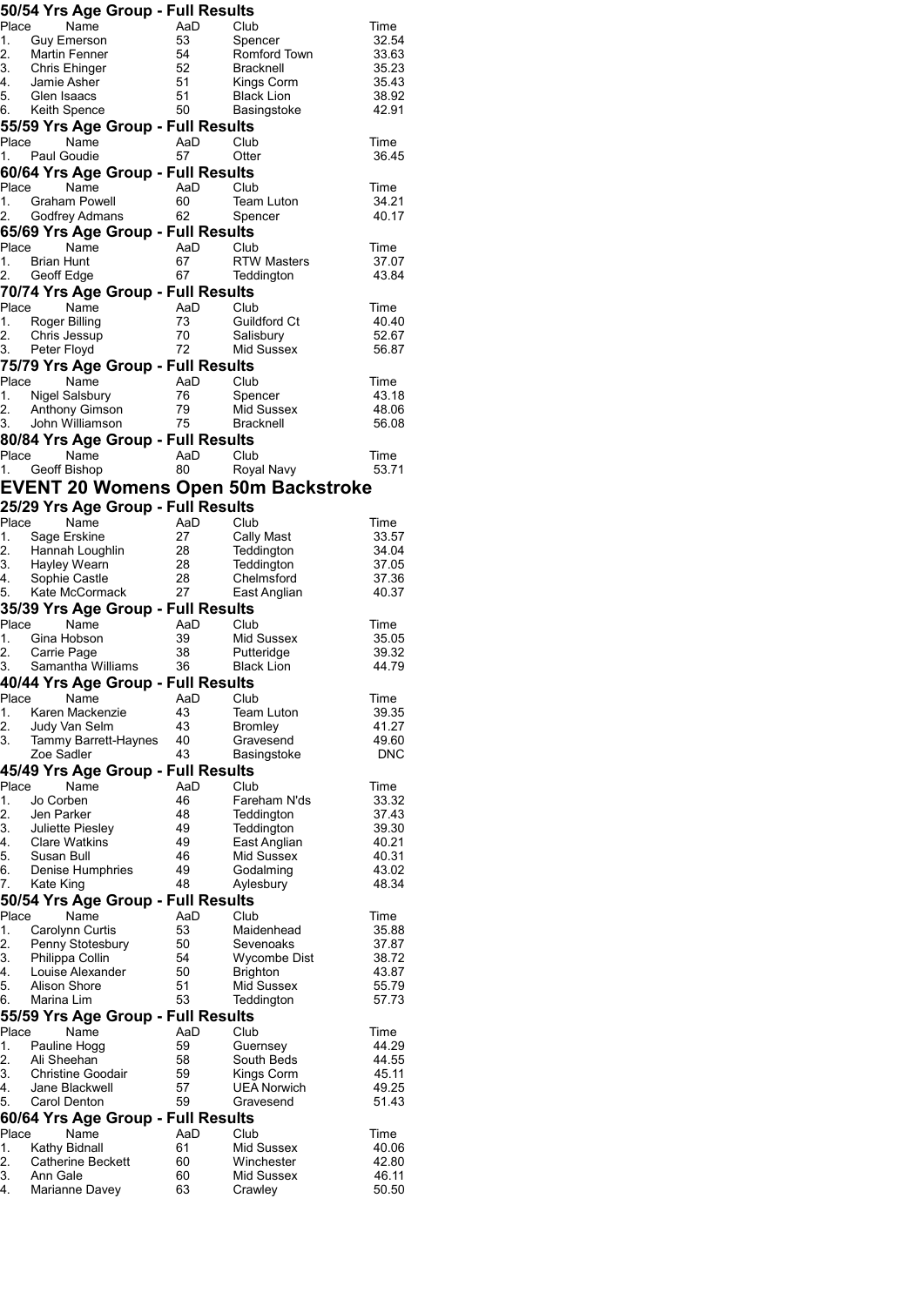|             | 50/54 Yrs Age Group - Full Results                                                         |                           |                                     |                |
|-------------|--------------------------------------------------------------------------------------------|---------------------------|-------------------------------------|----------------|
|             | Place Name                                                                                 | AaD                       | Club                                | Time           |
|             | 1. Guy Emerson<br>2. Martin Fenner<br>3. Chris Ehinger<br>4. Jamie Asher                   | 53<br>54                  | Spencer<br>Romford Town             | 32.54<br>33.63 |
|             |                                                                                            | 52                        | <b>Bracknell</b>                    | 35.23          |
|             |                                                                                            | 51                        | Kings Corm                          | 35.43          |
|             | 5. Glen Isaacs<br>6. Keith Spence                                                          | 51                        | <b>Black Lion</b>                   | 38.92          |
|             |                                                                                            | 50                        | Basingstoke                         | 42.91          |
|             | 55/59 Yrs Age Group - Full Results                                                         |                           |                                     |                |
| Place       | Name                                                                                       | AaD                       | Club                                | Time           |
| 1.          | Paul Goudie                                                                                | 57                        | Otter                               | 36.45          |
| Place       | 60/64 Yrs Age Group - Full Results                                                         |                           |                                     |                |
| 1.          | Ivanie AaD<br>Graham Powell 60<br>Godfrout                                                 |                           | Club<br>Team Luton                  | Time<br>34.21  |
|             | 2. Godfrey Admans                                                                          |                           | Spencer                             | 40.17          |
|             | 65/69 Yrs Age Group - Full Results                                                         |                           |                                     |                |
|             | Place<br>Name                                                                              | AaD                       | Club                                | Time           |
|             | 1. Brian Hunt                                                                              | 67                        | <b>RTW Masters</b>                  | 37.07          |
|             | 2. Geoff Edge                                                                              | 67                        | Teddington                          | 43.84          |
|             | 70/74 Yrs Age Group - Full Results                                                         |                           |                                     |                |
|             | Place Name<br>1. Roger Billing                                                             | AaD<br>73                 | Club<br>Guildford Ct                | Time<br>40.40  |
|             |                                                                                            | 70                        | Salisbury                           | 52.67          |
|             | 2. Chris Jessup<br>3. Peter Floyd                                                          | 72                        | Mid Sussex                          | 56.87          |
|             | 75/79 Yrs Age Group - Full Results                                                         |                           |                                     |                |
|             | Place Name                                                                                 | یں <b>Re</b><br>AaD<br>76 | Club                                | Time           |
|             | 1. Nigel Salsbury                                                                          | 76                        | Spencer                             | 43.18          |
| 2.          | Anthony Gimson<br>3. John Williamson                                                       | 79<br>75                  | Mid Sussex<br><b>Bracknell</b>      | 48.06          |
|             | 80/84 Yrs Age Group - Full Results                                                         |                           |                                     | 56.08          |
|             | Place Name                                                                                 | AaD                       | Club                                | Time           |
| 1.          | Geoff Bishop                                                                               | 80                        | Royal Navy                          | 53.71          |
|             | <b>EVENT 20 Womens Open 50m Backstroke</b>                                                 |                           |                                     |                |
|             | 25/29 Yrs Age Group - Full Results                                                         |                           |                                     |                |
| Place       | Name                                                                                       | AaD                       | Club                                | Time           |
| 1.          | Sage Erskine                                                                               | 27                        | <b>Cally Mast</b>                   | 33.57          |
|             | 2. Hannah Loughlin 28<br>3. Hayley Wearn 28<br>4. Sophie Castle 28<br>5. Kate McCormack 27 |                           | Teddington                          | 34.04          |
|             |                                                                                            |                           | Teddington                          | 37.05          |
|             |                                                                                            |                           | Chelmsford<br>East Anglian          | 37.36<br>40.37 |
|             | 35/39 Yrs Age Group - Full Results                                                         |                           |                                     |                |
| Place       | Name                                                                                       | AaD                       | Club                                | Time           |
| 1.          | Gina Hobson                                                                                | 39                        | Mid Sussex                          | 35.05          |
| 2.<br>3.    | Carrie Page                                                                                | 38                        | Putteridge                          | 39.32          |
|             | Samantha Williams 36                                                                       |                           | <b>Black Lion</b>                   | 44.79          |
|             | 40/44 Yrs Age Group - Full Results                                                         |                           |                                     |                |
|             | Place Name                                                                                 | AaD Club                  |                                     | Time           |
| 1.<br>2.    | Karen Mackenzie<br>Judy Van Selm                                                           | 43<br>43                  | <b>Team Luton</b><br><b>Bromley</b> | 39.35<br>41.27 |
| 3.          | Tammy Barrett-Haynes                                                                       | 40                        | Gravesend                           | 49.60          |
|             | Zoe Sadler                                                                                 | 43                        | Basingstoke                         | <b>DNC</b>     |
|             | 45/49 Yrs Age Group - Full Results                                                         |                           |                                     |                |
| Place       | Name                                                                                       | AaD                       | Club                                | Time           |
| 1.          | Jo Corben                                                                                  | 46                        | Fareham N'ds                        | 33.32          |
| 2.<br>3.    | Jen Parker<br>Juliette Piesley                                                             | 48<br>49                  | Teddington<br>Teddington            | 37.43<br>39.30 |
| 4.          | <b>Clare Watkins</b>                                                                       | 49                        | East Anglian                        | 40.21          |
| 5.          | Susan Bull                                                                                 | 46                        | Mid Sussex                          | 40.31          |
| 6.          | Denise Humphries                                                                           | 49                        | Godalming                           | 43.02          |
| 7.          | Kate King                                                                                  | 48                        | Aylesbury                           | 48.34          |
|             | 50/54 Yrs Age Group - Full Results                                                         |                           |                                     |                |
| Place       | Name                                                                                       | AaD                       | Club                                | Time           |
| 1.<br>2.    | Carolynn Curtis<br>Penny Stotesbury                                                        | 53<br>50                  | Maidenhead<br>Sevenoaks             | 35.88<br>37.87 |
| 3.          | Philippa Collin                                                                            | 54                        | Wycombe Dist                        | 38.72          |
| 4.          | Louise Alexander                                                                           | 50                        | <b>Brighton</b>                     | 43.87          |
| 5.          | Alison Shore                                                                               | 51                        | Mid Sussex                          | 55.79          |
| 6.          | Marina Lim                                                                                 | 53                        | Teddington                          | 57.73          |
|             | 55/59 Yrs Age Group - Full Results                                                         |                           |                                     |                |
| Place<br>1. | Name<br>Pauline Hogg                                                                       | AaD<br>59                 | Club<br>Guernsey                    | Time<br>44.29  |
| 2.          | Ali Sheehan                                                                                | 58                        | South Beds                          | 44.55          |
| 3.          | <b>Christine Goodair</b>                                                                   | 59                        | Kings Corm                          | 45.11          |
| 4.          | Jane Blackwell                                                                             | 57                        | UEA Norwich                         | 49.25          |
| 5.          | Carol Denton                                                                               | 59                        | Gravesend                           | 51.43          |
|             | 60/64 Yrs Age Group - Full Results                                                         |                           |                                     |                |
| Place       | Name                                                                                       | AaD                       | Club                                | Time           |
| 1.<br>2.    | Kathy Bidnall<br><b>Catherine Beckett</b>                                                  | 61<br>60                  | Mid Sussex<br>Winchester            | 40.06<br>42.80 |
| 3.          | Ann Gale                                                                                   | 60                        | Mid Sussex                          | 46.11          |
| 4.          | Marianne Davey                                                                             | 63                        | Crawley                             | 50.50          |
|             |                                                                                            |                           |                                     |                |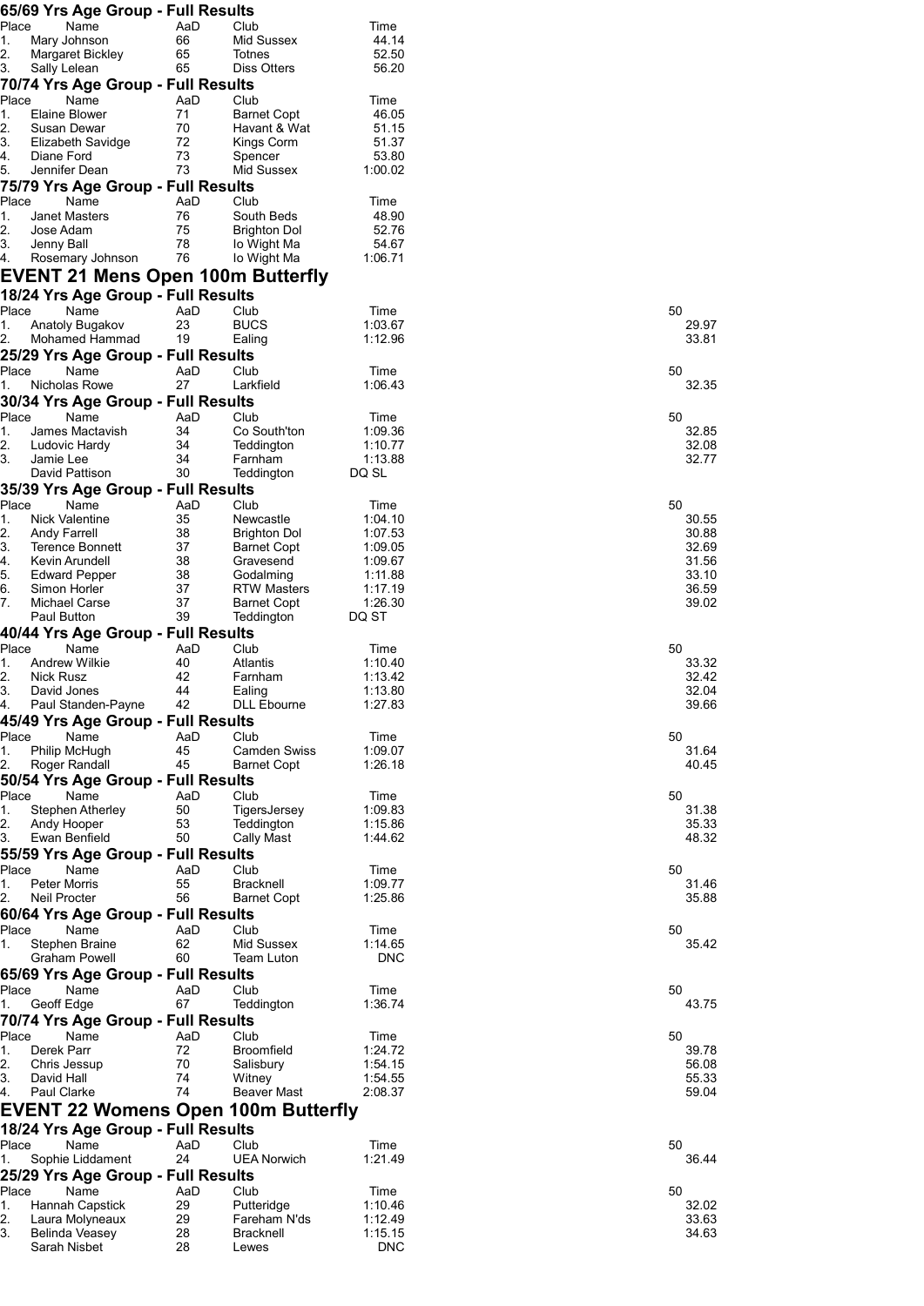| Place<br>Name<br>AaD<br>Club<br>Time<br>1.<br>44.14<br>Mary Johnson<br>66<br>Mid Sussex                                                                                                                                                                                                                                                                    |                |
|------------------------------------------------------------------------------------------------------------------------------------------------------------------------------------------------------------------------------------------------------------------------------------------------------------------------------------------------------------|----------------|
|                                                                                                                                                                                                                                                                                                                                                            |                |
| 2.<br>65<br>52.50<br>Margaret Bickley<br>Totnes                                                                                                                                                                                                                                                                                                            |                |
| 3.<br>65<br>Sally Lelean<br>Diss Otters<br>56.20                                                                                                                                                                                                                                                                                                           |                |
| 70/74 Yrs Age Group - Full Results                                                                                                                                                                                                                                                                                                                         |                |
| Place<br>Name<br>AaD<br>Club<br>Time<br>1.<br>Elaine Blower<br>71<br><b>Barnet Copt</b><br>46.05                                                                                                                                                                                                                                                           |                |
| 2.<br>70<br>51.15<br>Susan Dewar<br>Havant & Wat                                                                                                                                                                                                                                                                                                           |                |
| 3.<br>72<br>Elizabeth Savidge<br>Kings Corm<br>51.37<br>4.<br>Diane Ford                                                                                                                                                                                                                                                                                   |                |
| 73<br>53.80<br>Spencer<br>73<br>Mid Sussex<br>1:00.02<br>5.<br>Jennifer Dean                                                                                                                                                                                                                                                                               |                |
| 75/79 Yrs Age Group - Full Results                                                                                                                                                                                                                                                                                                                         |                |
| Place<br>Name<br>Club<br>AaD<br>Time                                                                                                                                                                                                                                                                                                                       |                |
| 1.<br><b>Janet Masters</b><br>76<br>South Beds<br>48.90<br>2.<br>75<br>52.76<br>Jose Adam<br><b>Brighton Dol</b>                                                                                                                                                                                                                                           |                |
| 3.<br>78<br>54.67<br>Jenny Ball<br>lo Wight Ma                                                                                                                                                                                                                                                                                                             |                |
| 76<br>1:06.71<br>4.<br>Rosemary Johnson<br>lo Wight Ma                                                                                                                                                                                                                                                                                                     |                |
| EVENT 21 Mens Open 100m Butterfly                                                                                                                                                                                                                                                                                                                          |                |
| 18/24 Yrs Age Group - Full Results                                                                                                                                                                                                                                                                                                                         |                |
| Place<br>Name<br>AaD<br>Club<br>Time<br>1.<br>Anatoly Bugakov<br>23<br><b>BUCS</b><br>1:03.67                                                                                                                                                                                                                                                              | 50<br>29.97    |
| 2.<br>19<br>1:12.96<br>Mohamed Hammad<br>Ealing                                                                                                                                                                                                                                                                                                            | 33.81          |
| 25/29 Yrs Age Group - Full Results                                                                                                                                                                                                                                                                                                                         |                |
| Place<br>Name<br>Club<br>AaD<br>Time                                                                                                                                                                                                                                                                                                                       | 50             |
| 27<br>1.<br>Larkfield<br>1:06.43<br>Nicholas Rowe<br>30/34 Yrs Age Group - Full Results                                                                                                                                                                                                                                                                    | 32.35          |
| Place<br>Name<br>AaD<br>Club<br>Time                                                                                                                                                                                                                                                                                                                       | 50             |
| 1.<br>34<br>Co South'ton<br>1:09.36<br>James Mactavish                                                                                                                                                                                                                                                                                                     | 32.85          |
| 2.<br>34<br>Teddington<br>1:10.77<br>Ludovic Hardy<br>3.<br>34<br>1:13.88                                                                                                                                                                                                                                                                                  | 32.08          |
| Farnham<br>Jamie Lee<br>30<br>David Pattison<br>Teddington<br>DQ SL                                                                                                                                                                                                                                                                                        | 32.77          |
| 35/39 Yrs Age Group - Full Results                                                                                                                                                                                                                                                                                                                         |                |
| Place<br>Name<br>AaD<br>Club<br>Time                                                                                                                                                                                                                                                                                                                       | 50             |
| 1.<br><b>Nick Valentine</b><br>35<br>Newcastle<br>1:04.10<br>2.<br>38<br><b>Andy Farrell</b><br><b>Brighton Dol</b><br>1:07.53                                                                                                                                                                                                                             | 30.55<br>30.88 |
| 3.<br>37<br>1:09.05<br><b>Terence Bonnett</b><br>Barnet Copt                                                                                                                                                                                                                                                                                               | 32.69          |
| 4.<br>38<br>1:09.67<br>Kevin Arundell<br>Gravesend                                                                                                                                                                                                                                                                                                         | 31.56          |
| 5.<br>38<br><b>Edward Pepper</b><br>Godalming<br>1:11.88<br>6.<br>37<br>Simon Horler<br><b>RTW Masters</b><br>1:17.19                                                                                                                                                                                                                                      | 33.10<br>36.59 |
| 37<br>7.<br>1:26.30<br>Michael Carse<br><b>Barnet Copt</b>                                                                                                                                                                                                                                                                                                 | 39.02          |
| 39<br>Paul Button<br>Teddington<br>DQ ST                                                                                                                                                                                                                                                                                                                   |                |
| 40/44 Yrs Age Group - Full Results<br>Place<br>Name<br>AaD<br>Club<br>Time                                                                                                                                                                                                                                                                                 | 50             |
| 40<br>1.<br><b>Andrew Wilkie</b><br>Atlantis<br>1:10.40                                                                                                                                                                                                                                                                                                    | 33.32          |
| 2.<br>42<br>Nick Rusz<br>Farnham<br>1:13.42                                                                                                                                                                                                                                                                                                                | 32.42          |
| 3.<br>44<br>1:13.80<br>David Jones<br>Ealing                                                                                                                                                                                                                                                                                                               | 32.04<br>39.66 |
|                                                                                                                                                                                                                                                                                                                                                            |                |
| Paul Standen-Payne<br>42<br><b>DLL Ebourne</b><br>1:27.83                                                                                                                                                                                                                                                                                                  |                |
| 4.<br>45/49 Yrs Age Group - Full Results<br>Place<br>Name<br>AaD<br>Club<br>Time                                                                                                                                                                                                                                                                           | 50             |
| Philip McHugh<br>45<br>1:09.07<br>Camden Swiss                                                                                                                                                                                                                                                                                                             | 31.64          |
| 1.<br>2.<br>Roger Randall<br>45<br><b>Barnet Copt</b><br>1:26.18                                                                                                                                                                                                                                                                                           | 40.45          |
| Name<br>Club<br>AaD<br>Time                                                                                                                                                                                                                                                                                                                                | 50             |
| 50<br>TigersJersey<br>1:09.83<br>Stephen Atherley                                                                                                                                                                                                                                                                                                          | 31.38          |
| 53<br>1:15.86<br>Andy Hooper<br>Teddington                                                                                                                                                                                                                                                                                                                 | 35.33          |
| 50/54 Yrs Age Group - Full Results<br>Place<br>1.<br>2.<br>50<br>3.<br>Ewan Benfield<br>Cally Mast<br>1:44.62                                                                                                                                                                                                                                              | 48.32          |
| 55/59 Yrs Age Group - Full Results<br>Place<br>Name<br>AaD<br>Club<br>Time                                                                                                                                                                                                                                                                                 | 50             |
| <b>Peter Morris</b><br>55<br><b>Bracknell</b><br>1:09.77                                                                                                                                                                                                                                                                                                   | 31.46          |
| <b>Neil Procter</b><br>56<br>1:25.86<br><b>Barnet Copt</b>                                                                                                                                                                                                                                                                                                 | 35.88          |
|                                                                                                                                                                                                                                                                                                                                                            |                |
| Name<br>AaD<br>Club<br>Time<br>Stephen Braine<br>62<br>Mid Sussex<br>1:14.65                                                                                                                                                                                                                                                                               | 50<br>35.42    |
| <b>Graham Powell</b><br>60<br><b>DNC</b><br>Team Luton                                                                                                                                                                                                                                                                                                     |                |
| 1.<br>2.<br>60/64 Yrs Age Group - Full Results<br>Place<br>1.<br>65/69 Yrs Age Group - Full Results                                                                                                                                                                                                                                                        |                |
| Name<br>AaD<br>Club<br>Time<br>67<br>1:36.74<br>Teddington                                                                                                                                                                                                                                                                                                 | 50             |
| Geoff Edge                                                                                                                                                                                                                                                                                                                                                 | 43.75          |
| Name<br>AaD<br>Club<br>Time                                                                                                                                                                                                                                                                                                                                | 50             |
| 72<br>Derek Parr<br><b>Broomfield</b><br>1:24.72                                                                                                                                                                                                                                                                                                           | 39.78          |
| 70<br>1:54.15<br>Chris Jessup<br>Salisbury<br>74<br>1:54.55<br>David Hall<br>Witney                                                                                                                                                                                                                                                                        | 56.08<br>55.33 |
| 74<br>Paul Clarke<br><b>Beaver Mast</b><br>2:08.37                                                                                                                                                                                                                                                                                                         | 59.04          |
|                                                                                                                                                                                                                                                                                                                                                            |                |
|                                                                                                                                                                                                                                                                                                                                                            |                |
| Name<br>Club<br>AaD<br>Time                                                                                                                                                                                                                                                                                                                                | 50             |
| Sophie Liddament<br><b>UEA Norwich</b><br>1:21.49<br>24                                                                                                                                                                                                                                                                                                    | 36.44          |
| Name<br>AaD<br>Time                                                                                                                                                                                                                                                                                                                                        | 50             |
| Club<br>29<br>Hannah Capstick<br>Putteridge<br>1:10.46                                                                                                                                                                                                                                                                                                     | 32.02          |
| Place<br>1.<br>70/74 Yrs Age Group - Full Results<br>Place<br>1.<br>2.<br>3.<br>4.<br>EVENT 22 Womens Open 100m Butterfly<br>18/24 Yrs Age Group - Full Results<br>Place<br>1.<br>25/29 Yrs Age Group - Full Results<br>Place<br>1.<br>29<br>2.<br>Laura Molyneaux<br>Fareham N'ds<br>1:12.49<br>3.<br>1:15.15<br>Belinda Veasey<br>28<br><b>Bracknell</b> | 33.63<br>34.63 |

| 50 | 29.97<br>33.81                                              |
|----|-------------------------------------------------------------|
| 50 | 32.<br>85                                                   |
| 50 | 32.85<br>32.08<br>-----<br>32.77                            |
| 50 | 30.55<br>30.88<br>32.69<br>31.56<br>33.10<br>36.59<br>39.02 |
| 50 | 33.32<br>32.42<br>32.04<br>39.66                            |
| 50 | 31.64<br>40.45                                              |
| 50 | 31.38<br>35.33<br>-- - - - -<br>48.32                       |
| 50 | 31.46<br>35.88                                              |
| 50 | 35<br>42                                                    |
| 50 | 43.75                                                       |
| 50 | 39.78<br>56.08<br>55.33<br>59.04                            |
| 50 | 36.44                                                       |
| 50 | 32.02<br>33.63<br>34.63                                     |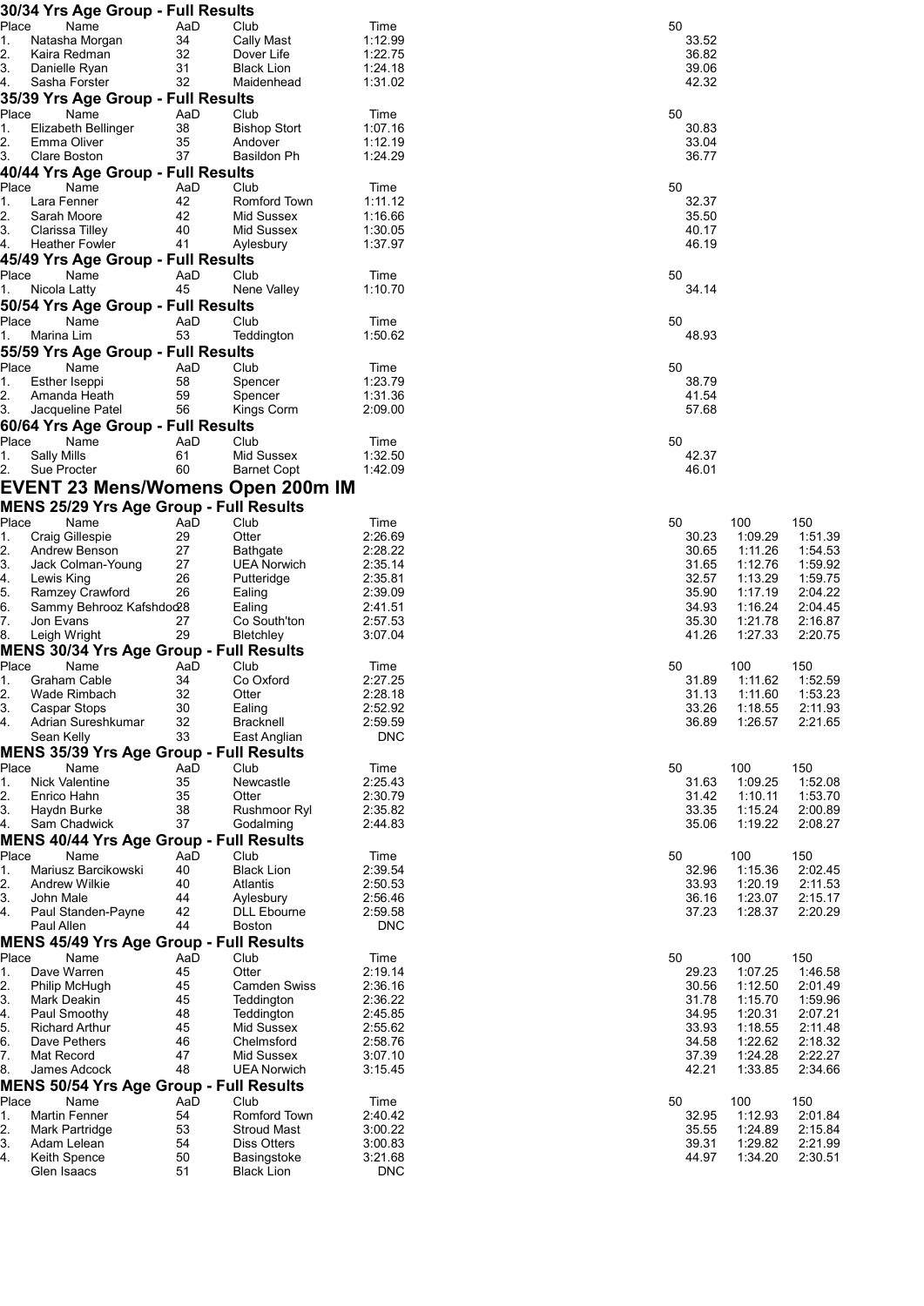|             | 30/34 Yrs Age Group - Full Results             |           |                                       |                    |                |                    |                    |
|-------------|------------------------------------------------|-----------|---------------------------------------|--------------------|----------------|--------------------|--------------------|
| Place       | Name                                           | AaD       | Club                                  | Time               | 50             |                    |                    |
| 1.          | Natasha Morgan                                 | 34        | Cally Mast                            | 1:12.99            | 33.52          |                    |                    |
| 2.<br>3.    | Kaira Redman<br>Danielle Ryan                  | 32<br>31  | Dover Life<br><b>Black Lion</b>       | 1:22.75<br>1:24.18 | 36.82<br>39.06 |                    |                    |
| 4.          | Sasha Forster                                  | 32        | Maidenhead                            | 1:31.02            | 42.32          |                    |                    |
|             | 35/39 Yrs Age Group - Full Results             |           |                                       |                    |                |                    |                    |
| Place       | Name                                           | AaD       | Club                                  | Time               | 50             |                    |                    |
| 1.          | Elizabeth Bellinger                            | 38        | <b>Bishop Stort</b>                   | 1:07.16            | 30.83          |                    |                    |
| 2.          | Emma Oliver                                    | 35        | Andover                               | 1:12.19            | 33.04          |                    |                    |
| 3.          | Clare Boston                                   | 37        | Basildon Ph                           | 1:24.29            | 36.77          |                    |                    |
|             | 40/44 Yrs Age Group - Full Results             |           |                                       |                    |                |                    |                    |
| Place       | Name                                           | AaD       | Club                                  | Time               | 50             |                    |                    |
| 1.<br>2.    | Lara Fenner<br>Sarah Moore                     | 42<br>42  | Romford Town<br>Mid Sussex            | 1:11.12<br>1:16.66 | 32.37<br>35.50 |                    |                    |
| 3.          | Clarissa Tilley                                | 40        | Mid Sussex                            | 1:30.05            | 40.17          |                    |                    |
| 4.          | <b>Heather Fowler</b>                          | 41        | Aylesbury                             | 1:37.97            | 46.19          |                    |                    |
|             | 45/49 Yrs Age Group - Full Results             |           |                                       |                    |                |                    |                    |
| Place       | Name                                           | AaD       | Club                                  | Time               | 50             |                    |                    |
| 1.          | Nicola Latty                                   | 45        | Nene Valley                           | 1:10.70            | 34.14          |                    |                    |
|             | 50/54 Yrs Age Group - Full Results             |           |                                       |                    |                |                    |                    |
| Place       | Name                                           | AaD       | Club                                  | Time               | 50             |                    |                    |
| 1.          | Marina Lim                                     | 53        | Teddington                            | 1:50.62            | 48.93          |                    |                    |
|             | 55/59 Yrs Age Group - Full Results             |           |                                       |                    |                |                    |                    |
| Place<br>1. | Name<br>Esther Iseppi                          | AaD<br>58 | Club<br>Spencer                       | Time<br>1:23.79    | 50<br>38.79    |                    |                    |
| 2.          | Amanda Heath                                   | 59        | Spencer                               | 1:31.36            | 41.54          |                    |                    |
| 3.          | Jacqueline Patel                               | 56        | Kings Corm                            | 2:09.00            | 57.68          |                    |                    |
|             | 60/64 Yrs Age Group - Full Results             |           |                                       |                    |                |                    |                    |
| Place       | Name                                           | AaD       | Club                                  | Time               | 50             |                    |                    |
| 1.          | Sally Mills                                    | 61        | Mid Sussex                            | 1:32.50            | 42.37          |                    |                    |
| 2.          | Sue Procter                                    | 60        | <b>Barnet Copt</b>                    | 1:42.09            | 46.01          |                    |                    |
|             | <b>EVENT 23 Mens/Womens Open 200m IM</b>       |           |                                       |                    |                |                    |                    |
|             | <b>MENS 25/29 Yrs Age Group - Full Results</b> |           |                                       |                    |                |                    |                    |
| Place       | Name                                           | AaD       | Club                                  | Time               | 50             | 100                | 150                |
| 1.          | Craig Gillespie                                | 29<br>27  | Otter                                 | 2:26.69<br>2:28.22 | 30.23          | 1:09.29            | 1:51.39            |
| 2.<br>3.    | Andrew Benson<br>Jack Colman-Young             | 27        | <b>Bathgate</b><br><b>UEA Norwich</b> | 2:35.14            | 30.65<br>31.65 | 1:11.26<br>1:12.76 | 1:54.53<br>1:59.92 |
| 4.          | Lewis King                                     | 26        | Putteridge                            | 2:35.81            | 32.57          | 1:13.29            | 1:59.75            |
| 5.          | Ramzey Crawford                                | 26        | Ealing                                | 2:39.09            | 35.90          | 1:17.19            | 2:04.22            |
| 6.          | Sammy Behrooz Kafshdoo28                       |           | Ealing                                | 2:41.51            | 34.93          | 1:16.24            | 2:04.45            |
| 7.          | Jon Evans                                      | 27        | Co South'ton                          | 2:57.53            | 35.30          | 1:21.78            | 2:16.87            |
| 8.          | Leigh Wright                                   | 29        | Bletchley                             | 3:07.04            | 41.26          | 1:27.33            | 2:20.75            |
| Place       | <b>MENS 30/34 Yrs Age Group - Full Results</b> |           | Club                                  |                    |                |                    |                    |
| 1.          | Name<br>Graham Cable                           | AaD<br>34 | Co Oxford                             | Time<br>2:27.25    | 50<br>31.89    | 100<br>1:11.62     | 150<br>1:52.59     |
| 2.          | Wade Rimbach                                   | 32        | Otter                                 | 2:28.18            | 31.13          | 1:11.60            | 1:53.23            |
| 3.          | Caspar Stops                                   | 30        | Ealing                                | 2:52.92            | 33.26          | 1:18.55            | 2:11.93            |
| 4.          | Adrian Sureshkumar                             | 32        | Bracknell                             | 2:59.59            | 36.89          | 1:26.57            | 2:21.65            |
|             | Sean Kelly                                     | 33        | East Anglian                          | <b>DNC</b>         |                |                    |                    |
|             | <b>MENS 35/39 Yrs Age Group - Full Results</b> |           |                                       |                    |                |                    |                    |
| Place<br>1. | Name<br><b>Nick Valentine</b>                  | AaD<br>35 | Club<br>Newcastle                     | Time<br>2:25.43    | 50<br>31.63    | 100<br>1:09.25     | 150<br>1:52.08     |
| 2.          | Enrico Hahn                                    | 35        | Otter                                 | 2:30.79            | 31.42          | 1:10.11            | 1:53.70            |
| 3.          | Haydn Burke                                    | 38        | Rushmoor Ryl                          | 2:35.82            | 33.35          | 1:15.24            | 2:00.89            |
| 4.          | Sam Chadwick                                   | 37        | Godalming                             | 2:44.83            | 35.06          | 1:19.22            | 2:08.27            |
|             | <b>MENS 40/44 Yrs Age Group - Full Results</b> |           |                                       |                    |                |                    |                    |
| Place       | Name                                           | AaD       | Club                                  | Time               | 50             | 100                | 150                |
| 1.          | Mariusz Barcikowski                            | 40        | <b>Black Lion</b>                     | 2:39.54            | 32.96          | 1:15.36            | 2:02.45            |
| 2.<br>3.    | Andrew Wilkie<br>John Male                     | 40<br>44  | Atlantis<br>Aylesbury                 | 2:50.53<br>2:56.46 | 33.93<br>36.16 | 1:20.19<br>1:23.07 | 2:11.53<br>2:15.17 |
| 4.          | Paul Standen-Payne                             | 42        | <b>DLL Ebourne</b>                    | 2:59.58            | 37.23          | 1:28.37            | 2:20.29            |
|             | Paul Allen                                     | 44        | Boston                                | <b>DNC</b>         |                |                    |                    |
|             | <b>MENS 45/49 Yrs Age Group - Full Results</b> |           |                                       |                    |                |                    |                    |
| Place       | Name                                           | AaD       | Club                                  | Time               | 50             | 100                | 150                |
| 1.          | Dave Warren                                    | 45        | Otter                                 | 2:19.14            | 29.23          | 1:07.25            | 1:46.58            |
| 2.          | Philip McHugh                                  | 45        | <b>Camden Swiss</b>                   | 2:36.16            | 30.56          | 1:12.50            | 2:01.49            |
| 3.          | Mark Deakin<br>Paul Smoothy                    | 45<br>48  | Teddington<br>Teddington              | 2:36.22<br>2:45.85 | 31.78<br>34.95 | 1:15.70<br>1:20.31 | 1:59.96<br>2:07.21 |
| 4.<br>5.    | <b>Richard Arthur</b>                          | 45        | Mid Sussex                            | 2:55.62            | 33.93          | 1:18.55            | 2:11.48            |
| 6.          | Dave Pethers                                   | 46        | Chelmsford                            | 2:58.76            | 34.58          | 1:22.62            | 2:18.32            |
| 7.          | Mat Record                                     | 47        | Mid Sussex                            | 3:07.10            | 37.39          | 1:24.28            | 2:22.27            |
| 8.          | James Adcock                                   | 48        | <b>UEA Norwich</b>                    | 3:15.45            | 42.21          | 1:33.85            | 2:34.66            |
|             | <b>MENS 50/54 Yrs Age Group - Full Results</b> |           |                                       |                    |                |                    |                    |
| Place       | Name                                           | AaD       | Club                                  | Time               | 50             | 100                | 150                |
| 1.<br>2.    | Martin Fenner                                  | 54<br>53  | Romford Town<br><b>Stroud Mast</b>    | 2:40.42<br>3:00.22 | 32.95<br>35.55 | 1:12.93<br>1:24.89 | 2:01.84<br>2:15.84 |
| 3.          | Mark Partridge<br>Adam Lelean                  | 54        | Diss Otters                           | 3:00.83            | 39.31          | 1:29.82            | 2:21.99            |
| 4.          | Keith Spence                                   | 50        | Basingstoke                           | 3:21.68            | 44.97          | 1:34.20            | 2:30.51            |
|             | Glen Isaacs                                    | 51        | <b>Black Lion</b>                     | <b>DNC</b>         |                |                    |                    |
|             |                                                |           |                                       |                    |                |                    |                    |

| Ō.                                              | 0                                                                                           | Ō,                                              | Ō,                                              | $\overline{0}$                                  | 0                                                                                           | Ō.             | 0                       | 0     | Ō,    | $\overline{0}$                   | 0                       | Ō,                               |
|-------------------------------------------------|---------------------------------------------------------------------------------------------|-------------------------------------------------|-------------------------------------------------|-------------------------------------------------|---------------------------------------------------------------------------------------------|----------------|-------------------------|-------|-------|----------------------------------|-------------------------|----------------------------------|
| 32.95<br>39.31<br>44 97                         | 29.23<br>30.56<br>31.78<br>34.95<br>33.93<br>34.58<br>42.21                                 | 32.96<br>37.23                                  | 31.63<br>35.06                                  | 31.89<br>31.13                                  | 30.23<br>30.65<br>31.65<br>32.57<br>35.90<br>34.93<br>35.30<br>41.26                        | 42.37<br>46.01 | 38.79<br>41.54<br>57.68 | 48.93 | 34.14 | 32.37<br>35.50<br>40.17<br>46.19 | 30.83<br>33.04<br>36.77 | 33.52<br>36.82<br>39.06<br>42.32 |
| 35.55                                           | 37.39                                                                                       | 33.93<br>36.16                                  | 31.42<br>33.35                                  | 33.26<br>36.89                                  |                                                                                             |                |                         |       |       |                                  |                         |                                  |
| 100<br>1:12.93<br>1:24.89<br>1:29.82<br>1:34.20 | 100<br>1:07.25<br>1:12.50<br>1:15.70<br>1:20.31<br>1:18.55<br>1:22.62<br>1:24.28<br>1:33.85 | 100<br>1:15.36<br>1:20.19<br>1:23.07<br>1:28.37 | 100<br>1:09.25<br>1:10.11<br>1:15.24<br>1:19.22 | 100<br>1:11.62<br>1:11.60<br>1:18.55<br>1:26.57 | 100<br>1:09.29<br>1:11.26<br>1:12.76<br>1:13.29<br>1:17.19<br>1:16.24<br>1:21.78<br>1:27.33 |                |                         |       |       |                                  |                         |                                  |
|                                                 |                                                                                             |                                                 |                                                 |                                                 |                                                                                             |                |                         |       |       |                                  |                         |                                  |
| 150<br>2:01.84<br>2:15.84<br>2:21.99<br>2.30.51 | 150<br>1:46.58<br>2:01.49<br>1:59.96<br>2:07.21<br>2:11.48<br>2:18.32<br>2:22.27<br>2:34.66 | 150<br>2:02.45<br>2:11.53<br>2:15.17<br>2:20.29 | 150<br>1:52.08<br>1:53.70<br>2:00.89<br>2:08.27 | 150<br>1:52.59<br>1:53.23<br>2:11.93<br>2:21.65 | 150<br>1:51.39<br>1:54.53<br>1:59.92<br>1:59.75<br>2:04.22<br>2:04.45<br>2:16.87<br>2:20.75 |                |                         |       |       |                                  |                         |                                  |
|                                                 |                                                                                             |                                                 |                                                 |                                                 |                                                                                             |                |                         |       |       |                                  |                         |                                  |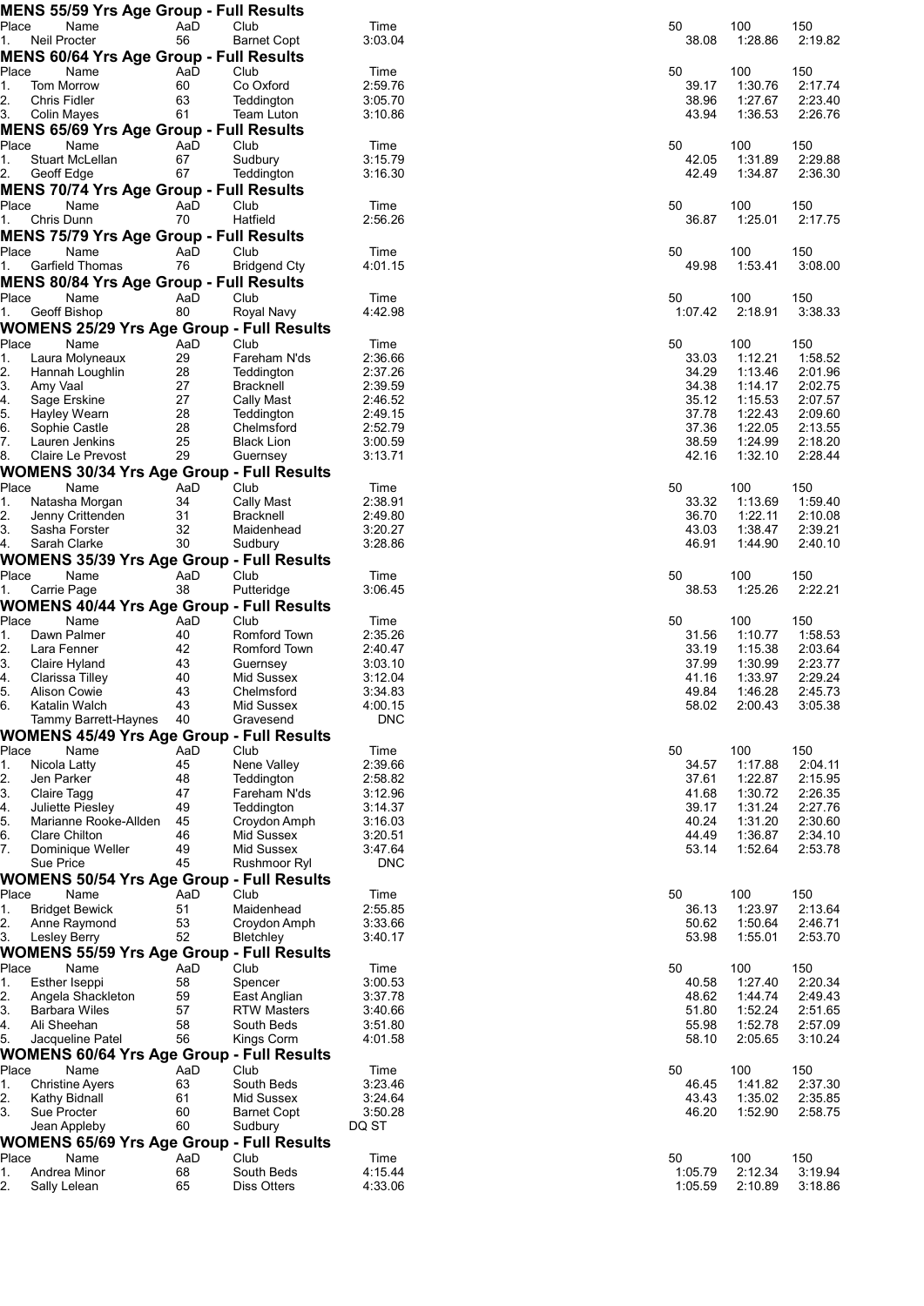|             | <b>MENS 55/59 Yrs Age Group - Full Results</b>   |           |                               |                    |    |                |                    |                    |
|-------------|--------------------------------------------------|-----------|-------------------------------|--------------------|----|----------------|--------------------|--------------------|
| Place       | Name                                             | AaD       | Club                          | Time               | 50 |                | 100                | 150                |
| 1.          | Neil Procter                                     | 56        | <b>Barnet Copt</b>            | 3:03.04            |    | 38.08          | 1:28.86            | 2:19.82            |
|             | <b>MENS 60/64 Yrs Age Group - Full Results</b>   |           |                               |                    |    |                |                    |                    |
| Place<br>1. | Name<br>Tom Morrow                               | AaD<br>60 | Club<br>Co Oxford             | Time<br>2:59.76    | 50 | 39.17          | 100<br>1:30.76     | 150<br>2:17.74     |
| 2.          | Chris Fidler                                     | 63        | Teddington                    | 3:05.70            |    | 38.96          | 1:27.67            | 2:23.40            |
| 3.          | Colin Mayes                                      | 61        | Team Luton                    | 3:10.86            |    | 43.94          | 1:36.53            | 2:26.76            |
|             | <b>MENS 65/69 Yrs Age Group - Full Results</b>   |           |                               |                    |    |                |                    |                    |
| Place       | Name                                             | AaD       | Club                          | Time               | 50 |                | 100                | 150                |
| 1.          | Stuart McLellan                                  | 67        | Sudbury                       | 3:15.79            |    | 42.05          | 1:31.89            | 2:29.88            |
| 2.          | Geoff Edge                                       | 67        | Teddington                    | 3:16.30            |    | 42.49          | 1:34.87            | 2:36.30            |
|             | <b>MENS 70/74 Yrs Age Group - Full Results</b>   |           |                               |                    |    |                |                    |                    |
| Place       | Name                                             | AaD       | Club                          | Time               | 50 |                | 100                | 150                |
| 1.          | Chris Dunn                                       | 70        | Hatfield                      | 2:56.26            |    | 36.87          | 1:25.01            | 2:17.75            |
|             | <b>MENS 75/79 Yrs Age Group - Full Results</b>   |           |                               |                    |    |                |                    |                    |
| Place<br>1. | Name<br>Garfield Thomas                          | AaD<br>76 | Club<br><b>Bridgend Cty</b>   | Time<br>4:01.15    | 50 | 49.98          | 100<br>1:53.41     | 150<br>3:08.00     |
|             | <b>MENS 80/84 Yrs Age Group - Full Results</b>   |           |                               |                    |    |                |                    |                    |
| Place       | Name                                             | AaD       | Club                          | Time               | 50 |                | 100                | 150                |
| 1.          | Geoff Bishop                                     | 80        | Royal Navy                    | 4:42.98            |    | 1:07.42        | 2:18.91            | 3:38.33            |
|             | <b>WOMENS 25/29 Yrs Age Group - Full Results</b> |           |                               |                    |    |                |                    |                    |
| Place       | Name                                             | AaD       | Club                          | Time               | 50 |                | 100                | 150                |
| 1.          | Laura Molyneaux                                  | 29        | Fareham N'ds                  | 2:36.66            |    | 33.03          | 1:12.21            | 1:58.52            |
| 2.          | Hannah Loughlin                                  | 28        | Teddington                    | 2:37.26            |    | 34.29          | 1:13.46            | 2:01.96            |
| 3.          | Amy Vaal                                         | 27        | <b>Bracknell</b>              | 2:39.59            |    | 34.38          | 1:14.17            | 2:02.75            |
| 4.          | Sage Erskine                                     | 27        | Cally Mast                    | 2:46.52            |    | 35.12          | 1:15.53            | 2:07.57            |
| 5.<br>6.    | Hayley Wearn<br>Sophie Castle                    | 28<br>28  | Teddington<br>Chelmsford      | 2:49.15<br>2:52.79 |    | 37.78<br>37.36 | 1:22.43<br>1:22.05 | 2:09.60<br>2:13.55 |
| 7.          | Lauren Jenkins                                   | 25        | <b>Black Lion</b>             | 3:00.59            |    | 38.59          | 1:24.99            | 2:18.20            |
| 8.          | Claire Le Prevost                                | 29        | Guernsey                      | 3:13.71            |    | 42.16          | 1:32.10            | 2:28.44            |
|             | <b>WOMENS 30/34 Yrs Age Group - Full Results</b> |           |                               |                    |    |                |                    |                    |
| Place       | Name                                             | AaD       | Club                          | Time               | 50 |                | 100                | 150                |
| 1.          | Natasha Morgan                                   | 34        | Cally Mast                    | 2:38.91            |    | 33.32          | 1:13.69            | 1:59.40            |
| 2.          | Jenny Crittenden                                 | 31        | <b>Bracknell</b>              | 2:49.80            |    | 36.70          | 1:22.11            | 2:10.08            |
| 3.          | Sasha Forster                                    | 32        | Maidenhead                    | 3:20.27            |    | 43.03          | 1:38.47            | 2:39.21            |
| 4.          | Sarah Clarke                                     | 30        | Sudbury                       | 3:28.86            |    | 46.91          | 1:44.90            | 2:40.10            |
|             | <b>WOMENS 35/39 Yrs Age Group - Full Results</b> |           |                               |                    |    |                |                    |                    |
| Place       | Name                                             | AaD       | Club                          | Time               | 50 |                | 100                | 150                |
| 1.          | Carrie Page                                      | 38        | Putteridge                    | 3:06.45            |    | 38.53          | 1:25.26            | 2:22.21            |
|             | WOMENS 40/44 Yrs Age Group - Full Results        |           |                               |                    |    |                |                    |                    |
| Place<br>1. | Name<br>Dawn Palmer                              | AaD<br>40 | Club<br>Romford Town          | Time<br>2:35.26    | 50 | 31.56          | 100<br>1:10.77     | 150<br>1:58.53     |
| 2.          | Lara Fenner                                      | 42        | Romford Town                  | 2:40.47            |    | 33.19          | 1:15.38            | 2:03.64            |
| 3.          | Claire Hyland                                    | 43        | Guernsey                      | 3:03.10            |    | 37.99          | 1:30.99            | 2:23.77            |
| 4.          | Clarissa Tilley                                  | 40        | Mid Sussex                    | 3:12.04            |    | 41.16          | 1:33.97            | 2:29.24            |
| 5.          | <b>Alison Cowie</b>                              | 43        | Chelmsford                    | 3:34.83            |    | 49.84          | 1:46.28            | 2:45.73            |
| 6.          | Katalin Walch                                    | 43        | Mid Sussex                    | 4:00.15            |    | 58.02          | 2:00.43            | 3:05.38            |
|             | Tammy Barrett-Haynes                             | 40        | Gravesend                     | <b>DNC</b>         |    |                |                    |                    |
|             | <b>WOMENS 45/49 Yrs Age Group - Full Results</b> |           |                               |                    |    |                |                    |                    |
| Place       | Name                                             | AaD       | Club                          | Time               | 50 |                | 100                | 150                |
| 1.<br>2.    | Nicola Latty                                     | 45<br>48  | Nene Valley                   | 2:39.66<br>2:58.82 |    | 34.57<br>37.61 | 1:17.88<br>1:22.87 | 2:04.11<br>2:15.95 |
| 3.          | Jen Parker<br>Claire Tagg                        | 47        | Teddington<br>Fareham N'ds    | 3:12.96            |    | 41.68          | 1:30.72            | 2:26.35            |
| 4.          | Juliette Piesley                                 | 49        | Teddington                    | 3:14.37            |    | 39.17          | 1:31.24            | 2:27.76            |
| 5.          | Marianne Rooke-Allden                            | 45        | Croydon Amph                  | 3:16.03            |    | 40.24          | 1:31.20            | 2:30.60            |
| 6.          | <b>Clare Chilton</b>                             | 46        | Mid Sussex                    | 3:20.51            |    | 44.49          | 1:36.87            | 2:34.10            |
| 7.          | Dominique Weller                                 | 49        | Mid Sussex                    | 3:47.64            |    | 53.14          | 1:52.64            | 2:53.78            |
|             | Sue Price                                        | 45        | Rushmoor Ryl                  | <b>DNC</b>         |    |                |                    |                    |
|             | <b>WOMENS 50/54 Yrs Age Group - Full Results</b> |           |                               |                    |    |                |                    |                    |
| Place       | Name                                             | AaD       | Club                          | Time               | 50 |                | 100                | 150                |
| 1.          | <b>Bridget Bewick</b>                            | 51        | Maidenhead                    | 2:55.85            |    | 36.13          | 1:23.97            | 2:13.64            |
| 2.<br>3.    | Anne Raymond<br>Lesley Berry                     | 53<br>52  | Croydon Amph<br>Bletchley     | 3:33.66<br>3:40.17 |    | 50.62<br>53.98 | 1:50.64<br>1:55.01 | 2:46.71<br>2:53.70 |
|             | <b>WOMENS 55/59 Yrs Age Group - Full Results</b> |           |                               |                    |    |                |                    |                    |
| Place       | Name                                             | AaD       | Club                          | Time               | 50 |                | 100                | 150                |
| 1.          | Esther Iseppi                                    | 58        | Spencer                       | 3:00.53            |    | 40.58          | 1:27.40            | 2:20.34            |
| 2.          | Angela Shackleton                                | 59        | East Anglian                  | 3:37.78            |    | 48.62          | 1:44.74            | 2:49.43            |
| 3.          | <b>Barbara Wiles</b>                             | 57        | <b>RTW Masters</b>            | 3:40.66            |    | 51.80          | 1:52.24            | 2:51.65            |
| 4.          | Ali Sheehan                                      | 58        | South Beds                    | 3:51.80            |    | 55.98          | 1:52.78            | 2:57.09            |
| 5.          | Jacqueline Patel                                 | 56        | Kings Corm                    | 4:01.58            |    | 58.10          | 2:05.65            | 3:10.24            |
|             | <b>WOMENS 60/64 Yrs Age Group - Full Results</b> |           |                               |                    |    |                |                    |                    |
| Place       | Name                                             | AaD       | Club                          | Time               | 50 |                | 100                | 150                |
| 1.          | <b>Christine Ayers</b>                           | 63        | South Beds                    | 3:23.46            |    | 46.45          | 1:41.82            | 2:37.30            |
| 2.          | Kathy Bidnall                                    | 61        | Mid Sussex                    | 3:24.64            |    | 43.43          | 1:35.02            | 2:35.85            |
| 3.          | Sue Procter<br>Jean Appleby                      | 60<br>60  | <b>Barnet Copt</b><br>Sudbury | 3:50.28<br>DQ ST   |    | 46.20          | 1:52.90            | 2:58.75            |
|             | <b>WOMENS 65/69 Yrs Age Group - Full Results</b> |           |                               |                    |    |                |                    |                    |
| Place       | Name                                             | AaD       | Club                          | Time               | 50 |                | 100                | 150                |
| 1.          | Andrea Minor                                     | 68        | South Beds                    | 4:15.44            |    | 1:05.79        | 2:12.34            | 3:19.94            |
| 2.          | Sally Lelean                                     | 65        | <b>Diss Otters</b>            | 4:33.06            |    | 1:05.59        | 2:10.89            | 3:18.86            |
|             |                                                  |           |                               |                    |    |                |                    |                    |

| ◡◡<br>38.08 | 1:28.86 | 2:19.82 |
|-------------|---------|---------|
| 50          | 100     | 150     |
| 39.17       | 1:30.76 | 2:17.74 |
| 38.96       | 1:27.67 | 2:23.40 |
| 43.94       | 1:36.53 | 2:26.76 |
| 50          | 100     | 150     |
| 42.05       | 1:31.89 | 2:29.88 |
| 42.49       | 1:34.87 | 2:36.30 |
| 50          | 100     | 150     |
| 36.87       | 1:25.01 | 2:17.75 |
| 50          | 100     | 150     |
| 49.98       | 1:53.41 | 3:08.00 |
| 50          | 100     | 150     |
| 1:07.42     | 2:18.91 | 3:38.33 |
| 50          | 100     | 150     |
| 33.03       | 1:12.21 | 1:58.52 |
| 34.29       | 1:13.46 | 2:01.96 |
| 34.38       | 1:14.17 | 2:02.75 |
| 35.12       | 1:15.53 | 2:07.57 |
| 37.78       | 1:22.43 | 2:09.60 |
| 37.36       | 1:22.05 | 2:13.55 |
| 38.59       | 1:24.99 | 2:18.20 |
| 42.16       | 1:32.10 | 2:28.44 |
| 50          | 100     | 150     |
| 33.32       | 1:13.69 | 1:59.40 |
| 36.70       | 1:22.11 | 2:10.08 |
| 43.03       | 1:38.47 | 2:39.21 |
| 46.91       | 1:44.90 | 2:40.10 |
| 50          | 100     | 150     |
| 38.53       | 1:25.26 | 2:22.21 |
| 50          | 100     | 150     |
| 31.56       | 1:10.77 | 1:58.53 |
| 33.19       | 1:15.38 | 2:03.64 |
| 37.99       | 1:30.99 | 2:23.77 |
| 41.16       | 1:33.97 | 2:29.24 |
| 49.84       | 1:46.28 | 2:45.73 |
| 58.02       | 2:00.43 | 3:05.38 |
| 50          | 100     | 150     |
| 34.57       | 1:17.88 | 2:04.11 |
| 37.61       | 1:22.87 | 2:15.95 |
| 41.68       | 1:30.72 | 2:26.35 |
| 39.17       | 1:31.24 | 2:27.76 |
| 40.24       | 1:31.20 | 2:30.60 |
| 44.49       | 1:36.87 | 2:34.10 |
| 53.14       | 1:52.64 | 2:53.78 |
| 50          | 100     | 150     |
| 36.13       | 1:23.97 | 2:13.64 |
| 50.62       | 1:50.64 | 2:46.71 |
| 53.98       | 1:55.01 | 2:53.70 |
| 50          | 100     | 150     |
| 40.58       | 1:27.40 | 2:20.34 |
| 48.62       | 1:44.74 | 2:49.43 |
| 51.80       | 1:52.24 | 2:51.65 |
| 55.98       | 1:52.78 | 2:57.09 |
| 58.10       | 2:05.65 | 3:10.24 |
| 50          | 100     | 150     |
| 46.45       | 1:41.82 | 2:37.30 |
| 43.43       | 1:35.02 | 2:35.85 |
| 46.20       | 1:52.90 | 2:58.75 |
| 50 -        | 100     | 150     |
| 1:05.79     | 2:12.34 | 3:19.94 |
| 1.05.59     | 2.10.89 | 3.18.86 |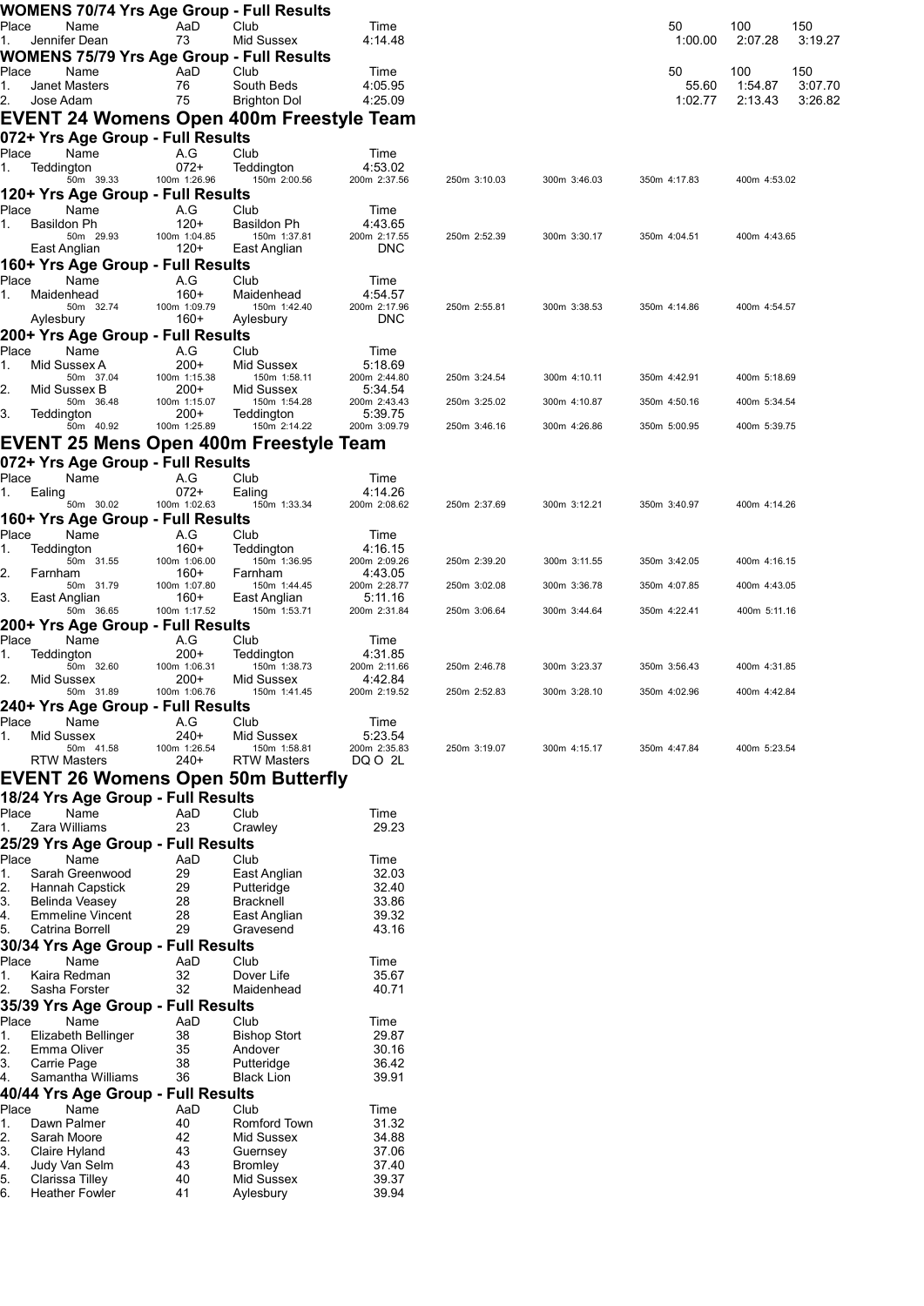| Place<br>Name<br>AaD<br>Club<br>50<br>100<br>150<br>Time<br>Jennifer Dean<br>Mid Sussex<br>3:19.27<br>73<br>4:14.48<br>1:00.00<br>2:07.28<br>1.<br>WOMENS 75/79 Yrs Age Group - Full Results<br>Place<br>AaD<br>Club<br>50<br>100<br>150<br>Name<br>Time<br>3:07.70<br>Janet Masters<br>76<br>South Beds<br>4:05.95<br>55.60<br>1:54.87<br>1.<br>Jose Adam<br>75<br><b>Brighton Dol</b><br>4:25.09<br>1:02.77<br>2:13.43<br>3:26.82<br>2.<br><b>EVENT 24 Womens Open 400m Freestyle Team</b><br>072+ Yrs Age Group - Full Results<br>Place<br>Name<br>A.G<br>Club<br>Time<br>$072+$<br>Teddington<br>Teddington<br>4:53.02<br>1.<br>50m 39.33<br>100m 1:26.96<br>150m 2:00.56<br>200m 2:37.56<br>250m 3:10.03<br>300m 3:46.03<br>350m 4:17.83<br>400m 4:53.02<br>120+ Yrs Age Group - Full Results<br>Place<br>Name<br>A.G<br>Club<br>Time<br>$120+$<br>Basildon Ph<br>Basildon Ph<br>4:43.65<br>1.<br>150m 1:37.81<br>50m 29.93<br>100m 1:04.85<br>200m 2:17.55<br>250m 2:52.39<br>300m 3:30.17<br>350m 4:04.51<br>400m 4:43.65<br>East Anglian<br>120+<br>East Anglian<br><b>DNC</b><br>160+ Yrs Age Group - Full Results<br>Place<br>Name<br>A.G<br>Club<br>Time<br>$160+$<br>Maidenhead<br>Maidenhead<br>4:54.57<br>1.<br>100m 1:09.79<br>150m 1:42.40<br>200m 2:17.96<br>50m 32.74<br>250m 2:55.81<br>300m 3:38.53<br>350m 4:14.86<br>400m 4:54.57<br>$160+$<br><b>DNC</b><br>Aylesbury<br>Aylesbury<br>200+ Yrs Age Group - Full Results<br>Place<br>Name<br>A.G<br>Club<br>Time<br>Mid Sussex A<br>$200+$<br>Mid Sussex<br>5:18.69<br>1.<br>50m 37.04<br>100m 1:15.38<br>150m 1:58.11<br>200m 2:44.80<br>250m 3:24.54<br>300m 4:10.11<br>350m 4:42.91<br>400m 5:18.69<br>2.<br>Mid Sussex B<br>$200+$<br>Mid Sussex<br>5:34.54<br>50m 36.48<br>100m 1:15.07<br>150m 1:54.28<br>200m 2:43.43<br>250m 3:25.02<br>300m 4:10.87<br>350m 4:50.16<br>400m 5:34.54<br>3.<br>5:39.75<br>Teddington<br>200+<br>Teddington<br>200m 3:09.79<br>50m 40.92<br>100m 1:25.89<br>150m 2:14.22<br>300m 4:26.86<br>250m 3:46.16<br>350m 5:00.95<br>400m 5:39.75<br>072+ Yrs Age Group - Full Results<br>Place<br>Name<br>A.G<br>Club<br>Time<br>$072+$<br>4:14.26<br>Ealing<br>Ealing<br>1.<br>50m 30.02<br>100m 1:02.63<br>150m 1:33.34<br>200m 2:08.62<br>250m 2:37.69<br>300m 3:12.21<br>350m 3:40.97<br>400m 4:14.26<br>160+ Yrs Age Group - Full Results<br>Place<br>Name<br>A.G<br>Club<br>Time<br>Teddington<br>$160+$<br>4:16.15<br>Teddington<br>1.<br>100m 1:06.00<br>150m 1:36.95<br>200m 2:09.26<br>50m 31.55<br>250m 2:39.20<br>300m 3:11.55<br>350m 3:42.05<br>400m 4:16.15<br>2.<br>$160+$<br>4:43.05<br>Farnham<br>Farnham<br>50m 31.79<br>100m 1:07.80<br>150m 1:44.45<br>200m 2:28.77<br>250m 3:02.08<br>300m 3:36.78<br>350m 4:07.85<br>400m 4:43.05<br>3.<br>East Anglian<br>160+<br>East Anglian<br>5:11.16<br>50m 36.65<br>100m 1:17.52<br>150m 1:53.71<br>200m 2:31.84<br>250m 3:06.64<br>300m 3:44.64<br>350m 4:22.41<br>400m 5:11.16<br>200+ Yrs Age Group - Full Results<br>Place<br>Name<br>A.G<br>Club<br>Time<br>$200+$<br>Teddington<br>Teddington<br>4:31.85<br>1.<br>50m 32.60<br>100m 1:06.31<br>150m 1:38.73<br>200m 2:11.66<br>250m 2:46.78<br>300m 3:23.37<br>400m 4:31.85<br>350m 3:56.43<br>2.<br>Mid Sussex<br>$200+$<br>Mid Sussex<br>4:42.84<br>100m 1:06.76<br>150m 1:41.45<br>200m 2:19.52<br>250m 2:52.83<br>300m 3:28.10<br>350m 4:02.96<br>400m 4:42.84<br>50m 31.89<br>240+ Yrs Age Group - Full Results<br>Place<br>Name<br>A.G<br>Club<br>Time<br>Mid Sussex<br>$240+$<br>5:23.54<br>Mid Sussex<br>1.<br>150m 1:58.81<br>200m 2:35.83<br>50m 41.58<br>100m 1:26.54<br>250m 3:19.07<br>300m 4:15.17<br>350m 4:47.84<br>400m 5:23.54<br><b>RTW Masters</b><br>240+<br>RTW Masters<br>DQ O 2L<br>18/24 Yrs Age Group - Full Results<br>Place<br>Name<br>AaD<br>Club<br>Time<br>23<br>Zara Williams<br>29.23<br>Crawley<br>1.<br>25/29 Yrs Age Group - Full Results<br>Place<br>Club<br>Name<br>AaD<br>Time<br>29<br>Sarah Greenwood<br>East Anglian<br>32.03<br>1.<br>29<br>32.40<br>2.<br>Hannah Capstick<br>Putteridge<br>33.86<br>3.<br>28<br><b>Bracknell</b><br>Belinda Veasey<br>28<br>39.32<br><b>Emmeline Vincent</b><br>East Anglian<br>29<br>43.16<br>Catrina Borrell<br>Gravesend<br>30/34 Yrs Age Group - Full Results<br>Place<br>Name<br>AaD<br>Club<br>Time<br>32<br>Dover Life<br>Kaira Redman<br>35.67<br>1.<br>32<br>2.<br>Sasha Forster<br>Maidenhead<br>40.71<br>35/39 Yrs Age Group - Full Results<br>Place<br>Name<br>AaD<br>Club<br>Time<br><b>Bishop Stort</b><br>Elizabeth Bellinger<br>38<br>29.87<br>1.<br>Emma Oliver<br>35<br>Andover<br>30.16<br>2.<br>3.<br>Carrie Page<br>38<br>36.42<br>Putteridge<br>Samantha Williams<br>36<br><b>Black Lion</b><br>39.91<br>Place<br>Name<br>AaD<br>Club<br>Time<br>Romford Town<br>Dawn Palmer<br>40<br>31.32<br>1.<br>Sarah Moore<br>Mid Sussex<br>34.88<br>2.<br>42<br>43<br>37.06<br>Claire Hyland<br>Guernsey<br>Judy Van Selm<br>43<br>37.40<br><b>Bromley</b><br>Clarissa Tilley<br>40<br>Mid Sussex<br>39.37<br><b>Heather Fowler</b><br>39.94<br>41<br>Aylesbury |  |  | WOMENS 70/74 Yrs Age Group - Full Results |  |  |  |  |
|----------------------------------------------------------------------------------------------------------------------------------------------------------------------------------------------------------------------------------------------------------------------------------------------------------------------------------------------------------------------------------------------------------------------------------------------------------------------------------------------------------------------------------------------------------------------------------------------------------------------------------------------------------------------------------------------------------------------------------------------------------------------------------------------------------------------------------------------------------------------------------------------------------------------------------------------------------------------------------------------------------------------------------------------------------------------------------------------------------------------------------------------------------------------------------------------------------------------------------------------------------------------------------------------------------------------------------------------------------------------------------------------------------------------------------------------------------------------------------------------------------------------------------------------------------------------------------------------------------------------------------------------------------------------------------------------------------------------------------------------------------------------------------------------------------------------------------------------------------------------------------------------------------------------------------------------------------------------------------------------------------------------------------------------------------------------------------------------------------------------------------------------------------------------------------------------------------------------------------------------------------------------------------------------------------------------------------------------------------------------------------------------------------------------------------------------------------------------------------------------------------------------------------------------------------------------------------------------------------------------------------------------------------------------------------------------------------------------------------------------------------------------------------------------------------------------------------------------------------------------------------------------------------------------------------------------------------------------------------------------------------------------------------------------------------------------------------------------------------------------------------------------------------------------------------------------------------------------------------------------------------------------------------------------------------------------------------------------------------------------------------------------------------------------------------------------------------------------------------------------------------------------------------------------------------------------------------------------------------------------------------------------------------------------------------------------------------------------------------------------------------------------------------------------------------------------------------------------------------------------------------------------------------------------------------------------------------------------------------------------------------------------------------------------------------------------------------------------------------------------------------------------------------------------------------------------------------------------------------------------------------------------------------------------------------------------------------------------------------------------------------------------------------------------------------------------------------------------------------------------------------------------------------------------------------------------------------------------------------------------------------------------------------------------------------------------------------------------------------------------------------------------------------------------------------------------------------------------------------------------------------------------------------------------------------------------------------------------------------------------------------------------------------------------------------------------------------|--|--|-------------------------------------------|--|--|--|--|
|                                                                                                                                                                                                                                                                                                                                                                                                                                                                                                                                                                                                                                                                                                                                                                                                                                                                                                                                                                                                                                                                                                                                                                                                                                                                                                                                                                                                                                                                                                                                                                                                                                                                                                                                                                                                                                                                                                                                                                                                                                                                                                                                                                                                                                                                                                                                                                                                                                                                                                                                                                                                                                                                                                                                                                                                                                                                                                                                                                                                                                                                                                                                                                                                                                                                                                                                                                                                                                                                                                                                                                                                                                                                                                                                                                                                                                                                                                                                                                                                                                                                                                                                                                                                                                                                                                                                                                                                                                                                                                                                                                                                                                                                                                                                                                                                                                                                                                                                                                                                                                                                                  |  |  |                                           |  |  |  |  |
|                                                                                                                                                                                                                                                                                                                                                                                                                                                                                                                                                                                                                                                                                                                                                                                                                                                                                                                                                                                                                                                                                                                                                                                                                                                                                                                                                                                                                                                                                                                                                                                                                                                                                                                                                                                                                                                                                                                                                                                                                                                                                                                                                                                                                                                                                                                                                                                                                                                                                                                                                                                                                                                                                                                                                                                                                                                                                                                                                                                                                                                                                                                                                                                                                                                                                                                                                                                                                                                                                                                                                                                                                                                                                                                                                                                                                                                                                                                                                                                                                                                                                                                                                                                                                                                                                                                                                                                                                                                                                                                                                                                                                                                                                                                                                                                                                                                                                                                                                                                                                                                                                  |  |  |                                           |  |  |  |  |
|                                                                                                                                                                                                                                                                                                                                                                                                                                                                                                                                                                                                                                                                                                                                                                                                                                                                                                                                                                                                                                                                                                                                                                                                                                                                                                                                                                                                                                                                                                                                                                                                                                                                                                                                                                                                                                                                                                                                                                                                                                                                                                                                                                                                                                                                                                                                                                                                                                                                                                                                                                                                                                                                                                                                                                                                                                                                                                                                                                                                                                                                                                                                                                                                                                                                                                                                                                                                                                                                                                                                                                                                                                                                                                                                                                                                                                                                                                                                                                                                                                                                                                                                                                                                                                                                                                                                                                                                                                                                                                                                                                                                                                                                                                                                                                                                                                                                                                                                                                                                                                                                                  |  |  |                                           |  |  |  |  |
|                                                                                                                                                                                                                                                                                                                                                                                                                                                                                                                                                                                                                                                                                                                                                                                                                                                                                                                                                                                                                                                                                                                                                                                                                                                                                                                                                                                                                                                                                                                                                                                                                                                                                                                                                                                                                                                                                                                                                                                                                                                                                                                                                                                                                                                                                                                                                                                                                                                                                                                                                                                                                                                                                                                                                                                                                                                                                                                                                                                                                                                                                                                                                                                                                                                                                                                                                                                                                                                                                                                                                                                                                                                                                                                                                                                                                                                                                                                                                                                                                                                                                                                                                                                                                                                                                                                                                                                                                                                                                                                                                                                                                                                                                                                                                                                                                                                                                                                                                                                                                                                                                  |  |  |                                           |  |  |  |  |
|                                                                                                                                                                                                                                                                                                                                                                                                                                                                                                                                                                                                                                                                                                                                                                                                                                                                                                                                                                                                                                                                                                                                                                                                                                                                                                                                                                                                                                                                                                                                                                                                                                                                                                                                                                                                                                                                                                                                                                                                                                                                                                                                                                                                                                                                                                                                                                                                                                                                                                                                                                                                                                                                                                                                                                                                                                                                                                                                                                                                                                                                                                                                                                                                                                                                                                                                                                                                                                                                                                                                                                                                                                                                                                                                                                                                                                                                                                                                                                                                                                                                                                                                                                                                                                                                                                                                                                                                                                                                                                                                                                                                                                                                                                                                                                                                                                                                                                                                                                                                                                                                                  |  |  |                                           |  |  |  |  |
|                                                                                                                                                                                                                                                                                                                                                                                                                                                                                                                                                                                                                                                                                                                                                                                                                                                                                                                                                                                                                                                                                                                                                                                                                                                                                                                                                                                                                                                                                                                                                                                                                                                                                                                                                                                                                                                                                                                                                                                                                                                                                                                                                                                                                                                                                                                                                                                                                                                                                                                                                                                                                                                                                                                                                                                                                                                                                                                                                                                                                                                                                                                                                                                                                                                                                                                                                                                                                                                                                                                                                                                                                                                                                                                                                                                                                                                                                                                                                                                                                                                                                                                                                                                                                                                                                                                                                                                                                                                                                                                                                                                                                                                                                                                                                                                                                                                                                                                                                                                                                                                                                  |  |  |                                           |  |  |  |  |
|                                                                                                                                                                                                                                                                                                                                                                                                                                                                                                                                                                                                                                                                                                                                                                                                                                                                                                                                                                                                                                                                                                                                                                                                                                                                                                                                                                                                                                                                                                                                                                                                                                                                                                                                                                                                                                                                                                                                                                                                                                                                                                                                                                                                                                                                                                                                                                                                                                                                                                                                                                                                                                                                                                                                                                                                                                                                                                                                                                                                                                                                                                                                                                                                                                                                                                                                                                                                                                                                                                                                                                                                                                                                                                                                                                                                                                                                                                                                                                                                                                                                                                                                                                                                                                                                                                                                                                                                                                                                                                                                                                                                                                                                                                                                                                                                                                                                                                                                                                                                                                                                                  |  |  |                                           |  |  |  |  |
|                                                                                                                                                                                                                                                                                                                                                                                                                                                                                                                                                                                                                                                                                                                                                                                                                                                                                                                                                                                                                                                                                                                                                                                                                                                                                                                                                                                                                                                                                                                                                                                                                                                                                                                                                                                                                                                                                                                                                                                                                                                                                                                                                                                                                                                                                                                                                                                                                                                                                                                                                                                                                                                                                                                                                                                                                                                                                                                                                                                                                                                                                                                                                                                                                                                                                                                                                                                                                                                                                                                                                                                                                                                                                                                                                                                                                                                                                                                                                                                                                                                                                                                                                                                                                                                                                                                                                                                                                                                                                                                                                                                                                                                                                                                                                                                                                                                                                                                                                                                                                                                                                  |  |  |                                           |  |  |  |  |
|                                                                                                                                                                                                                                                                                                                                                                                                                                                                                                                                                                                                                                                                                                                                                                                                                                                                                                                                                                                                                                                                                                                                                                                                                                                                                                                                                                                                                                                                                                                                                                                                                                                                                                                                                                                                                                                                                                                                                                                                                                                                                                                                                                                                                                                                                                                                                                                                                                                                                                                                                                                                                                                                                                                                                                                                                                                                                                                                                                                                                                                                                                                                                                                                                                                                                                                                                                                                                                                                                                                                                                                                                                                                                                                                                                                                                                                                                                                                                                                                                                                                                                                                                                                                                                                                                                                                                                                                                                                                                                                                                                                                                                                                                                                                                                                                                                                                                                                                                                                                                                                                                  |  |  |                                           |  |  |  |  |
|                                                                                                                                                                                                                                                                                                                                                                                                                                                                                                                                                                                                                                                                                                                                                                                                                                                                                                                                                                                                                                                                                                                                                                                                                                                                                                                                                                                                                                                                                                                                                                                                                                                                                                                                                                                                                                                                                                                                                                                                                                                                                                                                                                                                                                                                                                                                                                                                                                                                                                                                                                                                                                                                                                                                                                                                                                                                                                                                                                                                                                                                                                                                                                                                                                                                                                                                                                                                                                                                                                                                                                                                                                                                                                                                                                                                                                                                                                                                                                                                                                                                                                                                                                                                                                                                                                                                                                                                                                                                                                                                                                                                                                                                                                                                                                                                                                                                                                                                                                                                                                                                                  |  |  |                                           |  |  |  |  |
|                                                                                                                                                                                                                                                                                                                                                                                                                                                                                                                                                                                                                                                                                                                                                                                                                                                                                                                                                                                                                                                                                                                                                                                                                                                                                                                                                                                                                                                                                                                                                                                                                                                                                                                                                                                                                                                                                                                                                                                                                                                                                                                                                                                                                                                                                                                                                                                                                                                                                                                                                                                                                                                                                                                                                                                                                                                                                                                                                                                                                                                                                                                                                                                                                                                                                                                                                                                                                                                                                                                                                                                                                                                                                                                                                                                                                                                                                                                                                                                                                                                                                                                                                                                                                                                                                                                                                                                                                                                                                                                                                                                                                                                                                                                                                                                                                                                                                                                                                                                                                                                                                  |  |  |                                           |  |  |  |  |
|                                                                                                                                                                                                                                                                                                                                                                                                                                                                                                                                                                                                                                                                                                                                                                                                                                                                                                                                                                                                                                                                                                                                                                                                                                                                                                                                                                                                                                                                                                                                                                                                                                                                                                                                                                                                                                                                                                                                                                                                                                                                                                                                                                                                                                                                                                                                                                                                                                                                                                                                                                                                                                                                                                                                                                                                                                                                                                                                                                                                                                                                                                                                                                                                                                                                                                                                                                                                                                                                                                                                                                                                                                                                                                                                                                                                                                                                                                                                                                                                                                                                                                                                                                                                                                                                                                                                                                                                                                                                                                                                                                                                                                                                                                                                                                                                                                                                                                                                                                                                                                                                                  |  |  |                                           |  |  |  |  |
|                                                                                                                                                                                                                                                                                                                                                                                                                                                                                                                                                                                                                                                                                                                                                                                                                                                                                                                                                                                                                                                                                                                                                                                                                                                                                                                                                                                                                                                                                                                                                                                                                                                                                                                                                                                                                                                                                                                                                                                                                                                                                                                                                                                                                                                                                                                                                                                                                                                                                                                                                                                                                                                                                                                                                                                                                                                                                                                                                                                                                                                                                                                                                                                                                                                                                                                                                                                                                                                                                                                                                                                                                                                                                                                                                                                                                                                                                                                                                                                                                                                                                                                                                                                                                                                                                                                                                                                                                                                                                                                                                                                                                                                                                                                                                                                                                                                                                                                                                                                                                                                                                  |  |  |                                           |  |  |  |  |
|                                                                                                                                                                                                                                                                                                                                                                                                                                                                                                                                                                                                                                                                                                                                                                                                                                                                                                                                                                                                                                                                                                                                                                                                                                                                                                                                                                                                                                                                                                                                                                                                                                                                                                                                                                                                                                                                                                                                                                                                                                                                                                                                                                                                                                                                                                                                                                                                                                                                                                                                                                                                                                                                                                                                                                                                                                                                                                                                                                                                                                                                                                                                                                                                                                                                                                                                                                                                                                                                                                                                                                                                                                                                                                                                                                                                                                                                                                                                                                                                                                                                                                                                                                                                                                                                                                                                                                                                                                                                                                                                                                                                                                                                                                                                                                                                                                                                                                                                                                                                                                                                                  |  |  |                                           |  |  |  |  |
|                                                                                                                                                                                                                                                                                                                                                                                                                                                                                                                                                                                                                                                                                                                                                                                                                                                                                                                                                                                                                                                                                                                                                                                                                                                                                                                                                                                                                                                                                                                                                                                                                                                                                                                                                                                                                                                                                                                                                                                                                                                                                                                                                                                                                                                                                                                                                                                                                                                                                                                                                                                                                                                                                                                                                                                                                                                                                                                                                                                                                                                                                                                                                                                                                                                                                                                                                                                                                                                                                                                                                                                                                                                                                                                                                                                                                                                                                                                                                                                                                                                                                                                                                                                                                                                                                                                                                                                                                                                                                                                                                                                                                                                                                                                                                                                                                                                                                                                                                                                                                                                                                  |  |  |                                           |  |  |  |  |
|                                                                                                                                                                                                                                                                                                                                                                                                                                                                                                                                                                                                                                                                                                                                                                                                                                                                                                                                                                                                                                                                                                                                                                                                                                                                                                                                                                                                                                                                                                                                                                                                                                                                                                                                                                                                                                                                                                                                                                                                                                                                                                                                                                                                                                                                                                                                                                                                                                                                                                                                                                                                                                                                                                                                                                                                                                                                                                                                                                                                                                                                                                                                                                                                                                                                                                                                                                                                                                                                                                                                                                                                                                                                                                                                                                                                                                                                                                                                                                                                                                                                                                                                                                                                                                                                                                                                                                                                                                                                                                                                                                                                                                                                                                                                                                                                                                                                                                                                                                                                                                                                                  |  |  |                                           |  |  |  |  |
|                                                                                                                                                                                                                                                                                                                                                                                                                                                                                                                                                                                                                                                                                                                                                                                                                                                                                                                                                                                                                                                                                                                                                                                                                                                                                                                                                                                                                                                                                                                                                                                                                                                                                                                                                                                                                                                                                                                                                                                                                                                                                                                                                                                                                                                                                                                                                                                                                                                                                                                                                                                                                                                                                                                                                                                                                                                                                                                                                                                                                                                                                                                                                                                                                                                                                                                                                                                                                                                                                                                                                                                                                                                                                                                                                                                                                                                                                                                                                                                                                                                                                                                                                                                                                                                                                                                                                                                                                                                                                                                                                                                                                                                                                                                                                                                                                                                                                                                                                                                                                                                                                  |  |  |                                           |  |  |  |  |
|                                                                                                                                                                                                                                                                                                                                                                                                                                                                                                                                                                                                                                                                                                                                                                                                                                                                                                                                                                                                                                                                                                                                                                                                                                                                                                                                                                                                                                                                                                                                                                                                                                                                                                                                                                                                                                                                                                                                                                                                                                                                                                                                                                                                                                                                                                                                                                                                                                                                                                                                                                                                                                                                                                                                                                                                                                                                                                                                                                                                                                                                                                                                                                                                                                                                                                                                                                                                                                                                                                                                                                                                                                                                                                                                                                                                                                                                                                                                                                                                                                                                                                                                                                                                                                                                                                                                                                                                                                                                                                                                                                                                                                                                                                                                                                                                                                                                                                                                                                                                                                                                                  |  |  |                                           |  |  |  |  |
|                                                                                                                                                                                                                                                                                                                                                                                                                                                                                                                                                                                                                                                                                                                                                                                                                                                                                                                                                                                                                                                                                                                                                                                                                                                                                                                                                                                                                                                                                                                                                                                                                                                                                                                                                                                                                                                                                                                                                                                                                                                                                                                                                                                                                                                                                                                                                                                                                                                                                                                                                                                                                                                                                                                                                                                                                                                                                                                                                                                                                                                                                                                                                                                                                                                                                                                                                                                                                                                                                                                                                                                                                                                                                                                                                                                                                                                                                                                                                                                                                                                                                                                                                                                                                                                                                                                                                                                                                                                                                                                                                                                                                                                                                                                                                                                                                                                                                                                                                                                                                                                                                  |  |  |                                           |  |  |  |  |
|                                                                                                                                                                                                                                                                                                                                                                                                                                                                                                                                                                                                                                                                                                                                                                                                                                                                                                                                                                                                                                                                                                                                                                                                                                                                                                                                                                                                                                                                                                                                                                                                                                                                                                                                                                                                                                                                                                                                                                                                                                                                                                                                                                                                                                                                                                                                                                                                                                                                                                                                                                                                                                                                                                                                                                                                                                                                                                                                                                                                                                                                                                                                                                                                                                                                                                                                                                                                                                                                                                                                                                                                                                                                                                                                                                                                                                                                                                                                                                                                                                                                                                                                                                                                                                                                                                                                                                                                                                                                                                                                                                                                                                                                                                                                                                                                                                                                                                                                                                                                                                                                                  |  |  |                                           |  |  |  |  |
|                                                                                                                                                                                                                                                                                                                                                                                                                                                                                                                                                                                                                                                                                                                                                                                                                                                                                                                                                                                                                                                                                                                                                                                                                                                                                                                                                                                                                                                                                                                                                                                                                                                                                                                                                                                                                                                                                                                                                                                                                                                                                                                                                                                                                                                                                                                                                                                                                                                                                                                                                                                                                                                                                                                                                                                                                                                                                                                                                                                                                                                                                                                                                                                                                                                                                                                                                                                                                                                                                                                                                                                                                                                                                                                                                                                                                                                                                                                                                                                                                                                                                                                                                                                                                                                                                                                                                                                                                                                                                                                                                                                                                                                                                                                                                                                                                                                                                                                                                                                                                                                                                  |  |  |                                           |  |  |  |  |
| <b>EVENT 25 Mens Open 400m Freestyle Team</b><br>EVENT 26 Womens Open 50m Butterfly<br>4.<br>5.<br>4.<br>40/44 Yrs Age Group - Full Results<br>3.<br>4.<br>5.<br>6.                                                                                                                                                                                                                                                                                                                                                                                                                                                                                                                                                                                                                                                                                                                                                                                                                                                                                                                                                                                                                                                                                                                                                                                                                                                                                                                                                                                                                                                                                                                                                                                                                                                                                                                                                                                                                                                                                                                                                                                                                                                                                                                                                                                                                                                                                                                                                                                                                                                                                                                                                                                                                                                                                                                                                                                                                                                                                                                                                                                                                                                                                                                                                                                                                                                                                                                                                                                                                                                                                                                                                                                                                                                                                                                                                                                                                                                                                                                                                                                                                                                                                                                                                                                                                                                                                                                                                                                                                                                                                                                                                                                                                                                                                                                                                                                                                                                                                                              |  |  |                                           |  |  |  |  |
|                                                                                                                                                                                                                                                                                                                                                                                                                                                                                                                                                                                                                                                                                                                                                                                                                                                                                                                                                                                                                                                                                                                                                                                                                                                                                                                                                                                                                                                                                                                                                                                                                                                                                                                                                                                                                                                                                                                                                                                                                                                                                                                                                                                                                                                                                                                                                                                                                                                                                                                                                                                                                                                                                                                                                                                                                                                                                                                                                                                                                                                                                                                                                                                                                                                                                                                                                                                                                                                                                                                                                                                                                                                                                                                                                                                                                                                                                                                                                                                                                                                                                                                                                                                                                                                                                                                                                                                                                                                                                                                                                                                                                                                                                                                                                                                                                                                                                                                                                                                                                                                                                  |  |  |                                           |  |  |  |  |
|                                                                                                                                                                                                                                                                                                                                                                                                                                                                                                                                                                                                                                                                                                                                                                                                                                                                                                                                                                                                                                                                                                                                                                                                                                                                                                                                                                                                                                                                                                                                                                                                                                                                                                                                                                                                                                                                                                                                                                                                                                                                                                                                                                                                                                                                                                                                                                                                                                                                                                                                                                                                                                                                                                                                                                                                                                                                                                                                                                                                                                                                                                                                                                                                                                                                                                                                                                                                                                                                                                                                                                                                                                                                                                                                                                                                                                                                                                                                                                                                                                                                                                                                                                                                                                                                                                                                                                                                                                                                                                                                                                                                                                                                                                                                                                                                                                                                                                                                                                                                                                                                                  |  |  |                                           |  |  |  |  |
|                                                                                                                                                                                                                                                                                                                                                                                                                                                                                                                                                                                                                                                                                                                                                                                                                                                                                                                                                                                                                                                                                                                                                                                                                                                                                                                                                                                                                                                                                                                                                                                                                                                                                                                                                                                                                                                                                                                                                                                                                                                                                                                                                                                                                                                                                                                                                                                                                                                                                                                                                                                                                                                                                                                                                                                                                                                                                                                                                                                                                                                                                                                                                                                                                                                                                                                                                                                                                                                                                                                                                                                                                                                                                                                                                                                                                                                                                                                                                                                                                                                                                                                                                                                                                                                                                                                                                                                                                                                                                                                                                                                                                                                                                                                                                                                                                                                                                                                                                                                                                                                                                  |  |  |                                           |  |  |  |  |
|                                                                                                                                                                                                                                                                                                                                                                                                                                                                                                                                                                                                                                                                                                                                                                                                                                                                                                                                                                                                                                                                                                                                                                                                                                                                                                                                                                                                                                                                                                                                                                                                                                                                                                                                                                                                                                                                                                                                                                                                                                                                                                                                                                                                                                                                                                                                                                                                                                                                                                                                                                                                                                                                                                                                                                                                                                                                                                                                                                                                                                                                                                                                                                                                                                                                                                                                                                                                                                                                                                                                                                                                                                                                                                                                                                                                                                                                                                                                                                                                                                                                                                                                                                                                                                                                                                                                                                                                                                                                                                                                                                                                                                                                                                                                                                                                                                                                                                                                                                                                                                                                                  |  |  |                                           |  |  |  |  |
|                                                                                                                                                                                                                                                                                                                                                                                                                                                                                                                                                                                                                                                                                                                                                                                                                                                                                                                                                                                                                                                                                                                                                                                                                                                                                                                                                                                                                                                                                                                                                                                                                                                                                                                                                                                                                                                                                                                                                                                                                                                                                                                                                                                                                                                                                                                                                                                                                                                                                                                                                                                                                                                                                                                                                                                                                                                                                                                                                                                                                                                                                                                                                                                                                                                                                                                                                                                                                                                                                                                                                                                                                                                                                                                                                                                                                                                                                                                                                                                                                                                                                                                                                                                                                                                                                                                                                                                                                                                                                                                                                                                                                                                                                                                                                                                                                                                                                                                                                                                                                                                                                  |  |  |                                           |  |  |  |  |
|                                                                                                                                                                                                                                                                                                                                                                                                                                                                                                                                                                                                                                                                                                                                                                                                                                                                                                                                                                                                                                                                                                                                                                                                                                                                                                                                                                                                                                                                                                                                                                                                                                                                                                                                                                                                                                                                                                                                                                                                                                                                                                                                                                                                                                                                                                                                                                                                                                                                                                                                                                                                                                                                                                                                                                                                                                                                                                                                                                                                                                                                                                                                                                                                                                                                                                                                                                                                                                                                                                                                                                                                                                                                                                                                                                                                                                                                                                                                                                                                                                                                                                                                                                                                                                                                                                                                                                                                                                                                                                                                                                                                                                                                                                                                                                                                                                                                                                                                                                                                                                                                                  |  |  |                                           |  |  |  |  |
|                                                                                                                                                                                                                                                                                                                                                                                                                                                                                                                                                                                                                                                                                                                                                                                                                                                                                                                                                                                                                                                                                                                                                                                                                                                                                                                                                                                                                                                                                                                                                                                                                                                                                                                                                                                                                                                                                                                                                                                                                                                                                                                                                                                                                                                                                                                                                                                                                                                                                                                                                                                                                                                                                                                                                                                                                                                                                                                                                                                                                                                                                                                                                                                                                                                                                                                                                                                                                                                                                                                                                                                                                                                                                                                                                                                                                                                                                                                                                                                                                                                                                                                                                                                                                                                                                                                                                                                                                                                                                                                                                                                                                                                                                                                                                                                                                                                                                                                                                                                                                                                                                  |  |  |                                           |  |  |  |  |
|                                                                                                                                                                                                                                                                                                                                                                                                                                                                                                                                                                                                                                                                                                                                                                                                                                                                                                                                                                                                                                                                                                                                                                                                                                                                                                                                                                                                                                                                                                                                                                                                                                                                                                                                                                                                                                                                                                                                                                                                                                                                                                                                                                                                                                                                                                                                                                                                                                                                                                                                                                                                                                                                                                                                                                                                                                                                                                                                                                                                                                                                                                                                                                                                                                                                                                                                                                                                                                                                                                                                                                                                                                                                                                                                                                                                                                                                                                                                                                                                                                                                                                                                                                                                                                                                                                                                                                                                                                                                                                                                                                                                                                                                                                                                                                                                                                                                                                                                                                                                                                                                                  |  |  |                                           |  |  |  |  |
|                                                                                                                                                                                                                                                                                                                                                                                                                                                                                                                                                                                                                                                                                                                                                                                                                                                                                                                                                                                                                                                                                                                                                                                                                                                                                                                                                                                                                                                                                                                                                                                                                                                                                                                                                                                                                                                                                                                                                                                                                                                                                                                                                                                                                                                                                                                                                                                                                                                                                                                                                                                                                                                                                                                                                                                                                                                                                                                                                                                                                                                                                                                                                                                                                                                                                                                                                                                                                                                                                                                                                                                                                                                                                                                                                                                                                                                                                                                                                                                                                                                                                                                                                                                                                                                                                                                                                                                                                                                                                                                                                                                                                                                                                                                                                                                                                                                                                                                                                                                                                                                                                  |  |  |                                           |  |  |  |  |
|                                                                                                                                                                                                                                                                                                                                                                                                                                                                                                                                                                                                                                                                                                                                                                                                                                                                                                                                                                                                                                                                                                                                                                                                                                                                                                                                                                                                                                                                                                                                                                                                                                                                                                                                                                                                                                                                                                                                                                                                                                                                                                                                                                                                                                                                                                                                                                                                                                                                                                                                                                                                                                                                                                                                                                                                                                                                                                                                                                                                                                                                                                                                                                                                                                                                                                                                                                                                                                                                                                                                                                                                                                                                                                                                                                                                                                                                                                                                                                                                                                                                                                                                                                                                                                                                                                                                                                                                                                                                                                                                                                                                                                                                                                                                                                                                                                                                                                                                                                                                                                                                                  |  |  |                                           |  |  |  |  |
|                                                                                                                                                                                                                                                                                                                                                                                                                                                                                                                                                                                                                                                                                                                                                                                                                                                                                                                                                                                                                                                                                                                                                                                                                                                                                                                                                                                                                                                                                                                                                                                                                                                                                                                                                                                                                                                                                                                                                                                                                                                                                                                                                                                                                                                                                                                                                                                                                                                                                                                                                                                                                                                                                                                                                                                                                                                                                                                                                                                                                                                                                                                                                                                                                                                                                                                                                                                                                                                                                                                                                                                                                                                                                                                                                                                                                                                                                                                                                                                                                                                                                                                                                                                                                                                                                                                                                                                                                                                                                                                                                                                                                                                                                                                                                                                                                                                                                                                                                                                                                                                                                  |  |  |                                           |  |  |  |  |
|                                                                                                                                                                                                                                                                                                                                                                                                                                                                                                                                                                                                                                                                                                                                                                                                                                                                                                                                                                                                                                                                                                                                                                                                                                                                                                                                                                                                                                                                                                                                                                                                                                                                                                                                                                                                                                                                                                                                                                                                                                                                                                                                                                                                                                                                                                                                                                                                                                                                                                                                                                                                                                                                                                                                                                                                                                                                                                                                                                                                                                                                                                                                                                                                                                                                                                                                                                                                                                                                                                                                                                                                                                                                                                                                                                                                                                                                                                                                                                                                                                                                                                                                                                                                                                                                                                                                                                                                                                                                                                                                                                                                                                                                                                                                                                                                                                                                                                                                                                                                                                                                                  |  |  |                                           |  |  |  |  |
|                                                                                                                                                                                                                                                                                                                                                                                                                                                                                                                                                                                                                                                                                                                                                                                                                                                                                                                                                                                                                                                                                                                                                                                                                                                                                                                                                                                                                                                                                                                                                                                                                                                                                                                                                                                                                                                                                                                                                                                                                                                                                                                                                                                                                                                                                                                                                                                                                                                                                                                                                                                                                                                                                                                                                                                                                                                                                                                                                                                                                                                                                                                                                                                                                                                                                                                                                                                                                                                                                                                                                                                                                                                                                                                                                                                                                                                                                                                                                                                                                                                                                                                                                                                                                                                                                                                                                                                                                                                                                                                                                                                                                                                                                                                                                                                                                                                                                                                                                                                                                                                                                  |  |  |                                           |  |  |  |  |
|                                                                                                                                                                                                                                                                                                                                                                                                                                                                                                                                                                                                                                                                                                                                                                                                                                                                                                                                                                                                                                                                                                                                                                                                                                                                                                                                                                                                                                                                                                                                                                                                                                                                                                                                                                                                                                                                                                                                                                                                                                                                                                                                                                                                                                                                                                                                                                                                                                                                                                                                                                                                                                                                                                                                                                                                                                                                                                                                                                                                                                                                                                                                                                                                                                                                                                                                                                                                                                                                                                                                                                                                                                                                                                                                                                                                                                                                                                                                                                                                                                                                                                                                                                                                                                                                                                                                                                                                                                                                                                                                                                                                                                                                                                                                                                                                                                                                                                                                                                                                                                                                                  |  |  |                                           |  |  |  |  |
|                                                                                                                                                                                                                                                                                                                                                                                                                                                                                                                                                                                                                                                                                                                                                                                                                                                                                                                                                                                                                                                                                                                                                                                                                                                                                                                                                                                                                                                                                                                                                                                                                                                                                                                                                                                                                                                                                                                                                                                                                                                                                                                                                                                                                                                                                                                                                                                                                                                                                                                                                                                                                                                                                                                                                                                                                                                                                                                                                                                                                                                                                                                                                                                                                                                                                                                                                                                                                                                                                                                                                                                                                                                                                                                                                                                                                                                                                                                                                                                                                                                                                                                                                                                                                                                                                                                                                                                                                                                                                                                                                                                                                                                                                                                                                                                                                                                                                                                                                                                                                                                                                  |  |  |                                           |  |  |  |  |
|                                                                                                                                                                                                                                                                                                                                                                                                                                                                                                                                                                                                                                                                                                                                                                                                                                                                                                                                                                                                                                                                                                                                                                                                                                                                                                                                                                                                                                                                                                                                                                                                                                                                                                                                                                                                                                                                                                                                                                                                                                                                                                                                                                                                                                                                                                                                                                                                                                                                                                                                                                                                                                                                                                                                                                                                                                                                                                                                                                                                                                                                                                                                                                                                                                                                                                                                                                                                                                                                                                                                                                                                                                                                                                                                                                                                                                                                                                                                                                                                                                                                                                                                                                                                                                                                                                                                                                                                                                                                                                                                                                                                                                                                                                                                                                                                                                                                                                                                                                                                                                                                                  |  |  |                                           |  |  |  |  |
|                                                                                                                                                                                                                                                                                                                                                                                                                                                                                                                                                                                                                                                                                                                                                                                                                                                                                                                                                                                                                                                                                                                                                                                                                                                                                                                                                                                                                                                                                                                                                                                                                                                                                                                                                                                                                                                                                                                                                                                                                                                                                                                                                                                                                                                                                                                                                                                                                                                                                                                                                                                                                                                                                                                                                                                                                                                                                                                                                                                                                                                                                                                                                                                                                                                                                                                                                                                                                                                                                                                                                                                                                                                                                                                                                                                                                                                                                                                                                                                                                                                                                                                                                                                                                                                                                                                                                                                                                                                                                                                                                                                                                                                                                                                                                                                                                                                                                                                                                                                                                                                                                  |  |  |                                           |  |  |  |  |
|                                                                                                                                                                                                                                                                                                                                                                                                                                                                                                                                                                                                                                                                                                                                                                                                                                                                                                                                                                                                                                                                                                                                                                                                                                                                                                                                                                                                                                                                                                                                                                                                                                                                                                                                                                                                                                                                                                                                                                                                                                                                                                                                                                                                                                                                                                                                                                                                                                                                                                                                                                                                                                                                                                                                                                                                                                                                                                                                                                                                                                                                                                                                                                                                                                                                                                                                                                                                                                                                                                                                                                                                                                                                                                                                                                                                                                                                                                                                                                                                                                                                                                                                                                                                                                                                                                                                                                                                                                                                                                                                                                                                                                                                                                                                                                                                                                                                                                                                                                                                                                                                                  |  |  |                                           |  |  |  |  |
|                                                                                                                                                                                                                                                                                                                                                                                                                                                                                                                                                                                                                                                                                                                                                                                                                                                                                                                                                                                                                                                                                                                                                                                                                                                                                                                                                                                                                                                                                                                                                                                                                                                                                                                                                                                                                                                                                                                                                                                                                                                                                                                                                                                                                                                                                                                                                                                                                                                                                                                                                                                                                                                                                                                                                                                                                                                                                                                                                                                                                                                                                                                                                                                                                                                                                                                                                                                                                                                                                                                                                                                                                                                                                                                                                                                                                                                                                                                                                                                                                                                                                                                                                                                                                                                                                                                                                                                                                                                                                                                                                                                                                                                                                                                                                                                                                                                                                                                                                                                                                                                                                  |  |  |                                           |  |  |  |  |
|                                                                                                                                                                                                                                                                                                                                                                                                                                                                                                                                                                                                                                                                                                                                                                                                                                                                                                                                                                                                                                                                                                                                                                                                                                                                                                                                                                                                                                                                                                                                                                                                                                                                                                                                                                                                                                                                                                                                                                                                                                                                                                                                                                                                                                                                                                                                                                                                                                                                                                                                                                                                                                                                                                                                                                                                                                                                                                                                                                                                                                                                                                                                                                                                                                                                                                                                                                                                                                                                                                                                                                                                                                                                                                                                                                                                                                                                                                                                                                                                                                                                                                                                                                                                                                                                                                                                                                                                                                                                                                                                                                                                                                                                                                                                                                                                                                                                                                                                                                                                                                                                                  |  |  |                                           |  |  |  |  |
|                                                                                                                                                                                                                                                                                                                                                                                                                                                                                                                                                                                                                                                                                                                                                                                                                                                                                                                                                                                                                                                                                                                                                                                                                                                                                                                                                                                                                                                                                                                                                                                                                                                                                                                                                                                                                                                                                                                                                                                                                                                                                                                                                                                                                                                                                                                                                                                                                                                                                                                                                                                                                                                                                                                                                                                                                                                                                                                                                                                                                                                                                                                                                                                                                                                                                                                                                                                                                                                                                                                                                                                                                                                                                                                                                                                                                                                                                                                                                                                                                                                                                                                                                                                                                                                                                                                                                                                                                                                                                                                                                                                                                                                                                                                                                                                                                                                                                                                                                                                                                                                                                  |  |  |                                           |  |  |  |  |
|                                                                                                                                                                                                                                                                                                                                                                                                                                                                                                                                                                                                                                                                                                                                                                                                                                                                                                                                                                                                                                                                                                                                                                                                                                                                                                                                                                                                                                                                                                                                                                                                                                                                                                                                                                                                                                                                                                                                                                                                                                                                                                                                                                                                                                                                                                                                                                                                                                                                                                                                                                                                                                                                                                                                                                                                                                                                                                                                                                                                                                                                                                                                                                                                                                                                                                                                                                                                                                                                                                                                                                                                                                                                                                                                                                                                                                                                                                                                                                                                                                                                                                                                                                                                                                                                                                                                                                                                                                                                                                                                                                                                                                                                                                                                                                                                                                                                                                                                                                                                                                                                                  |  |  |                                           |  |  |  |  |
|                                                                                                                                                                                                                                                                                                                                                                                                                                                                                                                                                                                                                                                                                                                                                                                                                                                                                                                                                                                                                                                                                                                                                                                                                                                                                                                                                                                                                                                                                                                                                                                                                                                                                                                                                                                                                                                                                                                                                                                                                                                                                                                                                                                                                                                                                                                                                                                                                                                                                                                                                                                                                                                                                                                                                                                                                                                                                                                                                                                                                                                                                                                                                                                                                                                                                                                                                                                                                                                                                                                                                                                                                                                                                                                                                                                                                                                                                                                                                                                                                                                                                                                                                                                                                                                                                                                                                                                                                                                                                                                                                                                                                                                                                                                                                                                                                                                                                                                                                                                                                                                                                  |  |  |                                           |  |  |  |  |
|                                                                                                                                                                                                                                                                                                                                                                                                                                                                                                                                                                                                                                                                                                                                                                                                                                                                                                                                                                                                                                                                                                                                                                                                                                                                                                                                                                                                                                                                                                                                                                                                                                                                                                                                                                                                                                                                                                                                                                                                                                                                                                                                                                                                                                                                                                                                                                                                                                                                                                                                                                                                                                                                                                                                                                                                                                                                                                                                                                                                                                                                                                                                                                                                                                                                                                                                                                                                                                                                                                                                                                                                                                                                                                                                                                                                                                                                                                                                                                                                                                                                                                                                                                                                                                                                                                                                                                                                                                                                                                                                                                                                                                                                                                                                                                                                                                                                                                                                                                                                                                                                                  |  |  |                                           |  |  |  |  |
|                                                                                                                                                                                                                                                                                                                                                                                                                                                                                                                                                                                                                                                                                                                                                                                                                                                                                                                                                                                                                                                                                                                                                                                                                                                                                                                                                                                                                                                                                                                                                                                                                                                                                                                                                                                                                                                                                                                                                                                                                                                                                                                                                                                                                                                                                                                                                                                                                                                                                                                                                                                                                                                                                                                                                                                                                                                                                                                                                                                                                                                                                                                                                                                                                                                                                                                                                                                                                                                                                                                                                                                                                                                                                                                                                                                                                                                                                                                                                                                                                                                                                                                                                                                                                                                                                                                                                                                                                                                                                                                                                                                                                                                                                                                                                                                                                                                                                                                                                                                                                                                                                  |  |  |                                           |  |  |  |  |
|                                                                                                                                                                                                                                                                                                                                                                                                                                                                                                                                                                                                                                                                                                                                                                                                                                                                                                                                                                                                                                                                                                                                                                                                                                                                                                                                                                                                                                                                                                                                                                                                                                                                                                                                                                                                                                                                                                                                                                                                                                                                                                                                                                                                                                                                                                                                                                                                                                                                                                                                                                                                                                                                                                                                                                                                                                                                                                                                                                                                                                                                                                                                                                                                                                                                                                                                                                                                                                                                                                                                                                                                                                                                                                                                                                                                                                                                                                                                                                                                                                                                                                                                                                                                                                                                                                                                                                                                                                                                                                                                                                                                                                                                                                                                                                                                                                                                                                                                                                                                                                                                                  |  |  |                                           |  |  |  |  |
|                                                                                                                                                                                                                                                                                                                                                                                                                                                                                                                                                                                                                                                                                                                                                                                                                                                                                                                                                                                                                                                                                                                                                                                                                                                                                                                                                                                                                                                                                                                                                                                                                                                                                                                                                                                                                                                                                                                                                                                                                                                                                                                                                                                                                                                                                                                                                                                                                                                                                                                                                                                                                                                                                                                                                                                                                                                                                                                                                                                                                                                                                                                                                                                                                                                                                                                                                                                                                                                                                                                                                                                                                                                                                                                                                                                                                                                                                                                                                                                                                                                                                                                                                                                                                                                                                                                                                                                                                                                                                                                                                                                                                                                                                                                                                                                                                                                                                                                                                                                                                                                                                  |  |  |                                           |  |  |  |  |
|                                                                                                                                                                                                                                                                                                                                                                                                                                                                                                                                                                                                                                                                                                                                                                                                                                                                                                                                                                                                                                                                                                                                                                                                                                                                                                                                                                                                                                                                                                                                                                                                                                                                                                                                                                                                                                                                                                                                                                                                                                                                                                                                                                                                                                                                                                                                                                                                                                                                                                                                                                                                                                                                                                                                                                                                                                                                                                                                                                                                                                                                                                                                                                                                                                                                                                                                                                                                                                                                                                                                                                                                                                                                                                                                                                                                                                                                                                                                                                                                                                                                                                                                                                                                                                                                                                                                                                                                                                                                                                                                                                                                                                                                                                                                                                                                                                                                                                                                                                                                                                                                                  |  |  |                                           |  |  |  |  |
|                                                                                                                                                                                                                                                                                                                                                                                                                                                                                                                                                                                                                                                                                                                                                                                                                                                                                                                                                                                                                                                                                                                                                                                                                                                                                                                                                                                                                                                                                                                                                                                                                                                                                                                                                                                                                                                                                                                                                                                                                                                                                                                                                                                                                                                                                                                                                                                                                                                                                                                                                                                                                                                                                                                                                                                                                                                                                                                                                                                                                                                                                                                                                                                                                                                                                                                                                                                                                                                                                                                                                                                                                                                                                                                                                                                                                                                                                                                                                                                                                                                                                                                                                                                                                                                                                                                                                                                                                                                                                                                                                                                                                                                                                                                                                                                                                                                                                                                                                                                                                                                                                  |  |  |                                           |  |  |  |  |
|                                                                                                                                                                                                                                                                                                                                                                                                                                                                                                                                                                                                                                                                                                                                                                                                                                                                                                                                                                                                                                                                                                                                                                                                                                                                                                                                                                                                                                                                                                                                                                                                                                                                                                                                                                                                                                                                                                                                                                                                                                                                                                                                                                                                                                                                                                                                                                                                                                                                                                                                                                                                                                                                                                                                                                                                                                                                                                                                                                                                                                                                                                                                                                                                                                                                                                                                                                                                                                                                                                                                                                                                                                                                                                                                                                                                                                                                                                                                                                                                                                                                                                                                                                                                                                                                                                                                                                                                                                                                                                                                                                                                                                                                                                                                                                                                                                                                                                                                                                                                                                                                                  |  |  |                                           |  |  |  |  |
|                                                                                                                                                                                                                                                                                                                                                                                                                                                                                                                                                                                                                                                                                                                                                                                                                                                                                                                                                                                                                                                                                                                                                                                                                                                                                                                                                                                                                                                                                                                                                                                                                                                                                                                                                                                                                                                                                                                                                                                                                                                                                                                                                                                                                                                                                                                                                                                                                                                                                                                                                                                                                                                                                                                                                                                                                                                                                                                                                                                                                                                                                                                                                                                                                                                                                                                                                                                                                                                                                                                                                                                                                                                                                                                                                                                                                                                                                                                                                                                                                                                                                                                                                                                                                                                                                                                                                                                                                                                                                                                                                                                                                                                                                                                                                                                                                                                                                                                                                                                                                                                                                  |  |  |                                           |  |  |  |  |
|                                                                                                                                                                                                                                                                                                                                                                                                                                                                                                                                                                                                                                                                                                                                                                                                                                                                                                                                                                                                                                                                                                                                                                                                                                                                                                                                                                                                                                                                                                                                                                                                                                                                                                                                                                                                                                                                                                                                                                                                                                                                                                                                                                                                                                                                                                                                                                                                                                                                                                                                                                                                                                                                                                                                                                                                                                                                                                                                                                                                                                                                                                                                                                                                                                                                                                                                                                                                                                                                                                                                                                                                                                                                                                                                                                                                                                                                                                                                                                                                                                                                                                                                                                                                                                                                                                                                                                                                                                                                                                                                                                                                                                                                                                                                                                                                                                                                                                                                                                                                                                                                                  |  |  |                                           |  |  |  |  |
|                                                                                                                                                                                                                                                                                                                                                                                                                                                                                                                                                                                                                                                                                                                                                                                                                                                                                                                                                                                                                                                                                                                                                                                                                                                                                                                                                                                                                                                                                                                                                                                                                                                                                                                                                                                                                                                                                                                                                                                                                                                                                                                                                                                                                                                                                                                                                                                                                                                                                                                                                                                                                                                                                                                                                                                                                                                                                                                                                                                                                                                                                                                                                                                                                                                                                                                                                                                                                                                                                                                                                                                                                                                                                                                                                                                                                                                                                                                                                                                                                                                                                                                                                                                                                                                                                                                                                                                                                                                                                                                                                                                                                                                                                                                                                                                                                                                                                                                                                                                                                                                                                  |  |  |                                           |  |  |  |  |
|                                                                                                                                                                                                                                                                                                                                                                                                                                                                                                                                                                                                                                                                                                                                                                                                                                                                                                                                                                                                                                                                                                                                                                                                                                                                                                                                                                                                                                                                                                                                                                                                                                                                                                                                                                                                                                                                                                                                                                                                                                                                                                                                                                                                                                                                                                                                                                                                                                                                                                                                                                                                                                                                                                                                                                                                                                                                                                                                                                                                                                                                                                                                                                                                                                                                                                                                                                                                                                                                                                                                                                                                                                                                                                                                                                                                                                                                                                                                                                                                                                                                                                                                                                                                                                                                                                                                                                                                                                                                                                                                                                                                                                                                                                                                                                                                                                                                                                                                                                                                                                                                                  |  |  |                                           |  |  |  |  |
|                                                                                                                                                                                                                                                                                                                                                                                                                                                                                                                                                                                                                                                                                                                                                                                                                                                                                                                                                                                                                                                                                                                                                                                                                                                                                                                                                                                                                                                                                                                                                                                                                                                                                                                                                                                                                                                                                                                                                                                                                                                                                                                                                                                                                                                                                                                                                                                                                                                                                                                                                                                                                                                                                                                                                                                                                                                                                                                                                                                                                                                                                                                                                                                                                                                                                                                                                                                                                                                                                                                                                                                                                                                                                                                                                                                                                                                                                                                                                                                                                                                                                                                                                                                                                                                                                                                                                                                                                                                                                                                                                                                                                                                                                                                                                                                                                                                                                                                                                                                                                                                                                  |  |  |                                           |  |  |  |  |
|                                                                                                                                                                                                                                                                                                                                                                                                                                                                                                                                                                                                                                                                                                                                                                                                                                                                                                                                                                                                                                                                                                                                                                                                                                                                                                                                                                                                                                                                                                                                                                                                                                                                                                                                                                                                                                                                                                                                                                                                                                                                                                                                                                                                                                                                                                                                                                                                                                                                                                                                                                                                                                                                                                                                                                                                                                                                                                                                                                                                                                                                                                                                                                                                                                                                                                                                                                                                                                                                                                                                                                                                                                                                                                                                                                                                                                                                                                                                                                                                                                                                                                                                                                                                                                                                                                                                                                                                                                                                                                                                                                                                                                                                                                                                                                                                                                                                                                                                                                                                                                                                                  |  |  |                                           |  |  |  |  |
|                                                                                                                                                                                                                                                                                                                                                                                                                                                                                                                                                                                                                                                                                                                                                                                                                                                                                                                                                                                                                                                                                                                                                                                                                                                                                                                                                                                                                                                                                                                                                                                                                                                                                                                                                                                                                                                                                                                                                                                                                                                                                                                                                                                                                                                                                                                                                                                                                                                                                                                                                                                                                                                                                                                                                                                                                                                                                                                                                                                                                                                                                                                                                                                                                                                                                                                                                                                                                                                                                                                                                                                                                                                                                                                                                                                                                                                                                                                                                                                                                                                                                                                                                                                                                                                                                                                                                                                                                                                                                                                                                                                                                                                                                                                                                                                                                                                                                                                                                                                                                                                                                  |  |  |                                           |  |  |  |  |
|                                                                                                                                                                                                                                                                                                                                                                                                                                                                                                                                                                                                                                                                                                                                                                                                                                                                                                                                                                                                                                                                                                                                                                                                                                                                                                                                                                                                                                                                                                                                                                                                                                                                                                                                                                                                                                                                                                                                                                                                                                                                                                                                                                                                                                                                                                                                                                                                                                                                                                                                                                                                                                                                                                                                                                                                                                                                                                                                                                                                                                                                                                                                                                                                                                                                                                                                                                                                                                                                                                                                                                                                                                                                                                                                                                                                                                                                                                                                                                                                                                                                                                                                                                                                                                                                                                                                                                                                                                                                                                                                                                                                                                                                                                                                                                                                                                                                                                                                                                                                                                                                                  |  |  |                                           |  |  |  |  |
|                                                                                                                                                                                                                                                                                                                                                                                                                                                                                                                                                                                                                                                                                                                                                                                                                                                                                                                                                                                                                                                                                                                                                                                                                                                                                                                                                                                                                                                                                                                                                                                                                                                                                                                                                                                                                                                                                                                                                                                                                                                                                                                                                                                                                                                                                                                                                                                                                                                                                                                                                                                                                                                                                                                                                                                                                                                                                                                                                                                                                                                                                                                                                                                                                                                                                                                                                                                                                                                                                                                                                                                                                                                                                                                                                                                                                                                                                                                                                                                                                                                                                                                                                                                                                                                                                                                                                                                                                                                                                                                                                                                                                                                                                                                                                                                                                                                                                                                                                                                                                                                                                  |  |  |                                           |  |  |  |  |
|                                                                                                                                                                                                                                                                                                                                                                                                                                                                                                                                                                                                                                                                                                                                                                                                                                                                                                                                                                                                                                                                                                                                                                                                                                                                                                                                                                                                                                                                                                                                                                                                                                                                                                                                                                                                                                                                                                                                                                                                                                                                                                                                                                                                                                                                                                                                                                                                                                                                                                                                                                                                                                                                                                                                                                                                                                                                                                                                                                                                                                                                                                                                                                                                                                                                                                                                                                                                                                                                                                                                                                                                                                                                                                                                                                                                                                                                                                                                                                                                                                                                                                                                                                                                                                                                                                                                                                                                                                                                                                                                                                                                                                                                                                                                                                                                                                                                                                                                                                                                                                                                                  |  |  |                                           |  |  |  |  |
|                                                                                                                                                                                                                                                                                                                                                                                                                                                                                                                                                                                                                                                                                                                                                                                                                                                                                                                                                                                                                                                                                                                                                                                                                                                                                                                                                                                                                                                                                                                                                                                                                                                                                                                                                                                                                                                                                                                                                                                                                                                                                                                                                                                                                                                                                                                                                                                                                                                                                                                                                                                                                                                                                                                                                                                                                                                                                                                                                                                                                                                                                                                                                                                                                                                                                                                                                                                                                                                                                                                                                                                                                                                                                                                                                                                                                                                                                                                                                                                                                                                                                                                                                                                                                                                                                                                                                                                                                                                                                                                                                                                                                                                                                                                                                                                                                                                                                                                                                                                                                                                                                  |  |  |                                           |  |  |  |  |
|                                                                                                                                                                                                                                                                                                                                                                                                                                                                                                                                                                                                                                                                                                                                                                                                                                                                                                                                                                                                                                                                                                                                                                                                                                                                                                                                                                                                                                                                                                                                                                                                                                                                                                                                                                                                                                                                                                                                                                                                                                                                                                                                                                                                                                                                                                                                                                                                                                                                                                                                                                                                                                                                                                                                                                                                                                                                                                                                                                                                                                                                                                                                                                                                                                                                                                                                                                                                                                                                                                                                                                                                                                                                                                                                                                                                                                                                                                                                                                                                                                                                                                                                                                                                                                                                                                                                                                                                                                                                                                                                                                                                                                                                                                                                                                                                                                                                                                                                                                                                                                                                                  |  |  |                                           |  |  |  |  |
|                                                                                                                                                                                                                                                                                                                                                                                                                                                                                                                                                                                                                                                                                                                                                                                                                                                                                                                                                                                                                                                                                                                                                                                                                                                                                                                                                                                                                                                                                                                                                                                                                                                                                                                                                                                                                                                                                                                                                                                                                                                                                                                                                                                                                                                                                                                                                                                                                                                                                                                                                                                                                                                                                                                                                                                                                                                                                                                                                                                                                                                                                                                                                                                                                                                                                                                                                                                                                                                                                                                                                                                                                                                                                                                                                                                                                                                                                                                                                                                                                                                                                                                                                                                                                                                                                                                                                                                                                                                                                                                                                                                                                                                                                                                                                                                                                                                                                                                                                                                                                                                                                  |  |  |                                           |  |  |  |  |
|                                                                                                                                                                                                                                                                                                                                                                                                                                                                                                                                                                                                                                                                                                                                                                                                                                                                                                                                                                                                                                                                                                                                                                                                                                                                                                                                                                                                                                                                                                                                                                                                                                                                                                                                                                                                                                                                                                                                                                                                                                                                                                                                                                                                                                                                                                                                                                                                                                                                                                                                                                                                                                                                                                                                                                                                                                                                                                                                                                                                                                                                                                                                                                                                                                                                                                                                                                                                                                                                                                                                                                                                                                                                                                                                                                                                                                                                                                                                                                                                                                                                                                                                                                                                                                                                                                                                                                                                                                                                                                                                                                                                                                                                                                                                                                                                                                                                                                                                                                                                                                                                                  |  |  |                                           |  |  |  |  |
|                                                                                                                                                                                                                                                                                                                                                                                                                                                                                                                                                                                                                                                                                                                                                                                                                                                                                                                                                                                                                                                                                                                                                                                                                                                                                                                                                                                                                                                                                                                                                                                                                                                                                                                                                                                                                                                                                                                                                                                                                                                                                                                                                                                                                                                                                                                                                                                                                                                                                                                                                                                                                                                                                                                                                                                                                                                                                                                                                                                                                                                                                                                                                                                                                                                                                                                                                                                                                                                                                                                                                                                                                                                                                                                                                                                                                                                                                                                                                                                                                                                                                                                                                                                                                                                                                                                                                                                                                                                                                                                                                                                                                                                                                                                                                                                                                                                                                                                                                                                                                                                                                  |  |  |                                           |  |  |  |  |
|                                                                                                                                                                                                                                                                                                                                                                                                                                                                                                                                                                                                                                                                                                                                                                                                                                                                                                                                                                                                                                                                                                                                                                                                                                                                                                                                                                                                                                                                                                                                                                                                                                                                                                                                                                                                                                                                                                                                                                                                                                                                                                                                                                                                                                                                                                                                                                                                                                                                                                                                                                                                                                                                                                                                                                                                                                                                                                                                                                                                                                                                                                                                                                                                                                                                                                                                                                                                                                                                                                                                                                                                                                                                                                                                                                                                                                                                                                                                                                                                                                                                                                                                                                                                                                                                                                                                                                                                                                                                                                                                                                                                                                                                                                                                                                                                                                                                                                                                                                                                                                                                                  |  |  |                                           |  |  |  |  |
|                                                                                                                                                                                                                                                                                                                                                                                                                                                                                                                                                                                                                                                                                                                                                                                                                                                                                                                                                                                                                                                                                                                                                                                                                                                                                                                                                                                                                                                                                                                                                                                                                                                                                                                                                                                                                                                                                                                                                                                                                                                                                                                                                                                                                                                                                                                                                                                                                                                                                                                                                                                                                                                                                                                                                                                                                                                                                                                                                                                                                                                                                                                                                                                                                                                                                                                                                                                                                                                                                                                                                                                                                                                                                                                                                                                                                                                                                                                                                                                                                                                                                                                                                                                                                                                                                                                                                                                                                                                                                                                                                                                                                                                                                                                                                                                                                                                                                                                                                                                                                                                                                  |  |  |                                           |  |  |  |  |
|                                                                                                                                                                                                                                                                                                                                                                                                                                                                                                                                                                                                                                                                                                                                                                                                                                                                                                                                                                                                                                                                                                                                                                                                                                                                                                                                                                                                                                                                                                                                                                                                                                                                                                                                                                                                                                                                                                                                                                                                                                                                                                                                                                                                                                                                                                                                                                                                                                                                                                                                                                                                                                                                                                                                                                                                                                                                                                                                                                                                                                                                                                                                                                                                                                                                                                                                                                                                                                                                                                                                                                                                                                                                                                                                                                                                                                                                                                                                                                                                                                                                                                                                                                                                                                                                                                                                                                                                                                                                                                                                                                                                                                                                                                                                                                                                                                                                                                                                                                                                                                                                                  |  |  |                                           |  |  |  |  |
|                                                                                                                                                                                                                                                                                                                                                                                                                                                                                                                                                                                                                                                                                                                                                                                                                                                                                                                                                                                                                                                                                                                                                                                                                                                                                                                                                                                                                                                                                                                                                                                                                                                                                                                                                                                                                                                                                                                                                                                                                                                                                                                                                                                                                                                                                                                                                                                                                                                                                                                                                                                                                                                                                                                                                                                                                                                                                                                                                                                                                                                                                                                                                                                                                                                                                                                                                                                                                                                                                                                                                                                                                                                                                                                                                                                                                                                                                                                                                                                                                                                                                                                                                                                                                                                                                                                                                                                                                                                                                                                                                                                                                                                                                                                                                                                                                                                                                                                                                                                                                                                                                  |  |  |                                           |  |  |  |  |
|                                                                                                                                                                                                                                                                                                                                                                                                                                                                                                                                                                                                                                                                                                                                                                                                                                                                                                                                                                                                                                                                                                                                                                                                                                                                                                                                                                                                                                                                                                                                                                                                                                                                                                                                                                                                                                                                                                                                                                                                                                                                                                                                                                                                                                                                                                                                                                                                                                                                                                                                                                                                                                                                                                                                                                                                                                                                                                                                                                                                                                                                                                                                                                                                                                                                                                                                                                                                                                                                                                                                                                                                                                                                                                                                                                                                                                                                                                                                                                                                                                                                                                                                                                                                                                                                                                                                                                                                                                                                                                                                                                                                                                                                                                                                                                                                                                                                                                                                                                                                                                                                                  |  |  |                                           |  |  |  |  |
|                                                                                                                                                                                                                                                                                                                                                                                                                                                                                                                                                                                                                                                                                                                                                                                                                                                                                                                                                                                                                                                                                                                                                                                                                                                                                                                                                                                                                                                                                                                                                                                                                                                                                                                                                                                                                                                                                                                                                                                                                                                                                                                                                                                                                                                                                                                                                                                                                                                                                                                                                                                                                                                                                                                                                                                                                                                                                                                                                                                                                                                                                                                                                                                                                                                                                                                                                                                                                                                                                                                                                                                                                                                                                                                                                                                                                                                                                                                                                                                                                                                                                                                                                                                                                                                                                                                                                                                                                                                                                                                                                                                                                                                                                                                                                                                                                                                                                                                                                                                                                                                                                  |  |  |                                           |  |  |  |  |
|                                                                                                                                                                                                                                                                                                                                                                                                                                                                                                                                                                                                                                                                                                                                                                                                                                                                                                                                                                                                                                                                                                                                                                                                                                                                                                                                                                                                                                                                                                                                                                                                                                                                                                                                                                                                                                                                                                                                                                                                                                                                                                                                                                                                                                                                                                                                                                                                                                                                                                                                                                                                                                                                                                                                                                                                                                                                                                                                                                                                                                                                                                                                                                                                                                                                                                                                                                                                                                                                                                                                                                                                                                                                                                                                                                                                                                                                                                                                                                                                                                                                                                                                                                                                                                                                                                                                                                                                                                                                                                                                                                                                                                                                                                                                                                                                                                                                                                                                                                                                                                                                                  |  |  |                                           |  |  |  |  |
|                                                                                                                                                                                                                                                                                                                                                                                                                                                                                                                                                                                                                                                                                                                                                                                                                                                                                                                                                                                                                                                                                                                                                                                                                                                                                                                                                                                                                                                                                                                                                                                                                                                                                                                                                                                                                                                                                                                                                                                                                                                                                                                                                                                                                                                                                                                                                                                                                                                                                                                                                                                                                                                                                                                                                                                                                                                                                                                                                                                                                                                                                                                                                                                                                                                                                                                                                                                                                                                                                                                                                                                                                                                                                                                                                                                                                                                                                                                                                                                                                                                                                                                                                                                                                                                                                                                                                                                                                                                                                                                                                                                                                                                                                                                                                                                                                                                                                                                                                                                                                                                                                  |  |  |                                           |  |  |  |  |
|                                                                                                                                                                                                                                                                                                                                                                                                                                                                                                                                                                                                                                                                                                                                                                                                                                                                                                                                                                                                                                                                                                                                                                                                                                                                                                                                                                                                                                                                                                                                                                                                                                                                                                                                                                                                                                                                                                                                                                                                                                                                                                                                                                                                                                                                                                                                                                                                                                                                                                                                                                                                                                                                                                                                                                                                                                                                                                                                                                                                                                                                                                                                                                                                                                                                                                                                                                                                                                                                                                                                                                                                                                                                                                                                                                                                                                                                                                                                                                                                                                                                                                                                                                                                                                                                                                                                                                                                                                                                                                                                                                                                                                                                                                                                                                                                                                                                                                                                                                                                                                                                                  |  |  |                                           |  |  |  |  |
|                                                                                                                                                                                                                                                                                                                                                                                                                                                                                                                                                                                                                                                                                                                                                                                                                                                                                                                                                                                                                                                                                                                                                                                                                                                                                                                                                                                                                                                                                                                                                                                                                                                                                                                                                                                                                                                                                                                                                                                                                                                                                                                                                                                                                                                                                                                                                                                                                                                                                                                                                                                                                                                                                                                                                                                                                                                                                                                                                                                                                                                                                                                                                                                                                                                                                                                                                                                                                                                                                                                                                                                                                                                                                                                                                                                                                                                                                                                                                                                                                                                                                                                                                                                                                                                                                                                                                                                                                                                                                                                                                                                                                                                                                                                                                                                                                                                                                                                                                                                                                                                                                  |  |  |                                           |  |  |  |  |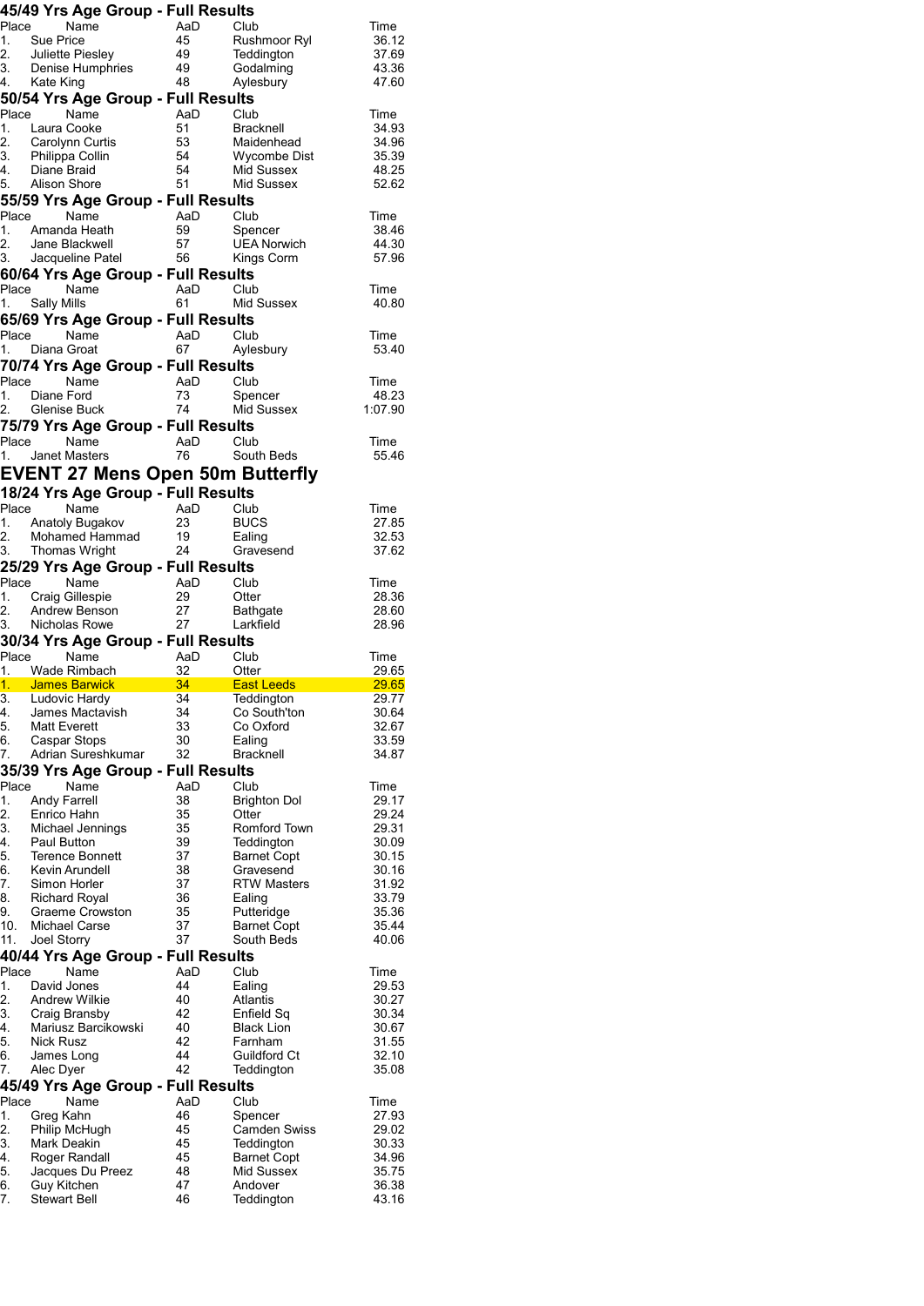|                                        | 45/49 Yrs Age Group - Full Results                                                                                                                                                                                                   |                |                                                              |                  |
|----------------------------------------|--------------------------------------------------------------------------------------------------------------------------------------------------------------------------------------------------------------------------------------|----------------|--------------------------------------------------------------|------------------|
|                                        | Place Name                                                                                                                                                                                                                           |                | AaD Club<br>45 Rushmoor Ryl<br>49 Teddington<br>48 Aylesbury | Time             |
|                                        |                                                                                                                                                                                                                                      |                |                                                              | 36.12<br>37.69   |
|                                        |                                                                                                                                                                                                                                      |                |                                                              | 43.36            |
|                                        | 1. Sue Price<br>2. Juliette Piesley<br>3. Denise Humphries<br>4. Kate King<br>1. Man Group                                                                                                                                           |                |                                                              | 47.60            |
|                                        | 50/54 Yrs Age Group - Full Results                                                                                                                                                                                                   |                |                                                              |                  |
|                                        | Place<br>Name                                                                                                                                                                                                                        |                | AaD Club<br>51 Bracknell<br>53 Maidenhead<br>54 Wycombe Dist | Time<br>34.93    |
|                                        |                                                                                                                                                                                                                                      |                |                                                              | 34.96            |
|                                        |                                                                                                                                                                                                                                      |                |                                                              | 35.39            |
|                                        | 1. Laura Cooke<br>2. Carolynn Curtis<br>3. Philippa Collin<br>4. Diane Braid<br>5. Alison Shore                                                                                                                                      | 54<br>51       | Mid Sussex                                                   | 48.25            |
|                                        |                                                                                                                                                                                                                                      |                | Mid Sussex                                                   | 52.62            |
|                                        | 55/59 Yrs Age Group - Full Results<br>Place Name                                                                                                                                                                                     |                |                                                              |                  |
|                                        | 1. Amanda Heath                                                                                                                                                                                                                      |                | AaD Club<br>59 Spencer                                       | Time<br>38.46    |
|                                        |                                                                                                                                                                                                                                      |                | <b>UEA Norwich</b>                                           | 44.30            |
|                                        |                                                                                                                                                                                                                                      |                |                                                              | 57.96            |
|                                        | 60/64 Yrs Age Group - Full Results                                                                                                                                                                                                   |                |                                                              |                  |
|                                        | Place Name                                                                                                                                                                                                                           |                | AaD Club<br>61 Mid Sussex                                    | Time             |
| 1.                                     | <b>Sally Mills</b><br>65/69 Yrs Age Group - Full Results                                                                                                                                                                             |                |                                                              | 40.80            |
|                                        |                                                                                                                                                                                                                                      |                | AaD Club                                                     | Time             |
|                                        | Place Name<br>1. Diana Groat                                                                                                                                                                                                         |                | 67 Aylesbury                                                 | 53.40            |
|                                        | 70/74 Yrs Age Group - Full Results                                                                                                                                                                                                   |                |                                                              |                  |
|                                        | Place Name                                                                                                                                                                                                                           | AaD Club       |                                                              | Time             |
|                                        | 1. Diane Ford                                                                                                                                                                                                                        | 73<br>74       | Spencer                                                      | 48.23            |
|                                        | 2. Glenise Buck                                                                                                                                                                                                                      |                | Mid Sussex                                                   | 1:07.90          |
|                                        | 75/79 Yrs Age Group - Full Results<br>Place<br>Name                                                                                                                                                                                  | AaD            | Club                                                         | Time             |
|                                        | $1.$ Janet Masters                                                                                                                                                                                                                   | 76             | South Beds                                                   | 55.46            |
|                                        | <b>EVENT 27 Mens Open 50m Butterfly</b>                                                                                                                                                                                              |                |                                                              |                  |
|                                        | 18/24 Yrs Age Group - Full Results                                                                                                                                                                                                   |                |                                                              |                  |
|                                        | ivarile AaD Club<br>1. Anatoly Bugakov 23 Diese 2. Mohama 2. Mohama 2. Mahama 2. Mahama 2. Mahama 2. Mahama 2. Mahama 2. Mahama 2<br>2. Mohama 2. Mahama 2. Mahama 2. Mahama 2. Mahama 2. Mahama 2. Mahama 2. Mahama 2. Mahama 2. Ma |                |                                                              | Time             |
|                                        |                                                                                                                                                                                                                                      |                | <b>BUCS</b>                                                  | 27.85            |
|                                        | 1. Anatoly Bugakov<br>2. Mohamed Hammad 19                                                                                                                                                                                           |                | Ealing                                                       | 32.53            |
|                                        | 3. Thomas Wright                                                                                                                                                                                                                     | 24             | Gravesend                                                    | 37.62            |
|                                        | 25/29 Yrs Age Group - Full Results<br>Place<br>Name                                                                                                                                                                                  |                |                                                              |                  |
|                                        | 1. Craig Gillespie                                                                                                                                                                                                                   | AaD Club<br>29 | Otter                                                        | Time<br>28.36    |
|                                        |                                                                                                                                                                                                                                      |                |                                                              |                  |
|                                        |                                                                                                                                                                                                                                      |                |                                                              | 28.60            |
|                                        | 2. Andrew Benson<br>3. Nicholas Rowe                                                                                                                                                                                                 | 27<br>27       | <b>Bathgate</b><br>Larkfield                                 | 28.96            |
|                                        | 30/34 Yrs Age Group - Full Results                                                                                                                                                                                                   |                |                                                              |                  |
|                                        | Place<br>Name                                                                                                                                                                                                                        |                | AaD Club                                                     | Time             |
|                                        | 1. Wade Rimbach                                                                                                                                                                                                                      | $-32$          | Otter                                                        | 29.65<br>. 29.65 |
| 3.                                     | 1. James Barwick 34 East Leeds<br>Ludovic Hardy                                                                                                                                                                                      | 34             | Teddington                                                   | 29.77            |
| 4.                                     | James Mactavish                                                                                                                                                                                                                      | 34             | Co South'ton                                                 | 30.64            |
| 5.                                     | <b>Matt Everett</b>                                                                                                                                                                                                                  | 33             | Co Oxford                                                    | 32.67            |
| 6.<br>7.                               | Caspar Stops<br>Adrian Sureshkumar                                                                                                                                                                                                   | 30<br>32       | Ealing<br><b>Bracknell</b>                                   | 33.59<br>34.87   |
|                                        | 35/39 Yrs Age Group - Full Results                                                                                                                                                                                                   |                |                                                              |                  |
| Place                                  | Name                                                                                                                                                                                                                                 | AaD            | Club                                                         | Time             |
|                                        | <b>Andy Farrell</b>                                                                                                                                                                                                                  | 38             | <b>Brighton Dol</b>                                          | 29.17            |
| 1.<br>2.                               | Enrico Hahn                                                                                                                                                                                                                          | 35             | Otter                                                        | 29.24            |
|                                        | Michael Jennings<br>Paul Button                                                                                                                                                                                                      | 35<br>39       | Romford Town<br>Teddington                                   | 29.31<br>30.09   |
| 3.<br>4.<br>5.                         | <b>Terence Bonnett</b>                                                                                                                                                                                                               | 37             | <b>Barnet Copt</b>                                           | 30.15            |
| 6.                                     | Kevin Arundell                                                                                                                                                                                                                       | 38             | Gravesend                                                    | 30.16            |
|                                        | Simon Horler                                                                                                                                                                                                                         | 37             | <b>RTW Masters</b>                                           | 31.92            |
|                                        | <b>Richard Royal</b><br>Graeme Crowston                                                                                                                                                                                              | 36<br>35       | Ealing<br>Putteridge                                         | 33.79<br>35.36   |
| 7.<br>8.<br>9.<br>10.                  | Michael Carse                                                                                                                                                                                                                        | 37             | <b>Barnet Copt</b>                                           | 35.44            |
| 11.                                    | Joel Storry                                                                                                                                                                                                                          | 37             | South Beds                                                   | 40.06            |
|                                        | 40/44 Yrs Age Group - Full Results                                                                                                                                                                                                   |                |                                                              |                  |
| Place                                  | Name                                                                                                                                                                                                                                 | AaD            | Club                                                         | Time             |
|                                        | David Jones<br><b>Andrew Wilkie</b>                                                                                                                                                                                                  | 44<br>40       | Ealing<br>Atlantis                                           | 29.53<br>30.27   |
|                                        | Craig Bransby                                                                                                                                                                                                                        | 42             | Enfield Sq                                                   | 30.34            |
|                                        | Mariusz Barcikowski                                                                                                                                                                                                                  | 40             | <b>Black Lion</b>                                            | 30.67            |
|                                        | Nick Rusz                                                                                                                                                                                                                            | 42             | Farnham                                                      | 31.55            |
| 1.<br>2.<br>3.<br>4.<br>5.<br>6.<br>7. | James Long<br>Alec Dyer                                                                                                                                                                                                              | 44<br>42       | Guildford Ct<br>Teddington                                   | 32.10<br>35.08   |
|                                        | 45/49 Yrs Age Group - Full Results                                                                                                                                                                                                   |                |                                                              |                  |
|                                        | Name                                                                                                                                                                                                                                 | AaD            | Club                                                         | Time             |
|                                        | Greg Kahn                                                                                                                                                                                                                            | 46             | Spencer                                                      | 27.93            |
| Place<br>1.<br>2.                      | Philip McHugh                                                                                                                                                                                                                        | 45             | Camden Swiss                                                 | 29.02            |
| 3.<br>4.                               | Mark Deakin<br>Roger Randall                                                                                                                                                                                                         | 45<br>45       | Teddington<br><b>Barnet Copt</b>                             | 30.33<br>34.96   |
| 5.                                     | Jacques Du Preez                                                                                                                                                                                                                     | 48             | Mid Sussex                                                   | 35.75            |
| 6.<br>7.                               | Guy Kitchen<br><b>Stewart Bell</b>                                                                                                                                                                                                   | 47<br>46       | Andover<br>Teddington                                        | 36.38<br>43.16   |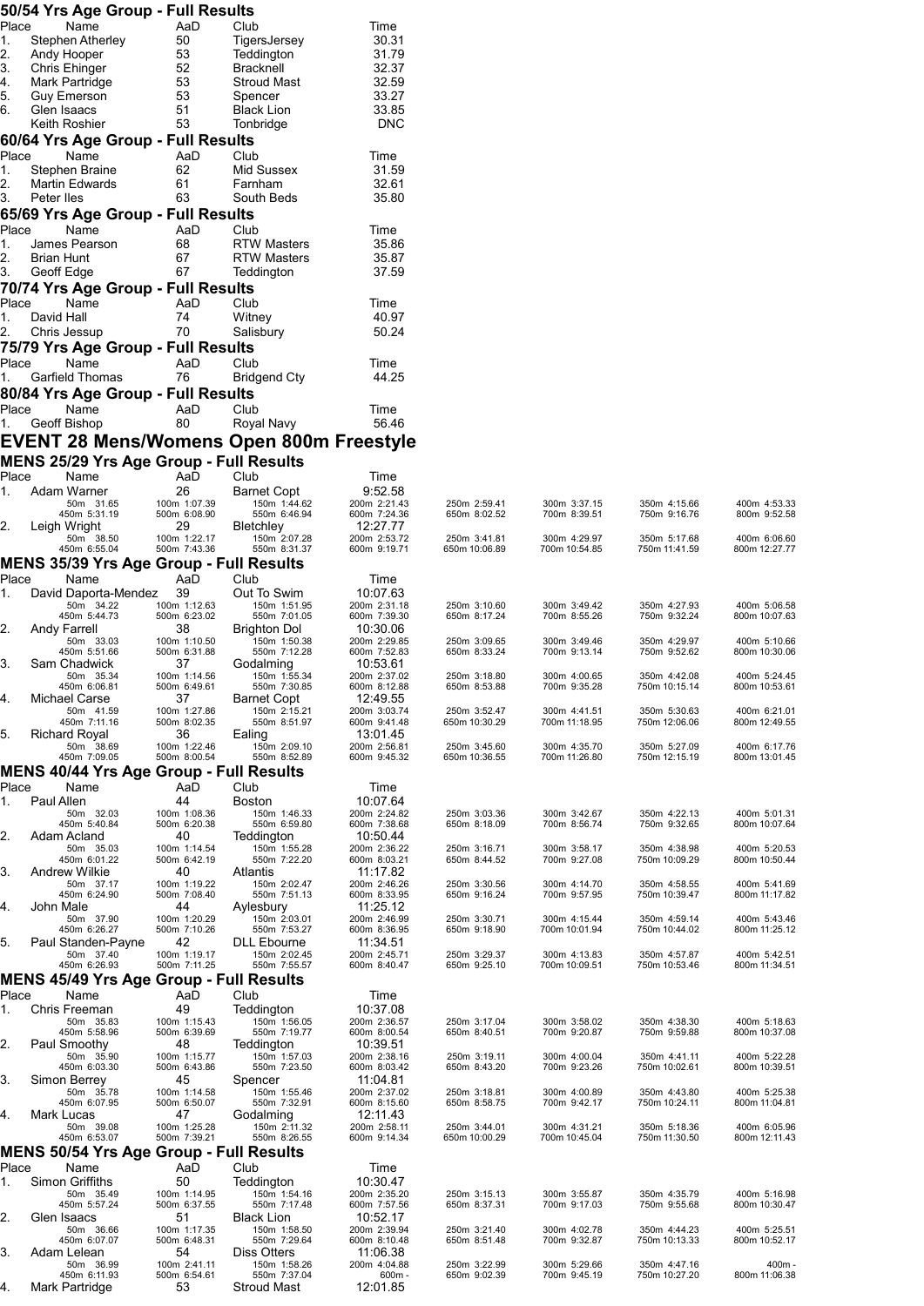|             |            | 50/54 Yrs Age Group - Full Results              |                              |                                          |                              |                               |                               |                               |                               |
|-------------|------------|-------------------------------------------------|------------------------------|------------------------------------------|------------------------------|-------------------------------|-------------------------------|-------------------------------|-------------------------------|
| Place<br>1. |            | Name<br>Stephen Atherley                        | AaD<br>50                    | Club<br>TigersJersey                     | Time<br>30.31                |                               |                               |                               |                               |
| 2.          |            | Andy Hooper                                     | 53                           | Teddington                               | 31.79                        |                               |                               |                               |                               |
| З.<br>4.    |            | Chris Ehinger<br>Mark Partridge                 | 52<br>53                     | <b>Bracknell</b><br><b>Stroud Mast</b>   | 32.37<br>32.59               |                               |                               |                               |                               |
| 5.          |            | Guy Emerson                                     | 53                           | Spencer                                  | 33.27                        |                               |                               |                               |                               |
| 6.          |            | Glen Isaacs<br>Keith Roshier                    | 51<br>53                     | <b>Black Lion</b><br>Tonbridge           | 33.85<br><b>DNC</b>          |                               |                               |                               |                               |
|             |            | 60/64 Yrs Age Group - Full Results              |                              |                                          |                              |                               |                               |                               |                               |
| Place       |            | Name                                            | AaD                          | Club                                     | Time                         |                               |                               |                               |                               |
| 1.<br>2.    |            | Stephen Braine<br><b>Martin Edwards</b>         | 62<br>61                     | Mid Sussex<br>Farnham                    | 31.59<br>32.61               |                               |                               |                               |                               |
| 3.          | Peter lles |                                                 | 63                           | South Beds                               | 35.80                        |                               |                               |                               |                               |
| Place       |            | 65/69 Yrs Age Group - Full Results<br>Name      | AaD                          | Club                                     | Time                         |                               |                               |                               |                               |
| 1.          |            | James Pearson                                   | 68                           | <b>RTW Masters</b>                       | 35.86                        |                               |                               |                               |                               |
| 2.<br>3.    | Brian Hunt | Geoff Edge                                      | 67<br>67                     | <b>RTW Masters</b><br>Teddington         | 35.87<br>37.59               |                               |                               |                               |                               |
|             |            | 70/74 Yrs Age Group - Full Results              |                              |                                          |                              |                               |                               |                               |                               |
| Place<br>1. | David Hall | Name                                            | AaD<br>74                    | Club<br>Witney                           | Time<br>40.97                |                               |                               |                               |                               |
| 2.          |            | Chris Jessup                                    | 70                           | Salisbury                                | 50.24                        |                               |                               |                               |                               |
|             |            | 75/79 Yrs Age Group - Full Results              |                              |                                          |                              |                               |                               |                               |                               |
| Place<br>1. |            | Name<br><b>Garfield Thomas</b>                  | AaD<br>76                    | Club<br><b>Bridgend Cty</b>              | Time<br>44.25                |                               |                               |                               |                               |
|             |            | 80/84 Yrs Age Group - Full Results              |                              |                                          |                              |                               |                               |                               |                               |
| Place<br>1. |            | Name<br>Geoff Bishop                            | AaD<br>80                    | Club<br>Royal Navy                       | Time<br>56.46                |                               |                               |                               |                               |
|             |            |                                                 |                              | EVENT 28 Mens/Womens Open 800m Freestyle |                              |                               |                               |                               |                               |
|             |            | <b>MENS 25/29 Yrs Age Group - Full Results</b>  |                              |                                          |                              |                               |                               |                               |                               |
| Place<br>1. |            | Name<br>Adam Warner                             | AaD<br>26                    | Club<br>Barnet Copt                      | Time<br>9:52.58              |                               |                               |                               |                               |
|             |            | 50m 31.65<br>450m 5:31.19                       | 100m 1:07.39<br>500m 6:08.90 | 150m 1:44.62<br>550m 6:46.94             | 200m 2:21.43<br>600m 7:24.36 | 250m 2:59.41<br>650m 8:02.52  | 300m 3:37.15<br>700m 8:39.51  | 350m 4:15.66<br>750m 9:16.76  | 400m 4:53.33<br>800m 9:52.58  |
| 2.          |            | Leigh Wright<br>50m 38.50                       | 29<br>100m 1:22.17           | Bletchley<br>150m 2:07.28                | 12:27.77<br>200m 2:53.72     | 250m 3:41.81                  | 300m 4:29.97                  | 350m 5:17.68                  | 400m 6:06.60                  |
|             |            | 450m 6:55.04                                    | 500m 7:43.36                 | 550m 8:31.37                             | 600m 9:19.71                 | 650m 10:06.89                 | 700m 10:54.85                 | 750m 11:41.59                 | 800m 12:27.77                 |
| Place       |            | MENS 35/39 Yrs Age Group - Full Results<br>Name | AaD                          | Club                                     | Time                         |                               |                               |                               |                               |
| 1.          |            | David Daporta-Mendez<br>50m 34.22               | 39<br>100m 1:12.63           | Out To Swim<br>150m 1:51.95              | 10:07.63<br>200m 2:31.18     | 250m 3:10.60                  | 300m 3:49.42                  | 350m 4:27.93                  | 400m 5:06.58                  |
| 2.          |            | 450m 5:44.73                                    | 500m 6:23.02<br>38           | 550m 7:01.05<br><b>Brighton Dol</b>      | 600m 7:39.30<br>10:30.06     | 650m 8:17.24                  | 700m 8:55.26                  | 750m 9:32.24                  | 800m 10:07.63                 |
|             |            | Andy Farrell<br>50m 33.03<br>450m 5:51.66       | 100m 1:10.50<br>500m 6:31.88 | 150m 1:50.38<br>550m 7:12.28             | 200m 2:29.85<br>600m 7:52.83 | 250m 3:09.65<br>650m 8:33.24  | 300m 3:49.46<br>700m 9:13.14  | 350m 4:29.97<br>750m 9:52.62  | 400m 5:10.66<br>800m 10:30.06 |
| 3.          |            | Sam Chadwick                                    | 37                           | Godalming                                | 10:53.61                     |                               |                               |                               |                               |
|             |            | 50m 35.34<br>450m 6:06.81                       | 100m 1:14.56<br>500m 6:49.61 | 150m 1:55.34<br>550m 7:30.85             | 200m 2:37.02<br>600m 8:12.88 | 250m 3:18.80<br>650m 8:53.88  | 300m 4:00.65<br>700m 9:35.28  | 350m 4:42.08<br>750m 10:15.14 | 400m 5:24.45<br>800m 10:53.61 |
|             |            | Michael Carse<br>50m 41.59                      | 37<br>100m 1:27.86           | <b>Barnet Copt</b><br>150m 2:15.21       | 12:49.55<br>200m 3:03.74     | 250m 3:52.47                  | 300m 4:41.51                  | 350m 5:30.63                  | 400m 6:21.01                  |
| 5.          |            | 450m 7:11.16<br><b>Richard Royal</b>            | 500m 8:02.35<br>36           | 550m 8:51.97<br>Ealing                   | 600m 9:41.48<br>13:01.45     | 650m 10:30.29                 | 700m 11:18.95                 | 750m 12:06.06                 | 800m 12:49.55                 |
|             |            | 50m 38.69<br>450m 7:09.05                       | 100m 1:22.46<br>500m 8:00.54 | 150m 2:09.10<br>550m 8:52.89             | 200m 2:56.81<br>600m 9:45.32 | 250m 3:45.60<br>650m 10:36.55 | 300m 4:35.70<br>700m 11:26.80 | 350m 5:27.09<br>750m 12:15.19 | 400m 6:17.76<br>800m 13:01.45 |
|             |            | <b>MENS 40/44 Yrs Age Group - Full Results</b>  |                              |                                          |                              |                               |                               |                               |                               |
| Place<br>1. | Paul Allen | Name                                            | AaD<br>44                    | Club<br><b>Boston</b>                    | Time<br>10:07.64             |                               |                               |                               |                               |
|             |            | 50m 32.03<br>450m 5:40.84                       | 100m 1:08.36<br>500m 6:20.38 | 150m 1:46.33<br>550m 6:59.80             | 200m 2:24.82<br>600m 7:38.68 | 250m 3:03.36<br>650m 8:18.09  | 300m 3:42.67<br>700m 8:56.74  | 350m 4:22.13<br>750m 9:32.65  | 400m 5:01.31<br>800m 10:07.64 |
| 2.          |            | Adam Acland<br>50m 35.03                        | 40<br>100m 1:14.54           | Teddington<br>150m 1:55.28               | 10:50.44<br>200m 2:36.22     | 250m 3:16.71                  | 300m 3:58.17                  | 350m 4:38.98                  | 400m 5:20.53                  |
| 3.          |            | 450m 6:01.22<br><b>Andrew Wilkie</b>            | 500m 6:42.19<br>40           | 550m 7:22.20<br>Atlantis                 | 600m 8:03.21<br>11:17.82     | 650m 8:44.52                  | 700m 9:27.08                  | 750m 10:09.29                 | 800m 10:50.44                 |
|             |            | 50m 37.17<br>450m 6:24.90                       | 100m 1:19.22<br>500m 7:08.40 | 150m 2:02.47<br>550m 7:51.13             | 200m 2:46.26<br>600m 8:33.95 | 250m 3:30.56<br>650m 9:16.24  | 300m 4:14.70<br>700m 9:57.95  | 350m 4:58.55<br>750m 10:39.47 | 400m 5:41.69<br>800m 11:17.82 |
| 4.          | John Male  | 50m 37.90                                       | 44<br>100m 1:20.29           | Aylesbury<br>150m 2:03.01                | 11:25.12<br>200m 2:46.99     | 250m 3:30.71                  | 300m 4:15.44                  | 350m 4:59.14                  | 400m 5:43.46                  |
| 5.          |            | 450m 6:26.27                                    | 500m 7:10.26<br>42           | 550m 7:53.27<br><b>DLL</b> Ebourne       | 600m 8:36.95<br>11:34.51     | 650m 9:18.90                  | 700m 10:01.94                 | 750m 10:44.02                 | 800m 11:25.12                 |
|             |            | Paul Standen-Payne<br>50m 37.40<br>450m 6:26.93 | 100m 1:19.17<br>500m 7:11.25 | 150m 2:02.45<br>550m 7:55.57             | 200m 2:45.71<br>600m 8:40.47 | 250m 3:29.37<br>650m 9:25.10  | 300m 4:13.83<br>700m 10:09.51 | 350m 4:57.87<br>750m 10:53.46 | 400m 5:42.51<br>800m 11:34.51 |
|             |            | <b>MENS 45/49 Yrs Age Group - Full Results</b>  |                              |                                          |                              |                               |                               |                               |                               |
| Place<br>1. |            | Name<br>Chris Freeman                           | AaD<br>49                    | Club                                     | Time<br>10:37.08             |                               |                               |                               |                               |
|             |            | 50m 35.83                                       | 100m 1:15.43                 | Teddington<br>150m 1:56.05               | 200m 2:36.57                 | 250m 3:17.04                  | 300m 3:58.02                  | 350m 4:38.30                  | 400m 5:18.63                  |
| 2.          |            | 450m 5:58.96<br>Paul Smoothy                    | 500m 6:39.69<br>48           | 550m 7:19.77<br>Teddington               | 600m 8:00.54<br>10:39.51     | 650m 8:40.51                  | 700m 9:20.87                  | 750m 9:59.88                  | 800m 10:37.08                 |
|             |            | 50m 35.90<br>450m 6:03.30                       | 100m 1:15.77<br>500m 6:43.86 | 150m 1:57.03<br>550m 7:23.50             | 200m 2:38.16<br>600m 8:03.42 | 250m 3:19.11<br>650m 8:43.20  | 300m 4:00.04<br>700m 9:23.26  | 350m 4:41.11<br>750m 10:02.61 | 400m 5:22.28<br>800m 10:39.51 |
| 3.          |            | Simon Berrey<br>50m 35.78                       | 45<br>100m 1:14.58           | Spencer<br>150m 1:55.46                  | 11:04.81<br>200m 2:37.02     | 250m 3:18.81                  | 300m 4:00.89                  | 350m 4:43.80                  | 400m 5:25.38                  |
| 4.          |            | 450m 6:07.95<br>Mark Lucas                      | 500m 6:50.07<br>47           | 550m 7:32.91<br>Godalming                | 600m 8:15.60<br>12:11.43     | 650m 8:58.75                  | 700m 9:42.17                  | 750m 10:24.11                 | 800m 11:04.81                 |
|             |            | 50m 39.08<br>450m 6:53.07                       | 100m 1:25.28<br>500m 7:39.21 | 150m 2:11.32<br>550m 8:26.55             | 200m 2:58.11<br>600m 9:14.34 | 250m 3:44.01<br>650m 10:00.29 | 300m 4:31.21<br>700m 10:45.04 | 350m 5:18.36<br>750m 11:30.50 | 400m 6:05.96<br>800m 12:11.43 |
|             |            | <b>MENS 50/54 Yrs Age Group - Full Results</b>  |                              |                                          |                              |                               |                               |                               |                               |
| Place<br>1. |            | Name<br>Simon Griffiths                         | AaD<br>50                    | Club<br>Teddington                       | Time<br>10:30.47             |                               |                               |                               |                               |
|             |            | 50m 35.49<br>450m 5:57.24                       | 100m 1:14.95<br>500m 6:37.55 | 150m 1:54.16<br>550m 7:17.48             | 200m 2:35.20<br>600m 7:57.56 | 250m 3:15.13<br>650m 8:37.31  | 300m 3:55.87<br>700m 9:17.03  | 350m 4:35.79<br>750m 9:55.68  | 400m 5:16.98<br>800m 10:30.47 |
| 2.          |            | Glen Isaacs<br>50m 36.66                        | 51<br>100m 1:17.35           | <b>Black Lion</b><br>150m 1:58.50        | 10:52.17<br>200m 2:39.94     | 250m 3:21.40                  | 300m 4:02.78                  | 350m 4:44.23                  | 400m 5:25.51                  |
| 3.          |            | 450m 6:07.07<br>Adam Lelean                     | 500m 6:48.31<br>54           | 550m 7:29.64<br>Diss Otters              | 600m 8:10.48<br>11:06.38     | 650m 8:51.48                  | 700m 9:32.87                  | 750m 10:13.33                 | 800m 10:52.17                 |
|             |            | 50m 36.99<br>450m 6:11.93                       | 100m 2:41.11<br>500m 6:54.61 | 150m 1:58.26<br>550m 7:37.04             | 200m 4:04.88<br>$600m -$     | 250m 3:22.99<br>650m 9:02.39  | 300m 5:29.66<br>700m 9:45.19  | 350m 4:47.16<br>750m 10:27.20 | $400m \cdot$<br>800m 11:06.38 |
| 4.          |            | Mark Partridge                                  | 53                           | Stroud Mast                              | 12:01.85                     |                               |                               |                               |                               |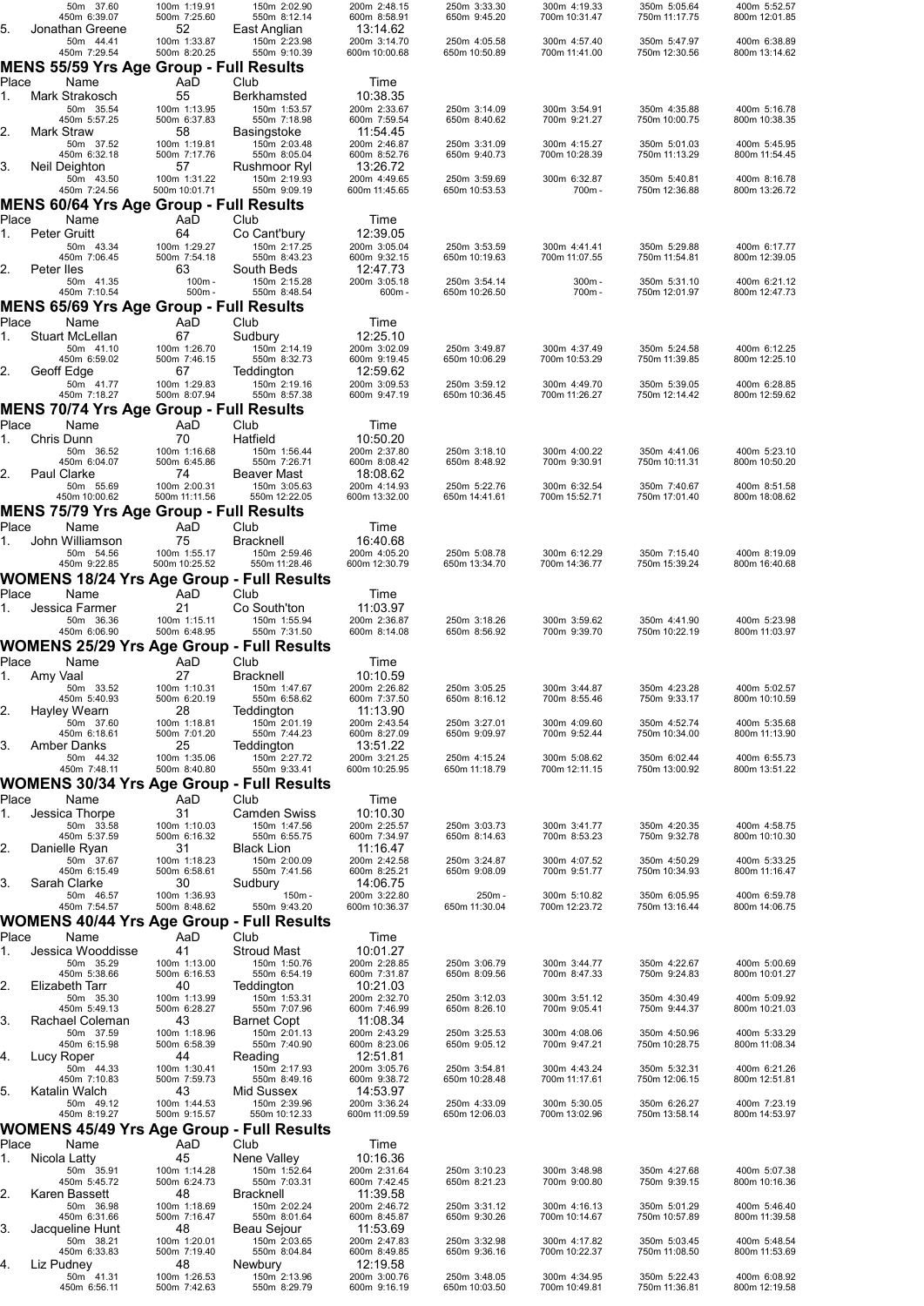|             | 50m 37.60<br>450m 6:39.07                                        | 100m 1:19.91<br>500m 7:25.60       | 150m 2:02.90<br>550m 8:12.14                 | 200m 2:48.15<br>600m 8:58.91             | 250m 3:33.30<br>650m 9:45.20  | 300m 4:19.33<br>700m 10:31.47 | 350m 5:05.64<br>750m 11:17.75 | 400m 5:52.57<br>800m 12:01.85 |
|-------------|------------------------------------------------------------------|------------------------------------|----------------------------------------------|------------------------------------------|-------------------------------|-------------------------------|-------------------------------|-------------------------------|
| 5.          | Jonathan Greene<br>50m 44.41                                     | 52<br>100m 1:33.87                 | East Anglian<br>150m 2:23.98                 | 13:14.62<br>200m 3:14.70                 | 250m 4:05.58                  | 300m 4:57.40                  | 350m 5:47.97                  | 400m 6:38.89                  |
|             | 450m 7:29.54<br>MENS 55/59 Yrs Age Group - Full Results          | 500m 8:20.25                       | 550m 9:10.39                                 | 600m 10:00.68                            | 650m 10:50.89                 | 700m 11:41.00                 | 750m 12:30.56                 | 800m 13:14.62                 |
| Place       | Name                                                             | AaD                                | Club                                         | Time                                     |                               |                               |                               |                               |
| 1.          | Mark Strakosch<br>50m 35.54                                      | 55<br>100m 1:13.95                 | Berkhamsted<br>150m 1:53.57                  | 10:38.35<br>200m 2:33.67                 | 250m 3:14.09                  | 300m 3:54.91                  | 350m 4:35.88                  | 400m 5:16.78                  |
| 2.          | 450m 5:57.25<br>Mark Straw                                       | 500m 6:37.83<br>58                 | 550m 7:18.98<br>Basingstoke                  | 600m 7:59.54<br>11:54.45                 | 650m 8:40.62                  | 700m 9:21.27                  | 750m 10:00.75                 | 800m 10:38.35                 |
|             | 50m 37.52<br>450m 6:32.18                                        | 100m 1:19.81<br>500m 7:17.76<br>57 | 150m 2:03.48<br>550m 8:05.04                 | 200m 2:46.87<br>600m 8:52.76<br>13:26.72 | 250m 3:31.09<br>650m 9:40.73  | 300m 4:15.27<br>700m 10:28.39 | 350m 5:01.03<br>750m 11:13.29 | 400m 5:45.95<br>800m 11:54.45 |
| 3.          | Neil Deighton<br>50m 43.50<br>450m 7:24.56                       | 100m 1:31.22<br>500m 10:01.71      | Rushmoor Ryl<br>150m 2:19.93<br>550m 9:09.19 | 200m 4:49.65<br>600m 11:45.65            | 250m 3:59.69<br>650m 10:53.53 | 300m 6:32.87<br>700m-         | 350m 5:40.81<br>750m 12:36.88 | 400m 8:16.78<br>800m 13:26.72 |
|             | MENS 60/64 Yrs Age Group - Full Results                          |                                    |                                              |                                          |                               |                               |                               |                               |
| Place<br>1. | Name<br><b>Peter Gruitt</b>                                      | AaD<br>64                          | Club<br>Co Cant'bury                         | Time<br>12:39.05                         |                               |                               |                               |                               |
|             | 50m 43.34<br>450m 7:06.45                                        | 100m 1:29.27<br>500m 7:54.18       | 150m 2:17.25<br>550m 8:43.23                 | 200m 3:05.04<br>600m 9:32.15             | 250m 3:53.59<br>650m 10:19.63 | 300m 4:41.41<br>700m 11:07.55 | 350m 5:29.88<br>750m 11:54.81 | 400m 6:17.77<br>800m 12:39.05 |
| 2.          | Peter Iles<br>50m 41.35                                          | 63<br>100m -                       | South Beds<br>150m 2:15.28                   | 12:47.73<br>200m 3:05.18                 | 250m 3:54.14                  | $300m -$                      | 350m 5:31.10                  | 400m 6:21.12                  |
|             | 450m 7:10.54<br><b>MENS 65/69 Yrs Age Group - Full Results</b>   | $500m -$                           | 550m 8:48.54                                 | $600m -$                                 | 650m 10:26.50                 | 700m-                         | 750m 12:01.97                 | 800m 12:47.73                 |
| Place<br>1. | Name<br>Stuart McLellan                                          | AaD<br>67                          | Club<br>Sudbury                              | Time<br>12:25.10                         |                               |                               |                               |                               |
|             | 50m 41.10<br>450m 6:59.02                                        | 100m 1:26.70<br>500m 7:46.15       | 150m 2:14.19<br>550m 8:32.73                 | 200m 3:02.09<br>600m 9:19.45             | 250m 3:49.87<br>650m 10:06.29 | 300m 4:37.49<br>700m 10:53.29 | 350m 5:24.58<br>750m 11:39.85 | 400m 6:12.25<br>800m 12:25.10 |
| 2.          | Geoff Edge<br>50m 41.77                                          | 67<br>100m 1:29.83                 | Teddington<br>150m 2:19.16                   | 12:59.62<br>200m 3:09.53                 | 250m 3:59.12                  | 300m 4:49.70                  | 350m 5:39.05                  | 400m 6:28.85                  |
|             | 450m 7:18.27<br>MENS 70/74 Yrs Age Group - Full Results          | 500m 8:07.94                       | 550m 8:57.38                                 | 600m 9:47.19                             | 650m 10:36.45                 | 700m 11:26.27                 | 750m 12:14.42                 | 800m 12:59.62                 |
| Place       | Name                                                             | AaD                                | Club                                         | Time                                     |                               |                               |                               |                               |
| 1.          | Chris Dunn<br>50m 36.52                                          | 70<br>100m 1:16.68                 | Hatfield<br>150m 1:56.44                     | 10:50.20<br>200m 2:37.80                 | 250m 3:18.10                  | 300m 4:00.22                  | 350m 4:41.06                  | 400m 5:23.10                  |
| 2.          | 450m 6:04.07<br>Paul Clarke                                      | 500m 6:45.86<br>74                 | 550m 7:26.71<br>Beaver Mast                  | 600m 8:08.42<br>18:08.62                 | 650m 8:48.92                  | 700m 9:30.91                  | 750m 10:11.31                 | 800m 10:50.20                 |
|             | 50m 55.69<br>450m 10:00.62                                       | 100m 2:00.31<br>500m 11:11.56      | 150m 3:05.63<br>550m 12:22.05                | 200m 4:14.93<br>600m 13:32.00            | 250m 5:22.76<br>650m 14:41.61 | 300m 6:32.54<br>700m 15:52.71 | 350m 7:40.67<br>750m 17:01.40 | 400m 8:51.58<br>800m 18:08.62 |
| Place       | <b>MENS 75/79 Yrs Age Group - Full Results</b><br>Name           | AaD                                | Club                                         | Time                                     |                               |                               |                               |                               |
| 1.          | John Williamson<br>50m 54.56                                     | 75<br>100m 1:55.17                 | Bracknell<br>150m 2:59.46                    | 16:40.68<br>200m 4:05.20                 | 250m 5:08.78                  | 300m 6:12.29                  | 350m 7:15.40                  | 400m 8:19.09                  |
|             | 450m 9:22.85<br><b>WOMENS 18/24 Yrs Age Group - Full Results</b> | 500m 10:25.52                      | 550m 11:28.46                                | 600m 12:30.79                            | 650m 13:34.70                 | 700m 14:36.77                 | 750m 15:39.24                 | 800m 16:40.68                 |
| Place       | Name                                                             | AaD                                | Club                                         | Time                                     |                               |                               |                               |                               |
| 1.          | Jessica Farmer<br>50m 36.36                                      | 21<br>100m 1:15.11                 | Co South'ton<br>150m 1:55.94                 | 11:03.97<br>200m 2:36.87                 | 250m 3:18.26                  | 300m 3:59.62                  | 350m 4:41.90                  | 400m 5:23.98                  |
|             | 450m 6:06.90<br>WOMENS 25/29 Yrs Age Group - Full Results        | 500m 6:48.95                       | 550m 7:31.50                                 | 600m 8:14.08                             | 650m 8:56.92                  | 700m 9:39.70                  | 750m 10:22.19                 | 800m 11:03.97                 |
| Place<br>1. | Name<br>Amy Vaal                                                 | AaD<br>27                          | Club<br>Bracknell                            | Time<br>10:10.59                         |                               |                               |                               |                               |
|             | 50m 33.52<br>450m 5:40.93                                        | 100m 1:10.31<br>500m 6:20.19       | 150m 1:47.67<br>550m 6:58.62                 | 200m 2:26.82<br>600m 7:37.50             | 250m 3:05.25<br>650m 8:16.12  | 300m 3:44.87<br>700m 8:55.46  | 350m 4:23.28<br>750m 9:33.17  | 400m 5:02.57<br>800m 10:10.59 |
| 2.          | Hayley Wearn<br>50m 37.60                                        | 28<br>100m 1:18.81                 | Teddington<br>150m 2:01.19                   | 11:13.90<br>200m 2:43.54                 | 250m 3:27.01                  | 300m 4:09.60                  | 350m 4:52.74                  | 400m 5:35.68                  |
| 3.          | 450m 6:18.61<br>Amber Danks                                      | 500m 7:01.20<br>25                 | 550m 7:44.23<br>Teddington                   | 600m 8:27.09<br>13:51.22                 | 650m 9:09.97                  | 700m 9:52.44                  | 750m 10:34.00                 | 800m 11:13.90                 |
|             | 50m 44.32<br>450m 7:48.11                                        | 100m 1:35.06<br>500m 8:40.80       | 150m 2:27.72<br>550m 9:33.41                 | 200m 3:21.25<br>600m 10:25.95            | 250m 4:15.24<br>650m 11:18.79 | 300m 5:08.62<br>700m 12:11.15 | 350m 6:02.44<br>750m 13:00.92 | 400m 6:55.73<br>800m 13:51.22 |
| Place       | <b>WOMENS 30/34 Yrs Age Group - Full Results</b><br>Name         | AaD                                | Club                                         | Time                                     |                               |                               |                               |                               |
| 1.          | Jessica Thorpe<br>50m 33.58                                      | 31<br>100m 1:10.03                 | Camden Swiss<br>150m 1:47.56                 | 10:10.30<br>200m 2:25.57                 | 250m 3:03.73                  | 300m 3:41.77                  | 350m 4:20.35                  | 400m 4:58.75                  |
| 2.          | 450m 5:37.59<br>Danielle Ryan                                    | 500m 6:16.32<br>31                 | 550m 6:55.75<br><b>Black Lion</b>            | 600m 7:34.97<br>11:16.47                 | 650m 8:14.63                  | 700m 8:53.23                  | 750m 9:32.78                  | 800m 10:10.30                 |
|             | 50m 37.67<br>450m 6:15.49                                        | 100m 1:18.23<br>500m 6:58.61       | 150m 2:00.09<br>550m 7:41.56                 | 200m 2:42.58<br>600m 8:25.21             | 250m 3:24.87<br>650m 9:08.09  | 300m 4:07.52<br>700m 9:51.77  | 350m 4:50.29<br>750m 10:34.93 | 400m 5:33.25<br>800m 11:16.47 |
| 3.          | Sarah Clarke<br>50m 46.57                                        | 30<br>100m 1:36.93                 | Sudburv<br>150m -                            | 14:06.75<br>200m 3:22.80                 | 250m -                        | 300m 5:10.82                  | 350m 6:05.95                  | 400m 6:59.78                  |
|             | 450m 7:54.57<br>WOMENS 40/44 Yrs Age Group - Full Results        | 500m 8:48.62                       | 550m 9:43.20                                 | 600m 10:36.37                            | 650m 11:30.04                 | 700m 12:23.72                 | 750m 13:16.44                 | 800m 14:06.75                 |
| Place<br>1. | Name<br>Jessica Wooddisse                                        | AaD<br>41                          | Club<br>Stroud Mast                          | Time<br>10:01.27                         |                               |                               |                               |                               |
|             | 50m 35.29<br>450m 5:38.66                                        | 100m 1:13.00<br>500m 6:16.53       | 150m 1:50.76<br>550m 6:54.19                 | 200m 2:28.85<br>600m 7:31.87             | 250m 3:06.79<br>650m 8:09.56  | 300m 3:44.77<br>700m 8:47.33  | 350m 4:22.67<br>750m 9:24.83  | 400m 5:00.69<br>800m 10:01.27 |
| 2.          | Elizabeth Tarr<br>50m 35.30                                      | 40<br>100m 1:13.99                 | Teddington<br>150m 1:53.31                   | 10:21.03<br>200m 2:32.70                 | 250m 3:12.03                  | 300m 3:51.12                  | 350m 4:30.49                  | 400m 5:09.92                  |
| 3.          | 450m 5:49.13<br>Rachael Coleman                                  | 500m 6:28.27<br>43                 | 550m 7:07.96<br>Barnet Copt                  | 600m 7:46.99<br>11:08.34                 | 650m 8:26.10                  | 700m 9:05.41                  | 750m 9:44.37                  | 800m 10:21.03                 |
|             | 50m 37.59<br>450m 6:15.98                                        | 100m 1:18.96<br>500m 6:58.39       | 150m 2:01.13<br>550m 7:40.90                 | 200m 2:43.29<br>600m 8:23.06             | 250m 3:25.53<br>650m 9:05.12  | 300m 4:08.06<br>700m 9:47.21  | 350m 4:50.96<br>750m 10:28.75 | 400m 5:33.29<br>800m 11:08.34 |
| 4.          | Lucy Roper<br>50m 44.33                                          | 44<br>100m 1:30.41                 | Reading<br>150m 2:17.93                      | 12:51.81<br>200m 3:05.76                 | 250m 3:54.81                  | 300m 4:43.24                  | 350m 5:32.31                  | 400m 6:21.26                  |
| 5.          | 450m 7:10.83<br>Katalin Walch                                    | 500m 7:59.73<br>43                 | 550m 8:49.16<br>Mid Sussex                   | 600m 9:38.72<br>14:53.97                 | 650m 10:28.48                 | 700m 11:17.61                 | 750m 12:06.15                 | 800m 12:51.81                 |
|             | 50m 49.12<br>450m 8:19.27                                        | 100m 1:44.53<br>500m 9:15.57       | 150m 2:39.96<br>550m 10:12.33                | 200m 3:36.24<br>600m 11:09.59            | 250m 4:33.09<br>650m 12:06.03 | 300m 5:30.05<br>700m 13:02.96 | 350m 6:26.27<br>750m 13:58.14 | 400m 7:23.19<br>800m 14:53.97 |
| Place       | WOMENS 45/49 Yrs Age Group - Full Results<br>Name                | AaD                                | Club                                         | Time                                     |                               |                               |                               |                               |
| 1.          | Nicola Latty                                                     | 45                                 | Nene Valley                                  | 10:16.36                                 |                               |                               |                               |                               |
| 2.          | 50m 35.91<br>450m 5:45.72<br>Karen Bassett                       | 100m 1:14.28<br>500m 6:24.73<br>48 | 150m 1:52.64<br>550m 7:03.31<br>Bracknell    | 200m 2:31.64<br>600m 7:42.45<br>11:39.58 | 250m 3:10.23<br>650m 8:21.23  | 300m 3:48.98<br>700m 9:00.80  | 350m 4:27.68<br>750m 9:39.15  | 400m 5:07.38<br>800m 10:16.36 |
|             | 50m 36.98<br>450m 6:31.66                                        | 100m 1:18.69<br>500m 7:16.47       | 150m 2:02.24<br>550m 8:01.64                 | 200m 2:46.72<br>600m 8:45.87             | 250m 3:31.12<br>650m 9:30.26  | 300m 4:16.13<br>700m 10:14.67 | 350m 5:01.29<br>750m 10:57.89 | 400m 5:46.40<br>800m 11:39.58 |
| 3.          | Jacqueline Hunt<br>50m 38.21                                     | 48<br>100m 1:20.01                 | Beau Sejour<br>150m 2:03.65                  | 11:53.69<br>200m 2:47.83                 | 250m 3:32.98                  | 300m 4:17.82                  | 350m 5:03.45                  | 400m 5:48.54                  |
| 4.          | 450m 6:33.83<br>Liz Pudney                                       | 500m 7:19.40<br>48                 | 550m 8:04.84<br>Newbury                      | 600m 8:49.85<br>12:19.58                 | 650m 9:36.16                  | 700m 10:22.37                 | 750m 11:08.50                 | 800m 11:53.69                 |
|             | 50m 41.31<br>450m 6:56.11                                        | 100m 1:26.53<br>500m 7:42.63       | 150m 2:13.96<br>550m 8:29.79                 | 200m 3:00.76<br>600m 9:16.19             | 250m 3:48.05<br>650m 10:03.50 | 300m 4:34.95<br>700m 10:49.81 | 350m 5:22.43<br>750m 11:36.81 | 400m 6:08.92<br>800m 12:19.58 |